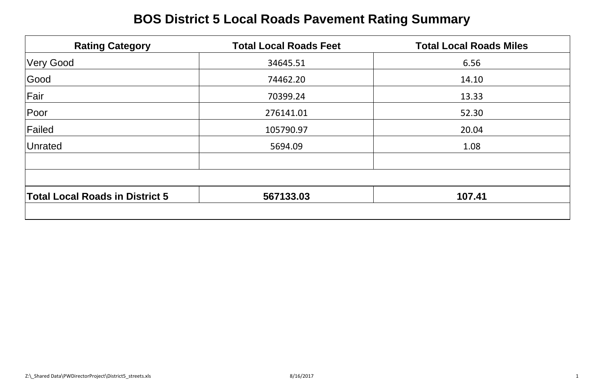# **BOS District 5 Local Roads Pavement Rating Summary**

| <b>Rating Category</b>                 | <b>Total Local Roads Feet</b> | <b>Total Local Roads Miles</b> |
|----------------------------------------|-------------------------------|--------------------------------|
| Very Good                              | 34645.51                      | 6.56                           |
| Good                                   | 74462.20                      | 14.10                          |
| Fair                                   | 70399.24                      | 13.33                          |
| Poor                                   | 276141.01                     | 52.30                          |
| Failed                                 | 105790.97                     | 20.04                          |
| Unrated                                | 5694.09                       | 1.08                           |
|                                        |                               |                                |
| <b>Total Local Roads in District 5</b> | 567133.03                     | 107.41                         |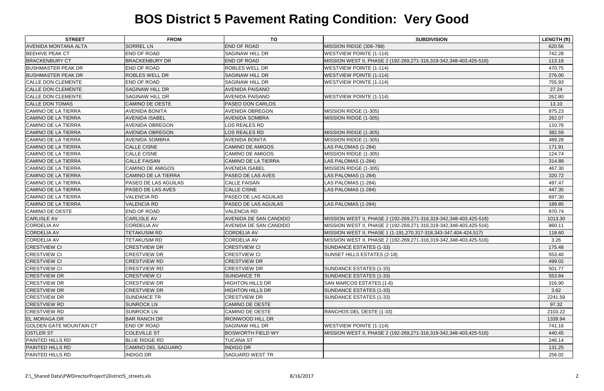| <b>STREET</b>                  | <b>FROM</b>                 | <b>TO</b>                   | <b>SUBDIVISION</b>                                                 | <b>LENGTH (ft)</b> |
|--------------------------------|-----------------------------|-----------------------------|--------------------------------------------------------------------|--------------------|
| <b>AVENIDA MONTANA ALTA</b>    | <b>SORREL LN</b>            | <b>END OF ROAD</b>          | MISSION RIDGE (306-788)                                            | 620.56             |
| <b>BEEHIVE PEAK CT</b>         | <b>END OF ROAD</b>          | <b>SAGINAW HILL DR</b>      | <b>WESTVIEW POINTE (1-114)</b>                                     | 742.28             |
| <b>BRACKENBURY CT</b>          | <b>BRACKENBURY DR</b>       | <b>END OF ROAD</b>          | MISSION WEST II, PHASE 2 (192-269,271-316,319-342,348-403,425-516) | 113.18             |
| <b>BUSHMASTER PEAK DR</b>      | <b>END OF ROAD</b>          | <b>ROBLES WELL DR</b>       | <b>WESTVIEW POINTE (1-114)</b>                                     | 470.75             |
| <b>BUSHMASTER PEAK DR</b>      | <b>ROBLES WELL DR</b>       | <b>SAGINAW HILL DR</b>      | <b>WESTVIEW POINTE (1-114)</b>                                     | 276.00             |
| <b>CALLE DON CLEMENTE</b>      | <b>END OF ROAD</b>          | <b>SAGINAW HILL DR</b>      | <b>WESTVIEW POINTE (1-114)</b>                                     | 755.93             |
| <b>CALLE DON CLEMENTE</b>      | <b>SAGINAW HILL DR</b>      | <b>AVENIDA PAISANO</b>      |                                                                    | 27.24              |
| <b>CALLE DON CLEMENTE</b>      | <b>SAGINAW HILL DR</b>      | <b>AVENIDA PAISANO</b>      | <b>WESTVIEW POINTE (1-114)</b>                                     | 262.80             |
| <b>CALLE DON TOMAS</b>         | <b>CAMINO DE OESTE</b>      | <b>PASEO DON CARLOS</b>     |                                                                    | 13.10              |
| <b>CAMINO DE LA TIERRA</b>     | <b>AVENIDA BONITA</b>       | <b>AVENIDA OBREGON</b>      | MISSION RIDGE (1-305)                                              | 875.23             |
| <b>CAMINO DE LA TIERRA</b>     | <b>AVENIDA ISABEL</b>       | <b>AVENIDA SOMBRA</b>       | MISSION RIDGE (1-305)                                              | 262.07             |
| CAMINO DE LA TIERRA            | <b>AVENIDA OBREGON</b>      | LOS REALES RD               |                                                                    | 110.76             |
| <b>CAMINO DE LA TIERRA</b>     | <b>AVENIDA OBREGON</b>      | LOS REALES RD               | MISSION RIDGE (1-305)                                              | 382.59             |
| <b>CAMINO DE LA TIERRA</b>     | <b>AVENIDA SOMBRA</b>       | <b>AVENIDA BONITA</b>       | MISSION RIDGE (1-305)                                              | 489.28             |
| <b>CAMINO DE LA TIERRA</b>     | <b>CALLE CISNE</b>          | <b>CAMINO DE AMIGOS</b>     | LAS PALOMAS (1-284)                                                | 171.91             |
| <b>CAMINO DE LA TIERRA</b>     | <b>CALLE CISNE</b>          | <b>CAMINO DE AMIGOS</b>     | MISSION RIDGE (1-305)                                              | 124.74             |
| <b>CAMINO DE LA TIERRA</b>     | <b>CALLE FAISAN</b>         | <b>CAMINO DE LA TIERRA</b>  | LAS PALOMAS (1-284)                                                | 314.88             |
| <b>CAMINO DE LA TIERRA</b>     | <b>CAMINO DE AMIGOS</b>     | <b>AVENIDA ISABEL</b>       | MISSION RIDGE (1-305)                                              | 467.30             |
| <b>CAMINO DE LA TIERRA</b>     | CAMINO DE LA TIERRA         | <b>PASEO DE LAS AVES</b>    | LAS PALOMAS (1-284)                                                | 320.72             |
| CAMINO DE LA TIERRA            | <b>PASEO DE LAS AGUILAS</b> | <b>CALLE FAISAN</b>         | LAS PALOMAS (1-284)                                                | 497.47             |
| <b>CAMINO DE LA TIERRA</b>     | <b>PASEO DE LAS AVES</b>    | <b>CALLE CISNE</b>          | LAS PALOMAS (1-284)                                                | 447.35             |
| <b>CAMINO DE LA TIERRA</b>     | <b>VALENCIA RD</b>          | <b>PASEO DE LAS AGUILAS</b> |                                                                    | 697.30             |
| <b>CAMINO DE LA TIERRA</b>     | <b>VALENCIA RD</b>          | PASEO DE LAS AGUILAS        | LAS PALOMAS (1-284)                                                | 189.85             |
| CAMINO DE OESTE                | <b>END OF ROAD</b>          | <b>VALENCIA RD</b>          |                                                                    | 870.74             |
| <b>CARLISLE AV</b>             | <b>CARLISLE AV</b>          | AVENIDA DE SAN CANDIDO      | MISSION WEST II, PHASE 2 (192-269,271-316,319-342,348-403,425-516) | 1013.30            |
| <b>CORDELIA AV</b>             | <b>CORDELIA AV</b>          | AVENIDA DE SAN CANDIDO      | MISSION WEST II, PHASE 2 (192-269,271-316,319-342,348-403,425-516) | 860.11             |
| <b>CORDELIA AV</b>             | <b>TETAKUSIM RD</b>         | <b>CORDELIA AV</b>          | MISSION WEST II, PHASE 1 (1-191,270,317-318,343-347,404-424,517)   | 118.60             |
| <b>CORDELIA AV</b>             | <b>TETAKUSIM RD</b>         | <b>CORDELIA AV</b>          | MISSION WEST II, PHASE 2 (192-269,271-316,319-342,348-403,425-516) | 3.26               |
| <b>CRESTVIEW CI</b>            | <b>CRESTVIEW DR</b>         | <b>CRESTVIEW CI</b>         | SUNDANCE ESTATES (1-33)                                            | 175.48             |
| <b>CRESTVIEW CI</b>            | <b>CRESTVIEW DR</b>         | <b>CRESTVIEW CI</b>         | SUNSET HILLS ESTATES (2-18)                                        | 553.40             |
| <b>CRESTVIEW CI</b>            | <b>CRESTVIEW RD</b>         | <b>CRESTVIEW DR</b>         |                                                                    | 499.02             |
| <b>CRESTVIEW CI</b>            | <b>CRESTVIEW RD</b>         | <b>CRESTVIEW DR</b>         | SUNDANCE ESTATES (1-33)                                            | 501.77             |
| <b>CRESTVIEW DR</b>            | <b>CRESTVIEW CI</b>         | <b>SUNDANCE TR</b>          | SUNDANCE ESTATES (1-33)                                            | 553.84             |
| <b>CRESTVIEW DR</b>            | <b>CRESTVIEW DR</b>         | <b>HIGHTON HILLS DR</b>     | SAN MARCOS ESTATES (1-6)                                           | 316.90             |
| <b>CRESTVIEW DR</b>            | <b>CRESTVIEW DR</b>         | <b>HIGHTON HILLS DR</b>     | SUNDANCE ESTATES (1-33)                                            | 3.62               |
| <b>CRESTVIEW DR</b>            | <b>SUNDANCE TR</b>          | <b>CRESTVIEW DR</b>         | SUNDANCE ESTATES (1-33)                                            | 2241.59            |
| <b>CRESTVIEW RD</b>            | <b>SUNROCK LN</b>           | <b>CAMINO DE OESTE</b>      |                                                                    | 97.32              |
| <b>CRESTVIEW RD</b>            | <b>SUNROCK LN</b>           | CAMINO DE OESTE             | RANCHOS DEL OESTE (1-33)                                           | 2103.22            |
| <b>EL MORAGA DR</b>            | <b>BAR RANCH DR</b>         | <b>IRONWOOD HILL DR</b>     |                                                                    | 1339.94            |
| <b>GOLDEN GATE MOUNTAIN CT</b> | <b>END OF ROAD</b>          | <b>SAGINAW HILL DR</b>      | <b>WESTVIEW POINTE (1-114)</b>                                     | 741.16             |
| <b>OSTLER ST</b>               | <b>COLEVILLE ST</b>         | <b>BOSWORTH FIELD WY</b>    | MISSION WEST II, PHASE 2 (192-269,271-316,319-342,348-403,425-516) | 440.45             |
| <b>PAINTED HILLS RD</b>        | <b>BLUE RIDGE RD</b>        | <b>TUCANA ST</b>            |                                                                    | 246.14             |
| <b>PAINTED HILLS RD</b>        | <b>CAMINO DEL SAGUARO</b>   | <b>INDIGO DR</b>            |                                                                    | 131.25             |
| PAINTED HILLS RD               | <b>INDIGO DR</b>            | <b>SAGUARO WEST TR</b>      |                                                                    | 256.02             |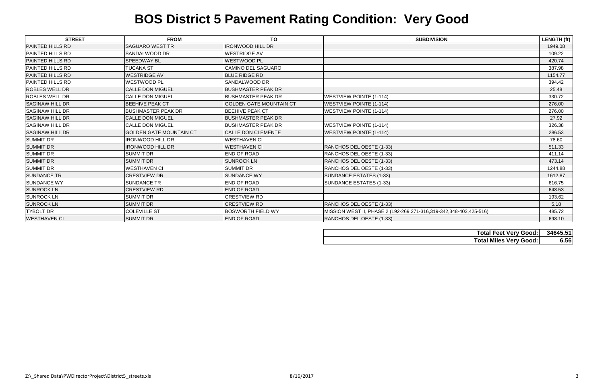| <b>STREET</b>           | <b>FROM</b>                    | <b>TO</b>                      | <b>SUBDIVISION</b>                                                 | LENGTH (ft) |
|-------------------------|--------------------------------|--------------------------------|--------------------------------------------------------------------|-------------|
| <b>PAINTED HILLS RD</b> | <b>SAGUARO WEST TR</b>         | <b>IRONWOOD HILL DR</b>        |                                                                    | 1949.08     |
| <b>PAINTED HILLS RD</b> | SANDALWOOD DR                  | <b>WESTRIDGE AV</b>            |                                                                    | 109.22      |
| <b>PAINTED HILLS RD</b> | <b>SPEEDWAY BL</b>             | <b>WESTWOOD PL</b>             |                                                                    | 420.74      |
| <b>PAINTED HILLS RD</b> | <b>TUCANA ST</b>               | <b>CAMINO DEL SAGUARO</b>      |                                                                    | 387.98      |
| <b>PAINTED HILLS RD</b> | <b>WESTRIDGE AV</b>            | <b>BLUE RIDGE RD</b>           |                                                                    | 1154.77     |
| <b>PAINTED HILLS RD</b> | WESTWOOD PL                    | SANDALWOOD DR                  |                                                                    | 394.42      |
| <b>ROBLES WELL DR</b>   | <b>CALLE DON MIGUEL</b>        | <b>BUSHMASTER PEAK DR</b>      |                                                                    | 25.48       |
| <b>ROBLES WELL DR</b>   | <b>CALLE DON MIGUEL</b>        | <b>BUSHMASTER PEAK DR</b>      | <b>WESTVIEW POINTE (1-114)</b>                                     | 330.72      |
| <b>SAGINAW HILL DR</b>  | <b>BEEHIVE PEAK CT</b>         | <b>GOLDEN GATE MOUNTAIN CT</b> | <b>WESTVIEW POINTE (1-114)</b>                                     | 276.00      |
| <b>SAGINAW HILL DR</b>  | <b>BUSHMASTER PEAK DR</b>      | <b>BEEHIVE PEAK CT</b>         | <b>WESTVIEW POINTE (1-114)</b>                                     | 276.00      |
| <b>SAGINAW HILL DR</b>  | <b>CALLE DON MIGUEL</b>        | <b>BUSHMASTER PEAK DR</b>      |                                                                    | 27.92       |
| <b>SAGINAW HILL DR</b>  | CALLE DON MIGUEL               | <b>BUSHMASTER PEAK DR</b>      | <b>WESTVIEW POINTE (1-114)</b>                                     | 326.38      |
| <b>SAGINAW HILL DR</b>  | <b>GOLDEN GATE MOUNTAIN CT</b> | <b>CALLE DON CLEMENTE</b>      | <b>WESTVIEW POINTE (1-114)</b>                                     | 286.53      |
| <b>SUMMIT DR</b>        | <b>IRONWOOD HILL DR</b>        | <b>WESTHAVEN CI</b>            |                                                                    | 78.60       |
| <b>SUMMIT DR</b>        | <b>IRONWOOD HILL DR</b>        | <b>WESTHAVEN CI</b>            | RANCHOS DEL OESTE (1-33)                                           | 511.33      |
| <b>SUMMIT DR</b>        | <b>SUMMIT DR</b>               | <b>END OF ROAD</b>             | RANCHOS DEL OESTE (1-33)                                           | 411.14      |
| <b>SUMMIT DR</b>        | <b>SUMMIT DR</b>               | <b>SUNROCK LN</b>              | RANCHOS DEL OESTE (1-33)                                           | 473.14      |
| <b>SUMMIT DR</b>        | <b>WESTHAVEN CI</b>            | <b>SUMMIT DR</b>               | RANCHOS DEL OESTE (1-33)                                           | 1244.88     |
| <b>SUNDANCE TR</b>      | <b>CRESTVIEW DR</b>            | <b>SUNDANCE WY</b>             | SUNDANCE ESTATES (1-33)                                            | 1612.87     |
| <b>SUNDANCE WY</b>      | <b>SUNDANCE TR</b>             | <b>END OF ROAD</b>             | <b>SUNDANCE ESTATES (1-33)</b>                                     | 616.75      |
| <b>SUNROCK LN</b>       | <b>CRESTVIEW RD</b>            | <b>END OF ROAD</b>             |                                                                    | 648.53      |
| <b>SUNROCK LN</b>       | <b>SUMMIT DR</b>               | <b>CRESTVIEW RD</b>            |                                                                    | 193.62      |
| <b>SUNROCK LN</b>       | <b>SUMMIT DR</b>               | <b>CRESTVIEW RD</b>            | RANCHOS DEL OESTE (1-33)                                           | 5.18        |
| <b>TYBOLT DR</b>        | <b>COLEVILLE ST</b>            | <b>BOSWORTH FIELD WY</b>       | MISSION WEST II, PHASE 2 (192-269,271-316,319-342,348-403,425-516) | 485.72      |
| <b>WESTHAVEN CI</b>     | <b>SUMMIT DR</b>               | <b>END OF ROAD</b>             | RANCHOS DEL OESTE (1-33)                                           | 698.10      |

| <b>Total Feet Very Good:</b>  | 34645.51 |
|-------------------------------|----------|
| <b>Total Miles Very Good:</b> | 6.56     |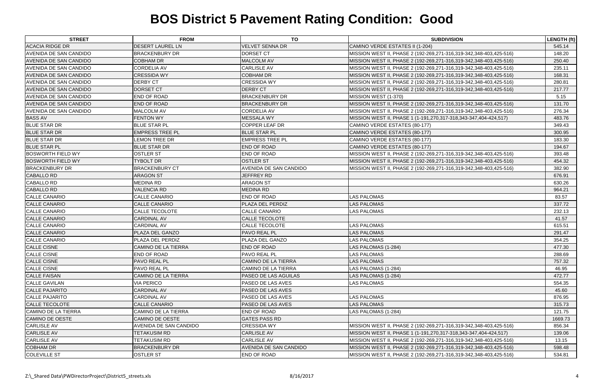| <b>STREET</b>                 | <b>FROM</b>                | <b>TO</b>                  | <b>SUBDIVISION</b>                                                 | <b>LENGTH (ft)</b> |
|-------------------------------|----------------------------|----------------------------|--------------------------------------------------------------------|--------------------|
| <b>ACACIA RIDGE DR</b>        | <b>DESERT LAUREL LN</b>    | <b>VELVET SENNA DR</b>     | CAMINO VERDE ESTATES II (1-204)                                    | 545.14             |
| <b>AVENIDA DE SAN CANDIDO</b> | <b>BRACKENBURY DR</b>      | <b>DORSET CT</b>           | MISSION WEST II, PHASE 2 (192-269,271-316,319-342,348-403,425-516) | 148.20             |
| <b>AVENIDA DE SAN CANDIDO</b> | <b>COBHAM DR</b>           | <b>MALCOLM AV</b>          | MISSION WEST II, PHASE 2 (192-269,271-316,319-342,348-403,425-516) | 250.40             |
| <b>AVENIDA DE SAN CANDIDO</b> | <b>CORDELIA AV</b>         | <b>CARLISLE AV</b>         | MISSION WEST II, PHASE 2 (192-269,271-316,319-342,348-403,425-516) | 235.11             |
| <b>AVENIDA DE SAN CANDIDO</b> | <b>CRESSIDA WY</b>         | <b>COBHAM DR</b>           | MISSION WEST II, PHASE 2 (192-269,271-316,319-342,348-403,425-516) | 168.31             |
| <b>AVENIDA DE SAN CANDIDO</b> | <b>DERBY CT</b>            | <b>CRESSIDA WY</b>         | MISSION WEST II, PHASE 2 (192-269,271-316,319-342,348-403,425-516) | 280.81             |
| AVENIDA DE SAN CANDIDO        | <b>DORSET CT</b>           | <b>DERBY CT</b>            | MISSION WEST II, PHASE 2 (192-269,271-316,319-342,348-403,425-516) | 217.77             |
| <b>AVENIDA DE SAN CANDIDO</b> | <b>END OF ROAD</b>         | <b>BRACKENBURY DR</b>      | MISSION WEST (1-370)                                               | 5.15               |
| <b>AVENIDA DE SAN CANDIDO</b> | <b>END OF ROAD</b>         | <b>BRACKENBURY DR</b>      | MISSION WEST II, PHASE 2 (192-269,271-316,319-342,348-403,425-516) | 131.70             |
| <b>AVENIDA DE SAN CANDIDO</b> | <b>MALCOLM AV</b>          | <b>CORDELIA AV</b>         | MISSION WEST II, PHASE 2 (192-269,271-316,319-342,348-403,425-516) | 276.34             |
| <b>BASS AV</b>                | <b>FENTON WY</b>           | <b>MESSALA WY</b>          | MISSION WEST II, PHASE 1 (1-191,270,317-318,343-347,404-424,517)   | 483.76             |
| <b>BLUE STAR DR</b>           | <b>BLUE STAR PL</b>        | COPPER LEAF DR             | CAMINO VERDE ESTATES (80-177)                                      | 349.43             |
| <b>BLUE STAR DR</b>           | <b>EMPRESS TREE PL</b>     | <b>BLUE STAR PL</b>        | CAMINO VERDE ESTATES (80-177)                                      | 300.95             |
| <b>BLUE STAR DR</b>           | <b>LEMON TREE DR</b>       | <b>EMPRESS TREE PL</b>     | CAMINO VERDE ESTATES (80-177)                                      | 183.30             |
| <b>BLUE STAR PL</b>           | <b>BLUE STAR DR</b>        | <b>END OF ROAD</b>         | CAMINO VERDE ESTATES (80-177)                                      | 194.67             |
| <b>BOSWORTH FIELD WY</b>      | <b>OSTLER ST</b>           | <b>END OF ROAD</b>         | MISSION WEST II, PHASE 2 (192-269,271-316,319-342,348-403,425-516) | 393.48             |
| <b>BOSWORTH FIELD WY</b>      | <b>TYBOLT DR</b>           | <b>OSTLER ST</b>           | MISSION WEST II, PHASE 2 (192-269,271-316,319-342,348-403,425-516) | 454.32             |
| <b>BRACKENBURY DR</b>         | <b>BRACKENBURY CT</b>      | AVENIDA DE SAN CANDIDO     | MISSION WEST II, PHASE 2 (192-269,271-316,319-342,348-403,425-516) | 382.90             |
| <b>CABALLO RD</b>             | <b>ARAGON ST</b>           | <b>JEFFREY RD</b>          |                                                                    | 676.91             |
| <b>CABALLO RD</b>             | <b>MEDINA RD</b>           | <b>ARAGON ST</b>           |                                                                    | 630.26             |
| <b>CABALLO RD</b>             | <b>VALENCIA RD</b>         | <b>MEDINA RD</b>           |                                                                    | 964.21             |
| <b>CALLE CANARIO</b>          | <b>CALLE CANARIO</b>       | <b>END OF ROAD</b>         | <b>LAS PALOMAS</b>                                                 | 83.57              |
| <b>CALLE CANARIO</b>          | <b>CALLE CANARIO</b>       | <b>PLAZA DEL PERDIZ</b>    | <b>LAS PALOMAS</b>                                                 | 337.72             |
| <b>CALLE CANARIO</b>          | CALLE TECOLOTE             | CALLE CANARIO              | <b>LAS PALOMAS</b>                                                 | 232.13             |
| <b>CALLE CANARIO</b>          | <b>CARDINAL AV</b>         | <b>CALLE TECOLOTE</b>      |                                                                    | 41.57              |
| <b>CALLE CANARIO</b>          | <b>CARDINAL AV</b>         | <b>CALLE TECOLOTE</b>      | <b>LAS PALOMAS</b>                                                 | 615.51             |
| <b>CALLE CANARIO</b>          | <b>PLAZA DEL GANZO</b>     | <b>PAVO REAL PL</b>        | <b>LAS PALOMAS</b>                                                 | 291.47             |
| <b>CALLE CANARIO</b>          | <b>PLAZA DEL PERDIZ</b>    | <b>PLAZA DEL GANZO</b>     | <b>LAS PALOMAS</b>                                                 | 354.25             |
| <b>CALLE CISNE</b>            | <b>CAMINO DE LA TIERRA</b> | <b>END OF ROAD</b>         | LAS PALOMAS (1-284)                                                | 477.30             |
| <b>CALLE CISNE</b>            | <b>END OF ROAD</b>         | <b>PAVO REAL PL</b>        | <b>LAS PALOMAS</b>                                                 | 288.69             |
| <b>CALLE CISNE</b>            | PAVO REAL PL               | <b>CAMINO DE LA TIERRA</b> | <b>LAS PALOMAS</b>                                                 | 757.32             |
| <b>CALLE CISNE</b>            | <b>PAVO REAL PL</b>        | <b>CAMINO DE LA TIERRA</b> | LAS PALOMAS (1-284)                                                | 46.95              |
| <b>CALLE FAISAN</b>           | CAMINO DE LA TIERRA        | PASEO DE LAS AGUILAS       | LAS PALOMAS (1-284)                                                | 472.77             |
| <b>CALLE GAVILAN</b>          | <b>VIA PERICO</b>          | <b>PASEO DE LAS AVES</b>   | <b>LAS PALOMAS</b>                                                 | 554.35             |
| <b>CALLE PAJARITO</b>         | <b>CARDINAL AV</b>         | PASEO DE LAS AVES          |                                                                    | 45.60              |
| <b>CALLE PAJARITO</b>         | <b>CARDINAL AV</b>         | PASEO DE LAS AVES          | <b>LAS PALOMAS</b>                                                 | 876.95             |
| <b>CALLE TECOLOTE</b>         | <b>CALLE CANARIO</b>       | PASEO DE LAS AVES          | <b>LAS PALOMAS</b>                                                 | 315.73             |
| CAMINO DE LA TIERRA           | CAMINO DE LA TIERRA        | <b>END OF ROAD</b>         | LAS PALOMAS (1-284)                                                | 121.75             |
| CAMINO DE OESTE               | <b>CAMINO DE OESTE</b>     | <b>GATES PASS RD</b>       |                                                                    | 1669.73            |
| <b>CARLISLE AV</b>            | AVENIDA DE SAN CANDIDO     | <b>CRESSIDA WY</b>         | MISSION WEST II, PHASE 2 (192-269,271-316,319-342,348-403,425-516) | 856.34             |
| <b>CARLISLE AV</b>            | <b>TETAKUSIM RD</b>        | <b>CARLISLE AV</b>         | MISSION WEST II, PHASE 1 (1-191,270,317-318,343-347,404-424,517)   | 139.06             |
| <b>CARLISLE AV</b>            | TETAKUSIM RD               | <b>CARLISLE AV</b>         | MISSION WEST II, PHASE 2 (192-269,271-316,319-342,348-403,425-516) | 13.15              |
| <b>COBHAM DR</b>              | <b>BRACKENBURY DR</b>      | AVENIDA DE SAN CANDIDO     | MISSION WEST II, PHASE 2 (192-269,271-316,319-342,348-403,425-516) | 598.48             |
| <b>COLEVILLE ST</b>           | <b>OSTLER ST</b>           | <b>END OF ROAD</b>         | MISSION WEST II, PHASE 2 (192-269,271-316,319-342,348-403,425-516) | 534.81             |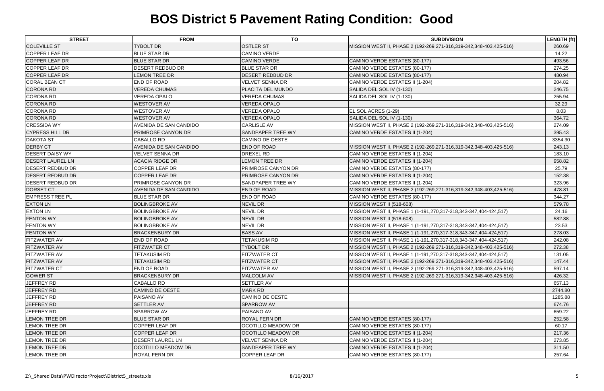| <b>STREET</b>           | <b>FROM</b>               | <b>TO</b>                 | <b>SUBDIVISION</b>                                                 | <b>LENGTH (ft)</b> |
|-------------------------|---------------------------|---------------------------|--------------------------------------------------------------------|--------------------|
| <b>COLEVILLE ST</b>     | <b>TYBOLT DR</b>          | <b>OSTLER ST</b>          | MISSION WEST II, PHASE 2 (192-269,271-316,319-342,348-403,425-516) | 260.69             |
| <b>COPPER LEAF DR</b>   | <b>BLUE STAR DR</b>       | <b>CAMINO VERDE</b>       |                                                                    | 14.22              |
| <b>COPPER LEAF DR</b>   | <b>BLUE STAR DR</b>       | <b>CAMINO VERDE</b>       | CAMINO VERDE ESTATES (80-177)                                      | 493.56             |
| <b>COPPER LEAF DR</b>   | DESERT REDBUD DR          | <b>BLUE STAR DR</b>       | CAMINO VERDE ESTATES (80-177)                                      | 274.25             |
| <b>COPPER LEAF DR</b>   | <b>LEMON TREE DR</b>      | <b>DESERT REDBUD DR</b>   | CAMINO VERDE ESTATES (80-177)                                      | 480.94             |
| <b>CORAL BEAN CT</b>    | END OF ROAD               | VELVET SENNA DR           | CAMINO VERDE ESTATES II (1-204)                                    | 204.82             |
| <b>CORONA RD</b>        | <b>VEREDA CHUMAS</b>      | <b>PLACITA DEL MUNDO</b>  | SALIDA DEL SOL IV (1-130)                                          | 246.75             |
| CORONA RD               | <b>VEREDA OPALO</b>       | <b>VEREDA CHUMAS</b>      | SALIDA DEL SOL IV (1-130)                                          | 255.94             |
| <b>CORONA RD</b>        | <b>WESTOVER AV</b>        | <b>VEREDA OPALO</b>       |                                                                    | 32.29              |
| CORONA RD               | <b>WESTOVER AV</b>        | <b>VEREDA OPALO</b>       | EL SOL ACRES (1-29)                                                | 8.03               |
| <b>CORONA RD</b>        | <b>WESTOVER AV</b>        | <b>VEREDA OPALO</b>       | SALIDA DEL SOL IV (1-130)                                          | 364.72             |
| <b>CRESSIDA WY</b>      | AVENIDA DE SAN CANDIDO    | <b>CARLISLE AV</b>        | MISSION WEST II, PHASE 2 (192-269,271-316,319-342,348-403,425-516) | 274.09             |
| <b>CYPRESS HILL DR</b>  | <b>PRIMROSE CANYON DR</b> | <b>SANDPAPER TREE WY</b>  | CAMINO VERDE ESTATES II (1-204)                                    | 395.43             |
| <b>DAKOTA ST</b>        | <b>CABALLO RD</b>         | <b>CAMINO DE OESTE</b>    |                                                                    | 3354.30            |
| <b>DERBY CT</b>         | AVENIDA DE SAN CANDIDO    | <b>END OF ROAD</b>        | MISSION WEST II, PHASE 2 (192-269,271-316,319-342,348-403,425-516) | 243.13             |
| <b>DESERT DAISY WY</b>  | <b>VELVET SENNA DR</b>    | <b>DREXEL RD</b>          | CAMINO VERDE ESTATES II (1-204)                                    | 183.10             |
| <b>DESERT LAUREL LN</b> | <b>ACACIA RIDGE DR</b>    | <b>LEMON TREE DR</b>      | CAMINO VERDE ESTATES II (1-204)                                    | 958.82             |
| <b>DESERT REDBUD DR</b> | <b>COPPER LEAF DR</b>     | <b>PRIMROSE CANYON DR</b> | CAMINO VERDE ESTATES (80-177)                                      | 25.79              |
| <b>DESERT REDBUD DR</b> | COPPER LEAF DR            | <b>PRIMROSE CANYON DR</b> | CAMINO VERDE ESTATES II (1-204)                                    | 152.38             |
| <b>DESERT REDBUD DR</b> | PRIMROSE CANYON DR        | <b>SANDPAPER TREE WY</b>  | CAMINO VERDE ESTATES II (1-204)                                    | 323.96             |
| <b>DORSET CT</b>        | AVENIDA DE SAN CANDIDO    | <b>END OF ROAD</b>        | MISSION WEST II, PHASE 2 (192-269,271-316,319-342,348-403,425-516) | 478.81             |
| <b>EMPRESS TREE PL</b>  | <b>BLUE STAR DR</b>       | <b>END OF ROAD</b>        | CAMINO VERDE ESTATES (80-177)                                      | 344.27             |
| <b>EXTON LN</b>         | <b>BOLINGBROKE AV</b>     | <b>NEVIL DR</b>           | MISSION WEST II (518-608)                                          | 579.78             |
| <b>EXTON LN</b>         | <b>BOLINGBROKE AV</b>     | NEVIL DR                  | MISSION WEST II, PHASE 1 (1-191,270,317-318,343-347,404-424,517)   | 24.16              |
| <b>FENTON WY</b>        | <b>BOLINGBROKE AV</b>     | <b>NEVIL DR</b>           | MISSION WEST II (518-608)                                          | 582.88             |
| <b>FENTON WY</b>        | <b>BOLINGBROKE AV</b>     | <b>NEVIL DR</b>           | MISSION WEST II, PHASE 1 (1-191,270,317-318,343-347,404-424,517)   | 23.53              |
| <b>FENTON WY</b>        | <b>BRACKENBURY DR</b>     | <b>BASS AV</b>            | MISSION WEST II, PHASE 1 (1-191,270,317-318,343-347,404-424,517)   | 278.03             |
| <b>FITZWATER AV</b>     | <b>END OF ROAD</b>        | TETAKUSIM RD              | MISSION WEST II, PHASE 1 (1-191,270,317-318,343-347,404-424,517)   | 242.08             |
| <b>FITZWATER AV</b>     | <b>FITZWATER CT</b>       | <b>TYBOLT DR</b>          | MISSION WEST II, PHASE 2 (192-269,271-316,319-342,348-403,425-516) | 272.38             |
| <b>FITZWATER AV</b>     | <b>TETAKUSIM RD</b>       | <b>FITZWATER CT</b>       | MISSION WEST II, PHASE 1 (1-191,270,317-318,343-347,404-424,517)   | 131.05             |
| <b>FITZWATER AV</b>     | <b>TETAKUSIM RD</b>       | <b>FITZWATER CT</b>       | MISSION WEST II, PHASE 2 (192-269,271-316,319-342,348-403,425-516) | 147.44             |
| <b>FITZWATER CT</b>     | <b>END OF ROAD</b>        | FITZWATER AV              | MISSION WEST II, PHASE 2 (192-269,271-316,319-342,348-403,425-516) | 597.14             |
| <b>GOWER ST</b>         | <b>BRACKENBURY DR</b>     | <b>MALCOLM AV</b>         | MISSION WEST II, PHASE 2 (192-269,271-316,319-342,348-403,425-516) | 426.32             |
| JEFFREY RD              | <b>CABALLO RD</b>         | <b>SETTLER AV</b>         |                                                                    | 657.13             |
| JEFFREY RD              | <b>CAMINO DE OESTE</b>    | <b>MARK RD</b>            |                                                                    | 2744.80            |
| JEFFREY RD              | PAISANO AV                | <b>CAMINO DE OESTE</b>    |                                                                    | 1285.88            |
| JEFFREY RD              | <b>SETTLER AV</b>         | <b>SPARROW AV</b>         |                                                                    | 674.76             |
| JEFFREY RD              | SPARROW AV                | <b>PAISANO AV</b>         |                                                                    | 659.22             |
| <b>LEMON TREE DR</b>    | <b>BLUE STAR DR</b>       | <b>ROYAL FERN DR</b>      | CAMINO VERDE ESTATES (80-177)                                      | 252.58             |
| LEMON TREE DR           | <b>COPPER LEAF DR</b>     | <b>OCOTILLO MEADOW DR</b> | CAMINO VERDE ESTATES (80-177)                                      | 60.17              |
| <b>LEMON TREE DR</b>    | <b>COPPER LEAF DR</b>     | <b>OCOTILLO MEADOW DR</b> | CAMINO VERDE ESTATES II (1-204)                                    | 217.36             |
| <b>LEMON TREE DR</b>    | <b>DESERT LAUREL LN</b>   | <b>VELVET SENNA DR</b>    | CAMINO VERDE ESTATES II (1-204)                                    | 273.85             |
| <b>LEMON TREE DR</b>    | OCOTILLO MEADOW DR        | <b>SANDPAPER TREE WY</b>  | CAMINO VERDE ESTATES II (1-204)                                    | 311.50             |
| LEMON TREE DR           | ROYAL FERN DR             | <b>COPPER LEAF DR</b>     | CAMINO VERDE ESTATES (80-177)                                      | 257.64             |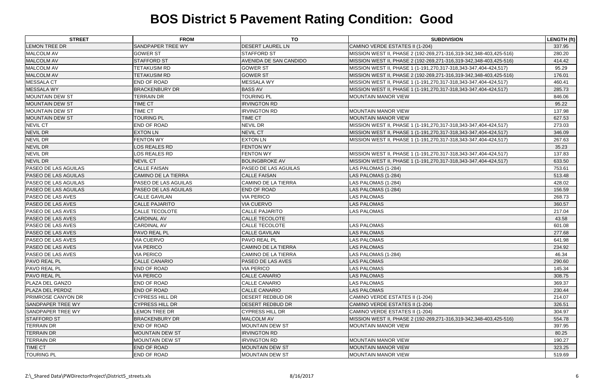| <b>STREET</b>               | <b>FROM</b>                | <b>TO</b>                     | <b>SUBDIVISION</b>                                                 | LENGTH (ft) |
|-----------------------------|----------------------------|-------------------------------|--------------------------------------------------------------------|-------------|
| <b>LEMON TREE DR</b>        | <b>SANDPAPER TREE WY</b>   | <b>DESERT LAUREL LN</b>       | CAMINO VERDE ESTATES II (1-204)                                    | 337.95      |
| <b>MALCOLM AV</b>           | <b>GOWER ST</b>            | <b>STAFFORD ST</b>            | MISSION WEST II, PHASE 2 (192-269,271-316,319-342,348-403,425-516) | 280.20      |
| <b>MALCOLM AV</b>           | <b>STAFFORD ST</b>         | <b>AVENIDA DE SAN CANDIDO</b> | MISSION WEST II, PHASE 2 (192-269,271-316,319-342,348-403,425-516) | 414.42      |
| <b>MALCOLM AV</b>           | <b>TETAKUSIM RD</b>        | <b>GOWER ST</b>               | MISSION WEST II, PHASE 1 (1-191,270,317-318,343-347,404-424,517)   | 95.29       |
| <b>MALCOLM AV</b>           | <b>TETAKUSIM RD</b>        | <b>GOWER ST</b>               | MISSION WEST II, PHASE 2 (192-269,271-316,319-342,348-403,425-516) | 176.01      |
| <b>MESSALA CT</b>           | <b>END OF ROAD</b>         | <b>MESSALA WY</b>             | MISSION WEST II, PHASE 1 (1-191,270,317-318,343-347,404-424,517)   | 460.41      |
| <b>MESSALA WY</b>           | <b>BRACKENBURY DR</b>      | <b>BASS AV</b>                | MISSION WEST II, PHASE 1 (1-191,270,317-318,343-347,404-424,517)   | 285.73      |
| <b>MOUNTAIN DEW ST</b>      | <b>TERRAIN DR</b>          | <b>TOURING PL</b>             | <b>MOUNTAIN MANOR VIEW</b>                                         | 846.06      |
| <b>MOUNTAIN DEW ST</b>      | <b>TIME CT</b>             | <b>IRVINGTON RD</b>           |                                                                    | 95.22       |
| <b>MOUNTAIN DEW ST</b>      | <b>TIME CT</b>             | <b>IRVINGTON RD</b>           | <b>MOUNTAIN MANOR VIEW</b>                                         | 137.98      |
| <b>MOUNTAIN DEW ST</b>      | <b>TOURING PL</b>          | <b>TIME CT</b>                | <b>MOUNTAIN MANOR VIEW</b>                                         | 627.53      |
| <b>NEVIL CT</b>             | <b>END OF ROAD</b>         | <b>NEVIL DR</b>               | MISSION WEST II, PHASE 1 (1-191,270,317-318,343-347,404-424,517)   | 273.03      |
| <b>NEVIL DR</b>             | <b>EXTON LN</b>            | <b>NEVIL CT</b>               | MISSION WEST II, PHASE 1 (1-191,270,317-318,343-347,404-424,517)   | 346.09      |
| <b>NEVIL DR</b>             | <b>FENTON WY</b>           | <b>EXTON LN</b>               | MISSION WEST II, PHASE 1 (1-191,270,317-318,343-347,404-424,517)   | 267.63      |
| <b>NEVIL DR</b>             | LOS REALES RD              | <b>FENTON WY</b>              |                                                                    | 35.23       |
| <b>NEVIL DR</b>             | LOS REALES RD              | <b>FENTON WY</b>              | MISSION WEST II, PHASE 1 (1-191,270,317-318,343-347,404-424,517)   | 137.83      |
| <b>NEVIL DR</b>             | <b>NEVIL CT</b>            | <b>BOLINGBROKE AV</b>         | MISSION WEST II, PHASE 1 (1-191,270,317-318,343-347,404-424,517)   | 633.50      |
| <b>PASEO DE LAS AGUILAS</b> | <b>CALLE FAISAN</b>        | <b>PASEO DE LAS AGUILAS</b>   | LAS PALOMAS (1-284)                                                | 753.61      |
| <b>PASEO DE LAS AGUILAS</b> | <b>CAMINO DE LA TIERRA</b> | <b>CALLE FAISAN</b>           | LAS PALOMAS (1-284)                                                | 513.48      |
| <b>PASEO DE LAS AGUILAS</b> | PASEO DE LAS AGUILAS       | <b>CAMINO DE LA TIERRA</b>    | LAS PALOMAS (1-284)                                                | 428.02      |
| <b>PASEO DE LAS AGUILAS</b> | PASEO DE LAS AGUILAS       | <b>END OF ROAD</b>            | LAS PALOMAS (1-284)                                                | 156.59      |
| <b>PASEO DE LAS AVES</b>    | <b>CALLE GAVILAN</b>       | <b>VIA PERICO</b>             | <b>LAS PALOMAS</b>                                                 | 268.73      |
| <b>PASEO DE LAS AVES</b>    | <b>CALLE PAJARITO</b>      | <b>VIA CUERVO</b>             | <b>LAS PALOMAS</b>                                                 | 360.57      |
| <b>PASEO DE LAS AVES</b>    | CALLE TECOLOTE             | <b>CALLE PAJARITO</b>         | <b>LAS PALOMAS</b>                                                 | 217.04      |
| <b>PASEO DE LAS AVES</b>    | <b>CARDINAL AV</b>         | <b>CALLE TECOLOTE</b>         |                                                                    | 43.58       |
| <b>PASEO DE LAS AVES</b>    | <b>CARDINAL AV</b>         | <b>CALLE TECOLOTE</b>         | <b>LAS PALOMAS</b>                                                 | 601.08      |
| <b>PASEO DE LAS AVES</b>    | <b>PAVO REAL PL</b>        | <b>CALLE GAVILAN</b>          | <b>LAS PALOMAS</b>                                                 | 277.68      |
| <b>PASEO DE LAS AVES</b>    | <b>VIA CUERVO</b>          | <b>PAVO REAL PL</b>           | <b>LAS PALOMAS</b>                                                 | 641.98      |
| <b>PASEO DE LAS AVES</b>    | <b>VIA PERICO</b>          | <b>CAMINO DE LA TIERRA</b>    | <b>LAS PALOMAS</b>                                                 | 234.92      |
| <b>PASEO DE LAS AVES</b>    | <b>VIA PERICO</b>          | CAMINO DE LA TIERRA           | LAS PALOMAS (1-284)                                                | 46.34       |
| <b>PAVO REAL PL</b>         | <b>CALLE CANARIO</b>       | <b>PASEO DE LAS AVES</b>      | <b>LAS PALOMAS</b>                                                 | 290.60      |
| <b>PAVO REAL PL</b>         | <b>END OF ROAD</b>         | <b>VIA PERICO</b>             | LAS PALOMAS                                                        | 145.34      |
| <b>PAVO REAL PL</b>         | <b>VIA PERICO</b>          | <b>CALLE CANARIO</b>          | <b>LAS PALOMAS</b>                                                 | 308.75      |
| <b>PLAZA DEL GANZO</b>      | <b>END OF ROAD</b>         | <b>CALLE CANARIO</b>          | <b>LAS PALOMAS</b>                                                 | 369.37      |
| PLAZA DEL PERDIZ            | <b>END OF ROAD</b>         | <b>CALLE CANARIO</b>          | <b>LAS PALOMAS</b>                                                 | 230.44      |
| <b>PRIMROSE CANYON DR</b>   | <b>CYPRESS HILL DR</b>     | <b>DESERT REDBUD DR</b>       | CAMINO VERDE ESTATES II (1-204)                                    | 214.07      |
| <b>SANDPAPER TREE WY</b>    | <b>CYPRESS HILL DR</b>     | <b>DESERT REDBUD DR</b>       | CAMINO VERDE ESTATES II (1-204)                                    | 326.51      |
| SANDPAPER TREE WY           | LEMON TREE DR              | <b>CYPRESS HILL DR</b>        | CAMINO VERDE ESTATES II (1-204)                                    | 304.97      |
| <b>STAFFORD ST</b>          | <b>BRACKENBURY DR</b>      | MALCOLM AV                    | MISSION WEST II, PHASE 2 (192-269,271-316,319-342,348-403,425-516) | 554.78      |
| TERRAIN DR                  | <b>END OF ROAD</b>         | <b>MOUNTAIN DEW ST</b>        | <b>MOUNTAIN MANOR VIEW</b>                                         | 397.95      |
| <b>TERRAIN DR</b>           | <b>MOUNTAIN DEW ST</b>     | <b>IRVINGTON RD</b>           |                                                                    | 80.25       |
| <b>TERRAIN DR</b>           | <b>MOUNTAIN DEW ST</b>     | <b>IRVINGTON RD</b>           | <b>MOUNTAIN MANOR VIEW</b>                                         | 190.27      |
| <b>TIME CT</b>              | <b>END OF ROAD</b>         | MOUNTAIN DEW ST               | <b>MOUNTAIN MANOR VIEW</b>                                         | 323.25      |
| <b>TOURING PL</b>           | <b>END OF ROAD</b>         | <b>MOUNTAIN DEW ST</b>        | <b>MOUNTAIN MANOR VIEW</b>                                         | 519.69      |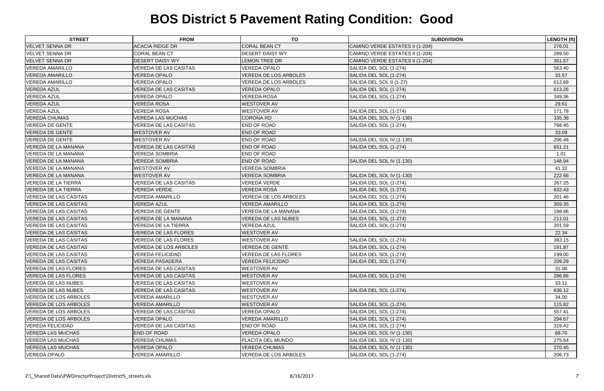| <b>STREET</b>                | <b>FROM</b>                  | TO                           | <b>SUBDIVISION</b>              | <b>LENGTH (ft)</b> |
|------------------------------|------------------------------|------------------------------|---------------------------------|--------------------|
| <b>VELVET SENNA DR</b>       | <b>ACACIA RIDGE DR</b>       | <b>CORAL BEAN CT</b>         | CAMINO VERDE ESTATES II (1-204) | 276.01             |
| <b>VELVET SENNA DR</b>       | <b>CORAL BEAN CT</b>         | <b>DESERT DAISY WY</b>       | CAMINO VERDE ESTATES II (1-204) | 289.50             |
| <b>VELVET SENNA DR</b>       | <b>DESERT DAISY WY</b>       | <b>LEMON TREE DR</b>         | CAMINO VERDE ESTATES II (1-204) | 351.57             |
| <b>VEREDA AMARILLO</b>       | <b>VEREDA DE LAS CASITAS</b> | <b>VEREDA OPALO</b>          | SALIDA DEL SOL (1-274)          | 563.40             |
| <b>VEREDA AMARILLO</b>       | <b>VEREDA OPALO</b>          | <b>VEREDA DE LOS ARBOLES</b> | SALIDA DEL SOL (1-274)          | 33.57              |
| <b>VEREDA AMARILLO</b>       | <b>VEREDA OPALO</b>          | <b>VEREDA DE LOS ARBOLES</b> | SALIDA DEL SOL II (1-27)        | 612.69             |
| <b>VEREDA AZUL</b>           | <b>VEREDA DE LAS CASITAS</b> | <b>VEREDA OPALO</b>          | SALIDA DEL SOL (1-274)          | 613.26             |
| <b>VEREDA AZUL</b>           | <b>VEREDA OPALO</b>          | <b>VEREDA ROSA</b>           | SALIDA DEL SOL (1-274)          | 349.36             |
| <b>VEREDA AZUL</b>           | <b>VEREDA ROSA</b>           | <b>WESTOVER AV</b>           |                                 | 29.61              |
| <b>VEREDA AZUL</b>           | <b>VEREDA ROSA</b>           | <b>WESTOVER AV</b>           | SALIDA DEL SOL (1-274)          | 171.78             |
| <b>VEREDA CHUMAS</b>         | <b>VEREDA LAS MUCHAS</b>     | <b>CORONA RD</b>             | SALIDA DEL SOL IV (1-130)       | 335.38             |
| <b>VEREDA DE GENTE</b>       | <b>VEREDA DE LAS CASITAS</b> | <b>END OF ROAD</b>           | SALIDA DEL SOL (1-274)          | 768.45             |
| <b>VEREDA DE GENTE</b>       | <b>WESTOVER AV</b>           | <b>END OF ROAD</b>           |                                 | 33.09              |
| <b>VEREDA DE GENTE</b>       | <b>WESTOVER AV</b>           | <b>END OF ROAD</b>           | SALIDA DEL SOL IV (1-130)       | 206.46             |
| VEREDA DE LA MANANA          | <b>VEREDA DE LAS CASITAS</b> | <b>END OF ROAD</b>           | SALIDA DEL SOL (1-274)          | 651.21             |
| VEREDA DE LA MANANA          | <b>VEREDA SOMBRIA</b>        | <b>END OF ROAD</b>           |                                 | 1.01               |
| VEREDA DE LA MANANA          | <b>VEREDA SOMBRIA</b>        | <b>END OF ROAD</b>           | SALIDA DEL SOL IV (1-130)       | 148.94             |
| VEREDA DE LA MANANA          | <b>WESTOVER AV</b>           | VEREDA SOMBRIA               |                                 | 41.32              |
| <b>VEREDA DE LA MANANA</b>   | <b>WESTOVER AV</b>           | <b>VEREDA SOMBRIA</b>        | SALIDA DEL SOL IV (1-130)       | 222.66             |
| <b>VEREDA DE LA TIERRA</b>   | <b>VEREDA DE LAS CASITAS</b> | <b>VEREDA VERDE</b>          | SALIDA DEL SOL (1-274)          | 267.25             |
| <b>VEREDA DE LA TIERRA</b>   | <b>VEREDA VERDE</b>          | <b>VEREDA ROSA</b>           | SALIDA DEL SOL (1-274)          | 632.43             |
| <b>VEREDA DE LAS CASITAS</b> | <b>VEREDA AMARILLO</b>       | <b>VEREDA DE LOS ARBOLES</b> | SALIDA DEL SOL (1-274)          | 201.46             |
| <b>VEREDA DE LAS CASITAS</b> | <b>VEREDA AZUL</b>           | <b>VEREDA AMARILLO</b>       | SALIDA DEL SOL (1-274)          | 359.35             |
| <b>VEREDA DE LAS CASITAS</b> | <b>VEREDA DE GENTE</b>       | VEREDA DE LA MANANA          | SALIDA DEL SOL (1-274)          | 198.66             |
| <b>VEREDA DE LAS CASITAS</b> | VEREDA DE LA MANANA          | <b>VEREDA DE LAS NUBES</b>   | SALIDA DEL SOL (1-274)          | 211.01             |
| <b>VEREDA DE LAS CASITAS</b> | VEREDA DE LA TIERRA          | <b>VEREDA AZUL</b>           | SALIDA DEL SOL (1-274)          | 201.59             |
| <b>VEREDA DE LAS CASITAS</b> | <b>VEREDA DE LAS FLORES</b>  | <b>WESTOVER AV</b>           |                                 | 22.34              |
| VEREDA DE LAS CASITAS        | <b>VEREDA DE LAS FLORES</b>  | <b>WESTOVER AV</b>           | SALIDA DEL SOL (1-274)          | 383.15             |
| <b>VEREDA DE LAS CASITAS</b> | <b>VEREDA DE LOS ARBOLES</b> | <b>VEREDA DE GENTE</b>       | SALIDA DEL SOL (1-274)          | 191.87             |
| <b>VEREDA DE LAS CASITAS</b> | <b>VEREDA FELICIDAD</b>      | <b>VEREDA DE LAS FLORES</b>  | SALIDA DEL SOL (1-274)          | 199.00             |
| <b>VEREDA DE LAS CASITAS</b> | <b>VEREDA PASADERA</b>       | <b>VEREDA FELICIDAD</b>      | SALIDA DEL SOL (1-274)          | 209.29             |
| <b>VEREDA DE LAS FLORES</b>  | VEREDA DE LAS CASITAS        | <b>WESTOVER AV</b>           |                                 | 31.06              |
| <b>VEREDA DE LAS FLORES</b>  | <b>VEREDA DE LAS CASITAS</b> | <b>WESTOVER AV</b>           | SALIDA DEL SOL (1-274)          | 286.86             |
| <b>VEREDA DE LAS NUBES</b>   | <b>VEREDA DE LAS CASITAS</b> | <b>WESTOVER AV</b>           |                                 | 33.11              |
| <b>VEREDA DE LAS NUBES</b>   | <b>VEREDA DE LAS CASITAS</b> | <b>WESTOVER AV</b>           | SALIDA DEL SOL (1-274)          | 636.12             |
| VEREDA DE LOS ARBOLES        | <b>VEREDA AMARILLO</b>       | <b>WESTOVER AV</b>           |                                 | 34.00              |
| <b>VEREDA DE LOS ARBOLES</b> | <b>VEREDA AMARILLO</b>       | <b>WESTOVER AV</b>           | SALIDA DEL SOL (1-274)          | 115.82             |
| VEREDA DE LOS ARBOLES        | <b>VEREDA DE LAS CASITAS</b> | <b>VEREDA OPALO</b>          | SALIDA DEL SOL (1-274)          | 557.41             |
| <b>VEREDA DE LOS ARBOLES</b> | <b>VEREDA OPALO</b>          | <b>VEREDA AMARILLO</b>       | SALIDA DEL SOL (1-274)          | 294.67             |
| <b>VEREDA FELICIDAD</b>      | <b>VEREDA DE LAS CASITAS</b> | <b>END OF ROAD</b>           | SALIDA DEL SOL (1-274)          | 319.42             |
| <b>VEREDA LAS MUCHAS</b>     | <b>END OF ROAD</b>           | <b>VEREDA OPALO</b>          | SALIDA DEL SOL IV (1-130)       | 68.70              |
| <b>VEREDA LAS MUCHAS</b>     | <b>VEREDA CHUMAS</b>         | <b>PLACITA DEL MUNDO</b>     | SALIDA DEL SOL IV (1-130)       | 275.64             |
| <b>VEREDA LAS MUCHAS</b>     | <b>VEREDA OPALO</b>          | <b>VEREDA CHUMAS</b>         | SALIDA DEL SOL IV (1-130)       | 270.45             |
| <b>VEREDA OPALO</b>          | <b>VEREDA AMARILLO</b>       | VEREDA DE LOS ARBOLES        | SALIDA DEL SOL (1-274)          | 206.73             |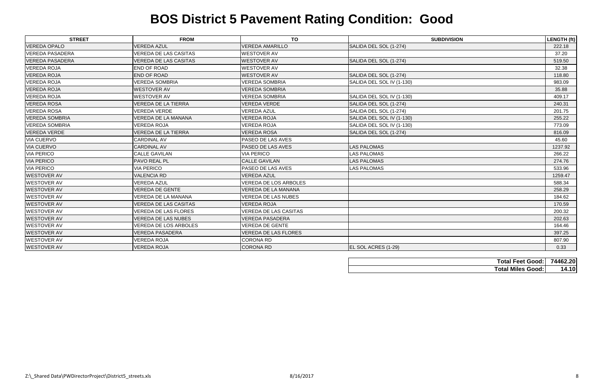| <b>STREET</b>          | <b>FROM</b>                  | <b>TO</b>                    | <b>SUBDIVISION</b>        | LENGTH (ft) |
|------------------------|------------------------------|------------------------------|---------------------------|-------------|
| <b>VEREDA OPALO</b>    | <b>VEREDA AZUL</b>           | <b>VEREDA AMARILLO</b>       | SALIDA DEL SOL (1-274)    | 222.18      |
| <b>VEREDA PASADERA</b> | <b>VEREDA DE LAS CASITAS</b> | <b>WESTOVER AV</b>           |                           | 37.20       |
| <b>VEREDA PASADERA</b> | <b>VEREDA DE LAS CASITAS</b> | <b>WESTOVER AV</b>           | SALIDA DEL SOL (1-274)    | 519.50      |
| <b>VEREDA ROJA</b>     | END OF ROAD                  | <b>WESTOVER AV</b>           |                           | 32.38       |
| <b>VEREDA ROJA</b>     | <b>END OF ROAD</b>           | <b>WESTOVER AV</b>           | SALIDA DEL SOL (1-274)    | 118.80      |
| <b>VEREDA ROJA</b>     | <b>VEREDA SOMBRIA</b>        | <b>VEREDA SOMBRIA</b>        | SALIDA DEL SOL IV (1-130) | 983.09      |
| <b>VEREDA ROJA</b>     | <b>WESTOVER AV</b>           | <b>VEREDA SOMBRIA</b>        |                           | 35.88       |
| <b>VEREDA ROJA</b>     | <b>WESTOVER AV</b>           | <b>VEREDA SOMBRIA</b>        | SALIDA DEL SOL IV (1-130) | 409.17      |
| <b>VEREDA ROSA</b>     | <b>VEREDA DE LA TIERRA</b>   | <b>VEREDA VERDE</b>          | SALIDA DEL SOL (1-274)    | 240.31      |
| <b>VEREDA ROSA</b>     | <b>VEREDA VERDE</b>          | <b>VEREDA AZUL</b>           | SALIDA DEL SOL (1-274)    | 201.75      |
| <b>VEREDA SOMBRIA</b>  | VEREDA DE LA MANANA          | <b>VEREDA ROJA</b>           | SALIDA DEL SOL IV (1-130) | 255.22      |
| <b>VEREDA SOMBRIA</b>  | <b>VEREDA ROJA</b>           | <b>VEREDA ROJA</b>           | SALIDA DEL SOL IV (1-130) | 773.09      |
| <b>VEREDA VERDE</b>    | <b>VEREDA DE LA TIERRA</b>   | <b>VEREDA ROSA</b>           | SALIDA DEL SOL (1-274)    | 816.09      |
| <b>VIA CUERVO</b>      | <b>CARDINAL AV</b>           | <b>PASEO DE LAS AVES</b>     |                           | 45.60       |
| <b>VIA CUERVO</b>      | <b>CARDINAL AV</b>           | <b>PASEO DE LAS AVES</b>     | <b>LAS PALOMAS</b>        | 1237.92     |
| <b>VIA PERICO</b>      | <b>CALLE GAVILAN</b>         | <b>VIA PERICO</b>            | <b>LAS PALOMAS</b>        | 266.22      |
| <b>VIA PERICO</b>      | PAVO REAL PL                 | <b>CALLE GAVILAN</b>         | <b>LAS PALOMAS</b>        | 274.76      |
| <b>VIA PERICO</b>      | <b>VIA PERICO</b>            | <b>PASEO DE LAS AVES</b>     | <b>LAS PALOMAS</b>        | 533.96      |
| <b>WESTOVER AV</b>     | <b>VALENCIA RD</b>           | <b>VEREDA AZUL</b>           |                           | 1259.47     |
| <b>WESTOVER AV</b>     | <b>VEREDA AZUL</b>           | <b>VEREDA DE LOS ARBOLES</b> |                           | 588.34      |
| <b>WESTOVER AV</b>     | <b>VEREDA DE GENTE</b>       | <b>VEREDA DE LA MANANA</b>   |                           | 258.29      |
| <b>WESTOVER AV</b>     | VEREDA DE LA MANANA          | <b>VEREDA DE LAS NUBES</b>   |                           | 184.62      |
| <b>WESTOVER AV</b>     | <b>VEREDA DE LAS CASITAS</b> | <b>VEREDA ROJA</b>           |                           | 170.59      |
| <b>WESTOVER AV</b>     | <b>VEREDA DE LAS FLORES</b>  | <b>VEREDA DE LAS CASITAS</b> |                           | 200.32      |
| <b>WESTOVER AV</b>     | <b>VEREDA DE LAS NUBES</b>   | <b>VEREDA PASADERA</b>       |                           | 202.63      |
| <b>WESTOVER AV</b>     | <b>VEREDA DE LOS ARBOLES</b> | <b>VEREDA DE GENTE</b>       |                           | 164.46      |
| <b>WESTOVER AV</b>     | <b>VEREDA PASADERA</b>       | <b>VEREDA DE LAS FLORES</b>  |                           | 397.25      |
| <b>WESTOVER AV</b>     | <b>VEREDA ROJA</b>           | <b>CORONA RD</b>             |                           | 807.90      |
| <b>WESTOVER AV</b>     | <b>VEREDA ROJA</b>           | <b>CORONA RD</b>             | EL SOL ACRES (1-29)       | 0.33        |

| <b>Total Feet Good: 74462.20</b> |       |
|----------------------------------|-------|
| <b>Total Miles Good:</b>         | 14.10 |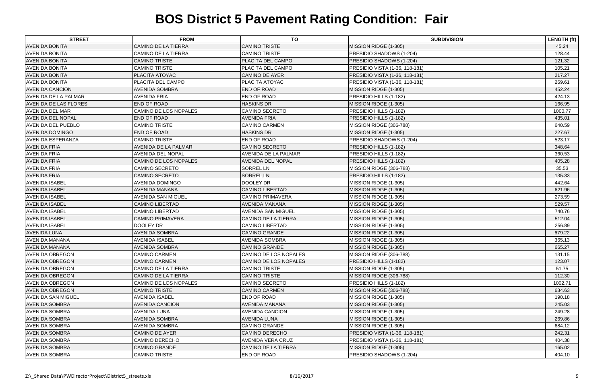| <b>CAMINO DE LA TIERRA</b><br><b>CAMINO TRISTE</b><br>MISSION RIDGE (1-305)<br>45.24<br><b>CAMINO DE LA TIERRA</b><br><b>CAMINO TRISTE</b><br>128.44<br>PRESIDIO SHADOWS (1-204)<br><b>CAMINO TRISTE</b><br>PLACITA DEL CAMPO<br>PRESIDIO SHADOWS (1-204)<br>121.32<br><b>CAMINO TRISTE</b><br>PLACITA DEL CAMPO<br>PRESIDIO VISTA (1-36, 118-181)<br>105.21<br>PLACITA ATOYAC<br><b>CAMINO DE AYER</b><br>217.27<br>PRESIDIO VISTA (1-36, 118-181)<br><b>PLACITA DEL CAMPO</b><br><b>PLACITA ATOYAC</b><br>269.61<br>PRESIDIO VISTA (1-36, 118-181)<br><b>AVENIDA SOMBRA</b><br><b>END OF ROAD</b><br>452.24<br>MISSION RIDGE (1-305)<br><b>AVENIDA FRIA</b><br><b>END OF ROAD</b><br>PRESIDIO HILLS (1-182)<br>424.13<br><b>END OF ROAD</b><br><b>HASKINS DR</b><br>MISSION RIDGE (1-305)<br>166.95<br>CAMINO DE LOS NOPALES<br><b>CAMINO SECRETO</b><br>PRESIDIO HILLS (1-182)<br>1000.77<br><b>END OF ROAD</b><br><b>AVENIDA FRIA</b><br>PRESIDIO HILLS (1-182)<br>435.01<br><b>CAMINO TRISTE</b><br><b>CAMINO CARMEN</b><br>MISSION RIDGE (306-788)<br>640.59<br><b>END OF ROAD</b><br><b>HASKINS DR</b><br>227.67<br>MISSION RIDGE (1-305)<br><b>CAMINO TRISTE</b><br><b>END OF ROAD</b><br>PRESIDIO SHADOWS (1-204)<br>523.17<br><b>AVENIDA DE LA PALMAR</b><br><b>CAMINO SECRETO</b><br>PRESIDIO HILLS (1-182)<br>348.64<br><b>AVENIDA DE LA PALMAR</b><br>PRESIDIO HILLS (1-182)<br>360.53<br><b>AVENIDA DEL NOPAL</b><br>PRESIDIO HILLS (1-182)<br>CAMINO DE LOS NOPALES<br><b>AVENIDA DEL NOPAL</b><br>405.28<br><b>SORREL LN</b><br><b>CAMINO SECRETO</b><br>MISSION RIDGE (306-788)<br>35.53<br><b>SORREL LN</b><br><b>CAMINO SECRETO</b><br>PRESIDIO HILLS (1-182)<br>135.33<br>DOOLEY DR<br><b>AVENIDA DOMINGO</b><br>MISSION RIDGE (1-305)<br>442.64<br><b>AVENIDA MANANA</b><br><b>CAMINO LIBERTAD</b><br>MISSION RIDGE (1-305)<br>621.96<br><b>AVENIDA SAN MIGUEL</b><br><b>CAMINO PRIMAVERA</b><br>MISSION RIDGE (1-305)<br>273.59<br>529.57<br><b>CAMINO LIBERTAD</b><br><b>AVENIDA MANANA</b><br>MISSION RIDGE (1-305)<br><b>CAMINO LIBERTAD</b><br><b>AVENIDA SAN MIGUEL</b><br>MISSION RIDGE (1-305)<br>740.76<br><b>CAMINO PRIMAVERA</b><br><b>CAMINO DE LA TIERRA</b><br>MISSION RIDGE (1-305)<br>512.04<br>DOOLEY DR<br><b>CAMINO LIBERTAD</b><br>MISSION RIDGE (1-305)<br>256.89<br>679.22<br><b>AVENIDA SOMBRA</b><br><b>CAMINO GRANDE</b><br>MISSION RIDGE (1-305)<br><b>AVENIDA ISABEL</b><br><b>AVENIDA SOMBRA</b><br>MISSION RIDGE (1-305)<br>365.13<br><b>AVENIDA SOMBRA</b><br><b>CAMINO GRANDE</b><br>MISSION RIDGE (1-305)<br>665.27<br>MISSION RIDGE (306-788)<br><b>CAMINO CARMEN</b><br>CAMINO DE LOS NOPALES<br>131.15<br><b>CAMINO CARMEN</b><br>CAMINO DE LOS NOPALES<br>PRESIDIO HILLS (1-182)<br>123.07<br><b>CAMINO DE LA TIERRA</b><br><b>CAMINO TRISTE</b><br>MISSION RIDGE (1-305)<br>51.75<br><b>CAMINO DE LA TIERRA</b><br><b>CAMINO TRISTE</b><br>MISSION RIDGE (306-788)<br>112.30<br>PRESIDIO HILLS (1-182)<br>CAMINO DE LOS NOPALES<br>CAMINO SECRETO<br>1002.71<br><b>CAMINO TRISTE</b><br><b>CAMINO CARMEN</b><br>MISSION RIDGE (306-788)<br>634.63<br><b>END OF ROAD</b><br><b>AVENIDA ISABEL</b><br>MISSION RIDGE (1-305)<br>190.18<br><b>AVENIDA MANANA</b><br><b>AVENIDA CANCION</b><br>MISSION RIDGE (1-305)<br>245.03<br><b>AVENIDA LUNA</b><br><b>AVENIDA CANCION</b><br>MISSION RIDGE (1-305)<br>249.28<br><b>AVENIDA SOMBRA</b><br><b>AVENIDA LUNA</b><br>MISSION RIDGE (1-305)<br>269.86<br><b>AVENIDA SOMBRA</b><br><b>CAMINO GRANDE</b><br>MISSION RIDGE (1-305)<br>684.12 | <b>STREET</b>                | <b>FROM</b>           | TO                    | <b>SUBDIVISION</b>             | <b>LENGTH (ft)</b> |
|------------------------------------------------------------------------------------------------------------------------------------------------------------------------------------------------------------------------------------------------------------------------------------------------------------------------------------------------------------------------------------------------------------------------------------------------------------------------------------------------------------------------------------------------------------------------------------------------------------------------------------------------------------------------------------------------------------------------------------------------------------------------------------------------------------------------------------------------------------------------------------------------------------------------------------------------------------------------------------------------------------------------------------------------------------------------------------------------------------------------------------------------------------------------------------------------------------------------------------------------------------------------------------------------------------------------------------------------------------------------------------------------------------------------------------------------------------------------------------------------------------------------------------------------------------------------------------------------------------------------------------------------------------------------------------------------------------------------------------------------------------------------------------------------------------------------------------------------------------------------------------------------------------------------------------------------------------------------------------------------------------------------------------------------------------------------------------------------------------------------------------------------------------------------------------------------------------------------------------------------------------------------------------------------------------------------------------------------------------------------------------------------------------------------------------------------------------------------------------------------------------------------------------------------------------------------------------------------------------------------------------------------------------------------------------------------------------------------------------------------------------------------------------------------------------------------------------------------------------------------------------------------------------------------------------------------------------------------------------------------------------------------------------------------------------------------------------------------------------------------------------------------------------------------------------------------------------------------------------------------------------------------------------------------------------------------------------------------------------------------------------------------------------------------------------------------------------------------------------------------------------------------------------------------|------------------------------|-----------------------|-----------------------|--------------------------------|--------------------|
|                                                                                                                                                                                                                                                                                                                                                                                                                                                                                                                                                                                                                                                                                                                                                                                                                                                                                                                                                                                                                                                                                                                                                                                                                                                                                                                                                                                                                                                                                                                                                                                                                                                                                                                                                                                                                                                                                                                                                                                                                                                                                                                                                                                                                                                                                                                                                                                                                                                                                                                                                                                                                                                                                                                                                                                                                                                                                                                                                                                                                                                                                                                                                                                                                                                                                                                                                                                                                                                                                                                                                | <b>AVENIDA BONITA</b>        |                       |                       |                                |                    |
|                                                                                                                                                                                                                                                                                                                                                                                                                                                                                                                                                                                                                                                                                                                                                                                                                                                                                                                                                                                                                                                                                                                                                                                                                                                                                                                                                                                                                                                                                                                                                                                                                                                                                                                                                                                                                                                                                                                                                                                                                                                                                                                                                                                                                                                                                                                                                                                                                                                                                                                                                                                                                                                                                                                                                                                                                                                                                                                                                                                                                                                                                                                                                                                                                                                                                                                                                                                                                                                                                                                                                | <b>AVENIDA BONITA</b>        |                       |                       |                                |                    |
|                                                                                                                                                                                                                                                                                                                                                                                                                                                                                                                                                                                                                                                                                                                                                                                                                                                                                                                                                                                                                                                                                                                                                                                                                                                                                                                                                                                                                                                                                                                                                                                                                                                                                                                                                                                                                                                                                                                                                                                                                                                                                                                                                                                                                                                                                                                                                                                                                                                                                                                                                                                                                                                                                                                                                                                                                                                                                                                                                                                                                                                                                                                                                                                                                                                                                                                                                                                                                                                                                                                                                | <b>AVENIDA BONITA</b>        |                       |                       |                                |                    |
|                                                                                                                                                                                                                                                                                                                                                                                                                                                                                                                                                                                                                                                                                                                                                                                                                                                                                                                                                                                                                                                                                                                                                                                                                                                                                                                                                                                                                                                                                                                                                                                                                                                                                                                                                                                                                                                                                                                                                                                                                                                                                                                                                                                                                                                                                                                                                                                                                                                                                                                                                                                                                                                                                                                                                                                                                                                                                                                                                                                                                                                                                                                                                                                                                                                                                                                                                                                                                                                                                                                                                | <b>AVENIDA BONITA</b>        |                       |                       |                                |                    |
|                                                                                                                                                                                                                                                                                                                                                                                                                                                                                                                                                                                                                                                                                                                                                                                                                                                                                                                                                                                                                                                                                                                                                                                                                                                                                                                                                                                                                                                                                                                                                                                                                                                                                                                                                                                                                                                                                                                                                                                                                                                                                                                                                                                                                                                                                                                                                                                                                                                                                                                                                                                                                                                                                                                                                                                                                                                                                                                                                                                                                                                                                                                                                                                                                                                                                                                                                                                                                                                                                                                                                | <b>AVENIDA BONITA</b>        |                       |                       |                                |                    |
|                                                                                                                                                                                                                                                                                                                                                                                                                                                                                                                                                                                                                                                                                                                                                                                                                                                                                                                                                                                                                                                                                                                                                                                                                                                                                                                                                                                                                                                                                                                                                                                                                                                                                                                                                                                                                                                                                                                                                                                                                                                                                                                                                                                                                                                                                                                                                                                                                                                                                                                                                                                                                                                                                                                                                                                                                                                                                                                                                                                                                                                                                                                                                                                                                                                                                                                                                                                                                                                                                                                                                | <b>AVENIDA BONITA</b>        |                       |                       |                                |                    |
|                                                                                                                                                                                                                                                                                                                                                                                                                                                                                                                                                                                                                                                                                                                                                                                                                                                                                                                                                                                                                                                                                                                                                                                                                                                                                                                                                                                                                                                                                                                                                                                                                                                                                                                                                                                                                                                                                                                                                                                                                                                                                                                                                                                                                                                                                                                                                                                                                                                                                                                                                                                                                                                                                                                                                                                                                                                                                                                                                                                                                                                                                                                                                                                                                                                                                                                                                                                                                                                                                                                                                | <b>AVENIDA CANCION</b>       |                       |                       |                                |                    |
|                                                                                                                                                                                                                                                                                                                                                                                                                                                                                                                                                                                                                                                                                                                                                                                                                                                                                                                                                                                                                                                                                                                                                                                                                                                                                                                                                                                                                                                                                                                                                                                                                                                                                                                                                                                                                                                                                                                                                                                                                                                                                                                                                                                                                                                                                                                                                                                                                                                                                                                                                                                                                                                                                                                                                                                                                                                                                                                                                                                                                                                                                                                                                                                                                                                                                                                                                                                                                                                                                                                                                | <b>AVENIDA DE LA PALMAR</b>  |                       |                       |                                |                    |
|                                                                                                                                                                                                                                                                                                                                                                                                                                                                                                                                                                                                                                                                                                                                                                                                                                                                                                                                                                                                                                                                                                                                                                                                                                                                                                                                                                                                                                                                                                                                                                                                                                                                                                                                                                                                                                                                                                                                                                                                                                                                                                                                                                                                                                                                                                                                                                                                                                                                                                                                                                                                                                                                                                                                                                                                                                                                                                                                                                                                                                                                                                                                                                                                                                                                                                                                                                                                                                                                                                                                                | <b>AVENIDA DE LAS FLORES</b> |                       |                       |                                |                    |
|                                                                                                                                                                                                                                                                                                                                                                                                                                                                                                                                                                                                                                                                                                                                                                                                                                                                                                                                                                                                                                                                                                                                                                                                                                                                                                                                                                                                                                                                                                                                                                                                                                                                                                                                                                                                                                                                                                                                                                                                                                                                                                                                                                                                                                                                                                                                                                                                                                                                                                                                                                                                                                                                                                                                                                                                                                                                                                                                                                                                                                                                                                                                                                                                                                                                                                                                                                                                                                                                                                                                                | <b>AVENIDA DEL MAR</b>       |                       |                       |                                |                    |
|                                                                                                                                                                                                                                                                                                                                                                                                                                                                                                                                                                                                                                                                                                                                                                                                                                                                                                                                                                                                                                                                                                                                                                                                                                                                                                                                                                                                                                                                                                                                                                                                                                                                                                                                                                                                                                                                                                                                                                                                                                                                                                                                                                                                                                                                                                                                                                                                                                                                                                                                                                                                                                                                                                                                                                                                                                                                                                                                                                                                                                                                                                                                                                                                                                                                                                                                                                                                                                                                                                                                                | <b>AVENIDA DEL NOPAL</b>     |                       |                       |                                |                    |
|                                                                                                                                                                                                                                                                                                                                                                                                                                                                                                                                                                                                                                                                                                                                                                                                                                                                                                                                                                                                                                                                                                                                                                                                                                                                                                                                                                                                                                                                                                                                                                                                                                                                                                                                                                                                                                                                                                                                                                                                                                                                                                                                                                                                                                                                                                                                                                                                                                                                                                                                                                                                                                                                                                                                                                                                                                                                                                                                                                                                                                                                                                                                                                                                                                                                                                                                                                                                                                                                                                                                                | <b>AVENIDA DEL PUEBLO</b>    |                       |                       |                                |                    |
|                                                                                                                                                                                                                                                                                                                                                                                                                                                                                                                                                                                                                                                                                                                                                                                                                                                                                                                                                                                                                                                                                                                                                                                                                                                                                                                                                                                                                                                                                                                                                                                                                                                                                                                                                                                                                                                                                                                                                                                                                                                                                                                                                                                                                                                                                                                                                                                                                                                                                                                                                                                                                                                                                                                                                                                                                                                                                                                                                                                                                                                                                                                                                                                                                                                                                                                                                                                                                                                                                                                                                | <b>AVENIDA DOMINGO</b>       |                       |                       |                                |                    |
|                                                                                                                                                                                                                                                                                                                                                                                                                                                                                                                                                                                                                                                                                                                                                                                                                                                                                                                                                                                                                                                                                                                                                                                                                                                                                                                                                                                                                                                                                                                                                                                                                                                                                                                                                                                                                                                                                                                                                                                                                                                                                                                                                                                                                                                                                                                                                                                                                                                                                                                                                                                                                                                                                                                                                                                                                                                                                                                                                                                                                                                                                                                                                                                                                                                                                                                                                                                                                                                                                                                                                | <b>AVENIDA ESPERANZA</b>     |                       |                       |                                |                    |
|                                                                                                                                                                                                                                                                                                                                                                                                                                                                                                                                                                                                                                                                                                                                                                                                                                                                                                                                                                                                                                                                                                                                                                                                                                                                                                                                                                                                                                                                                                                                                                                                                                                                                                                                                                                                                                                                                                                                                                                                                                                                                                                                                                                                                                                                                                                                                                                                                                                                                                                                                                                                                                                                                                                                                                                                                                                                                                                                                                                                                                                                                                                                                                                                                                                                                                                                                                                                                                                                                                                                                | <b>AVENIDA FRIA</b>          |                       |                       |                                |                    |
|                                                                                                                                                                                                                                                                                                                                                                                                                                                                                                                                                                                                                                                                                                                                                                                                                                                                                                                                                                                                                                                                                                                                                                                                                                                                                                                                                                                                                                                                                                                                                                                                                                                                                                                                                                                                                                                                                                                                                                                                                                                                                                                                                                                                                                                                                                                                                                                                                                                                                                                                                                                                                                                                                                                                                                                                                                                                                                                                                                                                                                                                                                                                                                                                                                                                                                                                                                                                                                                                                                                                                | <b>AVENIDA FRIA</b>          |                       |                       |                                |                    |
|                                                                                                                                                                                                                                                                                                                                                                                                                                                                                                                                                                                                                                                                                                                                                                                                                                                                                                                                                                                                                                                                                                                                                                                                                                                                                                                                                                                                                                                                                                                                                                                                                                                                                                                                                                                                                                                                                                                                                                                                                                                                                                                                                                                                                                                                                                                                                                                                                                                                                                                                                                                                                                                                                                                                                                                                                                                                                                                                                                                                                                                                                                                                                                                                                                                                                                                                                                                                                                                                                                                                                | <b>AVENIDA FRIA</b>          |                       |                       |                                |                    |
|                                                                                                                                                                                                                                                                                                                                                                                                                                                                                                                                                                                                                                                                                                                                                                                                                                                                                                                                                                                                                                                                                                                                                                                                                                                                                                                                                                                                                                                                                                                                                                                                                                                                                                                                                                                                                                                                                                                                                                                                                                                                                                                                                                                                                                                                                                                                                                                                                                                                                                                                                                                                                                                                                                                                                                                                                                                                                                                                                                                                                                                                                                                                                                                                                                                                                                                                                                                                                                                                                                                                                | <b>AVENIDA FRIA</b>          |                       |                       |                                |                    |
|                                                                                                                                                                                                                                                                                                                                                                                                                                                                                                                                                                                                                                                                                                                                                                                                                                                                                                                                                                                                                                                                                                                                                                                                                                                                                                                                                                                                                                                                                                                                                                                                                                                                                                                                                                                                                                                                                                                                                                                                                                                                                                                                                                                                                                                                                                                                                                                                                                                                                                                                                                                                                                                                                                                                                                                                                                                                                                                                                                                                                                                                                                                                                                                                                                                                                                                                                                                                                                                                                                                                                | <b>AVENIDA FRIA</b>          |                       |                       |                                |                    |
|                                                                                                                                                                                                                                                                                                                                                                                                                                                                                                                                                                                                                                                                                                                                                                                                                                                                                                                                                                                                                                                                                                                                                                                                                                                                                                                                                                                                                                                                                                                                                                                                                                                                                                                                                                                                                                                                                                                                                                                                                                                                                                                                                                                                                                                                                                                                                                                                                                                                                                                                                                                                                                                                                                                                                                                                                                                                                                                                                                                                                                                                                                                                                                                                                                                                                                                                                                                                                                                                                                                                                | <b>AVENIDA ISABEL</b>        |                       |                       |                                |                    |
|                                                                                                                                                                                                                                                                                                                                                                                                                                                                                                                                                                                                                                                                                                                                                                                                                                                                                                                                                                                                                                                                                                                                                                                                                                                                                                                                                                                                                                                                                                                                                                                                                                                                                                                                                                                                                                                                                                                                                                                                                                                                                                                                                                                                                                                                                                                                                                                                                                                                                                                                                                                                                                                                                                                                                                                                                                                                                                                                                                                                                                                                                                                                                                                                                                                                                                                                                                                                                                                                                                                                                | <b>AVENIDA ISABEL</b>        |                       |                       |                                |                    |
|                                                                                                                                                                                                                                                                                                                                                                                                                                                                                                                                                                                                                                                                                                                                                                                                                                                                                                                                                                                                                                                                                                                                                                                                                                                                                                                                                                                                                                                                                                                                                                                                                                                                                                                                                                                                                                                                                                                                                                                                                                                                                                                                                                                                                                                                                                                                                                                                                                                                                                                                                                                                                                                                                                                                                                                                                                                                                                                                                                                                                                                                                                                                                                                                                                                                                                                                                                                                                                                                                                                                                | <b>AVENIDA ISABEL</b>        |                       |                       |                                |                    |
|                                                                                                                                                                                                                                                                                                                                                                                                                                                                                                                                                                                                                                                                                                                                                                                                                                                                                                                                                                                                                                                                                                                                                                                                                                                                                                                                                                                                                                                                                                                                                                                                                                                                                                                                                                                                                                                                                                                                                                                                                                                                                                                                                                                                                                                                                                                                                                                                                                                                                                                                                                                                                                                                                                                                                                                                                                                                                                                                                                                                                                                                                                                                                                                                                                                                                                                                                                                                                                                                                                                                                | <b>AVENIDA ISABEL</b>        |                       |                       |                                |                    |
|                                                                                                                                                                                                                                                                                                                                                                                                                                                                                                                                                                                                                                                                                                                                                                                                                                                                                                                                                                                                                                                                                                                                                                                                                                                                                                                                                                                                                                                                                                                                                                                                                                                                                                                                                                                                                                                                                                                                                                                                                                                                                                                                                                                                                                                                                                                                                                                                                                                                                                                                                                                                                                                                                                                                                                                                                                                                                                                                                                                                                                                                                                                                                                                                                                                                                                                                                                                                                                                                                                                                                | <b>AVENIDA ISABEL</b>        |                       |                       |                                |                    |
|                                                                                                                                                                                                                                                                                                                                                                                                                                                                                                                                                                                                                                                                                                                                                                                                                                                                                                                                                                                                                                                                                                                                                                                                                                                                                                                                                                                                                                                                                                                                                                                                                                                                                                                                                                                                                                                                                                                                                                                                                                                                                                                                                                                                                                                                                                                                                                                                                                                                                                                                                                                                                                                                                                                                                                                                                                                                                                                                                                                                                                                                                                                                                                                                                                                                                                                                                                                                                                                                                                                                                | <b>AVENIDA ISABEL</b>        |                       |                       |                                |                    |
|                                                                                                                                                                                                                                                                                                                                                                                                                                                                                                                                                                                                                                                                                                                                                                                                                                                                                                                                                                                                                                                                                                                                                                                                                                                                                                                                                                                                                                                                                                                                                                                                                                                                                                                                                                                                                                                                                                                                                                                                                                                                                                                                                                                                                                                                                                                                                                                                                                                                                                                                                                                                                                                                                                                                                                                                                                                                                                                                                                                                                                                                                                                                                                                                                                                                                                                                                                                                                                                                                                                                                | <b>AVENIDA ISABEL</b>        |                       |                       |                                |                    |
|                                                                                                                                                                                                                                                                                                                                                                                                                                                                                                                                                                                                                                                                                                                                                                                                                                                                                                                                                                                                                                                                                                                                                                                                                                                                                                                                                                                                                                                                                                                                                                                                                                                                                                                                                                                                                                                                                                                                                                                                                                                                                                                                                                                                                                                                                                                                                                                                                                                                                                                                                                                                                                                                                                                                                                                                                                                                                                                                                                                                                                                                                                                                                                                                                                                                                                                                                                                                                                                                                                                                                | <b>AVENIDA LUNA</b>          |                       |                       |                                |                    |
|                                                                                                                                                                                                                                                                                                                                                                                                                                                                                                                                                                                                                                                                                                                                                                                                                                                                                                                                                                                                                                                                                                                                                                                                                                                                                                                                                                                                                                                                                                                                                                                                                                                                                                                                                                                                                                                                                                                                                                                                                                                                                                                                                                                                                                                                                                                                                                                                                                                                                                                                                                                                                                                                                                                                                                                                                                                                                                                                                                                                                                                                                                                                                                                                                                                                                                                                                                                                                                                                                                                                                | <b>AVENIDA MANANA</b>        |                       |                       |                                |                    |
|                                                                                                                                                                                                                                                                                                                                                                                                                                                                                                                                                                                                                                                                                                                                                                                                                                                                                                                                                                                                                                                                                                                                                                                                                                                                                                                                                                                                                                                                                                                                                                                                                                                                                                                                                                                                                                                                                                                                                                                                                                                                                                                                                                                                                                                                                                                                                                                                                                                                                                                                                                                                                                                                                                                                                                                                                                                                                                                                                                                                                                                                                                                                                                                                                                                                                                                                                                                                                                                                                                                                                | <b>AVENIDA MANANA</b>        |                       |                       |                                |                    |
|                                                                                                                                                                                                                                                                                                                                                                                                                                                                                                                                                                                                                                                                                                                                                                                                                                                                                                                                                                                                                                                                                                                                                                                                                                                                                                                                                                                                                                                                                                                                                                                                                                                                                                                                                                                                                                                                                                                                                                                                                                                                                                                                                                                                                                                                                                                                                                                                                                                                                                                                                                                                                                                                                                                                                                                                                                                                                                                                                                                                                                                                                                                                                                                                                                                                                                                                                                                                                                                                                                                                                | <b>AVENIDA OBREGON</b>       |                       |                       |                                |                    |
|                                                                                                                                                                                                                                                                                                                                                                                                                                                                                                                                                                                                                                                                                                                                                                                                                                                                                                                                                                                                                                                                                                                                                                                                                                                                                                                                                                                                                                                                                                                                                                                                                                                                                                                                                                                                                                                                                                                                                                                                                                                                                                                                                                                                                                                                                                                                                                                                                                                                                                                                                                                                                                                                                                                                                                                                                                                                                                                                                                                                                                                                                                                                                                                                                                                                                                                                                                                                                                                                                                                                                | <b>AVENIDA OBREGON</b>       |                       |                       |                                |                    |
|                                                                                                                                                                                                                                                                                                                                                                                                                                                                                                                                                                                                                                                                                                                                                                                                                                                                                                                                                                                                                                                                                                                                                                                                                                                                                                                                                                                                                                                                                                                                                                                                                                                                                                                                                                                                                                                                                                                                                                                                                                                                                                                                                                                                                                                                                                                                                                                                                                                                                                                                                                                                                                                                                                                                                                                                                                                                                                                                                                                                                                                                                                                                                                                                                                                                                                                                                                                                                                                                                                                                                | <b>AVENIDA OBREGON</b>       |                       |                       |                                |                    |
|                                                                                                                                                                                                                                                                                                                                                                                                                                                                                                                                                                                                                                                                                                                                                                                                                                                                                                                                                                                                                                                                                                                                                                                                                                                                                                                                                                                                                                                                                                                                                                                                                                                                                                                                                                                                                                                                                                                                                                                                                                                                                                                                                                                                                                                                                                                                                                                                                                                                                                                                                                                                                                                                                                                                                                                                                                                                                                                                                                                                                                                                                                                                                                                                                                                                                                                                                                                                                                                                                                                                                | <b>AVENIDA OBREGON</b>       |                       |                       |                                |                    |
|                                                                                                                                                                                                                                                                                                                                                                                                                                                                                                                                                                                                                                                                                                                                                                                                                                                                                                                                                                                                                                                                                                                                                                                                                                                                                                                                                                                                                                                                                                                                                                                                                                                                                                                                                                                                                                                                                                                                                                                                                                                                                                                                                                                                                                                                                                                                                                                                                                                                                                                                                                                                                                                                                                                                                                                                                                                                                                                                                                                                                                                                                                                                                                                                                                                                                                                                                                                                                                                                                                                                                | <b>AVENIDA OBREGON</b>       |                       |                       |                                |                    |
|                                                                                                                                                                                                                                                                                                                                                                                                                                                                                                                                                                                                                                                                                                                                                                                                                                                                                                                                                                                                                                                                                                                                                                                                                                                                                                                                                                                                                                                                                                                                                                                                                                                                                                                                                                                                                                                                                                                                                                                                                                                                                                                                                                                                                                                                                                                                                                                                                                                                                                                                                                                                                                                                                                                                                                                                                                                                                                                                                                                                                                                                                                                                                                                                                                                                                                                                                                                                                                                                                                                                                | <b>AVENIDA OBREGON</b>       |                       |                       |                                |                    |
|                                                                                                                                                                                                                                                                                                                                                                                                                                                                                                                                                                                                                                                                                                                                                                                                                                                                                                                                                                                                                                                                                                                                                                                                                                                                                                                                                                                                                                                                                                                                                                                                                                                                                                                                                                                                                                                                                                                                                                                                                                                                                                                                                                                                                                                                                                                                                                                                                                                                                                                                                                                                                                                                                                                                                                                                                                                                                                                                                                                                                                                                                                                                                                                                                                                                                                                                                                                                                                                                                                                                                | <b>AVENIDA SAN MIGUEL</b>    |                       |                       |                                |                    |
|                                                                                                                                                                                                                                                                                                                                                                                                                                                                                                                                                                                                                                                                                                                                                                                                                                                                                                                                                                                                                                                                                                                                                                                                                                                                                                                                                                                                                                                                                                                                                                                                                                                                                                                                                                                                                                                                                                                                                                                                                                                                                                                                                                                                                                                                                                                                                                                                                                                                                                                                                                                                                                                                                                                                                                                                                                                                                                                                                                                                                                                                                                                                                                                                                                                                                                                                                                                                                                                                                                                                                | <b>AVENIDA SOMBRA</b>        |                       |                       |                                |                    |
|                                                                                                                                                                                                                                                                                                                                                                                                                                                                                                                                                                                                                                                                                                                                                                                                                                                                                                                                                                                                                                                                                                                                                                                                                                                                                                                                                                                                                                                                                                                                                                                                                                                                                                                                                                                                                                                                                                                                                                                                                                                                                                                                                                                                                                                                                                                                                                                                                                                                                                                                                                                                                                                                                                                                                                                                                                                                                                                                                                                                                                                                                                                                                                                                                                                                                                                                                                                                                                                                                                                                                | <b>AVENIDA SOMBRA</b>        |                       |                       |                                |                    |
|                                                                                                                                                                                                                                                                                                                                                                                                                                                                                                                                                                                                                                                                                                                                                                                                                                                                                                                                                                                                                                                                                                                                                                                                                                                                                                                                                                                                                                                                                                                                                                                                                                                                                                                                                                                                                                                                                                                                                                                                                                                                                                                                                                                                                                                                                                                                                                                                                                                                                                                                                                                                                                                                                                                                                                                                                                                                                                                                                                                                                                                                                                                                                                                                                                                                                                                                                                                                                                                                                                                                                | <b>AVENIDA SOMBRA</b>        |                       |                       |                                |                    |
|                                                                                                                                                                                                                                                                                                                                                                                                                                                                                                                                                                                                                                                                                                                                                                                                                                                                                                                                                                                                                                                                                                                                                                                                                                                                                                                                                                                                                                                                                                                                                                                                                                                                                                                                                                                                                                                                                                                                                                                                                                                                                                                                                                                                                                                                                                                                                                                                                                                                                                                                                                                                                                                                                                                                                                                                                                                                                                                                                                                                                                                                                                                                                                                                                                                                                                                                                                                                                                                                                                                                                | <b>AVENIDA SOMBRA</b>        |                       |                       |                                |                    |
|                                                                                                                                                                                                                                                                                                                                                                                                                                                                                                                                                                                                                                                                                                                                                                                                                                                                                                                                                                                                                                                                                                                                                                                                                                                                                                                                                                                                                                                                                                                                                                                                                                                                                                                                                                                                                                                                                                                                                                                                                                                                                                                                                                                                                                                                                                                                                                                                                                                                                                                                                                                                                                                                                                                                                                                                                                                                                                                                                                                                                                                                                                                                                                                                                                                                                                                                                                                                                                                                                                                                                | <b>AVENIDA SOMBRA</b>        | <b>CAMINO DE AYER</b> | <b>CAMINO DERECHO</b> | PRESIDIO VISTA (1-36, 118-181) | 242.31             |
| <b>CAMINO DERECHO</b><br><b>AVENIDA VERA CRUZ</b><br>PRESIDIO VISTA (1-36, 118-181)<br>404.38                                                                                                                                                                                                                                                                                                                                                                                                                                                                                                                                                                                                                                                                                                                                                                                                                                                                                                                                                                                                                                                                                                                                                                                                                                                                                                                                                                                                                                                                                                                                                                                                                                                                                                                                                                                                                                                                                                                                                                                                                                                                                                                                                                                                                                                                                                                                                                                                                                                                                                                                                                                                                                                                                                                                                                                                                                                                                                                                                                                                                                                                                                                                                                                                                                                                                                                                                                                                                                                  | <b>AVENIDA SOMBRA</b>        |                       |                       |                                |                    |
| <b>CAMINO GRANDE</b><br><b>CAMINO DE LA TIERRA</b><br>MISSION RIDGE (1-305)<br>165.02                                                                                                                                                                                                                                                                                                                                                                                                                                                                                                                                                                                                                                                                                                                                                                                                                                                                                                                                                                                                                                                                                                                                                                                                                                                                                                                                                                                                                                                                                                                                                                                                                                                                                                                                                                                                                                                                                                                                                                                                                                                                                                                                                                                                                                                                                                                                                                                                                                                                                                                                                                                                                                                                                                                                                                                                                                                                                                                                                                                                                                                                                                                                                                                                                                                                                                                                                                                                                                                          | <b>AVENIDA SOMBRA</b>        |                       |                       |                                |                    |
| <b>CAMINO TRISTE</b><br><b>END OF ROAD</b><br>PRESIDIO SHADOWS (1-204)<br>404.10                                                                                                                                                                                                                                                                                                                                                                                                                                                                                                                                                                                                                                                                                                                                                                                                                                                                                                                                                                                                                                                                                                                                                                                                                                                                                                                                                                                                                                                                                                                                                                                                                                                                                                                                                                                                                                                                                                                                                                                                                                                                                                                                                                                                                                                                                                                                                                                                                                                                                                                                                                                                                                                                                                                                                                                                                                                                                                                                                                                                                                                                                                                                                                                                                                                                                                                                                                                                                                                               | <b>AVENIDA SOMBRA</b>        |                       |                       |                                |                    |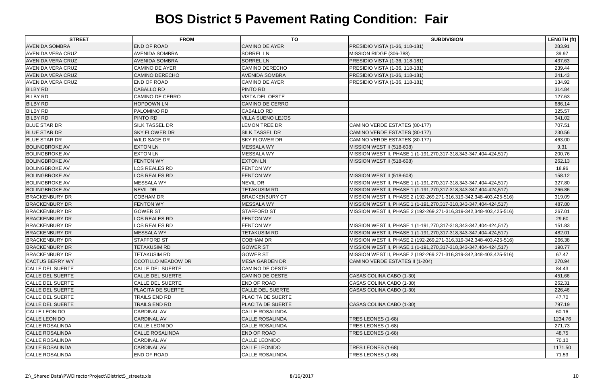| <b>STREET</b>            | <b>FROM</b>             | <b>TO</b>                | <b>SUBDIVISION</b>                                                 | <b>LENGTH (ft)</b> |
|--------------------------|-------------------------|--------------------------|--------------------------------------------------------------------|--------------------|
| <b>AVENIDA SOMBRA</b>    | <b>END OF ROAD</b>      | <b>CAMINO DE AYER</b>    | PRESIDIO VISTA (1-36, 118-181)                                     | 283.91             |
| <b>AVENIDA VERA CRUZ</b> | <b>AVENIDA SOMBRA</b>   | <b>SORREL LN</b>         | MISSION RIDGE (306-788)                                            | 39.97              |
| <b>AVENIDA VERA CRUZ</b> | <b>AVENIDA SOMBRA</b>   | <b>SORREL LN</b>         | PRESIDIO VISTA (1-36, 118-181)                                     | 437.63             |
| <b>AVENIDA VERA CRUZ</b> | <b>CAMINO DE AYER</b>   | <b>CAMINO DERECHO</b>    | PRESIDIO VISTA (1-36, 118-181)                                     | 239.44             |
| <b>AVENIDA VERA CRUZ</b> | <b>CAMINO DERECHO</b>   | <b>AVENIDA SOMBRA</b>    | PRESIDIO VISTA (1-36, 118-181)                                     | 241.43             |
| <b>AVENIDA VERA CRUZ</b> | <b>END OF ROAD</b>      | <b>CAMINO DE AYER</b>    | PRESIDIO VISTA (1-36, 118-181)                                     | 134.92             |
| <b>BILBY RD</b>          | <b>CABALLO RD</b>       | PINTO RD                 |                                                                    | 314.84             |
| <b>BILBY RD</b>          | <b>CAMINO DE CERRO</b>  | VISTA DEL OESTE          |                                                                    | 127.63             |
| <b>BILBY RD</b>          | <b>HOPDOWN LN</b>       | <b>CAMINO DE CERRO</b>   |                                                                    | 686.14             |
| <b>BILBY RD</b>          | PALOMINO RD             | CABALLO RD               |                                                                    | 325.57             |
| <b>BILBY RD</b>          | PINTO RD                | <b>VILLA SUENO LEJOS</b> |                                                                    | 341.02             |
| <b>BLUE STAR DR</b>      | SILK TASSEL DR          | <b>LEMON TREE DR</b>     | CAMINO VERDE ESTATES (80-177)                                      | 707.51             |
| <b>BLUE STAR DR</b>      | <b>SKY FLOWER DR</b>    | SILK TASSEL DR           | CAMINO VERDE ESTATES (80-177)                                      | 230.56             |
| <b>BLUE STAR DR</b>      | <b>WILD SAGE DR</b>     | <b>SKY FLOWER DR</b>     | CAMINO VERDE ESTATES (80-177)                                      | 463.00             |
| <b>BOLINGBROKE AV</b>    | <b>EXTON LN</b>         | <b>MESSALA WY</b>        | <b>MISSION WEST II (518-608)</b>                                   | 9.31               |
| <b>BOLINGBROKE AV</b>    | <b>EXTON LN</b>         | <b>MESSALA WY</b>        | MISSION WEST II, PHASE 1 (1-191,270,317-318,343-347,404-424,517)   | 200.76             |
| <b>BOLINGBROKE AV</b>    | <b>FENTON WY</b>        | <b>EXTON LN</b>          | <b>MISSION WEST II (518-608)</b>                                   | 262.13             |
| <b>BOLINGBROKE AV</b>    | LOS REALES RD           | <b>FENTON WY</b>         |                                                                    | 18.96              |
| <b>BOLINGBROKE AV</b>    | LOS REALES RD           | <b>FENTON WY</b>         | <b>MISSION WEST II (518-608)</b>                                   | 158.12             |
| <b>BOLINGBROKE AV</b>    | <b>MESSALA WY</b>       | <b>NEVIL DR</b>          | MISSION WEST II, PHASE 1 (1-191,270,317-318,343-347,404-424,517)   | 327.80             |
| <b>BOLINGBROKE AV</b>    | <b>NEVIL DR</b>         | TETAKUSIM RD             | MISSION WEST II, PHASE 1 (1-191,270,317-318,343-347,404-424,517)   | 266.86             |
| <b>BRACKENBURY DR</b>    | <b>COBHAM DR</b>        | <b>BRACKENBURY CT</b>    | MISSION WEST II, PHASE 2 (192-269,271-316,319-342,348-403,425-516) | 319.09             |
| <b>BRACKENBURY DR</b>    | <b>FENTON WY</b>        | <b>MESSALA WY</b>        | MISSION WEST II, PHASE 1 (1-191,270,317-318,343-347,404-424,517)   | 487.80             |
| <b>BRACKENBURY DR</b>    | <b>GOWER ST</b>         | <b>STAFFORD ST</b>       | MISSION WEST II, PHASE 2 (192-269,271-316,319-342,348-403,425-516) | 267.01             |
| <b>BRACKENBURY DR</b>    | LOS REALES RD           | <b>FENTON WY</b>         |                                                                    | 29.60              |
| <b>BRACKENBURY DR</b>    | LOS REALES RD           | <b>FENTON WY</b>         | MISSION WEST II, PHASE 1 (1-191,270,317-318,343-347,404-424,517)   | 151.83             |
| <b>BRACKENBURY DR</b>    | <b>MESSALA WY</b>       | <b>TETAKUSIM RD</b>      | MISSION WEST II, PHASE 1 (1-191,270,317-318,343-347,404-424,517)   | 482.01             |
| <b>BRACKENBURY DR</b>    | <b>STAFFORD ST</b>      | <b>COBHAM DR</b>         | MISSION WEST II, PHASE 2 (192-269,271-316,319-342,348-403,425-516) | 266.38             |
| <b>BRACKENBURY DR</b>    | <b>TETAKUSIM RD</b>     | <b>GOWER ST</b>          | MISSION WEST II, PHASE 1 (1-191,270,317-318,343-347,404-424,517)   | 190.77             |
| <b>BRACKENBURY DR</b>    | <b>TETAKUSIM RD</b>     | <b>GOWER ST</b>          | MISSION WEST II, PHASE 2 (192-269,271-316,319-342,348-403,425-516) | 67.47              |
| <b>CACTUS BERRY WY</b>   | OCOTILLO MEADOW DR      | <b>MESA GARDEN DR</b>    | CAMINO VERDE ESTATES II (1-204)                                    | 270.94             |
| CALLE DEL SUERTE         | <b>CALLE DEL SUERTE</b> | <b>CAMINO DE OESTE</b>   |                                                                    | 84.43              |
| <b>CALLE DEL SUERTE</b>  | <b>CALLE DEL SUERTE</b> | <b>CAMINO DE OESTE</b>   | CASAS COLINA CABO (1-30)                                           | 451.66             |
| CALLE DEL SUERTE         | <b>CALLE DEL SUERTE</b> | <b>END OF ROAD</b>       | CASAS COLINA CABO (1-30)                                           | 262.31             |
| CALLE DEL SUERTE         | PLACITA DE SUERTE       | <b>CALLE DEL SUERTE</b>  | CASAS COLINA CABO (1-30)                                           | 226.46             |
| CALLE DEL SUERTE         | TRAILS END RD           | PLACITA DE SUERTE        |                                                                    | 47.70              |
| <b>CALLE DEL SUERTE</b>  | TRAILS END RD           | PLACITA DE SUERTE        | CASAS COLINA CABO (1-30)                                           | 797.19             |
| CALLE LEONIDO            | <b>CARDINAL AV</b>      | <b>CALLE ROSALINDA</b>   |                                                                    | 60.16              |
| <b>CALLE LEONIDO</b>     | <b>CARDINAL AV</b>      | <b>CALLE ROSALINDA</b>   | TRES LEONES (1-68)                                                 | 1234.76            |
| <b>CALLE ROSALINDA</b>   | CALLE LEONIDO           | <b>CALLE ROSALINDA</b>   | TRES LEONES (1-68)                                                 | 271.73             |
| <b>CALLE ROSALINDA</b>   | <b>CALLE ROSALINDA</b>  | <b>END OF ROAD</b>       | TRES LEONES (1-68)                                                 | 48.75              |
| <b>CALLE ROSALINDA</b>   | <b>CARDINAL AV</b>      | CALLE LEONIDO            |                                                                    | 70.10              |
| <b>CALLE ROSALINDA</b>   | <b>CARDINAL AV</b>      | <b>CALLE LEONIDO</b>     | TRES LEONES (1-68)                                                 | 1171.50            |
| <b>CALLE ROSALINDA</b>   | END OF ROAD             | <b>CALLE ROSALINDA</b>   | TRES LEONES (1-68)                                                 | 71.53              |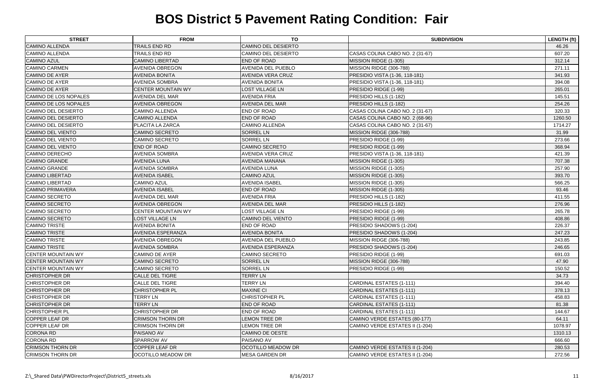| <b>STREET</b>              | <b>FROM</b>               | TO                         | <b>SUBDIVISION</b>              | <b>LENGTH (ft)</b> |
|----------------------------|---------------------------|----------------------------|---------------------------------|--------------------|
| <b>CAMINO ALLENDA</b>      | TRAILS END RD             | <b>CAMINO DEL DESIERTO</b> |                                 | 46.26              |
| <b>CAMINO ALLENDA</b>      | TRAILS END RD             | CAMINO DEL DESIERTO        | CASAS COLINA CABO NO. 2 (31-67) | 607.20             |
| <b>CAMINO AZUL</b>         | <b>CAMINO LIBERTAD</b>    | <b>END OF ROAD</b>         | MISSION RIDGE (1-305)           | 312.14             |
| <b>CAMINO CARMEN</b>       | <b>AVENIDA OBREGON</b>    | AVENIDA DEL PUEBLO         | MISSION RIDGE (306-788)         | 271.11             |
| <b>CAMINO DE AYER</b>      | <b>AVENIDA BONITA</b>     | <b>AVENIDA VERA CRUZ</b>   | PRESIDIO VISTA (1-36, 118-181)  | 341.93             |
| <b>CAMINO DE AYER</b>      | <b>AVENIDA SOMBRA</b>     | <b>AVENIDA BONITA</b>      | PRESIDIO VISTA (1-36, 118-181)  | 394.08             |
| <b>CAMINO DE AYER</b>      | <b>CENTER MOUNTAIN WY</b> | <b>LOST VILLAGE LN</b>     | PRESIDIO RIDGE (1-99)           | 265.01             |
| CAMINO DE LOS NOPALES      | AVENIDA DEL MAR           | <b>AVENIDA FRIA</b>        | PRESIDIO HILLS (1-182)          | 145.51             |
| CAMINO DE LOS NOPALES      | <b>AVENIDA OBREGON</b>    | <b>AVENIDA DEL MAR</b>     | PRESIDIO HILLS (1-182)          | 254.26             |
| CAMINO DEL DESIERTO        | CAMINO ALLENDA            | <b>END OF ROAD</b>         | CASAS COLINA CABO NO. 2 (31-67) | 320.33             |
| <b>CAMINO DEL DESIERTO</b> | <b>CAMINO ALLENDA</b>     | <b>END OF ROAD</b>         | CASAS COLINA CABO NO. 2 (68-96) | 1260.50            |
| <b>CAMINO DEL DESIERTO</b> | PLACITA LA ZARCA          | <b>CAMINO ALLENDA</b>      | CASAS COLINA CABO NO. 2 (31-67) | 1714.27            |
| <b>CAMINO DEL VIENTO</b>   | <b>CAMINO SECRETO</b>     | <b>SORREL LN</b>           | MISSION RIDGE (306-788)         | 31.99              |
| CAMINO DEL VIENTO          | <b>CAMINO SECRETO</b>     | <b>SORREL LN</b>           | PRESIDIO RIDGE (1-99)           | 273.66             |
| <b>CAMINO DEL VIENTO</b>   | <b>END OF ROAD</b>        | <b>CAMINO SECRETO</b>      | PRESIDIO RIDGE (1-99)           | 368.94             |
| <b>CAMINO DERECHO</b>      | AVENIDA SOMBRA            | <b>AVENIDA VERA CRUZ</b>   | PRESIDIO VISTA (1-36, 118-181)  | 421.39             |
| <b>CAMINO GRANDE</b>       | <b>AVENIDA LUNA</b>       | <b>AVENIDA MANANA</b>      | MISSION RIDGE (1-305)           | 707.38             |
| <b>CAMINO GRANDE</b>       | AVENIDA SOMBRA            | <b>AVENIDA LUNA</b>        | MISSION RIDGE (1-305)           | 257.90             |
| <b>CAMINO LIBERTAD</b>     | <b>AVENIDA ISABEL</b>     | <b>CAMINO AZUL</b>         | MISSION RIDGE (1-305)           | 393.70             |
| <b>CAMINO LIBERTAD</b>     | <b>CAMINO AZUL</b>        | <b>AVENIDA ISABEL</b>      | MISSION RIDGE (1-305)           | 566.25             |
| <b>CAMINO PRIMAVERA</b>    | <b>AVENIDA ISABEL</b>     | <b>END OF ROAD</b>         | MISSION RIDGE (1-305)           | 93.46              |
| <b>CAMINO SECRETO</b>      | <b>AVENIDA DEL MAR</b>    | <b>AVENIDA FRIA</b>        | PRESIDIO HILLS (1-182)          | 411.55             |
| <b>CAMINO SECRETO</b>      | <b>AVENIDA OBREGON</b>    | <b>AVENIDA DEL MAR</b>     | PRESIDIO HILLS (1-182)          | 276.96             |
| <b>CAMINO SECRETO</b>      | CENTER MOUNTAIN WY        | <b>LOST VILLAGE LN</b>     | PRESIDIO RIDGE (1-99)           | 265.78             |
| <b>CAMINO SECRETO</b>      | <b>LOST VILLAGE LN</b>    | <b>CAMINO DEL VIENTO</b>   | PRESIDIO RIDGE (1-99)           | 408.86             |
| <b>CAMINO TRISTE</b>       | <b>AVENIDA BONITA</b>     | <b>END OF ROAD</b>         | PRESIDIO SHADOWS (1-204)        | 226.37             |
| <b>CAMINO TRISTE</b>       | AVENIDA ESPERANZA         | <b>AVENIDA BONITA</b>      | PRESIDIO SHADOWS (1-204)        | 247.23             |
| <b>CAMINO TRISTE</b>       | <b>AVENIDA OBREGON</b>    | AVENIDA DEL PUEBLO         | MISSION RIDGE (306-788)         | 243.85             |
| <b>CAMINO TRISTE</b>       | <b>AVENIDA SOMBRA</b>     | <b>AVENIDA ESPERANZA</b>   | PRESIDIO SHADOWS (1-204)        | 246.65             |
| <b>CENTER MOUNTAIN WY</b>  | <b>CAMINO DE AYER</b>     | <b>CAMINO SECRETO</b>      | PRESIDIO RIDGE (1-99)           | 691.03             |
| <b>CENTER MOUNTAIN WY</b>  | <b>CAMINO SECRETO</b>     | <b>SORREL LN</b>           | MISSION RIDGE (306-788)         | 47.90              |
| <b>CENTER MOUNTAIN WY</b>  | <b>CAMINO SECRETO</b>     | <b>SORREL LN</b>           | PRESIDIO RIDGE (1-99)           | 150.52             |
| <b>CHRISTOPHER DR</b>      | <b>CALLE DEL TIGRE</b>    | <b>TERRY LN</b>            |                                 | 34.73              |
| <b>CHRISTOPHER DR</b>      | <b>CALLE DEL TIGRE</b>    | <b>TERRY LN</b>            | <b>CARDINAL ESTATES (1-111)</b> | 394.40             |
| <b>CHRISTOPHER DR</b>      | <b>CHRISTOPHER PL</b>     | <b>MAXINE CI</b>           | CARDINAL ESTATES (1-111)        | 378.13             |
| <b>CHRISTOPHER DR</b>      | <b>TERRY LN</b>           | CHRISTOPHER PL             | CARDINAL ESTATES (1-111)        | 458.83             |
| <b>CHRISTOPHER DR</b>      | <b>TERRY LN</b>           | <b>END OF ROAD</b>         | <b>CARDINAL ESTATES (1-111)</b> | 81.38              |
| <b>CHRISTOPHER PL</b>      | <b>CHRISTOPHER DR</b>     | <b>END OF ROAD</b>         | CARDINAL ESTATES (1-111)        | 144.67             |
| <b>COPPER LEAF DR</b>      | <b>CRIMSON THORN DR</b>   | <b>LEMON TREE DR</b>       | CAMINO VERDE ESTATES (80-177)   | 64.11              |
| COPPER LEAF DR             | <b>CRIMSON THORN DR</b>   | <b>LEMON TREE DR</b>       | CAMINO VERDE ESTATES II (1-204) | 1078.97            |
| <b>CORONA RD</b>           | PAISANO AV                | <b>CAMINO DE OESTE</b>     |                                 | 1310.13            |
| <b>CORONA RD</b>           | SPARROW AV                | PAISANO AV                 |                                 | 666.60             |
| <b>CRIMSON THORN DR</b>    | <b>COPPER LEAF DR</b>     | <b>OCOTILLO MEADOW DR</b>  | CAMINO VERDE ESTATES II (1-204) | 280.53             |
| <b>CRIMSON THORN DR</b>    | OCOTILLO MEADOW DR        | <b>MESA GARDEN DR</b>      | CAMINO VERDE ESTATES II (1-204) | 272.56             |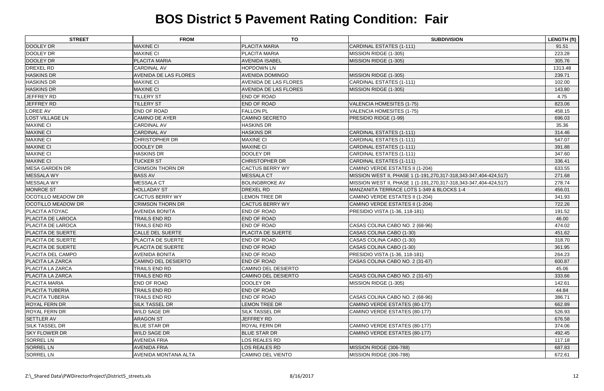| <b>STREET</b>             | <b>FROM</b>                  | <b>TO</b>                    | <b>SUBDIVISION</b>                                               | <b>LENGTH (ft)</b> |
|---------------------------|------------------------------|------------------------------|------------------------------------------------------------------|--------------------|
| DOOLEY DR                 | <b>MAXINE CI</b>             | <b>PLACITA MARIA</b>         | CARDINAL ESTATES (1-111)                                         | 91.51              |
| DOOLEY DR                 | <b>MAXINE CI</b>             | PLACITA MARIA                | MISSION RIDGE (1-305)                                            | 223.28             |
| DOOLEY DR                 | PLACITA MARIA                | <b>AVENIDA ISABEL</b>        | MISSION RIDGE (1-305)                                            | 305.76             |
| <b>DREXEL RD</b>          | <b>CARDINAL AV</b>           | <b>HOPDOWN LN</b>            |                                                                  | 1313.48            |
| <b>HASKINS DR</b>         | <b>AVENIDA DE LAS FLORES</b> | <b>AVENIDA DOMINGO</b>       | MISSION RIDGE (1-305)                                            | 239.71             |
| <b>HASKINS DR</b>         | <b>MAXINE CI</b>             | <b>AVENIDA DE LAS FLORES</b> | CARDINAL ESTATES (1-111)                                         | 102.00             |
| <b>HASKINS DR</b>         | <b>MAXINE CI</b>             | <b>AVENIDA DE LAS FLORES</b> | MISSION RIDGE (1-305)                                            | 143.80             |
| <b>JEFFREY RD</b>         | <b>TILLERY ST</b>            | <b>END OF ROAD</b>           |                                                                  | 4.75               |
| <b>JEFFREY RD</b>         | <b>TILLERY ST</b>            | END OF ROAD                  | <b>VALENCIA HOMESITES (1-75)</b>                                 | 823.06             |
| <b>LOREE AV</b>           | <b>END OF ROAD</b>           | <b>FALLON PL</b>             | VALENCIA HOMESITES (1-75)                                        | 458.15             |
| <b>LOST VILLAGE LN</b>    | <b>CAMINO DE AYER</b>        | <b>CAMINO SECRETO</b>        | PRESIDIO RIDGE (1-99)                                            | 696.03             |
| <b>MAXINE CI</b>          | <b>CARDINAL AV</b>           | <b>HASKINS DR</b>            |                                                                  | 35.36              |
| <b>MAXINE CI</b>          | <b>CARDINAL AV</b>           | <b>HASKINS DR</b>            | CARDINAL ESTATES (1-111)                                         | 314.46             |
| <b>MAXINE CI</b>          | <b>CHRISTOPHER DR</b>        | <b>MAXINE CI</b>             | CARDINAL ESTATES (1-111)                                         | 547.07             |
| <b>MAXINE CI</b>          | DOOLEY DR                    | <b>MAXINE CI</b>             | CARDINAL ESTATES (1-111)                                         | 391.88             |
| <b>MAXINE CI</b>          | <b>HASKINS DR</b>            | DOOLEY DR                    | CARDINAL ESTATES (1-111)                                         | 347.60             |
| <b>MAXINE CI</b>          | <b>TUCKER ST</b>             | <b>CHRISTOPHER DR</b>        | <b>CARDINAL ESTATES (1-111)</b>                                  | 336.41             |
| <b>MESA GARDEN DR</b>     | <b>CRIMSON THORN DR</b>      | <b>CACTUS BERRY WY</b>       | CAMINO VERDE ESTATES II (1-204)                                  | 633.55             |
| MESSALA WY                | <b>BASS AV</b>               | <b>MESSALA CT</b>            | MISSION WEST II, PHASE 1 (1-191,270,317-318,343-347,404-424,517) | 271.68             |
| <b>MESSALA WY</b>         | <b>MESSALA CT</b>            | <b>BOLINGBROKE AV</b>        | MISSION WEST II, PHASE 1 (1-191,270,317-318,343-347,404-424,517) | 278.74             |
| <b>MONROE ST</b>          | <b>HOLLADAY ST</b>           | <b>DREXEL RD</b>             | MANZANITA TERRACE LOTS 1-349 & BLOCKS 1-4                        | 456.01             |
| <b>OCOTILLO MEADOW DR</b> | <b>CACTUS BERRY WY</b>       | <b>LEMON TREE DR</b>         | CAMINO VERDE ESTATES II (1-204)                                  | 341.93             |
| <b>OCOTILLO MEADOW DR</b> | <b>CRIMSON THORN DR</b>      | <b>CACTUS BERRY WY</b>       | CAMINO VERDE ESTATES II (1-204)                                  | 722.26             |
| <b>PLACITA ATOYAC</b>     | <b>AVENIDA BONITA</b>        | <b>END OF ROAD</b>           | PRESIDIO VISTA (1-36, 118-181)                                   | 191.52             |
| <b>PLACITA DE LAROCA</b>  | TRAILS END RD                | <b>END OF ROAD</b>           |                                                                  | 46.00              |
| <b>PLACITA DE LAROCA</b>  | TRAILS END RD                | END OF ROAD                  | CASAS COLINA CABO NO. 2 (68-96)                                  | 474.02             |
| <b>PLACITA DE SUERTE</b>  | <b>CALLE DEL SUERTE</b>      | PLACITA DE SUERTE            | CASAS COLINA CABO (1-30)                                         | 451.62             |
| <b>PLACITA DE SUERTE</b>  | PLACITA DE SUERTE            | END OF ROAD                  | CASAS COLINA CABO (1-30)                                         | 318.70             |
| <b>PLACITA DE SUERTE</b>  | PLACITA DE SUERTE            | <b>END OF ROAD</b>           | CASAS COLINA CABO (1-30)                                         | 361.95             |
| <b>PLACITA DEL CAMPO</b>  | <b>AVENIDA BONITA</b>        | <b>END OF ROAD</b>           | PRESIDIO VISTA (1-36, 118-181)                                   | 264.23             |
| <b>PLACITA LA ZARCA</b>   | <b>CAMINO DEL DESIERTO</b>   | <b>END OF ROAD</b>           | CASAS COLINA CABO NO. 2 (31-67)                                  | 600.87             |
| PLACITA LA ZARCA          | TRAILS END RD                | CAMINO DEL DESIERTO          |                                                                  | 45.06              |
| PLACITA LA ZARCA          | <b>TRAILS END RD</b>         | <b>CAMINO DEL DESIERTO</b>   | CASAS COLINA CABO NO. 2 (31-67)                                  | 333.66             |
| <b>PLACITA MARIA</b>      | <b>END OF ROAD</b>           | <b>DOOLEY DR</b>             | MISSION RIDGE (1-305)                                            | 142.61             |
| <b>PLACITA TUBERIA</b>    | TRAILS END RD                | <b>END OF ROAD</b>           |                                                                  | 44.84              |
| <b>PLACITA TUBERIA</b>    | TRAILS END RD                | <b>END OF ROAD</b>           | CASAS COLINA CABO NO. 2 (68-96)                                  | 386.71             |
| <b>ROYAL FERN DR</b>      | <b>SILK TASSEL DR</b>        | <b>LEMON TREE DR</b>         | CAMINO VERDE ESTATES (80-177)                                    | 662.89             |
| <b>ROYAL FERN DR</b>      | <b>WILD SAGE DR</b>          | SILK TASSEL DR               | CAMINO VERDE ESTATES (80-177)                                    | 526.93             |
| <b>SETTLER AV</b>         | <b>ARAGON ST</b>             | <b>JEFFREY RD</b>            |                                                                  | 676.58             |
| <b>SILK TASSEL DR</b>     | <b>BLUE STAR DR</b>          | ROYAL FERN DR                | CAMINO VERDE ESTATES (80-177)                                    | 374.06             |
| <b>SKY FLOWER DR</b>      | <b>WILD SAGE DR</b>          | <b>BLUE STAR DR</b>          | CAMINO VERDE ESTATES (80-177)                                    | 492.45             |
| <b>SORREL LN</b>          | <b>AVENIDA FRIA</b>          | LOS REALES RD                |                                                                  | 117.18             |
| <b>SORREL LN</b>          | <b>AVENIDA FRIA</b>          | <b>LOS REALES RD</b>         | MISSION RIDGE (306-788)                                          | 687.83             |
| <b>SORREL LN</b>          | <b>AVENIDA MONTANA ALTA</b>  | <b>CAMINO DEL VIENTO</b>     | MISSION RIDGE (306-788)                                          | 672.61             |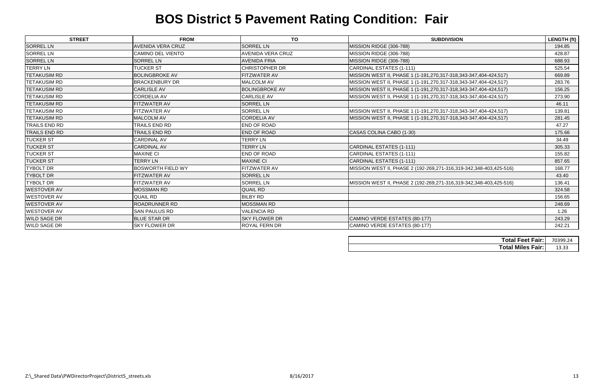| <b>STREET</b>        | <b>FROM</b>              | <b>TO</b>                | <b>SUBDIVISION</b>                                                 | LENGTH (ft) |
|----------------------|--------------------------|--------------------------|--------------------------------------------------------------------|-------------|
| <b>SORREL LN</b>     | <b>AVENIDA VERA CRUZ</b> | <b>SORREL LN</b>         | MISSION RIDGE (306-788)                                            | 194.85      |
| <b>SORREL LN</b>     | CAMINO DEL VIENTO        | <b>AVENIDA VERA CRUZ</b> | MISSION RIDGE (306-788)                                            | 428.87      |
| <b>SORREL LN</b>     | <b>SORREL LN</b>         | <b>AVENIDA FRIA</b>      | MISSION RIDGE (306-788)                                            | 688.93      |
| <b>TERRY LN</b>      | <b>TUCKER ST</b>         | <b>CHRISTOPHER DR</b>    | CARDINAL ESTATES (1-111)                                           | 525.54      |
| <b>TETAKUSIM RD</b>  | <b>BOLINGBROKE AV</b>    | <b>FITZWATER AV</b>      | MISSION WEST II, PHASE 1 (1-191,270,317-318,343-347,404-424,517)   | 669.89      |
| <b>TETAKUSIM RD</b>  | <b>BRACKENBURY DR</b>    | <b>MALCOLM AV</b>        | MISSION WEST II, PHASE 1 (1-191,270,317-318,343-347,404-424,517)   | 283.76      |
| <b>TETAKUSIM RD</b>  | <b>CARLISLE AV</b>       | <b>BOLINGBROKE AV</b>    | MISSION WEST II, PHASE 1 (1-191,270,317-318,343-347,404-424,517)   | 156.25      |
| <b>TETAKUSIM RD</b>  | <b>CORDELIA AV</b>       | <b>CARLISLE AV</b>       | MISSION WEST II, PHASE 1 (1-191,270,317-318,343-347,404-424,517)   | 273.90      |
| <b>TETAKUSIM RD</b>  | FITZWATER AV             | <b>SORREL LN</b>         |                                                                    | 46.11       |
| <b>TETAKUSIM RD</b>  | FITZWATER AV             | <b>SORREL LN</b>         | MISSION WEST II, PHASE 1 (1-191,270,317-318,343-347,404-424,517)   | 139.81      |
| <b>TETAKUSIM RD</b>  | <b>MALCOLM AV</b>        | <b>CORDELIA AV</b>       | MISSION WEST II, PHASE 1 (1-191,270,317-318,343-347,404-424,517)   | 281.45      |
| <b>TRAILS END RD</b> | TRAILS END RD            | <b>END OF ROAD</b>       |                                                                    | 47.27       |
| <b>TRAILS END RD</b> | <b>TRAILS END RD</b>     | <b>END OF ROAD</b>       | CASAS COLINA CABO (1-30)                                           | 175.66      |
| <b>TUCKER ST</b>     | <b>CARDINAL AV</b>       | <b>TERRY LN</b>          |                                                                    | 34.49       |
| <b>TUCKER ST</b>     | <b>CARDINAL AV</b>       | <b>TERRY LN</b>          | CARDINAL ESTATES (1-111)                                           | 305.33      |
| <b>TUCKER ST</b>     | <b>MAXINE CI</b>         | <b>END OF ROAD</b>       | CARDINAL ESTATES (1-111)                                           | 155.82      |
| <b>TUCKER ST</b>     | <b>TERRY LN</b>          | <b>MAXINE CI</b>         | CARDINAL ESTATES (1-111)                                           | 857.65      |
| <b>TYBOLT DR</b>     | <b>BOSWORTH FIELD WY</b> | FITZWATER AV             | MISSION WEST II, PHASE 2 (192-269,271-316,319-342,348-403,425-516) | 168.77      |
| <b>TYBOLT DR</b>     | FITZWATER AV             | <b>SORREL LN</b>         |                                                                    | 43.40       |
| <b>TYBOLT DR</b>     | FITZWATER AV             | <b>SORREL LN</b>         | MISSION WEST II, PHASE 2 (192-269,271-316,319-342,348-403,425-516) | 136.41      |
| <b>WESTOVER AV</b>   | <b>MOSSMAN RD</b>        | <b>QUAIL RD</b>          |                                                                    | 324.58      |
| <b>WESTOVER AV</b>   | <b>QUAIL RD</b>          | <b>BILBY RD</b>          |                                                                    | 156.65      |
| <b>WESTOVER AV</b>   | <b>ROADRUNNER RD</b>     | <b>MOSSMAN RD</b>        |                                                                    | 248.69      |
| <b>WESTOVER AV</b>   | <b>SAN PAULUS RD</b>     | <b>VALENCIA RD</b>       |                                                                    | 1.26        |
| <b>WILD SAGE DR</b>  | <b>BLUE STAR DR</b>      | <b>SKY FLOWER DR</b>     | CAMINO VERDE ESTATES (80-177)                                      | 243.29      |
| <b>WILD SAGE DR</b>  | <b>SKY FLOWER DR</b>     | <b>ROYAL FERN DR</b>     | CAMINO VERDE ESTATES (80-177)                                      | 242.21      |

| <b>Total Feet Fair:</b>  | 70399.24 |
|--------------------------|----------|
| <b>Total Miles Fair:</b> | 13.33    |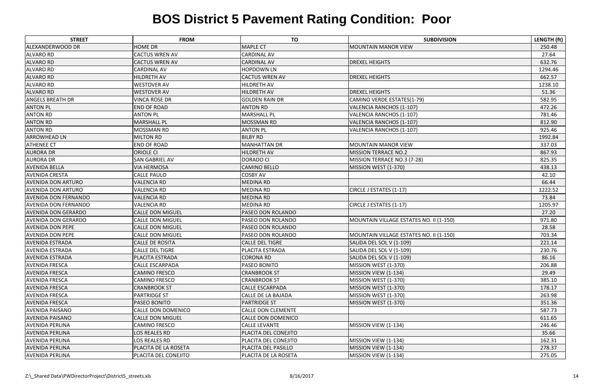| <b>STREET</b>               | <b>FROM</b>               | <b>TO</b>                 | <b>SUBDIVISION</b>                      | LENGTH (ft) |
|-----------------------------|---------------------------|---------------------------|-----------------------------------------|-------------|
| ALEXANDERWOOD DR            | <b>HOME DR</b>            | <b>MAPLE CT</b>           | <b>MOUNTAIN MANOR VIEW</b>              | 250.48      |
| <b>ALVARO RD</b>            | <b>CACTUS WREN AV</b>     | <b>CARDINAL AV</b>        |                                         | 27.64       |
| <b>ALVARO RD</b>            | <b>CACTUS WREN AV</b>     | <b>CARDINAL AV</b>        | <b>DREXEL HEIGHTS</b>                   | 632.76      |
| ALVARO RD                   | <b>CARDINAL AV</b>        | <b>HOPDOWN LN</b>         |                                         | 1294.46     |
| <b>ALVARO RD</b>            | <b>HILDRETH AV</b>        | <b>CACTUS WREN AV</b>     | <b>DREXEL HEIGHTS</b>                   | 662.57      |
| <b>ALVARO RD</b>            | <b>WESTOVER AV</b>        | <b>HILDRETH AV</b>        |                                         | 1238.10     |
| <b>ALVARO RD</b>            | <b>WESTOVER AV</b>        | <b>HILDRETH AV</b>        | <b>DREXEL HEIGHTS</b>                   | 51.36       |
| <b>ANGELS BREATH DR</b>     | VINCA ROSE DR             | <b>GOLDEN RAIN DR</b>     | CAMINO VERDE ESTATES(1-79)              | 582.95      |
| <b>ANTON PL</b>             | <b>END OF ROAD</b>        | <b>ANTON RD</b>           | VALENCIA RANCHOS (1-107)                | 472.26      |
| <b>ANTON RD</b>             | <b>ANTON PL</b>           | <b>MARSHALL PL</b>        | VALENCIA RANCHOS (1-107)                | 781.46      |
| <b>ANTON RD</b>             | <b>MARSHALL PL</b>        | <b>MOSSMAN RD</b>         | VALENCIA RANCHOS (1-107)                | 812.90      |
| <b>ANTON RD</b>             | <b>MOSSMAN RD</b>         | <b>ANTON PL</b>           | VALENCIA RANCHOS (1-107)                | 925.46      |
| <b>ARROWHEAD LN</b>         | <b>MILTON RD</b>          | <b>BILBY RD</b>           |                                         | 1992.84     |
| <b>ATHENEE CT</b>           | <b>END OF ROAD</b>        | <b>MANHATTAN DR</b>       | <b>MOUNTAIN MANOR VIEW</b>              | 337.03      |
| <b>AURORA DR</b>            | <b>ORIOLE CI</b>          | <b>HILDRETH AV</b>        | <b>MISSION TERRACE NO.2</b>             | 867.93      |
| <b>AURORA DR</b>            | <b>SAN GABRIEL AV</b>     | <b>DORADO CI</b>          | MISSION TERRACE NO.3 (7-28)             | 825.35      |
| <b>AVENIDA BELLA</b>        | <b>VIA HERMOSA</b>        | <b>CAMINO BELLO</b>       | MISSION WEST (1-370)                    | 438.13      |
| <b>AVENIDA CRESTA</b>       | <b>CALLE PAULO</b>        | <b>COSBY AV</b>           |                                         | 42.10       |
| <b>AVENIDA DON ARTURO</b>   | <b>VALENCIA RD</b>        | <b>MEDINA RD</b>          |                                         | 66.44       |
| <b>AVENIDA DON ARTURO</b>   | <b>VALENCIA RD</b>        | <b>MEDINA RD</b>          | CIRCLE J ESTATES (1-17)                 | 1222.52     |
| <b>AVENIDA DON FERNANDO</b> | <b>VALENCIA RD</b>        | <b>MEDINA RD</b>          |                                         | 73.84       |
| <b>AVENIDA DON FERNANDO</b> | <b>VALENCIA RD</b>        | <b>MEDINA RD</b>          | CIRCLE J ESTATES (1-17)                 | 1205.97     |
| <b>AVENIDA DON GERARDO</b>  | <b>CALLE DON MIGUEL</b>   | PASEO DON ROLANDO         |                                         | 27.20       |
| <b>AVENIDA DON GERARDO</b>  | <b>CALLE DON MIGUEL</b>   | PASEO DON ROLANDO         | MOUNTAIN VILLAGE ESTATES NO. II (1-150) | 971.80      |
| <b>AVENIDA DON PEPE</b>     | <b>CALLE DON MIGUEL</b>   | PASEO DON ROLANDO         |                                         | 28.58       |
| <b>AVENIDA DON PEPE</b>     | <b>CALLE DON MIGUEL</b>   | PASEO DON ROLANDO         | MOUNTAIN VILLAGE ESTATES NO. II (1-150) | 703.34      |
| <b>AVENIDA ESTRADA</b>      | <b>CALLE DE ROSITA</b>    | <b>CALLE DEL TIGRE</b>    | SALIDA DEL SOL V (1-109)                | 221.14      |
| <b>AVENIDA ESTRADA</b>      | <b>CALLE DEL TIGRE</b>    | PLACITA ESTRADA           | SALIDA DEL SOL V (1-109)                | 230.76      |
| <b>AVENIDA ESTRADA</b>      | PLACITA ESTRADA           | <b>CORONA RD</b>          | SALIDA DEL SOL V (1-109)                | 86.16       |
| <b>AVENIDA FRESCA</b>       | <b>CALLE ESCARPADA</b>    | PASEO BONITO              | MISSION WEST (1-370)                    | 206.88      |
| <b>AVENIDA FRESCA</b>       | <b>CAMINO FRESCO</b>      | <b>CRANBROOK ST</b>       | MISSION VIEW (1-134)                    | 29.49       |
| <b>AVENIDA FRESCA</b>       | <b>CAMINO FRESCO</b>      | <b>CRANBROOK ST</b>       | MISSION WEST (1-370)                    | 385.10      |
| <b>AVENIDA FRESCA</b>       | <b>CRANBROOK ST</b>       | <b>CALLE ESCARPADA</b>    | MISSION WEST (1-370)                    | 178.17      |
| <b>AVENIDA FRESCA</b>       | <b>PARTRIDGE ST</b>       | CALLE DE LA BAJADA        | MISSION WEST (1-370)                    | 263.98      |
| <b>AVENIDA FRESCA</b>       | PASEO BONITO              | <b>PARTRIDGE ST</b>       | MISSION WEST (1-370)                    | 351.36      |
| <b>AVENIDA PAISANO</b>      | <b>CALLE DON DOMENICO</b> | <b>CALLE DON CLEMENTE</b> |                                         | 587.73      |
| <b>AVENIDA PAISANO</b>      | <b>CALLE DON MIGUEL</b>   | <b>CALLE DON DOMENICO</b> |                                         | 611.65      |
| <b>AVENIDA PERLINA</b>      | CAMINO FRESCO             | <b>CALLE LEVANTE</b>      | MISSION VIEW (1-134)                    | 246.46      |
| <b>AVENIDA PERLINA</b>      | LOS REALES RD             | PLACITA DEL CONEJITO      |                                         | 35.66       |
| <b>AVENIDA PERLINA</b>      | LOS REALES RD             | PLACITA DEL CONEJITO      | MISSION VIEW (1-134)                    | 162.31      |
| <b>AVENIDA PERLINA</b>      | PLACITA DE LA ROSETA      | PLACITA DEL PASILLO       | MISSION VIEW (1-134)                    | 278.37      |
| <b>AVENIDA PERLINA</b>      | PLACITA DEL CONEJITO      | PLACITA DE LA ROSETA      | MISSION VIEW (1-134)                    | 275.05      |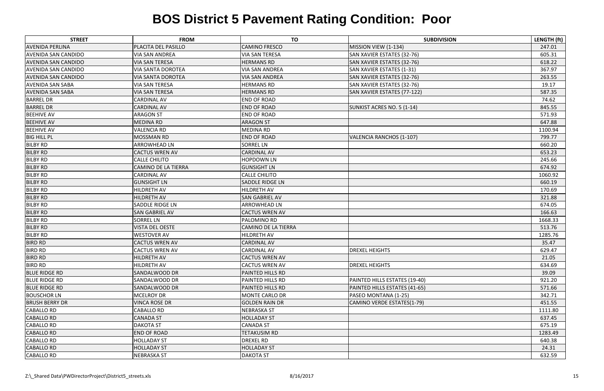| <b>STREET</b>              | <b>FROM</b>                | <b>TO</b>                  | <b>SUBDIVISION</b>              | LENGTH (ft) |
|----------------------------|----------------------------|----------------------------|---------------------------------|-------------|
| <b>AVENIDA PERLINA</b>     | PLACITA DEL PASILLO        | <b>CAMINO FRESCO</b>       | MISSION VIEW (1-134)            | 247.01      |
| <b>AVENIDA SAN CANDIDO</b> | <b>VIA SAN ANDREA</b>      | <b>VIA SAN TERESA</b>      | SAN XAVIER ESTATES (32-76)      | 605.31      |
| <b>AVENIDA SAN CANDIDO</b> | <b>VIA SAN TERESA</b>      | <b>HERMANS RD</b>          | SAN XAVIER ESTATES (32-76)      | 618.22      |
| <b>AVENIDA SAN CANDIDO</b> | <b>VIA SANTA DOROTEA</b>   | <b>VIA SAN ANDREA</b>      | SAN XAVIER ESTATES (1-31)       | 367.97      |
| <b>AVENIDA SAN CANDIDO</b> | <b>VIA SANTA DOROTEA</b>   | <b>VIA SAN ANDREA</b>      | SAN XAVIER ESTATES (32-76)      | 263.55      |
| <b>AVENIDA SAN SABA</b>    | <b>VIA SAN TERESA</b>      | <b>HERMANS RD</b>          | SAN XAVIER ESTATES (32-76)      | 19.17       |
| <b>AVENIDA SAN SABA</b>    | <b>VIA SAN TERESA</b>      | <b>HERMANS RD</b>          | SAN XAVIER ESTATES (77-122)     | 587.35      |
| <b>BARREL DR</b>           | <b>CARDINAL AV</b>         | <b>END OF ROAD</b>         |                                 | 74.62       |
| <b>BARREL DR</b>           | <b>CARDINAL AV</b>         | <b>END OF ROAD</b>         | SUNKIST ACRES NO. 5 (1-14)      | 845.55      |
| <b>BEEHIVE AV</b>          | <b>ARAGON ST</b>           | <b>END OF ROAD</b>         |                                 | 571.93      |
| <b>BEEHIVE AV</b>          | <b>MEDINA RD</b>           | <b>ARAGON ST</b>           |                                 | 647.88      |
| <b>BEEHIVE AV</b>          | <b>VALENCIA RD</b>         | <b>MEDINA RD</b>           |                                 | 1100.94     |
| <b>BIG HILL PL</b>         | <b>MOSSMAN RD</b>          | <b>END OF ROAD</b>         | <b>VALENCIA RANCHOS (1-107)</b> | 799.77      |
| <b>BILBY RD</b>            | <b>ARROWHEAD LN</b>        | <b>SORREL LN</b>           |                                 | 660.20      |
| <b>BILBY RD</b>            | <b>CACTUS WREN AV</b>      | <b>CARDINAL AV</b>         |                                 | 653.23      |
| <b>BILBY RD</b>            | <b>CALLE CHILITO</b>       | <b>HOPDOWN LN</b>          |                                 | 245.66      |
| <b>BILBY RD</b>            | <b>CAMINO DE LA TIERRA</b> | <b>GUNSIGHT LN</b>         |                                 | 674.92      |
| <b>BILBY RD</b>            | <b>CARDINAL AV</b>         | <b>CALLE CHILITO</b>       |                                 | 1060.92     |
| <b>BILBY RD</b>            | <b>GUNSIGHT LN</b>         | <b>SADDLE RIDGE LN</b>     |                                 | 660.19      |
| <b>BILBY RD</b>            | HILDRETH AV                | <b>HILDRETH AV</b>         |                                 | 170.69      |
| <b>BILBY RD</b>            | <b>HILDRETH AV</b>         | <b>SAN GABRIEL AV</b>      |                                 | 321.88      |
| <b>BILBY RD</b>            | <b>SADDLE RIDGE LN</b>     | <b>ARROWHEAD LN</b>        |                                 | 674.05      |
| <b>BILBY RD</b>            | <b>SAN GABRIEL AV</b>      | <b>CACTUS WREN AV</b>      |                                 | 166.63      |
| <b>BILBY RD</b>            | <b>SORREL LN</b>           | <b>PALOMINO RD</b>         |                                 | 1668.33     |
| <b>BILBY RD</b>            | <b>VISTA DEL OESTE</b>     | <b>CAMINO DE LA TIERRA</b> |                                 | 513.76      |
| <b>BILBY RD</b>            | <b>WESTOVER AV</b>         | <b>HILDRETH AV</b>         |                                 | 1285.76     |
| <b>BIRD RD</b>             | <b>CACTUS WREN AV</b>      | <b>CARDINAL AV</b>         |                                 | 35.47       |
| <b>BIRD RD</b>             | <b>CACTUS WREN AV</b>      | <b>CARDINAL AV</b>         | <b>DREXEL HEIGHTS</b>           | 629.47      |
| BIRD RD                    | <b>HILDRETH AV</b>         | <b>CACTUS WREN AV</b>      |                                 | 21.05       |
| <b>BIRD RD</b>             | <b>HILDRETH AV</b>         | <b>CACTUS WREN AV</b>      | <b>DREXEL HEIGHTS</b>           | 634.69      |
| <b>BLUE RIDGE RD</b>       | <b>SANDALWOOD DR</b>       | <b>PAINTED HILLS RD</b>    |                                 | 39.09       |
| <b>BLUE RIDGE RD</b>       | <b>SANDALWOOD DR</b>       | <b>PAINTED HILLS RD</b>    | PAINTED HILLS ESTATES (19-40)   | 921.20      |
| <b>BLUE RIDGE RD</b>       | <b>SANDALWOOD DR</b>       | <b>PAINTED HILLS RD</b>    | PAINTED HILLS ESTATES (41-65)   | 571.66      |
| <b>BOUSCHOR LN</b>         | <b>MCELROY DR</b>          | <b>MONTE CARLO DR</b>      | PASEO MONTANA (1-25)            | 342.71      |
| <b>BRUSH BERRY DR</b>      | <b>VINCA ROSE DR</b>       | <b>GOLDEN RAIN DR</b>      | CAMINO VERDE ESTATES(1-79)      | 451.55      |
| <b>CABALLO RD</b>          | <b>CABALLO RD</b>          | <b>NEBRASKA ST</b>         |                                 | 1111.80     |
| <b>CABALLO RD</b>          | <b>CANADA ST</b>           | <b>HOLLADAY ST</b>         |                                 | 637.45      |
| <b>CABALLO RD</b>          | <b>DAKOTA ST</b>           | <b>CANADA ST</b>           |                                 | 675.19      |
| <b>CABALLO RD</b>          | <b>END OF ROAD</b>         | <b>TETAKUSIM RD</b>        |                                 | 1283.49     |
| <b>CABALLO RD</b>          | <b>HOLLADAY ST</b>         | <b>DREXEL RD</b>           |                                 | 640.38      |
| <b>CABALLO RD</b>          | <b>HOLLADAY ST</b>         | <b>HOLLADAY ST</b>         |                                 | 24.31       |
| <b>CABALLO RD</b>          | <b>NEBRASKA ST</b>         | <b>DAKOTA ST</b>           |                                 | 632.59      |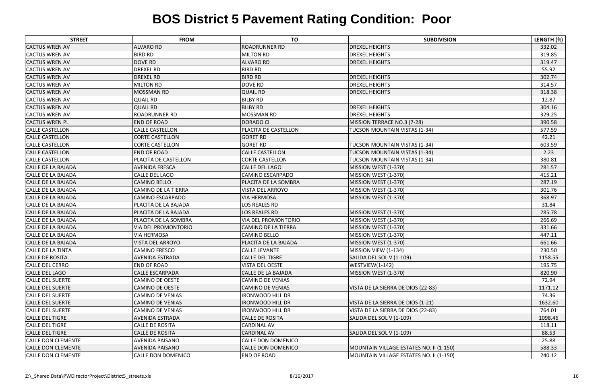| <b>STREET</b>             | <b>FROM</b>                | <b>TO</b>                   | <b>SUBDIVISION</b>                      | LENGTH (ft) |
|---------------------------|----------------------------|-----------------------------|-----------------------------------------|-------------|
| <b>CACTUS WREN AV</b>     | <b>ALVARO RD</b>           | <b>ROADRUNNER RD</b>        | <b>DREXEL HEIGHTS</b>                   | 332.02      |
| <b>CACTUS WREN AV</b>     | <b>BIRD RD</b>             | <b>MILTON RD</b>            | <b>DREXEL HEIGHTS</b>                   | 319.85      |
| <b>CACTUS WREN AV</b>     | <b>DOVE RD</b>             | <b>ALVARO RD</b>            | <b>DREXEL HEIGHTS</b>                   | 319.47      |
| <b>CACTUS WREN AV</b>     | <b>DREXEL RD</b>           | <b>BIRD RD</b>              |                                         | 55.92       |
| <b>CACTUS WREN AV</b>     | <b>DREXEL RD</b>           | <b>BIRD RD</b>              | <b>DREXEL HEIGHTS</b>                   | 302.74      |
| <b>CACTUS WREN AV</b>     | <b>MILTON RD</b>           | <b>DOVE RD</b>              | <b>DREXEL HEIGHTS</b>                   | 314.57      |
| <b>CACTUS WREN AV</b>     | <b>MOSSMAN RD</b>          | <b>QUAIL RD</b>             | <b>DREXEL HEIGHTS</b>                   | 318.38      |
| <b>CACTUS WREN AV</b>     | <b>QUAIL RD</b>            | <b>BILBY RD</b>             |                                         | 12.87       |
| <b>CACTUS WREN AV</b>     | <b>QUAIL RD</b>            | <b>BILBY RD</b>             | <b>DREXEL HEIGHTS</b>                   | 304.16      |
| <b>CACTUS WREN AV</b>     | <b>ROADRUNNER RD</b>       | <b>MOSSMAN RD</b>           | <b>DREXEL HEIGHTS</b>                   | 329.25      |
| <b>CACTUS WREN PL</b>     | <b>END OF ROAD</b>         | <b>DORADO CI</b>            | MISSION TERRACE NO.3 (7-28)             | 390.58      |
| <b>CALLE CASTELLON</b>    | <b>CALLE CASTELLON</b>     | PLACITA DE CASTELLON        | <b>TUCSON MOUNTAIN VISTAS (1-34)</b>    | 577.59      |
| <b>CALLE CASTELLON</b>    | <b>CORTE CASTELLON</b>     | <b>GORET RD</b>             |                                         | 42.21       |
| <b>CALLE CASTELLON</b>    | <b>CORTE CASTELLON</b>     | <b>GORET RD</b>             | TUCSON MOUNTAIN VISTAS (1-34)           | 603.59      |
| <b>CALLE CASTELLON</b>    | <b>END OF ROAD</b>         | <b>CALLE CASTELLON</b>      | <b>TUCSON MOUNTAIN VISTAS (1-34)</b>    | 2.23        |
| <b>CALLE CASTELLON</b>    | PLACITA DE CASTELLON       | <b>CORTE CASTELLON</b>      | <b>TUCSON MOUNTAIN VISTAS (1-34)</b>    | 380.81      |
| CALLE DE LA BAJADA        | <b>AVENIDA FRESCA</b>      | <b>CALLE DEL LAGO</b>       | MISSION WEST (1-370)                    | 281.57      |
| <b>CALLE DE LA BAJADA</b> | CALLE DEL LAGO             | <b>CAMINO ESCARPADO</b>     | MISSION WEST (1-370)                    | 415.21      |
| <b>CALLE DE LA BAJADA</b> | <b>CAMINO BELLO</b>        | <b>PLACITA DE LA SOMBRA</b> | MISSION WEST (1-370)                    | 287.19      |
| <b>CALLE DE LA BAJADA</b> | CAMINO DE LA TIERRA        | <b>VISTA DEL ARROYO</b>     | MISSION WEST (1-370)                    | 301.76      |
| <b>CALLE DE LA BAJADA</b> | <b>CAMINO ESCARPADO</b>    | <b>VIA HERMOSA</b>          | MISSION WEST (1-370)                    | 368.97      |
| <b>CALLE DE LA BAJADA</b> | PLACITA DE LA BAJADA       | <b>LOS REALES RD</b>        |                                         | 31.84       |
| <b>CALLE DE LA BAJADA</b> | PLACITA DE LA BAJADA       | <b>LOS REALES RD</b>        | MISSION WEST (1-370)                    | 285.78      |
| <b>CALLE DE LA BAJADA</b> | PLACITA DE LA SOMBRA       | <b>VIA DEL PROMONTORIO</b>  | MISSION WEST (1-370)                    | 266.69      |
| <b>CALLE DE LA BAJADA</b> | <b>VIA DEL PROMONTORIO</b> | <b>CAMINO DE LA TIERRA</b>  | MISSION WEST (1-370)                    | 331.66      |
| <b>CALLE DE LA BAJADA</b> | <b>VIA HERMOSA</b>         | <b>CAMINO BELLO</b>         | MISSION WEST (1-370)                    | 447.11      |
| <b>CALLE DE LA BAJADA</b> | <b>VISTA DEL ARROYO</b>    | PLACITA DE LA BAJADA        | MISSION WEST (1-370)                    | 661.66      |
| <b>CALLE DE LA TINTA</b>  | <b>CAMINO FRESCO</b>       | <b>CALLE LEVANTE</b>        | MISSION VIEW (1-134)                    | 230.50      |
| <b>CALLE DE ROSITA</b>    | <b>AVENIDA ESTRADA</b>     | <b>CALLE DEL TIGRE</b>      | SALIDA DEL SOL V (1-109)                | 1158.55     |
| <b>CALLE DEL CERRO</b>    | <b>END OF ROAD</b>         | <b>VISTA DEL OESTE</b>      | WESTVIEW(1-142)                         | 195.75      |
| <b>CALLE DEL LAGO</b>     | <b>CALLE ESCARPADA</b>     | CALLE DE LA BAJADA          | MISSION WEST (1-370)                    | 820.90      |
| <b>CALLE DEL SUERTE</b>   | <b>CAMINO DE OESTE</b>     | <b>CAMINO DE VENIAS</b>     |                                         | 72.94       |
| <b>CALLE DEL SUERTE</b>   | <b>CAMINO DE OESTE</b>     | <b>CAMINO DE VENIAS</b>     | VISTA DE LA SIERRA DE DIOS (22-83)      | 1171.12     |
| <b>CALLE DEL SUERTE</b>   | <b>CAMINO DE VENIAS</b>    | <b>IRONWOOD HILL DR</b>     |                                         | 74.36       |
| <b>CALLE DEL SUERTE</b>   | <b>CAMINO DE VENIAS</b>    | <b>IRONWOOD HILL DR</b>     | VISTA DE LA SIERRA DE DIOS (1-21)       | 1632.60     |
| <b>CALLE DEL SUERTE</b>   | <b>CAMINO DE VENIAS</b>    | <b>IRONWOOD HILL DR</b>     | VISTA DE LA SIERRA DE DIOS (22-83)      | 764.01      |
| <b>CALLE DEL TIGRE</b>    | AVENIDA ESTRADA            | <b>CALLE DE ROSITA</b>      | SALIDA DEL SOL V (1-109)                | 1098.46     |
| <b>CALLE DEL TIGRE</b>    | CALLE DE ROSITA            | <b>CARDINAL AV</b>          |                                         | 118.11      |
| <b>CALLE DEL TIGRE</b>    | <b>CALLE DE ROSITA</b>     | <b>CARDINAL AV</b>          | SALIDA DEL SOL V (1-109)                | 88.53       |
| <b>CALLE DON CLEMENTE</b> | AVENIDA PAISANO            | <b>CALLE DON DOMENICO</b>   |                                         | 25.88       |
| <b>CALLE DON CLEMENTE</b> | <b>AVENIDA PAISANO</b>     | <b>CALLE DON DOMENICO</b>   | MOUNTAIN VILLAGE ESTATES NO. II (1-150) | 588.33      |
| <b>CALLE DON CLEMENTE</b> | CALLE DON DOMENICO         | <b>END OF ROAD</b>          | MOUNTAIN VILLAGE ESTATES NO. II (1-150) | 240.12      |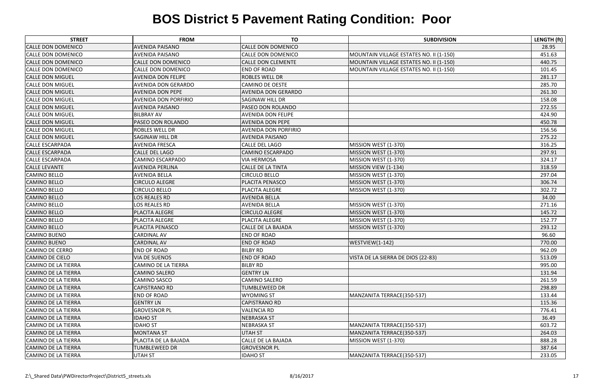| <b>STREET</b>              | <b>FROM</b>                 | <b>TO</b>                   | <b>SUBDIVISION</b>                      | LENGTH (ft) |
|----------------------------|-----------------------------|-----------------------------|-----------------------------------------|-------------|
| <b>CALLE DON DOMENICO</b>  | <b>AVENIDA PAISANO</b>      | <b>CALLE DON DOMENICO</b>   |                                         | 28.95       |
| <b>CALLE DON DOMENICO</b>  | <b>AVENIDA PAISANO</b>      | <b>CALLE DON DOMENICO</b>   | MOUNTAIN VILLAGE ESTATES NO. II (1-150) | 451.63      |
| <b>CALLE DON DOMENICO</b>  | CALLE DON DOMENICO          | <b>CALLE DON CLEMENTE</b>   | MOUNTAIN VILLAGE ESTATES NO. II (1-150) | 440.75      |
| <b>CALLE DON DOMENICO</b>  | <b>CALLE DON DOMENICO</b>   | <b>END OF ROAD</b>          | MOUNTAIN VILLAGE ESTATES NO. II (1-150) | 101.45      |
| <b>CALLE DON MIGUEL</b>    | <b>AVENIDA DON FELIPE</b>   | <b>ROBLES WELL DR</b>       |                                         | 281.17      |
| <b>CALLE DON MIGUEL</b>    | AVENIDA DON GERARDO         | <b>CAMINO DE OESTE</b>      |                                         | 285.70      |
| <b>CALLE DON MIGUEL</b>    | <b>AVENIDA DON PEPE</b>     | <b>AVENIDA DON GERARDO</b>  |                                         | 261.30      |
| <b>CALLE DON MIGUEL</b>    | <b>AVENIDA DON PORFIRIO</b> | <b>SAGINAW HILL DR</b>      |                                         | 158.08      |
| <b>CALLE DON MIGUEL</b>    | <b>AVENIDA PAISANO</b>      | PASEO DON ROLANDO           |                                         | 272.55      |
| <b>CALLE DON MIGUEL</b>    | <b>BILBRAY AV</b>           | <b>AVENIDA DON FELIPE</b>   |                                         | 424.90      |
| <b>CALLE DON MIGUEL</b>    | PASEO DON ROLANDO           | <b>AVENIDA DON PEPE</b>     |                                         | 450.78      |
| <b>CALLE DON MIGUEL</b>    | <b>ROBLES WELL DR</b>       | <b>AVENIDA DON PORFIRIO</b> |                                         | 156.56      |
| <b>CALLE DON MIGUEL</b>    | <b>SAGINAW HILL DR</b>      | <b>AVENIDA PAISANO</b>      |                                         | 275.22      |
| <b>CALLE ESCARPADA</b>     | <b>AVENIDA FRESCA</b>       | <b>CALLE DEL LAGO</b>       | MISSION WEST (1-370)                    | 316.25      |
| <b>CALLE ESCARPADA</b>     | <b>CALLE DEL LAGO</b>       | <b>CAMINO ESCARPADO</b>     | MISSION WEST (1-370)                    | 297.91      |
| <b>CALLE ESCARPADA</b>     | <b>CAMINO ESCARPADO</b>     | <b>VIA HERMOSA</b>          | MISSION WEST (1-370)                    | 324.17      |
| <b>CALLE LEVANTE</b>       | <b>AVENIDA PERLINA</b>      | <b>CALLE DE LA TINTA</b>    | MISSION VIEW (1-134)                    | 318.59      |
| <b>CAMINO BELLO</b>        | <b>AVENIDA BELLA</b>        | <b>CIRCULO BELLO</b>        | MISSION WEST (1-370)                    | 297.04      |
| <b>CAMINO BELLO</b>        | <b>CIRCULO ALEGRE</b>       | PLACITA PENASCO             | MISSION WEST (1-370)                    | 306.74      |
| <b>CAMINO BELLO</b>        | <b>CIRCULO BELLO</b>        | PLACITA ALEGRE              | MISSION WEST (1-370)                    | 302.72      |
| <b>CAMINO BELLO</b>        | LOS REALES RD               | <b>AVENIDA BELLA</b>        |                                         | 34.00       |
| <b>CAMINO BELLO</b>        | LOS REALES RD               | <b>AVENIDA BELLA</b>        | MISSION WEST (1-370)                    | 271.16      |
| <b>CAMINO BELLO</b>        | PLACITA ALEGRE              | <b>CIRCULO ALEGRE</b>       | MISSION WEST (1-370)                    | 145.72      |
| <b>CAMINO BELLO</b>        | PLACITA ALEGRE              | PLACITA ALEGRE              | MISSION WEST (1-370)                    | 152.77      |
| <b>CAMINO BELLO</b>        | PLACITA PENASCO             | <b>CALLE DE LA BAJADA</b>   | MISSION WEST (1-370)                    | 293.12      |
| <b>CAMINO BUENO</b>        | <b>CARDINAL AV</b>          | <b>END OF ROAD</b>          |                                         | 96.60       |
| <b>CAMINO BUENO</b>        | <b>CARDINAL AV</b>          | <b>END OF ROAD</b>          | WESTVIEW(1-142)                         | 770.00      |
| <b>CAMINO DE CERRO</b>     | <b>END OF ROAD</b>          | <b>BILBY RD</b>             |                                         | 962.09      |
| CAMINO DE CIELO            | <b>VIA DE SUENOS</b>        | <b>END OF ROAD</b>          | VISTA DE LA SIERRA DE DIOS (22-83)      | 513.09      |
| CAMINO DE LA TIERRA        | <b>CAMINO DE LA TIERRA</b>  | <b>BILBY RD</b>             |                                         | 995.00      |
| <b>CAMINO DE LA TIERRA</b> | <b>CAMINO SALERO</b>        | <b>GENTRY LN</b>            |                                         | 131.94      |
| CAMINO DE LA TIERRA        | <b>CAMINO SASCO</b>         | <b>CAMINO SALERO</b>        |                                         | 261.59      |
| <b>CAMINO DE LA TIERRA</b> | <b>CAPISTRANO RD</b>        | <b>TUMBLEWEED DR</b>        |                                         | 298.89      |
| <b>CAMINO DE LA TIERRA</b> | <b>END OF ROAD</b>          | <b>WYOMING ST</b>           | MANZANITA TERRACE(350-537)              | 133.44      |
| <b>CAMINO DE LA TIERRA</b> | <b>GENTRY LN</b>            | <b>CAPISTRANO RD</b>        |                                         | 115.36      |
| CAMINO DE LA TIERRA        | <b>GROVESNOR PL</b>         | <b>VALENCIA RD</b>          |                                         | 776.41      |
| <b>CAMINO DE LA TIERRA</b> | <b>IDAHO ST</b>             | <b>NEBRASKA ST</b>          |                                         | 36.49       |
| CAMINO DE LA TIERRA        | <b>IDAHO ST</b>             | <b>NEBRASKA ST</b>          | MANZANITA TERRACE(350-537)              | 603.72      |
| <b>CAMINO DE LA TIERRA</b> | <b>MONTANA ST</b>           | <b>UTAH ST</b>              | MANZANITA TERRACE(350-537)              | 264.03      |
| <b>CAMINO DE LA TIERRA</b> | PLACITA DE LA BAJADA        | CALLE DE LA BAJADA          | MISSION WEST (1-370)                    | 888.28      |
| <b>CAMINO DE LA TIERRA</b> | <b>TUMBLEWEED DR</b>        | <b>GROVESNOR PL</b>         |                                         | 387.64      |
| CAMINO DE LA TIERRA        | <b>UTAH ST</b>              | <b>IDAHO ST</b>             | MANZANITA TERRACE(350-537)              | 233.05      |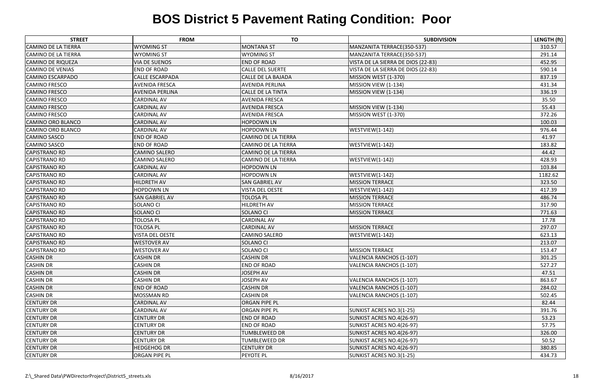| <b>STREET</b>              | <b>FROM</b>            | <b>TO</b>                  | <b>SUBDIVISION</b>                 | LENGTH (ft) |
|----------------------------|------------------------|----------------------------|------------------------------------|-------------|
| <b>CAMINO DE LA TIERRA</b> | <b>WYOMING ST</b>      | <b>MONTANA ST</b>          | MANZANITA TERRACE(350-537)         | 310.57      |
| <b>CAMINO DE LA TIERRA</b> | <b>WYOMING ST</b>      | <b>WYOMING ST</b>          | MANZANITA TERRACE(350-537)         | 291.14      |
| <b>CAMINO DE RIQUEZA</b>   | <b>VIA DE SUENOS</b>   | <b>END OF ROAD</b>         | VISTA DE LA SIERRA DE DIOS (22-83) | 452.95      |
| <b>CAMINO DE VENIAS</b>    | <b>END OF ROAD</b>     | <b>CALLE DEL SUERTE</b>    | VISTA DE LA SIERRA DE DIOS (22-83) | 590.14      |
| <b>CAMINO ESCARPADO</b>    | <b>CALLE ESCARPADA</b> | <b>CALLE DE LA BAJADA</b>  | MISSION WEST (1-370)               | 837.19      |
| <b>CAMINO FRESCO</b>       | <b>AVENIDA FRESCA</b>  | <b>AVENIDA PERLINA</b>     | MISSION VIEW (1-134)               | 431.34      |
| <b>CAMINO FRESCO</b>       | <b>AVENIDA PERLINA</b> | <b>CALLE DE LA TINTA</b>   | MISSION VIEW (1-134)               | 336.19      |
| <b>CAMINO FRESCO</b>       | <b>CARDINAL AV</b>     | <b>AVENIDA FRESCA</b>      |                                    | 35.50       |
| <b>CAMINO FRESCO</b>       | <b>CARDINAL AV</b>     | <b>AVENIDA FRESCA</b>      | MISSION VIEW (1-134)               | 55.43       |
| <b>CAMINO FRESCO</b>       | <b>CARDINAL AV</b>     | <b>AVENIDA FRESCA</b>      | MISSION WEST (1-370)               | 372.26      |
| <b>CAMINO ORO BLANCO</b>   | <b>CARDINAL AV</b>     | <b>HOPDOWN LN</b>          |                                    | 100.03      |
| <b>CAMINO ORO BLANCO</b>   | <b>CARDINAL AV</b>     | <b>HOPDOWN LN</b>          | WESTVIEW(1-142)                    | 976.44      |
| <b>CAMINO SASCO</b>        | <b>END OF ROAD</b>     | <b>CAMINO DE LA TIERRA</b> |                                    | 41.97       |
| <b>CAMINO SASCO</b>        | <b>END OF ROAD</b>     | <b>CAMINO DE LA TIERRA</b> | WESTVIEW(1-142)                    | 183.82      |
| <b>CAPISTRANO RD</b>       | <b>CAMINO SALERO</b>   | <b>CAMINO DE LA TIERRA</b> |                                    | 44.42       |
| <b>CAPISTRANO RD</b>       | <b>CAMINO SALERO</b>   | CAMINO DE LA TIERRA        | WESTVIEW(1-142)                    | 428.93      |
| <b>CAPISTRANO RD</b>       | <b>CARDINAL AV</b>     | <b>HOPDOWN LN</b>          |                                    | 103.84      |
| <b>CAPISTRANO RD</b>       | <b>CARDINAL AV</b>     | <b>HOPDOWN LN</b>          | WESTVIEW(1-142)                    | 1182.62     |
| <b>CAPISTRANO RD</b>       | <b>HILDRETH AV</b>     | <b>SAN GABRIEL AV</b>      | <b>MISSION TERRACE</b>             | 323.50      |
| <b>CAPISTRANO RD</b>       | <b>HOPDOWN LN</b>      | <b>VISTA DEL OESTE</b>     | WESTVIEW(1-142)                    | 417.39      |
| <b>CAPISTRANO RD</b>       | <b>SAN GABRIEL AV</b>  | <b>TOLOSA PL</b>           | <b>MISSION TERRACE</b>             | 486.74      |
| <b>CAPISTRANO RD</b>       | <b>SOLANO CI</b>       | <b>HILDRETH AV</b>         | <b>MISSION TERRACE</b>             | 317.90      |
| <b>CAPISTRANO RD</b>       | <b>SOLANO CI</b>       | <b>SOLANO CI</b>           | <b>MISSION TERRACE</b>             | 771.63      |
| <b>CAPISTRANO RD</b>       | <b>TOLOSA PL</b>       | <b>CARDINAL AV</b>         |                                    | 17.78       |
| <b>CAPISTRANO RD</b>       | <b>TOLOSA PL</b>       | <b>CARDINAL AV</b>         | <b>MISSION TERRACE</b>             | 297.07      |
| <b>CAPISTRANO RD</b>       | <b>VISTA DEL OESTE</b> | <b>CAMINO SALERO</b>       | WESTVIEW(1-142)                    | 623.13      |
| <b>CAPISTRANO RD</b>       | <b>WESTOVER AV</b>     | <b>SOLANO CI</b>           |                                    | 213.07      |
| <b>CAPISTRANO RD</b>       | <b>WESTOVER AV</b>     | <b>SOLANO CI</b>           | <b>MISSION TERRACE</b>             | 153.47      |
| <b>CASHIN DR</b>           | <b>CASHIN DR</b>       | <b>CASHIN DR</b>           | VALENCIA RANCHOS (1-107)           | 301.25      |
| <b>CASHIN DR</b>           | <b>CASHIN DR</b>       | <b>END OF ROAD</b>         | <b>VALENCIA RANCHOS (1-107)</b>    | 527.27      |
| <b>CASHIN DR</b>           | <b>CASHIN DR</b>       | <b>JOSEPH AV</b>           |                                    | 47.51       |
| <b>CASHIN DR</b>           | <b>CASHIN DR</b>       | <b>JOSEPH AV</b>           | VALENCIA RANCHOS (1-107)           | 863.67      |
| <b>CASHIN DR</b>           | <b>END OF ROAD</b>     | <b>CASHIN DR</b>           | VALENCIA RANCHOS (1-107)           | 284.02      |
| <b>CASHIN DR</b>           | <b>MOSSMAN RD</b>      | <b>CASHIN DR</b>           | VALENCIA RANCHOS (1-107)           | 502.45      |
| <b>CENTURY DR</b>          | <b>CARDINAL AV</b>     | <b>ORGAN PIPE PL</b>       |                                    | 82.44       |
| <b>CENTURY DR</b>          | <b>CARDINAL AV</b>     | <b>ORGAN PIPE PL</b>       | SUNKIST ACRES NO.3(1-25)           | 391.76      |
| <b>CENTURY DR</b>          | <b>CENTURY DR</b>      | <b>END OF ROAD</b>         | SUNKIST ACRES NO.4(26-97)          | 53.23       |
| <b>CENTURY DR</b>          | <b>CENTURY DR</b>      | <b>END OF ROAD</b>         | SUNKIST ACRES NO.4(26-97)          | 57.75       |
| <b>CENTURY DR</b>          | <b>CENTURY DR</b>      | <b>TUMBLEWEED DR</b>       | SUNKIST ACRES NO.4(26-97)          | 326.00      |
| <b>CENTURY DR</b>          | <b>CENTURY DR</b>      | <b>TUMBLEWEED DR</b>       | SUNKIST ACRES NO.4(26-97)          | 50.52       |
| <b>CENTURY DR</b>          | <b>HEDGEHOG DR</b>     | <b>CENTURY DR</b>          | SUNKIST ACRES NO.4(26-97)          | 380.85      |
| <b>CENTURY DR</b>          | <b>ORGAN PIPE PL</b>   | <b>PEYOTE PL</b>           | SUNKIST ACRES NO.3(1-25)           | 434.73      |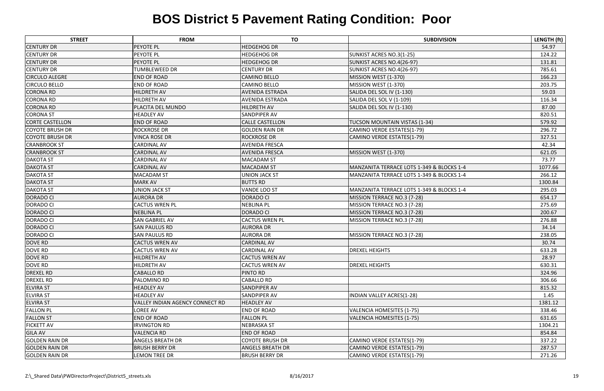| <b>STREET</b>          | <b>FROM</b>                     | <b>TO</b>               | <b>SUBDIVISION</b>                        | LENGTH (ft) |
|------------------------|---------------------------------|-------------------------|-------------------------------------------|-------------|
| <b>CENTURY DR</b>      | <b>PEYOTE PL</b>                | <b>HEDGEHOG DR</b>      |                                           | 54.97       |
| <b>CENTURY DR</b>      | PEYOTE PL                       | <b>HEDGEHOG DR</b>      | SUNKIST ACRES NO.3(1-25)                  | 124.22      |
| <b>CENTURY DR</b>      | <b>PEYOTE PL</b>                | <b>HEDGEHOG DR</b>      | SUNKIST ACRES NO.4(26-97)                 | 131.81      |
| <b>CENTURY DR</b>      | <b>TUMBLEWEED DR</b>            | <b>CENTURY DR</b>       | SUNKIST ACRES NO.4(26-97)                 | 785.61      |
| <b>CIRCULO ALEGRE</b>  | <b>END OF ROAD</b>              | <b>CAMINO BELLO</b>     | MISSION WEST (1-370)                      | 166.23      |
| <b>CIRCULO BELLO</b>   | <b>END OF ROAD</b>              | <b>CAMINO BELLO</b>     | MISSION WEST (1-370)                      | 203.75      |
| <b>CORONA RD</b>       | <b>HILDRETH AV</b>              | <b>AVENIDA ESTRADA</b>  | SALIDA DEL SOL IV (1-130)                 | 59.03       |
| <b>CORONA RD</b>       | <b>HILDRETH AV</b>              | AVENIDA ESTRADA         | SALIDA DEL SOL V (1-109)                  | 116.34      |
| <b>CORONA RD</b>       | PLACITA DEL MUNDO               | <b>HILDRETH AV</b>      | SALIDA DEL SOL IV (1-130)                 | 87.00       |
| <b>CORONA ST</b>       | <b>HEADLEY AV</b>               | SANDPIPER AV            |                                           | 820.51      |
| <b>CORTE CASTELLON</b> | <b>END OF ROAD</b>              | <b>CALLE CASTELLON</b>  | TUCSON MOUNTAIN VISTAS (1-34)             | 579.92      |
| <b>COYOTE BRUSH DR</b> | <b>ROCKROSE DR</b>              | <b>GOLDEN RAIN DR</b>   | CAMINO VERDE ESTATES(1-79)                | 296.72      |
| <b>COYOTE BRUSH DR</b> | <b>VINCA ROSE DR</b>            | <b>ROCKROSE DR</b>      | CAMINO VERDE ESTATES(1-79)                | 327.51      |
| <b>CRANBROOK ST</b>    | <b>CARDINAL AV</b>              | <b>AVENIDA FRESCA</b>   |                                           | 42.34       |
| <b>CRANBROOK ST</b>    | <b>CARDINAL AV</b>              | <b>AVENIDA FRESCA</b>   | MISSION WEST (1-370)                      | 621.05      |
| <b>DAKOTA ST</b>       | <b>CARDINAL AV</b>              | <b>MACADAM ST</b>       |                                           | 73.77       |
| <b>DAKOTA ST</b>       | <b>CARDINAL AV</b>              | <b>MACADAM ST</b>       | MANZANITA TERRACE LOTS 1-349 & BLOCKS 1-4 | 1077.66     |
| <b>DAKOTA ST</b>       | <b>MACADAM ST</b>               | <b>UNION JACK ST</b>    | MANZANITA TERRACE LOTS 1-349 & BLOCKS 1-4 | 266.12      |
| <b>DAKOTA ST</b>       | <b>MARK AV</b>                  | <b>BUTTS RD</b>         |                                           | 1300.84     |
| <b>DAKOTA ST</b>       | <b>UNION JACK ST</b>            | VANDE LOO ST            | MANZANITA TERRACE LOTS 1-349 & BLOCKS 1-4 | 295.03      |
| <b>DORADO CI</b>       | <b>AURORA DR</b>                | <b>DORADO CI</b>        | MISSION TERRACE NO.3 (7-28)               | 654.17      |
| <b>DORADO CI</b>       | <b>CACTUS WREN PL</b>           | <b>NEBLINA PL</b>       | MISSION TERRACE NO.3 (7-28)               | 275.69      |
| <b>DORADO CI</b>       | <b>NEBLINA PL</b>               | <b>DORADO CI</b>        | MISSION TERRACE NO.3 (7-28)               | 200.67      |
| <b>DORADO CI</b>       | SAN GABRIEL AV                  | <b>CACTUS WREN PL</b>   | MISSION TERRACE NO.3 (7-28)               | 276.88      |
| <b>DORADO CI</b>       | <b>SAN PAULUS RD</b>            | <b>AURORA DR</b>        |                                           | 34.14       |
| <b>DORADO CI</b>       | <b>SAN PAULUS RD</b>            | <b>AURORA DR</b>        | MISSION TERRACE NO.3 (7-28)               | 238.05      |
| DOVE RD                | <b>CACTUS WREN AV</b>           | <b>CARDINAL AV</b>      |                                           | 30.74       |
| <b>DOVE RD</b>         | <b>CACTUS WREN AV</b>           | <b>CARDINAL AV</b>      | <b>DREXEL HEIGHTS</b>                     | 633.28      |
| <b>DOVE RD</b>         | <b>HILDRETH AV</b>              | <b>CACTUS WREN AV</b>   |                                           | 28.97       |
| DOVE RD                | HILDRETH AV                     | <b>CACTUS WREN AV</b>   | <b>DREXEL HEIGHTS</b>                     | 630.31      |
| <b>DREXEL RD</b>       | <b>CABALLO RD</b>               | PINTO RD                |                                           | 324.96      |
| <b>DREXEL RD</b>       | <b>PALOMINO RD</b>              | <b>CABALLO RD</b>       |                                           | 306.66      |
| <b>ELVIRA ST</b>       | <b>HEADLEY AV</b>               | <b>SANDPIPER AV</b>     |                                           | 815.32      |
| <b>ELVIRA ST</b>       | <b>HEADLEY AV</b>               | SANDPIPER AV            | <b>INDIAN VALLEY ACRES(1-28)</b>          | 1.45        |
| <b>ELVIRA ST</b>       | VALLEY INDIAN AGENCY CONNECT RD | <b>HEADLEY AV</b>       |                                           | 1381.12     |
| <b>FALLON PL</b>       | LOREE AV                        | <b>END OF ROAD</b>      | VALENCIA HOMESITES (1-75)                 | 338.46      |
| <b>FALLON ST</b>       | <b>END OF ROAD</b>              | <b>FALLON PL</b>        | VALENCIA HOMESITES (1-75)                 | 631.65      |
| <b>FICKETT AV</b>      | <b>IRVINGTON RD</b>             | <b>NEBRASKA ST</b>      |                                           | 1304.21     |
| <b>GILA AV</b>         | <b>VALENCIA RD</b>              | <b>END OF ROAD</b>      |                                           | 854.84      |
| <b>GOLDEN RAIN DR</b>  | ANGELS BREATH DR                | <b>COYOTE BRUSH DR</b>  | CAMINO VERDE ESTATES(1-79)                | 337.22      |
| <b>GOLDEN RAIN DR</b>  | <b>BRUSH BERRY DR</b>           | <b>ANGELS BREATH DR</b> | CAMINO VERDE ESTATES(1-79)                | 287.57      |
| <b>GOLDEN RAIN DR</b>  | <b>LEMON TREE DR</b>            | <b>BRUSH BERRY DR</b>   | CAMINO VERDE ESTATES(1-79)                | 271.26      |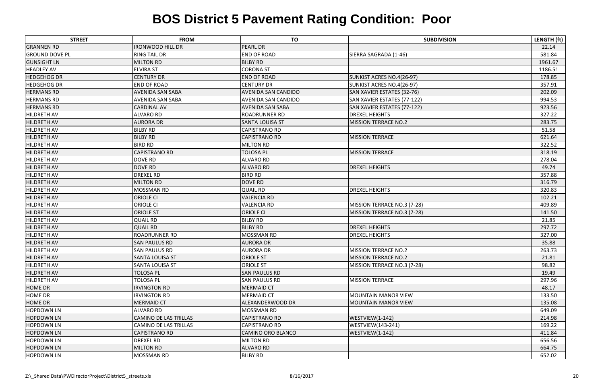| <b>STREET</b>         | <b>FROM</b>                  | <b>TO</b>                  | <b>SUBDIVISION</b>          | LENGTH (ft) |
|-----------------------|------------------------------|----------------------------|-----------------------------|-------------|
| <b>GRANNEN RD</b>     | <b>IRONWOOD HILL DR</b>      | <b>PEARL DR</b>            |                             | 22.14       |
| <b>GROUND DOVE PL</b> | <b>RING TAIL DR</b>          | <b>END OF ROAD</b>         | SIERRA SAGRADA (1-46)       | 581.84      |
| <b>GUNSIGHT LN</b>    | <b>MILTON RD</b>             | <b>BILBY RD</b>            |                             | 1961.67     |
| <b>HEADLEY AV</b>     | <b>ELVIRA ST</b>             | <b>CORONA ST</b>           |                             | 1186.51     |
| <b>HEDGEHOG DR</b>    | <b>CENTURY DR</b>            | <b>END OF ROAD</b>         | SUNKIST ACRES NO.4(26-97)   | 178.85      |
| <b>HEDGEHOG DR</b>    | <b>END OF ROAD</b>           | <b>CENTURY DR</b>          | SUNKIST ACRES NO.4(26-97)   | 357.91      |
| <b>HERMANS RD</b>     | <b>AVENIDA SAN SABA</b>      | <b>AVENIDA SAN CANDIDO</b> | SAN XAVIER ESTATES (32-76)  | 202.09      |
| <b>HERMANS RD</b>     | AVENIDA SAN SABA             | <b>AVENIDA SAN CANDIDO</b> | SAN XAVIER ESTATES (77-122) | 994.53      |
| <b>HERMANS RD</b>     | <b>CARDINAL AV</b>           | <b>AVENIDA SAN SABA</b>    | SAN XAVIER ESTATES (77-122) | 923.56      |
| <b>HILDRETH AV</b>    | <b>ALVARO RD</b>             | <b>ROADRUNNER RD</b>       | <b>DREXEL HEIGHTS</b>       | 327.22      |
| <b>HILDRETH AV</b>    | <b>AURORA DR</b>             | <b>SANTA LOUISA ST</b>     | MISSION TERRACE NO.2        | 283.75      |
| <b>HILDRETH AV</b>    | <b>BILBY RD</b>              | <b>CAPISTRANO RD</b>       |                             | 51.58       |
| <b>HILDRETH AV</b>    | <b>BILBY RD</b>              | <b>CAPISTRANO RD</b>       | <b>MISSION TERRACE</b>      | 621.64      |
| <b>HILDRETH AV</b>    | <b>BIRD RD</b>               | <b>MILTON RD</b>           |                             | 322.52      |
| <b>HILDRETH AV</b>    | <b>CAPISTRANO RD</b>         | <b>TOLOSA PL</b>           | <b>MISSION TERRACE</b>      | 318.19      |
| <b>HILDRETH AV</b>    | <b>DOVE RD</b>               | <b>ALVARO RD</b>           |                             | 278.04      |
| <b>HILDRETH AV</b>    | <b>DOVE RD</b>               | <b>ALVARO RD</b>           | <b>DREXEL HEIGHTS</b>       | 49.74       |
| <b>HILDRETH AV</b>    | <b>DREXEL RD</b>             | <b>BIRD RD</b>             |                             | 357.88      |
| <b>HILDRETH AV</b>    | <b>MILTON RD</b>             | <b>DOVE RD</b>             |                             | 316.79      |
| <b>HILDRETH AV</b>    | <b>MOSSMAN RD</b>            | <b>QUAIL RD</b>            | <b>DREXEL HEIGHTS</b>       | 320.83      |
| <b>HILDRETH AV</b>    | <b>ORIOLE CI</b>             | <b>VALENCIA RD</b>         |                             | 102.21      |
| <b>HILDRETH AV</b>    | <b>ORIOLE CI</b>             | <b>VALENCIA RD</b>         | MISSION TERRACE NO.3 (7-28) | 409.89      |
| <b>HILDRETH AV</b>    | <b>ORIOLE ST</b>             | <b>ORIOLE CI</b>           | MISSION TERRACE NO.3 (7-28) | 141.50      |
| <b>HILDRETH AV</b>    | <b>QUAIL RD</b>              | <b>BILBY RD</b>            |                             | 21.85       |
| <b>HILDRETH AV</b>    | <b>QUAIL RD</b>              | <b>BILBY RD</b>            | <b>DREXEL HEIGHTS</b>       | 297.72      |
| <b>HILDRETH AV</b>    | <b>ROADRUNNER RD</b>         | <b>MOSSMAN RD</b>          | <b>DREXEL HEIGHTS</b>       | 327.00      |
| <b>HILDRETH AV</b>    | <b>SAN PAULUS RD</b>         | <b>AURORA DR</b>           |                             | 35.88       |
| <b>HILDRETH AV</b>    | <b>SAN PAULUS RD</b>         | <b>AURORA DR</b>           | <b>MISSION TERRACE NO.2</b> | 263.73      |
| <b>HILDRETH AV</b>    | <b>SANTA LOUISA ST</b>       | <b>ORIOLE ST</b>           | <b>MISSION TERRACE NO.2</b> | 21.81       |
| <b>HILDRETH AV</b>    | <b>SANTA LOUISA ST</b>       | <b>ORIOLE ST</b>           | MISSION TERRACE NO.3 (7-28) | 98.82       |
| <b>HILDRETH AV</b>    | <b>TOLOSA PL</b>             | <b>SAN PAULUS RD</b>       |                             | 19.49       |
| <b>HILDRETH AV</b>    | <b>TOLOSA PL</b>             | <b>SAN PAULUS RD</b>       | <b>MISSION TERRACE</b>      | 297.96      |
| <b>HOME DR</b>        | <b>IRVINGTON RD</b>          | <b>MERMAID CT</b>          |                             | 48.17       |
| <b>HOME DR</b>        | <b>IRVINGTON RD</b>          | <b>MERMAID CT</b>          | <b>MOUNTAIN MANOR VIEW</b>  | 133.50      |
| <b>HOME DR</b>        | <b>MERMAID CT</b>            | ALEXANDERWOOD DR           | <b>MOUNTAIN MANOR VIEW</b>  | 135.08      |
| <b>HOPDOWN LN</b>     | <b>ALVARO RD</b>             | <b>MOSSMAN RD</b>          |                             | 649.09      |
| <b>HOPDOWN LN</b>     | <b>CAMINO DE LAS TRILLAS</b> | <b>CAPISTRANO RD</b>       | WESTVIEW(1-142)             | 214.98      |
| <b>HOPDOWN LN</b>     | CAMINO DE LAS TRILLAS        | <b>CAPISTRANO RD</b>       | <b>WESTVIEW(143-241)</b>    | 169.22      |
| <b>HOPDOWN LN</b>     | <b>CAPISTRANO RD</b>         | CAMINO ORO BLANCO          | WESTVIEW(1-142)             | 411.84      |
| <b>HOPDOWN LN</b>     | <b>DREXEL RD</b>             | <b>MILTON RD</b>           |                             | 656.56      |
| <b>HOPDOWN LN</b>     | <b>MILTON RD</b>             | <b>ALVARO RD</b>           |                             | 664.75      |
| <b>HOPDOWN LN</b>     | <b>MOSSMAN RD</b>            | <b>BILBY RD</b>            |                             | 652.02      |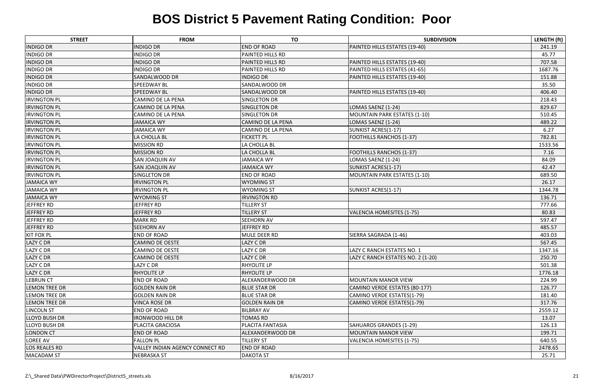| <b>STREET</b>        | <b>FROM</b>                     | <b>TO</b>                | <b>SUBDIVISION</b>                  | LENGTH (ft) |
|----------------------|---------------------------------|--------------------------|-------------------------------------|-------------|
| <b>INDIGO DR</b>     | <b>INDIGO DR</b>                | <b>END OF ROAD</b>       | PAINTED HILLS ESTATES (19-40)       | 241.19      |
| <b>INDIGO DR</b>     | <b>INDIGO DR</b>                | PAINTED HILLS RD         |                                     | 45.77       |
| <b>INDIGO DR</b>     | <b>INDIGO DR</b>                | <b>PAINTED HILLS RD</b>  | PAINTED HILLS ESTATES (19-40)       | 707.58      |
| <b>INDIGO DR</b>     | <b>INDIGO DR</b>                | PAINTED HILLS RD         | PAINTED HILLS ESTATES (41-65)       | 1687.76     |
| <b>INDIGO DR</b>     | SANDALWOOD DR                   | <b>INDIGO DR</b>         | PAINTED HILLS ESTATES (19-40)       | 151.88      |
| <b>INDIGO DR</b>     | <b>SPEEDWAY BL</b>              | SANDALWOOD DR            |                                     | 35.50       |
| <b>INDIGO DR</b>     | <b>SPEEDWAY BL</b>              | SANDALWOOD DR            | PAINTED HILLS ESTATES (19-40)       | 406.40      |
| <b>IRVINGTON PL</b>  | CAMINO DE LA PENA               | SINGLETON DR             |                                     | 218.43      |
| <b>IRVINGTON PL</b>  | <b>CAMINO DE LA PENA</b>        | <b>SINGLETON DR</b>      | LOMAS SAENZ (1-24)                  | 829.67      |
| <b>IRVINGTON PL</b>  | CAMINO DE LA PENA               | <b>SINGLETON DR</b>      | MOUNTAIN PARK ESTATES (1-10)        | 510.45      |
| <b>IRVINGTON PL</b>  | <b>JAMAICA WY</b>               | <b>CAMINO DE LA PENA</b> | LOMAS SAENZ (1-24)                  | 489.22      |
| <b>IRVINGTON PL</b>  | <b>JAMAICA WY</b>               | CAMINO DE LA PENA        | SUNKIST ACRES(1-17)                 | 6.27        |
| <b>IRVINGTON PL</b>  | LA CHOLLA BL                    | <b>FICKETT PL</b>        | <b>FOOTHILLS RANCHOS (1-37)</b>     | 782.81      |
| <b>IRVINGTON PL</b>  | <b>MISSION RD</b>               | LA CHOLLA BL             |                                     | 1533.56     |
| <b>IRVINGTON PL</b>  | <b>MISSION RD</b>               | LA CHOLLA BL             | <b>FOOTHILLS RANCHOS (1-37)</b>     | 7.16        |
| <b>IRVINGTON PL</b>  | SAN JOAQUIN AV                  | <b>JAMAICA WY</b>        | LOMAS SAENZ (1-24)                  | 84.09       |
| <b>IRVINGTON PL</b>  | SAN JOAQUIN AV                  | <b>JAMAICA WY</b>        | SUNKIST ACRES(1-17)                 | 42.47       |
| <b>IRVINGTON PL</b>  | SINGLETON DR                    | <b>END OF ROAD</b>       | <b>MOUNTAIN PARK ESTATES (1-10)</b> | 689.50      |
| <b>JAMAICA WY</b>    | <b>IRVINGTON PL</b>             | <b>WYOMING ST</b>        |                                     | 26.17       |
| <b>JAMAICA WY</b>    | <b>IRVINGTON PL</b>             | <b>WYOMING ST</b>        | SUNKIST ACRES(1-17)                 | 1344.78     |
| <b>JAMAICA WY</b>    | <b>WYOMING ST</b>               | <b>IRVINGTON RD</b>      |                                     | 136.71      |
| JEFFREY RD           | JEFFREY RD                      | <b>TILLERY ST</b>        |                                     | 777.66      |
| JEFFREY RD           | JEFFREY RD                      | <b>TILLERY ST</b>        | VALENCIA HOMESITES (1-75)           | 80.83       |
| JEFFREY RD           | <b>MARK RD</b>                  | <b>SEEHORN AV</b>        |                                     | 597.47      |
| JEFFREY RD           | <b>SEEHORN AV</b>               | <b>JEFFREY RD</b>        |                                     | 485.57      |
| <b>KIT FOX PL</b>    | <b>END OF ROAD</b>              | MULE DEER RD             | SIERRA SAGRADA (1-46)               | 403.03      |
| <b>LAZY C DR</b>     | <b>CAMINO DE OESTE</b>          | LAZY C DR                |                                     | 567.45      |
| <b>LAZY C DR</b>     | <b>CAMINO DE OESTE</b>          | LAZY C DR                | LAZY C RANCH ESTATES NO. 1          | 1347.16     |
| LAZY C DR            | CAMINO DE OESTE                 | LAZY C DR                | LAZY C RANCH ESTATES NO. 2 (1-20)   | 250.70      |
| <b>LAZY C DR</b>     | LAZY C DR                       | <b>RHYOLITE LP</b>       |                                     | 501.38      |
| LAZY C DR            | <b>RHYOLITE LP</b>              | <b>RHYOLITE LP</b>       |                                     | 1776.18     |
| <b>LEBRUN CT</b>     | <b>END OF ROAD</b>              | <b>ALEXANDERWOOD DR</b>  | <b>MOUNTAIN MANOR VIEW</b>          | 224.99      |
| <b>LEMON TREE DR</b> | <b>GOLDEN RAIN DR</b>           | <b>BLUE STAR DR</b>      | CAMINO VERDE ESTATES (80-177)       | 126.77      |
| <b>LEMON TREE DR</b> | <b>GOLDEN RAIN DR</b>           | <b>BLUE STAR DR</b>      | CAMINO VERDE ESTATES(1-79)          | 181.40      |
| <b>LEMON TREE DR</b> | <b>VINCA ROSE DR</b>            | <b>GOLDEN RAIN DR</b>    | CAMINO VERDE ESTATES(1-79)          | 317.76      |
| <b>LINCOLN ST</b>    | <b>END OF ROAD</b>              | <b>BILBRAY AV</b>        |                                     | 2559.12     |
| <b>LLOYD BUSH DR</b> | <b>IRONWOOD HILL DR</b>         | <b>TOMAS RD</b>          |                                     | 13.07       |
| <b>LLOYD BUSH DR</b> | PLACITA GRACIOSA                | PLACITA FANTASIA         | SAHUAROS GRANDES (1-29)             | 126.13      |
| <b>LONDON CT</b>     | <b>END OF ROAD</b>              | <b>ALEXANDERWOOD DR</b>  | <b>MOUNTAIN MANOR VIEW</b>          | 199.71      |
| LOREE AV             | <b>FALLON PL</b>                | <b>TILLERY ST</b>        | VALENCIA HOMESITES (1-75)           | 640.55      |
| <b>LOS REALES RD</b> | VALLEY INDIAN AGENCY CONNECT RD | <b>END OF ROAD</b>       |                                     | 2478.65     |
| <b>MACADAM ST</b>    | <b>NEBRASKA ST</b>              | <b>DAKOTA ST</b>         |                                     | 25.71       |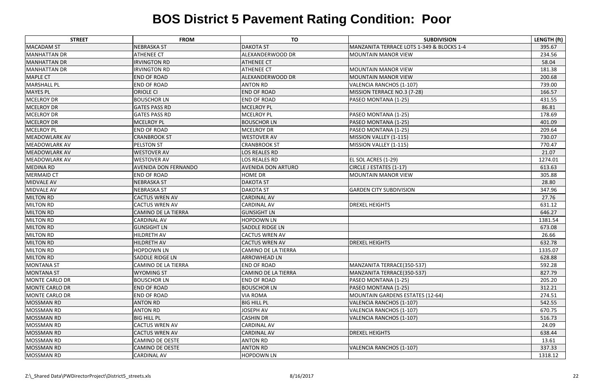| <b>STREET</b>         | <b>FROM</b>                 | <b>TO</b>                 | <b>SUBDIVISION</b>                        | LENGTH (ft) |
|-----------------------|-----------------------------|---------------------------|-------------------------------------------|-------------|
| <b>MACADAM ST</b>     | <b>NEBRASKA ST</b>          | <b>DAKOTA ST</b>          | MANZANITA TERRACE LOTS 1-349 & BLOCKS 1-4 | 395.67      |
| MANHATTAN DR          | <b>ATHENEE CT</b>           | ALEXANDERWOOD DR          | MOUNTAIN MANOR VIEW                       | 234.56      |
| <b>MANHATTAN DR</b>   | <b>IRVINGTON RD</b>         | <b>ATHENEE CT</b>         |                                           | 58.04       |
| MANHATTAN DR          | <b>IRVINGTON RD</b>         | <b>ATHENEE CT</b>         | <b>MOUNTAIN MANOR VIEW</b>                | 181.38      |
| <b>MAPLE CT</b>       | <b>END OF ROAD</b>          | ALEXANDERWOOD DR          | <b>MOUNTAIN MANOR VIEW</b>                | 200.68      |
| <b>MARSHALL PL</b>    | <b>END OF ROAD</b>          | <b>ANTON RD</b>           | <b>VALENCIA RANCHOS (1-107)</b>           | 739.00      |
| <b>MAYES PL</b>       | <b>ORIOLE CI</b>            | <b>END OF ROAD</b>        | MISSION TERRACE NO.3 (7-28)               | 166.57      |
| <b>MCELROY DR</b>     | <b>BOUSCHOR LN</b>          | <b>END OF ROAD</b>        | PASEO MONTANA (1-25)                      | 431.55      |
| <b>MCELROY DR</b>     | <b>GATES PASS RD</b>        | <b>MCELROY PL</b>         |                                           | 86.81       |
| <b>MCELROY DR</b>     | <b>GATES PASS RD</b>        | <b>MCELROY PL</b>         | PASEO MONTANA (1-25)                      | 178.69      |
| <b>MCELROY DR</b>     | <b>MCELROY PL</b>           | <b>BOUSCHOR LN</b>        | PASEO MONTANA (1-25)                      | 401.09      |
| <b>MCELROY PL</b>     | <b>END OF ROAD</b>          | <b>MCELROY DR</b>         | PASEO MONTANA (1-25)                      | 209.64      |
| <b>MEADOWLARK AV</b>  | <b>CRANBROOK ST</b>         | <b>WESTOVER AV</b>        | MISSION VALLEY (1-115)                    | 730.07      |
| <b>MEADOWLARK AV</b>  | <b>PELSTON ST</b>           | <b>CRANBROOK ST</b>       | MISSION VALLEY (1-115)                    | 770.47      |
| <b>MEADOWLARK AV</b>  | <b>WESTOVER AV</b>          | <b>LOS REALES RD</b>      |                                           | 21.07       |
| <b>MEADOWLARK AV</b>  | <b>WESTOVER AV</b>          | <b>LOS REALES RD</b>      | EL SOL ACRES (1-29)                       | 1274.01     |
| <b>MEDINA RD</b>      | <b>AVENIDA DON FERNANDO</b> | <b>AVENIDA DON ARTURO</b> | CIRCLE J ESTATES (1-17)                   | 613.63      |
| <b>MERMAID CT</b>     | <b>END OF ROAD</b>          | <b>HOME DR</b>            | <b>MOUNTAIN MANOR VIEW</b>                | 305.88      |
| <b>MIDVALE AV</b>     | NEBRASKA ST                 | <b>DAKOTA ST</b>          |                                           | 28.80       |
| MIDVALE AV            | NEBRASKA ST                 | <b>DAKOTA ST</b>          | <b>GARDEN CITY SUBDIVISION</b>            | 347.96      |
| <b>MILTON RD</b>      | <b>CACTUS WREN AV</b>       | <b>CARDINAL AV</b>        |                                           | 27.76       |
| <b>MILTON RD</b>      | <b>CACTUS WREN AV</b>       | <b>CARDINAL AV</b>        | <b>DREXEL HEIGHTS</b>                     | 631.12      |
| <b>MILTON RD</b>      | <b>CAMINO DE LA TIERRA</b>  | <b>GUNSIGHT LN</b>        |                                           | 646.27      |
| MILTON RD             | <b>CARDINAL AV</b>          | <b>HOPDOWN LN</b>         |                                           | 1381.54     |
| <b>MILTON RD</b>      | <b>GUNSIGHT LN</b>          | <b>SADDLE RIDGE LN</b>    |                                           | 673.08      |
| <b>MILTON RD</b>      | <b>HILDRETH AV</b>          | <b>CACTUS WREN AV</b>     |                                           | 26.66       |
| <b>MILTON RD</b>      | HILDRETH AV                 | <b>CACTUS WREN AV</b>     | <b>DREXEL HEIGHTS</b>                     | 632.78      |
| MILTON RD             | <b>HOPDOWN LN</b>           | CAMINO DE LA TIERRA       |                                           | 1335.07     |
| <b>MILTON RD</b>      | <b>SADDLE RIDGE LN</b>      | <b>ARROWHEAD LN</b>       |                                           | 628.88      |
| <b>MONTANA ST</b>     | CAMINO DE LA TIERRA         | <b>END OF ROAD</b>        | MANZANITA TERRACE(350-537)                | 592.28      |
| <b>MONTANA ST</b>     | <b>WYOMING ST</b>           | CAMINO DE LA TIERRA       | MANZANITA TERRACE(350-537)                | 827.79      |
| MONTE CARLO DR        | <b>BOUSCHOR LN</b>          | <b>END OF ROAD</b>        | PASEO MONTANA (1-25)                      | 205.20      |
| <b>MONTE CARLO DR</b> | <b>END OF ROAD</b>          | <b>BOUSCHOR LN</b>        | PASEO MONTANA (1-25)                      | 312.21      |
| <b>MONTE CARLO DR</b> | <b>END OF ROAD</b>          | <b>VIA ROMA</b>           | <b>MOUNTAIN GARDENS ESTATES (12-64)</b>   | 274.51      |
| <b>MOSSMAN RD</b>     | <b>ANTON RD</b>             | <b>BIG HILL PL</b>        | VALENCIA RANCHOS (1-107)                  | 542.55      |
| <b>MOSSMAN RD</b>     | <b>ANTON RD</b>             | <b>JOSEPH AV</b>          | VALENCIA RANCHOS (1-107)                  | 670.75      |
| <b>MOSSMAN RD</b>     | <b>BIG HILL PL</b>          | <b>CASHIN DR</b>          | <b>VALENCIA RANCHOS (1-107)</b>           | 516.73      |
| <b>MOSSMAN RD</b>     | <b>CACTUS WREN AV</b>       | <b>CARDINAL AV</b>        |                                           | 24.09       |
| <b>MOSSMAN RD</b>     | <b>CACTUS WREN AV</b>       | <b>CARDINAL AV</b>        | <b>DREXEL HEIGHTS</b>                     | 638.44      |
| <b>MOSSMAN RD</b>     | <b>CAMINO DE OESTE</b>      | <b>ANTON RD</b>           |                                           | 13.61       |
| <b>MOSSMAN RD</b>     | <b>CAMINO DE OESTE</b>      | <b>ANTON RD</b>           | VALENCIA RANCHOS (1-107)                  | 337.33      |
| <b>MOSSMAN RD</b>     | <b>CARDINAL AV</b>          | <b>HOPDOWN LN</b>         |                                           | 1318.12     |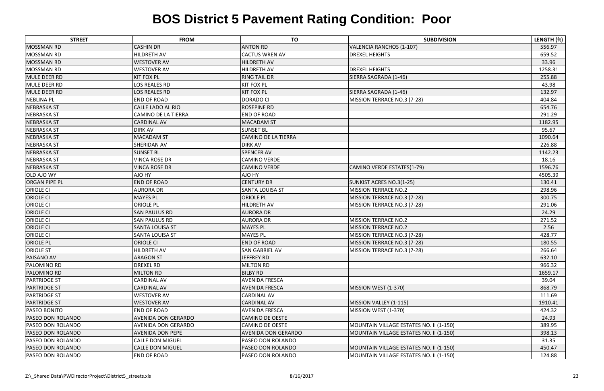| <b>STREET</b>            | <b>FROM</b>                | <b>TO</b>                  | <b>SUBDIVISION</b>                      | LENGTH (ft) |
|--------------------------|----------------------------|----------------------------|-----------------------------------------|-------------|
| <b>MOSSMAN RD</b>        | <b>CASHIN DR</b>           | <b>ANTON RD</b>            | VALENCIA RANCHOS (1-107)                | 556.97      |
| <b>MOSSMAN RD</b>        | <b>HILDRETH AV</b>         | <b>CACTUS WREN AV</b>      | <b>DREXEL HEIGHTS</b>                   | 659.52      |
| <b>MOSSMAN RD</b>        | <b>WESTOVER AV</b>         | <b>HILDRETH AV</b>         |                                         | 33.96       |
| MOSSMAN RD               | <b>WESTOVER AV</b>         | <b>HILDRETH AV</b>         | <b>DREXEL HEIGHTS</b>                   | 1258.31     |
| <b>MULE DEER RD</b>      | <b>KIT FOX PL</b>          | <b>RING TAIL DR</b>        | SIERRA SAGRADA (1-46)                   | 255.88      |
| MULE DEER RD             | OS REALES RD               | <b>KIT FOX PL</b>          |                                         | 43.98       |
| <b>MULE DEER RD</b>      | LOS REALES RD              | <b>KIT FOX PL</b>          | SIERRA SAGRADA (1-46)                   | 132.97      |
| <b>NEBLINA PL</b>        | <b>END OF ROAD</b>         | <b>DORADO CI</b>           | MISSION TERRACE NO.3 (7-28)             | 404.84      |
| <b>NEBRASKA ST</b>       | <b>CALLE LADO AL RIO</b>   | <b>ROSEPINE RD</b>         |                                         | 654.76      |
| <b>NEBRASKA ST</b>       | <b>CAMINO DE LA TIERRA</b> | <b>END OF ROAD</b>         |                                         | 291.29      |
| <b>NEBRASKA ST</b>       | <b>CARDINAL AV</b>         | MACADAM ST                 |                                         | 1182.95     |
| <b>NEBRASKA ST</b>       | <b>DIRK AV</b>             | <b>SUNSET BL</b>           |                                         | 95.67       |
| <b>NEBRASKA ST</b>       | <b>MACADAM ST</b>          | <b>CAMINO DE LA TIERRA</b> |                                         | 1090.64     |
| <b>NEBRASKA ST</b>       | <b>SHERIDAN AV</b>         | <b>DIRK AV</b>             |                                         | 226.88      |
| <b>NEBRASKA ST</b>       | <b>SUNSET BL</b>           | <b>SPENCER AV</b>          |                                         | 1142.23     |
| <b>NEBRASKA ST</b>       | <b>VINCA ROSE DR</b>       | <b>CAMINO VERDE</b>        |                                         | 18.16       |
| <b>NEBRASKA ST</b>       | <b>VINCA ROSE DR</b>       | <b>CAMINO VERDE</b>        | CAMINO VERDE ESTATES(1-79)              | 1596.76     |
| <b>OLD AJO WY</b>        | AJO HY                     | AJO HY                     |                                         | 4505.39     |
| <b>ORGAN PIPE PL</b>     | <b>END OF ROAD</b>         | <b>CENTURY DR</b>          | SUNKIST ACRES NO.3(1-25)                | 130.41      |
| <b>ORIOLE CI</b>         | <b>AURORA DR</b>           | <b>SANTA LOUISA ST</b>     | <b>MISSION TERRACE NO.2</b>             | 298.96      |
| <b>ORIOLE CI</b>         | <b>MAYES PL</b>            | <b>ORIOLE PL</b>           | MISSION TERRACE NO.3 (7-28)             | 300.75      |
| <b>ORIOLE CI</b>         | <b>ORIOLE PL</b>           | <b>HILDRETH AV</b>         | MISSION TERRACE NO.3 (7-28)             | 291.06      |
| <b>ORIOLE CI</b>         | <b>SAN PAULUS RD</b>       | <b>AURORA DR</b>           |                                         | 24.29       |
| <b>ORIOLE CI</b>         | <b>SAN PAULUS RD</b>       | <b>AURORA DR</b>           | <b>MISSION TERRACE NO.2</b>             | 271.52      |
| <b>ORIOLE CI</b>         | <b>SANTA LOUISA ST</b>     | <b>MAYES PL</b>            | <b>MISSION TERRACE NO.2</b>             | 2.56        |
| <b>ORIOLE CI</b>         | <b>SANTA LOUISA ST</b>     | <b>MAYES PL</b>            | MISSION TERRACE NO.3 (7-28)             | 428.77      |
| <b>ORIOLE PL</b>         | <b>ORIOLE CI</b>           | <b>END OF ROAD</b>         | MISSION TERRACE NO.3 (7-28)             | 180.55      |
| <b>ORIOLE ST</b>         | HILDRETH AV                | <b>SAN GABRIEL AV</b>      | MISSION TERRACE NO.3 (7-28)             | 266.64      |
| PAISANO AV               | <b>ARAGON ST</b>           | <b>JEFFREY RD</b>          |                                         | 632.10      |
| <b>PALOMINO RD</b>       | <b>DREXEL RD</b>           | <b>MILTON RD</b>           |                                         | 966.32      |
| <b>PALOMINO RD</b>       | <b>MILTON RD</b>           | <b>BILBY RD</b>            |                                         | 1659.17     |
| <b>PARTRIDGE ST</b>      | <b>CARDINAL AV</b>         | <b>AVENIDA FRESCA</b>      |                                         | 39.04       |
| <b>PARTRIDGE ST</b>      | <b>CARDINAL AV</b>         | <b>AVENIDA FRESCA</b>      | MISSION WEST (1-370)                    | 868.79      |
| <b>PARTRIDGE ST</b>      | <b>WESTOVER AV</b>         | <b>CARDINAL AV</b>         |                                         | 111.69      |
| <b>PARTRIDGE ST</b>      | <b>WESTOVER AV</b>         | <b>CARDINAL AV</b>         | MISSION VALLEY (1-115)                  | 1910.41     |
| <b>PASEO BONITO</b>      | <b>END OF ROAD</b>         | <b>AVENIDA FRESCA</b>      | MISSION WEST (1-370)                    | 424.32      |
| <b>PASEO DON ROLANDO</b> | <b>AVENIDA DON GERARDO</b> | <b>CAMINO DE OESTE</b>     |                                         | 24.93       |
| <b>PASEO DON ROLANDO</b> | <b>AVENIDA DON GERARDO</b> | <b>CAMINO DE OESTE</b>     | MOUNTAIN VILLAGE ESTATES NO. II (1-150) | 389.95      |
| <b>PASEO DON ROLANDO</b> | <b>AVENIDA DON PEPE</b>    | <b>AVENIDA DON GERARDO</b> | MOUNTAIN VILLAGE ESTATES NO. II (1-150) | 398.13      |
| <b>PASEO DON ROLANDO</b> | <b>CALLE DON MIGUEL</b>    | <b>PASEO DON ROLANDO</b>   |                                         | 31.35       |
| <b>PASEO DON ROLANDO</b> | <b>CALLE DON MIGUEL</b>    | <b>PASEO DON ROLANDO</b>   | MOUNTAIN VILLAGE ESTATES NO. II (1-150) | 450.47      |
| <b>PASEO DON ROLANDO</b> | <b>END OF ROAD</b>         | <b>PASEO DON ROLANDO</b>   | MOUNTAIN VILLAGE ESTATES NO. II (1-150) | 124.88      |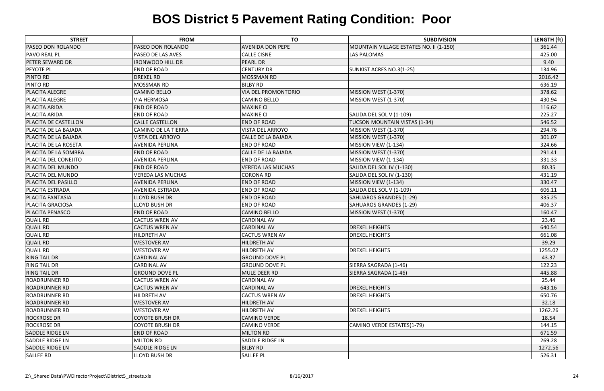| <b>STREET</b>               | <b>FROM</b>                | <b>TO</b>                  | <b>SUBDIVISION</b>                      | LENGTH (ft) |
|-----------------------------|----------------------------|----------------------------|-----------------------------------------|-------------|
| <b>PASEO DON ROLANDO</b>    | <b>PASEO DON ROLANDO</b>   | <b>AVENIDA DON PEPE</b>    | MOUNTAIN VILLAGE ESTATES NO. II (1-150) | 361.44      |
| <b>PAVO REAL PL</b>         | <b>PASEO DE LAS AVES</b>   | <b>CALLE CISNE</b>         | LAS PALOMAS                             | 425.00      |
| <b>PETER SEWARD DR</b>      | <b>IRONWOOD HILL DR</b>    | <b>PEARL DR</b>            |                                         | 9.40        |
| PEYOTE PL                   | <b>END OF ROAD</b>         | <b>CENTURY DR</b>          | SUNKIST ACRES NO.3(1-25)                | 134.96      |
| <b>PINTO RD</b>             | <b>DREXEL RD</b>           | <b>MOSSMAN RD</b>          |                                         | 2016.42     |
| <b>PINTO RD</b>             | <b>MOSSMAN RD</b>          | <b>BILBY RD</b>            |                                         | 636.19      |
| <b>PLACITA ALEGRE</b>       | <b>CAMINO BELLO</b>        | <b>VIA DEL PROMONTORIO</b> | MISSION WEST (1-370)                    | 378.62      |
| <b>PLACITA ALEGRE</b>       | <b>VIA HERMOSA</b>         | <b>CAMINO BELLO</b>        | MISSION WEST (1-370)                    | 430.94      |
| <b>PLACITA ARIDA</b>        | <b>END OF ROAD</b>         | <b>MAXINE CI</b>           |                                         | 116.62      |
| <b>PLACITA ARIDA</b>        | <b>END OF ROAD</b>         | <b>MAXINE CI</b>           | SALIDA DEL SOL V (1-109)                | 225.27      |
| <b>PLACITA DE CASTELLON</b> | <b>CALLE CASTELLON</b>     | <b>END OF ROAD</b>         | TUCSON MOUNTAIN VISTAS (1-34)           | 546.52      |
| PLACITA DE LA BAJADA        | <b>CAMINO DE LA TIERRA</b> | <b>VISTA DEL ARROYO</b>    | MISSION WEST (1-370)                    | 294.76      |
| PLACITA DE LA BAJADA        | <b>VISTA DEL ARROYO</b>    | <b>CALLE DE LA BAJADA</b>  | MISSION WEST (1-370)                    | 301.07      |
| <b>PLACITA DE LA ROSETA</b> | <b>AVENIDA PERLINA</b>     | <b>END OF ROAD</b>         | MISSION VIEW (1-134)                    | 324.66      |
| PLACITA DE LA SOMBRA        | <b>END OF ROAD</b>         | CALLE DE LA BAJADA         | MISSION WEST (1-370)                    | 291.41      |
| PLACITA DEL CONEJITO        | AVENIDA PERLINA            | <b>END OF ROAD</b>         | MISSION VIEW (1-134)                    | 331.33      |
| PLACITA DEL MUNDO           | <b>END OF ROAD</b>         | <b>VEREDA LAS MUCHAS</b>   | SALIDA DEL SOL IV (1-130)               | 80.35       |
| PLACITA DEL MUNDO           | <b>VEREDA LAS MUCHAS</b>   | <b>CORONA RD</b>           | SALIDA DEL SOL IV (1-130)               | 431.19      |
| PLACITA DEL PASILLO         | <b>AVENIDA PERLINA</b>     | <b>END OF ROAD</b>         | MISSION VIEW (1-134)                    | 330.47      |
| <b>PLACITA ESTRADA</b>      | <b>AVENIDA ESTRADA</b>     | <b>END OF ROAD</b>         | SALIDA DEL SOL V (1-109)                | 606.11      |
| <b>PLACITA FANTASIA</b>     | <b>LLOYD BUSH DR</b>       | <b>END OF ROAD</b>         | SAHUAROS GRANDES (1-29)                 | 335.25      |
| <b>PLACITA GRACIOSA</b>     | <b>LLOYD BUSH DR</b>       | <b>END OF ROAD</b>         | SAHUAROS GRANDES (1-29)                 | 406.37      |
| <b>PLACITA PENASCO</b>      | <b>END OF ROAD</b>         | <b>CAMINO BELLO</b>        | MISSION WEST (1-370)                    | 160.47      |
| <b>QUAIL RD</b>             | <b>CACTUS WREN AV</b>      | <b>CARDINAL AV</b>         |                                         | 23.46       |
| <b>QUAIL RD</b>             | <b>CACTUS WREN AV</b>      | <b>CARDINAL AV</b>         | <b>DREXEL HEIGHTS</b>                   | 640.54      |
| <b>QUAIL RD</b>             | HILDRETH AV                | <b>CACTUS WREN AV</b>      | <b>DREXEL HEIGHTS</b>                   | 661.08      |
| <b>QUAIL RD</b>             | <b>WESTOVER AV</b>         | <b>HILDRETH AV</b>         |                                         | 39.29       |
| <b>QUAIL RD</b>             | <b>WESTOVER AV</b>         | <b>HILDRETH AV</b>         | <b>DREXEL HEIGHTS</b>                   | 1255.02     |
| <b>RING TAIL DR</b>         | <b>CARDINAL AV</b>         | <b>IGROUND DOVE PL</b>     |                                         | 43.37       |
| <b>RING TAIL DR</b>         | <b>CARDINAL AV</b>         | <b>GROUND DOVE PL</b>      | SIERRA SAGRADA (1-46)                   | 122.23      |
| <b>RING TAIL DR</b>         | <b>GROUND DOVE PL</b>      | <b>MULE DEER RD</b>        | SIERRA SAGRADA (1-46)                   | 445.88      |
| <b>ROADRUNNER RD</b>        | <b>CACTUS WREN AV</b>      | <b>CARDINAL AV</b>         |                                         | 25.44       |
| <b>ROADRUNNER RD</b>        | <b>CACTUS WREN AV</b>      | <b>CARDINAL AV</b>         | <b>DREXEL HEIGHTS</b>                   | 643.16      |
| <b>ROADRUNNER RD</b>        | <b>HILDRETH AV</b>         | <b>CACTUS WREN AV</b>      | <b>DREXEL HEIGHTS</b>                   | 650.76      |
| <b>ROADRUNNER RD</b>        | <b>WESTOVER AV</b>         | <b>HILDRETH AV</b>         |                                         | 32.18       |
| <b>ROADRUNNER RD</b>        | <b>WESTOVER AV</b>         | <b>HILDRETH AV</b>         | <b>DREXEL HEIGHTS</b>                   | 1262.26     |
| <b>ROCKROSE DR</b>          | <b>COYOTE BRUSH DR</b>     | <b>CAMINO VERDE</b>        |                                         | 18.54       |
| <b>ROCKROSE DR</b>          | <b>COYOTE BRUSH DR</b>     | <b>CAMINO VERDE</b>        | CAMINO VERDE ESTATES(1-79)              | 144.15      |
| <b>SADDLE RIDGE LN</b>      | <b>END OF ROAD</b>         | <b>MILTON RD</b>           |                                         | 671.59      |
| <b>SADDLE RIDGE LN</b>      | <b>MILTON RD</b>           | <b>SADDLE RIDGE LN</b>     |                                         | 269.28      |
| <b>SADDLE RIDGE LN</b>      | <b>SADDLE RIDGE LN</b>     | <b>BILBY RD</b>            |                                         | 1272.56     |
| <b>SALLEE RD</b>            | <b>LLOYD BUSH DR</b>       | <b>SALLEE PL</b>           |                                         | 526.31      |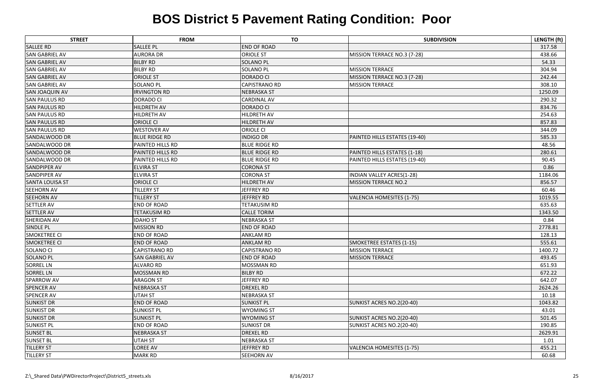| <b>STREET</b>          | <b>FROM</b>             | <b>TO</b>            | <b>SUBDIVISION</b>               | LENGTH (ft) |
|------------------------|-------------------------|----------------------|----------------------------------|-------------|
| <b>SALLEE RD</b>       | <b>SALLEE PL</b>        | <b>END OF ROAD</b>   |                                  | 317.58      |
| <b>SAN GABRIEL AV</b>  | <b>AURORA DR</b>        | <b>ORIOLE ST</b>     | MISSION TERRACE NO.3 (7-28)      | 438.66      |
| <b>SAN GABRIEL AV</b>  | <b>BILBY RD</b>         | <b>SOLANO PL</b>     |                                  | 54.33       |
| <b>SAN GABRIEL AV</b>  | <b>BILBY RD</b>         | <b>SOLANO PL</b>     | <b>MISSION TERRACE</b>           | 304.94      |
| <b>SAN GABRIEL AV</b>  | <b>ORIOLE ST</b>        | <b>DORADO CI</b>     | MISSION TERRACE NO.3 (7-28)      | 242.44      |
| <b>SAN GABRIEL AV</b>  | <b>SOLANO PL</b>        | <b>CAPISTRANO RD</b> | <b>MISSION TERRACE</b>           | 308.10      |
| <b>SAN JOAQUIN AV</b>  | <b>IRVINGTON RD</b>     | <b>NEBRASKA ST</b>   |                                  | 1250.09     |
| <b>SAN PAULUS RD</b>   | <b>DORADO CI</b>        | <b>CARDINAL AV</b>   |                                  | 290.32      |
| <b>SAN PAULUS RD</b>   | HILDRETH AV             | <b>DORADO CI</b>     |                                  | 834.76      |
| <b>SAN PAULUS RD</b>   | HILDRETH AV             | <b>HILDRETH AV</b>   |                                  | 254.63      |
| <b>SAN PAULUS RD</b>   | <b>ORIOLE CI</b>        | <b>HILDRETH AV</b>   |                                  | 857.83      |
| <b>SAN PAULUS RD</b>   | <b>WESTOVER AV</b>      | <b>ORIOLE CI</b>     |                                  | 344.09      |
| <b>SANDALWOOD DR</b>   | <b>BLUE RIDGE RD</b>    | <b>INDIGO DR</b>     | PAINTED HILLS ESTATES (19-40)    | 585.33      |
| SANDALWOOD DR          | <b>PAINTED HILLS RD</b> | <b>BLUE RIDGE RD</b> |                                  | 48.56       |
| <b>SANDALWOOD DR</b>   | <b>PAINTED HILLS RD</b> | <b>BLUE RIDGE RD</b> | PAINTED HILLS ESTATES (1-18)     | 280.61      |
| SANDALWOOD DR          | <b>PAINTED HILLS RD</b> | <b>BLUE RIDGE RD</b> | PAINTED HILLS ESTATES (19-40)    | 90.45       |
| <b>SANDPIPER AV</b>    | <b>ELVIRA ST</b>        | <b>CORONA ST</b>     |                                  | 0.86        |
| <b>SANDPIPER AV</b>    | <b>ELVIRA ST</b>        | <b>CORONA ST</b>     | <b>INDIAN VALLEY ACRES(1-28)</b> | 1184.06     |
| <b>SANTA LOUISA ST</b> | <b>ORIOLE CI</b>        | <b>HILDRETH AV</b>   | <b>MISSION TERRACE NO.2</b>      | 856.57      |
| <b>SEEHORN AV</b>      | <b>TILLERY ST</b>       | JEFFREY RD           |                                  | 60.46       |
| <b>SEEHORN AV</b>      | <b>TILLERY ST</b>       | JEFFREY RD           | <b>VALENCIA HOMESITES (1-75)</b> | 1019.55     |
| <b>SETTLER AV</b>      | <b>END OF ROAD</b>      | <b>TETAKUSIM RD</b>  |                                  | 635.63      |
| <b>SETTLER AV</b>      | <b>TETAKUSIM RD</b>     | <b>CALLE TORIM</b>   |                                  | 1343.50     |
| <b>SHERIDAN AV</b>     | <b>IDAHO ST</b>         | <b>NEBRASKA ST</b>   |                                  | 0.84        |
| <b>SINDLE PL</b>       | <b>MISSION RD</b>       | <b>END OF ROAD</b>   |                                  | 2778.81     |
| <b>SMOKETREE CI</b>    | <b>END OF ROAD</b>      | <b>ANKLAM RD</b>     |                                  | 128.13      |
| <b>SMOKETREE CI</b>    | <b>END OF ROAD</b>      | <b>ANKLAM RD</b>     | SMOKETREE ESTATES (1-15)         | 555.61      |
| <b>SOLANO CI</b>       | <b>CAPISTRANO RD</b>    | <b>CAPISTRANO RD</b> | <b>MISSION TERRACE</b>           | 1400.72     |
| <b>SOLANO PL</b>       | <b>SAN GABRIEL AV</b>   | <b>END OF ROAD</b>   | <b>MISSION TERRACE</b>           | 493.45      |
| <b>SORREL LN</b>       | <b>ALVARO RD</b>        | <b>MOSSMAN RD</b>    |                                  | 651.93      |
| <b>SORREL LN</b>       | <b>MOSSMAN RD</b>       | <b>BILBY RD</b>      |                                  | 672.22      |
| <b>SPARROW AV</b>      | <b>ARAGON ST</b>        | JEFFREY RD           |                                  | 642.07      |
| <b>SPENCER AV</b>      | <b>NEBRASKA ST</b>      | <b>DREXEL RD</b>     |                                  | 2624.26     |
| <b>SPENCER AV</b>      | <b>UTAH ST</b>          | <b>NEBRASKA ST</b>   |                                  | 10.18       |
| <b>SUNKIST DR</b>      | <b>END OF ROAD</b>      | <b>SUNKIST PL</b>    | SUNKIST ACRES NO.2(20-40)        | 1043.82     |
| <b>SUNKIST DR</b>      | <b>SUNKIST PL</b>       | <b>WYOMING ST</b>    |                                  | 43.01       |
| <b>SUNKIST DR</b>      | <b>SUNKIST PL</b>       | <b>WYOMING ST</b>    | SUNKIST ACRES NO.2(20-40)        | 501.45      |
| <b>SUNKIST PL</b>      | <b>END OF ROAD</b>      | <b>SUNKIST DR</b>    | SUNKIST ACRES NO.2(20-40)        | 190.85      |
| <b>SUNSET BL</b>       | <b>NEBRASKA ST</b>      | <b>DREXEL RD</b>     |                                  | 2629.91     |
| <b>SUNSET BL</b>       | <b>UTAH ST</b>          | <b>NEBRASKA ST</b>   |                                  | 1.01        |
| <b>TILLERY ST</b>      | LOREE AV                | JEFFREY RD           | <b>VALENCIA HOMESITES (1-75)</b> | 455.21      |
| <b>TILLERY ST</b>      | <b>MARK RD</b>          | <b>SEEHORN AV</b>    |                                  | 60.68       |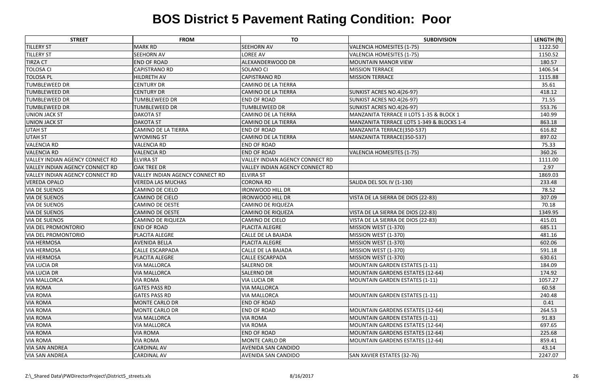| <b>STREET</b>                          | <b>FROM</b>                            | <b>TO</b>                       | <b>SUBDIVISION</b>                        | LENGTH (ft) |
|----------------------------------------|----------------------------------------|---------------------------------|-------------------------------------------|-------------|
| <b>TILLERY ST</b>                      | <b>MARK RD</b>                         | <b>SEEHORN AV</b>               | <b>VALENCIA HOMESITES (1-75)</b>          | 1122.50     |
| <b>TILLERY ST</b>                      | <b>SEEHORN AV</b>                      | <b>LOREE AV</b>                 | <b>VALENCIA HOMESITES (1-75)</b>          | 1150.52     |
| <b>TIRZA CT</b>                        | <b>END OF ROAD</b>                     | ALEXANDERWOOD DR                | <b>MOUNTAIN MANOR VIEW</b>                | 180.57      |
| <b>TOLOSA CI</b>                       | <b>CAPISTRANO RD</b>                   | <b>SOLANO CI</b>                | <b>MISSION TERRACE</b>                    | 1406.54     |
| <b>TOLOSA PL</b>                       | <b>HILDRETH AV</b>                     | <b>CAPISTRANO RD</b>            | <b>MISSION TERRACE</b>                    | 1115.88     |
| <b>TUMBLEWEED DR</b>                   | <b>CENTURY DR</b>                      | <b>CAMINO DE LA TIERRA</b>      |                                           | 35.61       |
| <b>TUMBLEWEED DR</b>                   | <b>CENTURY DR</b>                      | <b>CAMINO DE LA TIERRA</b>      | SUNKIST ACRES NO.4(26-97)                 | 418.12      |
| <b>TUMBLEWEED DR</b>                   | <b>TUMBLEWEED DR</b>                   | <b>END OF ROAD</b>              | SUNKIST ACRES NO.4(26-97)                 | 71.55       |
| <b>TUMBLEWEED DR</b>                   | <b>TUMBLEWEED DR</b>                   | <b>TUMBLEWEED DR</b>            | SUNKIST ACRES NO.4(26-97)                 | 553.76      |
| <b>UNION JACK ST</b>                   | <b>DAKOTA ST</b>                       | <b>CAMINO DE LA TIERRA</b>      | MANZANITA TERRACE II LOTS 1-35 & BLOCK 1  | 140.99      |
| <b>UNION JACK ST</b>                   | <b>DAKOTA ST</b>                       | <b>CAMINO DE LA TIERRA</b>      | MANZANITA TERRACE LOTS 1-349 & BLOCKS 1-4 | 863.18      |
| <b>UTAH ST</b>                         | <b>CAMINO DE LA TIERRA</b>             | <b>END OF ROAD</b>              | MANZANITA TERRACE(350-537)                | 616.82      |
| <b>UTAH ST</b>                         | <b>WYOMING ST</b>                      | CAMINO DE LA TIERRA             | MANZANITA TERRACE(350-537)                | 897.02      |
| <b>VALENCIA RD</b>                     | <b>VALENCIA RD</b>                     | <b>END OF ROAD</b>              |                                           | 75.33       |
| <b>VALENCIA RD</b>                     | <b>VALENCIA RD</b>                     | <b>END OF ROAD</b>              | <b>VALENCIA HOMESITES (1-75)</b>          | 360.26      |
| <b>VALLEY INDIAN AGENCY CONNECT RD</b> | <b>ELVIRA ST</b>                       | VALLEY INDIAN AGENCY CONNECT RD |                                           | 1111.00     |
| <b>VALLEY INDIAN AGENCY CONNECT RD</b> | <b>OAK TREE DR</b>                     | VALLEY INDIAN AGENCY CONNECT RD |                                           | 2.97        |
| <b>VALLEY INDIAN AGENCY CONNECT RD</b> | <b>VALLEY INDIAN AGENCY CONNECT RD</b> | <b>ELVIRA ST</b>                |                                           | 1869.03     |
| <b>VEREDA OPALO</b>                    | <b>VEREDA LAS MUCHAS</b>               | <b>CORONA RD</b>                | SALIDA DEL SOL IV (1-130)                 | 233.48      |
| <b>VIA DE SUENOS</b>                   | <b>CAMINO DE CIELO</b>                 | <b>IRONWOOD HILL DR</b>         |                                           | 78.52       |
| <b>VIA DE SUENOS</b>                   | <b>CAMINO DE CIELO</b>                 | <b>IRONWOOD HILL DR</b>         | VISTA DE LA SIERRA DE DIOS (22-83)        | 307.09      |
| <b>VIA DE SUENOS</b>                   | <b>CAMINO DE OESTE</b>                 | <b>CAMINO DE RIQUEZA</b>        |                                           | 70.18       |
| <b>VIA DE SUENOS</b>                   | <b>CAMINO DE OESTE</b>                 | <b>CAMINO DE RIQUEZA</b>        | VISTA DE LA SIERRA DE DIOS (22-83)        | 1349.95     |
| <b>VIA DE SUENOS</b>                   | <b>CAMINO DE RIQUEZA</b>               | <b>CAMINO DE CIELO</b>          | VISTA DE LA SIERRA DE DIOS (22-83)        | 415.01      |
| <b>VIA DEL PROMONTORIO</b>             | <b>END OF ROAD</b>                     | PLACITA ALEGRE                  | MISSION WEST (1-370)                      | 685.11      |
| <b>VIA DEL PROMONTORIO</b>             | PLACITA ALEGRE                         | CALLE DE LA BAJADA              | MISSION WEST (1-370)                      | 481.16      |
| <b>VIA HERMOSA</b>                     | <b>AVENIDA BELLA</b>                   | PLACITA ALEGRE                  | MISSION WEST (1-370)                      | 602.06      |
| <b>VIA HERMOSA</b>                     | <b>CALLE ESCARPADA</b>                 | <b>CALLE DE LA BAJADA</b>       | MISSION WEST (1-370)                      | 591.18      |
| <b>VIA HERMOSA</b>                     | <b>PLACITA ALEGRE</b>                  | <b>CALLE ESCARPADA</b>          | MISSION WEST (1-370)                      | 630.61      |
| <b>VIA LUCIA DR</b>                    | <b>VIA MALLORCA</b>                    | <b>SALERNO DR</b>               | <b>MOUNTAIN GARDEN ESTATES (1-11)</b>     | 184.09      |
| <b>VIA LUCIA DR</b>                    | <b>VIA MALLORCA</b>                    | <b>SALERNO DR</b>               | <b>MOUNTAIN GARDENS ESTATES (12-64)</b>   | 174.92      |
| <b>VIA MALLORCA</b>                    | <b>VIA ROMA</b>                        | <b>VIA LUCIA DR</b>             | <b>MOUNTAIN GARDEN ESTATES (1-11)</b>     | 1057.27     |
| <b>VIA ROMA</b>                        | <b>GATES PASS RD</b>                   | <b>VIA MALLORCA</b>             |                                           | 60.58       |
| <b>VIA ROMA</b>                        | <b>GATES PASS RD</b>                   | <b>VIA MALLORCA</b>             | <b>MOUNTAIN GARDEN ESTATES (1-11)</b>     | 240.48      |
| <b>VIA ROMA</b>                        | <b>MONTE CARLO DR</b>                  | <b>END OF ROAD</b>              |                                           | 0.41        |
| <b>VIA ROMA</b>                        | <b>MONTE CARLO DR</b>                  | <b>END OF ROAD</b>              | <b>MOUNTAIN GARDENS ESTATES (12-64)</b>   | 264.53      |
| <b>VIA ROMA</b>                        | <b>VIA MALLORCA</b>                    | <b>VIA ROMA</b>                 | <b>MOUNTAIN GARDEN ESTATES (1-11)</b>     | 91.83       |
| <b>VIA ROMA</b>                        | <b>VIA MALLORCA</b>                    | <b>VIA ROMA</b>                 | <b>MOUNTAIN GARDENS ESTATES (12-64)</b>   | 697.65      |
| <b>VIA ROMA</b>                        | <b>VIA ROMA</b>                        | <b>END OF ROAD</b>              | <b>MOUNTAIN GARDENS ESTATES (12-64)</b>   | 225.68      |
| <b>VIA ROMA</b>                        | <b>VIA ROMA</b>                        | <b>MONTE CARLO DR</b>           | <b>MOUNTAIN GARDENS ESTATES (12-64)</b>   | 859.41      |
| <b>VIA SAN ANDREA</b>                  | <b>CARDINAL AV</b>                     | <b>AVENIDA SAN CANDIDO</b>      |                                           | 43.14       |
| <b>VIA SAN ANDREA</b>                  | <b>CARDINAL AV</b>                     | AVENIDA SAN CANDIDO             | SAN XAVIER ESTATES (32-76)                | 2247.07     |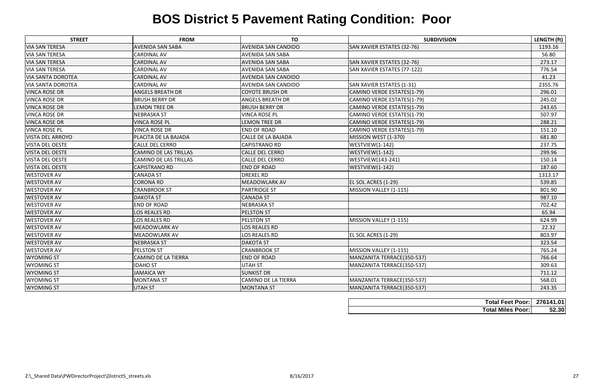| <b>STREET</b>            | <b>FROM</b>                  | <b>TO</b>                  | <b>SUBDIVISION</b>          | LENGTH (ft) |
|--------------------------|------------------------------|----------------------------|-----------------------------|-------------|
| <b>VIA SAN TERESA</b>    | <b>AVENIDA SAN SABA</b>      | <b>AVENIDA SAN CANDIDO</b> | SAN XAVIER ESTATES (32-76)  | 1193.16     |
| <b>VIA SAN TERESA</b>    | <b>CARDINAL AV</b>           | <b>AVENIDA SAN SABA</b>    |                             | 56.80       |
| <b>VIA SAN TERESA</b>    | <b>CARDINAL AV</b>           | <b>AVENIDA SAN SABA</b>    | SAN XAVIER ESTATES (32-76)  | 273.17      |
| <b>VIA SAN TERESA</b>    | <b>CARDINAL AV</b>           | <b>AVENIDA SAN SABA</b>    | SAN XAVIER ESTATES (77-122) | 776.54      |
| <b>VIA SANTA DOROTEA</b> | <b>CARDINAL AV</b>           | <b>AVENIDA SAN CANDIDO</b> |                             | 41.23       |
| <b>VIA SANTA DOROTEA</b> | <b>CARDINAL AV</b>           | <b>AVENIDA SAN CANDIDO</b> | SAN XAVIER ESTATES (1-31)   | 2355.76     |
| <b>VINCA ROSE DR</b>     | <b>ANGELS BREATH DR</b>      | <b>COYOTE BRUSH DR</b>     | CAMINO VERDE ESTATES(1-79)  | 296.01      |
| <b>VINCA ROSE DR</b>     | <b>BRUSH BERRY DR</b>        | ANGELS BREATH DR           | CAMINO VERDE ESTATES(1-79)  | 245.02      |
| <b>VINCA ROSE DR</b>     | <b>LEMON TREE DR</b>         | <b>BRUSH BERRY DR</b>      | CAMINO VERDE ESTATES(1-79)  | 243.65      |
| <b>VINCA ROSE DR</b>     | <b>NEBRASKA ST</b>           | <b>VINCA ROSE PL</b>       | CAMINO VERDE ESTATES(1-79)  | 507.97      |
| <b>VINCA ROSE DR</b>     | <b>VINCA ROSE PL</b>         | <b>LEMON TREE DR</b>       | CAMINO VERDE ESTATES(1-79)  | 288.21      |
| <b>VINCA ROSE PL</b>     | <b>VINCA ROSE DR</b>         | <b>END OF ROAD</b>         | CAMINO VERDE ESTATES(1-79)  | 151.10      |
| <b>VISTA DEL ARROYO</b>  | PLACITA DE LA BAJADA         | CALLE DE LA BAJADA         | MISSION WEST (1-370)        | 681.80      |
| <b>VISTA DEL OESTE</b>   | <b>CALLE DEL CERRO</b>       | <b>CAPISTRANO RD</b>       | WESTVIEW(1-142)             | 237.75      |
| <b>VISTA DEL OESTE</b>   | <b>CAMINO DE LAS TRILLAS</b> | <b>CALLE DEL CERRO</b>     | WESTVIEW(1-142)             | 299.96      |
| <b>VISTA DEL OESTE</b>   | CAMINO DE LAS TRILLAS        | CALLE DEL CERRO            | <b>WESTVIEW</b> (143-241)   | 150.14      |
| <b>VISTA DEL OESTE</b>   | <b>CAPISTRANO RD</b>         | <b>END OF ROAD</b>         | WESTVIEW(1-142)             | 187.60      |
| <b>WESTOVER AV</b>       | <b>CANADA ST</b>             | <b>DREXEL RD</b>           |                             | 1313.17     |
| <b>WESTOVER AV</b>       | <b>CORONA RD</b>             | <b>MEADOWLARK AV</b>       | EL SOL ACRES (1-29)         | 539.85      |
| <b>WESTOVER AV</b>       | <b>CRANBROOK ST</b>          | <b>PARTRIDGE ST</b>        | MISSION VALLEY (1-115)      | 801.90      |
| <b>WESTOVER AV</b>       | <b>DAKOTA ST</b>             | <b>CANADA ST</b>           |                             | 987.10      |
| <b>WESTOVER AV</b>       | <b>END OF ROAD</b>           | <b>NEBRASKA ST</b>         |                             | 702.42      |
| <b>WESTOVER AV</b>       | LOS REALES RD                | <b>PELSTON ST</b>          |                             | 65.94       |
| <b>WESTOVER AV</b>       | <b>LOS REALES RD</b>         | <b>PELSTON ST</b>          | MISSION VALLEY (1-115)      | 624.99      |
| <b>WESTOVER AV</b>       | <b>MEADOWLARK AV</b>         | LOS REALES RD              |                             | 22.32       |
| <b>WESTOVER AV</b>       | <b>MEADOWLARK AV</b>         | <b>LOS REALES RD</b>       | EL SOL ACRES (1-29)         | 803.97      |
| <b>WESTOVER AV</b>       | <b>NEBRASKA ST</b>           | <b>DAKOTA ST</b>           |                             | 323.54      |
| <b>WESTOVER AV</b>       | PELSTON ST                   | <b>CRANBROOK ST</b>        | MISSION VALLEY (1-115)      | 765.24      |
| <b>WYOMING ST</b>        | CAMINO DE LA TIERRA          | <b>END OF ROAD</b>         | MANZANITA TERRACE(350-537)  | 766.64      |
| <b>WYOMING ST</b>        | <b>IDAHO ST</b>              | UTAH ST                    | MANZANITA TERRACE(350-537)  | 309.63      |
| <b>WYOMING ST</b>        | <b>JAMAICA WY</b>            | <b>SUNKIST DR</b>          |                             | 711.12      |
| <b>WYOMING ST</b>        | <b>MONTANA ST</b>            | <b>CAMINO DE LA TIERRA</b> | MANZANITA TERRACE(350-537)  | 568.01      |
| <b>WYOMING ST</b>        | <b>UTAH ST</b>               | <b>MONTANA ST</b>          | MANZANITA TERRACE(350-537)  | 243.35      |

| <b>Total Feet Poor: 276141.01</b> |       |
|-----------------------------------|-------|
| <b>Total Miles Poor:</b>          | 52.30 |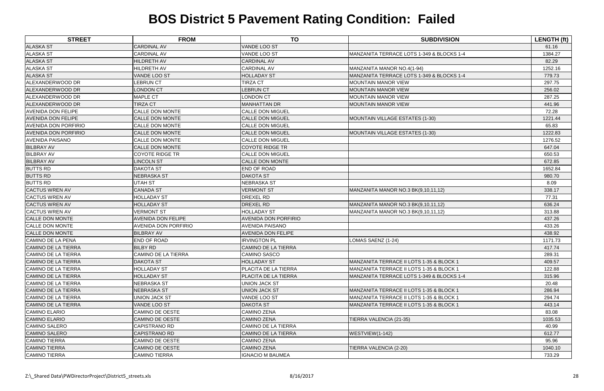| <b>STREET</b>               | <b>FROM</b>                 | <b>TO</b>                   | <b>SUBDIVISION</b>                                   | <b>LENGTH (ft)</b> |
|-----------------------------|-----------------------------|-----------------------------|------------------------------------------------------|--------------------|
| <b>ALASKA ST</b>            | <b>CARDINAL AV</b>          | <b>VANDE LOO ST</b>         |                                                      | 61.16              |
| <b>ALASKA ST</b>            | <b>CARDINAL AV</b>          | VANDE LOO ST                | MANZANITA TERRACE LOTS 1-349 & BLOCKS 1-4            | 1384.27            |
| <b>ALASKA ST</b>            | <b>HILDRETH AV</b>          | <b>CARDINAL AV</b>          |                                                      | 82.29              |
| <b>ALASKA ST</b>            | HILDRETH AV                 | <b>CARDINAL AV</b>          | MANZANITA MANOR NO.4(1-94)                           | 1252.16            |
| <b>ALASKA ST</b>            | VANDE LOO ST                | <b>HOLLADAY ST</b>          | MANZANITA TERRACE LOTS 1-349 & BLOCKS 1-4            | 779.73             |
| ALEXANDERWOOD DR            | <b>LEBRUN CT</b>            | <b>TIRZA CT</b>             | <b>MOUNTAIN MANOR VIEW</b>                           | 297.75             |
| ALEXANDERWOOD DR            | <b>LONDON CT</b>            | <b>LEBRUN CT</b>            | <b>MOUNTAIN MANOR VIEW</b>                           | 256.02             |
| ALEXANDERWOOD DR            | <b>MAPLE CT</b>             | <b>LONDON CT</b>            | <b>MOUNTAIN MANOR VIEW</b>                           | 287.25             |
| ALEXANDERWOOD DR            | <b>TIRZA CT</b>             | MANHATTAN DR                | <b>MOUNTAIN MANOR VIEW</b>                           | 441.96             |
| <b>AVENIDA DON FELIPE</b>   | <b>CALLE DON MONTE</b>      | <b>CALLE DON MIGUEL</b>     |                                                      | 72.28              |
| <b>AVENIDA DON FELIPE</b>   | <b>CALLE DON MONTE</b>      | <b>CALLE DON MIGUEL</b>     | MOUNTAIN VILLAGE ESTATES (1-30)                      | 1221.44            |
| <b>AVENIDA DON PORFIRIO</b> | <b>CALLE DON MONTE</b>      | <b>CALLE DON MIGUEL</b>     |                                                      | 65.83              |
| <b>AVENIDA DON PORFIRIO</b> | <b>CALLE DON MONTE</b>      | <b>CALLE DON MIGUEL</b>     | MOUNTAIN VILLAGE ESTATES (1-30)                      | 1222.83            |
| <b>AVENIDA PAISANO</b>      | <b>CALLE DON MONTE</b>      | <b>CALLE DON MIGUEL</b>     |                                                      | 1276.52            |
| <b>BILBRAY AV</b>           | CALLE DON MONTE             | <b>COYOTE RIDGE TR</b>      |                                                      | 647.04             |
| <b>BILBRAY AV</b>           | <b>COYOTE RIDGE TR</b>      | <b>CALLE DON MIGUEL</b>     |                                                      | 650.53             |
| <b>BILBRAY AV</b>           | <b>LINCOLN ST</b>           | <b>CALLE DON MONTE</b>      |                                                      | 672.85             |
| <b>BUTTS RD</b>             | <b>DAKOTA ST</b>            | <b>END OF ROAD</b>          |                                                      | 1652.84            |
| <b>BUTTS RD</b>             | <b>NEBRASKA ST</b>          | <b>DAKOTA ST</b>            |                                                      | 980.70             |
| <b>BUTTS RD</b>             | <b>UTAH ST</b>              | NEBRASKA ST                 |                                                      | 8.09               |
| <b>CACTUS WREN AV</b>       | <b>CANADA ST</b>            | <b>VERMONT ST</b>           | MANZANITA MANOR NO.3 BK(9,10,11,12)                  | 338.17             |
| <b>CACTUS WREN AV</b>       | <b>HOLLADAY ST</b>          | <b>DREXEL RD</b>            |                                                      | 77.31              |
| <b>CACTUS WREN AV</b>       | <b>HOLLADAY ST</b>          | <b>DREXEL RD</b>            | MANZANITA MANOR NO.3 BK(9,10,11,12)                  | 636.24             |
| <b>CACTUS WREN AV</b>       | <b>VERMONT ST</b>           | <b>HOLLADAY ST</b>          | MANZANITA MANOR NO.3 BK(9,10,11,12)                  | 313.88             |
| <b>CALLE DON MONTE</b>      | <b>AVENIDA DON FELIPE</b>   | <b>AVENIDA DON PORFIRIO</b> |                                                      | 437.26             |
| <b>CALLE DON MONTE</b>      | <b>AVENIDA DON PORFIRIO</b> | <b>AVENIDA PAISANO</b>      |                                                      | 433.26             |
| <b>CALLE DON MONTE</b>      | <b>BILBRAY AV</b>           | <b>AVENIDA DON FELIPE</b>   |                                                      | 438.92             |
| CAMINO DE LA PENA           | END OF ROAD                 | <b>IRVINGTON PL</b>         | LOMAS SAENZ (1-24)                                   | 1171.73            |
| <b>CAMINO DE LA TIERRA</b>  | <b>BILBY RD</b>             | <b>CAMINO DE LA TIERRA</b>  |                                                      | 417.74             |
| CAMINO DE LA TIERRA         | CAMINO DE LA TIERRA         | <b>CAMINO SASCO</b>         |                                                      | 289.31             |
| <b>CAMINO DE LA TIERRA</b>  | <b>DAKOTA ST</b>            | <b>HOLLADAY ST</b>          | MANZANITA TERRACE II LOTS 1-35 & BLOCK 1             | 409.57             |
| <b>CAMINO DE LA TIERRA</b>  | <b>HOLLADAY ST</b>          | <b>PLACITA DE LA TIERRA</b> | MANZANITA TERRACE II LOTS 1-35 & BLOCK 1             | 122.88             |
| CAMINO DE LA TIERRA         | <b>HOLLADAY ST</b>          | <b>PLACITA DE LA TIERRA</b> | MANZANITA TERRACE LOTS 1-349 & BLOCKS 1-4            | 315.96             |
| CAMINO DE LA TIERRA         | <b>NEBRASKA ST</b>          | <b>UNION JACK ST</b>        |                                                      | 20.48              |
| <b>CAMINO DE LA TIERRA</b>  | <b>NEBRASKA ST</b>          | <b>UNION JACK ST</b>        | MANZANITA TERRACE II LOTS 1-35 & BLOCK 1             | 286.94             |
| <b>CAMINO DE LA TIERRA</b>  | <b>UNION JACK ST</b>        | VANDE LOO ST                | <b>IMANZANITA TERRACE II LOTS 1-35 &amp; BLOCK 1</b> | 294.74             |
| <b>CAMINO DE LA TIERRA</b>  | VANDE LOO ST                | <b>DAKOTA ST</b>            | <b>IMANZANITA TERRACE II LOTS 1-35 &amp; BLOCK 1</b> | 443.14             |
| <b>CAMINO ELARIO</b>        | CAMINO DE OESTE             | <b>CAMINO ZENA</b>          |                                                      | 83.08              |
| <b>CAMINO ELARIO</b>        | <b>CAMINO DE OESTE</b>      | <b>CAMINO ZENA</b>          | TIERRA VALENCIA (21-35)                              | 1035.53            |
| <b>CAMINO SALERO</b>        | <b>CAPISTRANO RD</b>        | CAMINO DE LA TIERRA         |                                                      | 40.99              |
| <b>CAMINO SALERO</b>        | <b>CAPISTRANO RD</b>        | <b>CAMINO DE LA TIERRA</b>  | WESTVIEW(1-142)                                      | 612.77             |
| <b>CAMINO TIERRA</b>        | CAMINO DE OESTE             | <b>CAMINO ZENA</b>          |                                                      | 95.96              |
| <b>CAMINO TIERRA</b>        | CAMINO DE OESTE             | <b>CAMINO ZENA</b>          | TIERRA VALENCIA (2-20)                               | 1040.10            |
| <b>CAMINO TIERRA</b>        | <b>CAMINO TIERRA</b>        | <b>IGNACIO M BAUMEA</b>     |                                                      | 733.29             |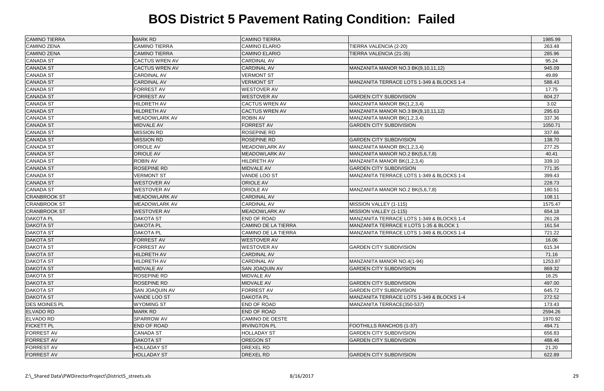| <b>CAMINO TIERRA</b> | <b>MARK RD</b>        | <b>CAMINO TIERRA</b>       |                                           | 1985.99 |
|----------------------|-----------------------|----------------------------|-------------------------------------------|---------|
| <b>CAMINO ZENA</b>   | <b>CAMINO TIERRA</b>  | <b>CAMINO ELARIO</b>       | TIERRA VALENCIA (2-20)                    | 263.48  |
| <b>CAMINO ZENA</b>   | <b>CAMINO TIERRA</b>  | <b>CAMINO ELARIO</b>       | TIERRA VALENCIA (21-35)                   | 285.96  |
| <b>CANADA ST</b>     | <b>CACTUS WREN AV</b> | <b>CARDINAL AV</b>         |                                           | 95.24   |
| <b>CANADA ST</b>     | <b>CACTUS WREN AV</b> | <b>CARDINAL AV</b>         | MANZANITA MANOR NO.3 BK(9,10,11,12)       | 945.09  |
| <b>CANADA ST</b>     | <b>CARDINAL AV</b>    | <b>VERMONT ST</b>          |                                           | 49.89   |
| <b>CANADA ST</b>     | <b>CARDINAL AV</b>    | <b>VERMONT ST</b>          | MANZANITA TERRACE LOTS 1-349 & BLOCKS 1-4 | 588.43  |
| <b>CANADA ST</b>     | <b>FORREST AV</b>     | <b>WESTOVER AV</b>         |                                           | 17.75   |
| <b>CANADA ST</b>     | <b>FORREST AV</b>     | <b>WESTOVER AV</b>         | <b>GARDEN CITY SUBDIVISION</b>            | 604.27  |
| <b>CANADA ST</b>     | HILDRETH AV           | <b>CACTUS WREN AV</b>      | MANZANITA MANOR BK(1,2,3,4)               | 3.02    |
| <b>CANADA ST</b>     | <b>HILDRETH AV</b>    | <b>CACTUS WREN AV</b>      | MANZANITA MANOR NO.3 BK(9,10,11,12)       | 295.63  |
| <b>CANADA ST</b>     | <b>MEADOWLARK AV</b>  | <b>ROBIN AV</b>            | MANZANITA MANOR BK(1,2,3,4)               | 337.36  |
| <b>CANADA ST</b>     | <b>MIDVALE AV</b>     | <b>FORREST AV</b>          | <b>GARDEN CITY SUBDIVISION</b>            | 1050.71 |
| <b>CANADA ST</b>     | <b>MISSION RD</b>     | <b>ROSEPINE RD</b>         |                                           | 337.66  |
| <b>CANADA ST</b>     | <b>MISSION RD</b>     | <b>ROSEPINE RD</b>         | <b>GARDEN CITY SUBDIVISION</b>            | 138.70  |
| <b>CANADA ST</b>     | <b>ORIOLE AV</b>      | <b>MEADOWLARK AV</b>       | MANZANITA MANOR BK(1,2,3,4)               | 277.25  |
| <b>CANADA ST</b>     | <b>ORIOLE AV</b>      | <b>MEADOWLARK AV</b>       | MANZANITA MANOR NO.2 BK(5,6,7,8)          | 40.41   |
| <b>CANADA ST</b>     | <b>ROBIN AV</b>       | HILDRETH AV                | MANZANITA MANOR BK(1,2,3,4)               | 339.10  |
| <b>CANADA ST</b>     | ROSEPINE RD           | <b>MIDVALE AV</b>          | <b>GARDEN CITY SUBDIVISION</b>            | 771.35  |
| <b>CANADA ST</b>     | <b>VERMONT ST</b>     | VANDE LOO ST               | MANZANITA TERRACE LOTS 1-349 & BLOCKS 1-4 | 399.43  |
| <b>CANADA ST</b>     | <b>WESTOVER AV</b>    | <b>ORIOLE AV</b>           |                                           | 228.73  |
| <b>CANADA ST</b>     | WESTOVER AV           | <b>ORIOLE AV</b>           | MANZANITA MANOR NO.2 BK(5,6,7,8)          | 180.51  |
| <b>CRANBROOK ST</b>  | <b>MEADOWLARK AV</b>  | <b>CARDINAL AV</b>         |                                           | 108.11  |
| <b>CRANBROOK ST</b>  | MEADOWLARK AV         | <b>CARDINAL AV</b>         | MISSION VALLEY (1-115)                    | 1575.47 |
| <b>CRANBROOK ST</b>  | <b>WESTOVER AV</b>    | <b>MEADOWLARK AV</b>       | MISSION VALLEY (1-115)                    | 654.18  |
| <b>DAKOTA PL</b>     | <b>DAKOTA ST</b>      | <b>END OF ROAD</b>         | MANZANITA TERRACE LOTS 1-349 & BLOCKS 1-4 | 261.28  |
| <b>DAKOTA ST</b>     | <b>DAKOTA PL</b>      | CAMINO DE LA TIERRA        | MANZANITA TERRACE II LOTS 1-35 & BLOCK 1  | 161.54  |
| <b>DAKOTA ST</b>     | <b>DAKOTA PL</b>      | <b>CAMINO DE LA TIERRA</b> | MANZANITA TERRACE LOTS 1-349 & BLOCKS 1-4 | 721.22  |
| <b>DAKOTA ST</b>     | <b>FORREST AV</b>     | <b>WESTOVER AV</b>         |                                           | 16.06   |
| <b>DAKOTA ST</b>     | <b>FORREST AV</b>     | <b>WESTOVER AV</b>         | <b>GARDEN CITY SUBDIVISION</b>            | 615.34  |
| <b>DAKOTA ST</b>     | <b>HILDRETH AV</b>    | <b>CARDINAL AV</b>         |                                           | 71.16   |
| <b>DAKOTA ST</b>     | HILDRETH AV           | <b>CARDINAL AV</b>         | MANZANITA MANOR NO.4(1-94)                | 1253.87 |
| <b>DAKOTA ST</b>     | <b>MIDVALE AV</b>     | <b>SAN JOAQUIN AV</b>      | <b>GARDEN CITY SUBDIVISION</b>            | 869.32  |
| <b>DAKOTA ST</b>     | ROSEPINE RD           | <b>MIDVALE AV</b>          |                                           | 16.25   |
| <b>DAKOTA ST</b>     | ROSEPINE RD           | <b>MIDVALE AV</b>          | <b>GARDEN CITY SUBDIVISION</b>            | 497.00  |
| <b>DAKOTA ST</b>     | SAN JOAQUIN AV        | <b>FORREST AV</b>          | <b>GARDEN CITY SUBDIVISION</b>            | 645.72  |
| <b>DAKOTA ST</b>     | VANDE LOO ST          | <b>DAKOTA PL</b>           | MANZANITA TERRACE LOTS 1-349 & BLOCKS 1-4 | 272.52  |
| <b>DES MOINES PL</b> | <b>WYOMING ST</b>     | <b>END OF ROAD</b>         | MANZANITA TERRACE(350-537)                | 173.43  |
| <b>ELVADO RD</b>     | <b>MARK RD</b>        | <b>END OF ROAD</b>         |                                           | 2594.26 |
| <b>ELVADO RD</b>     | SPARROW AV            | <b>CAMINO DE OESTE</b>     |                                           | 1970.92 |
| <b>FICKETT PL</b>    | END OF ROAD           | <b>IRVINGTON PL</b>        | <b>FOOTHILLS RANCHOS (1-37)</b>           | 494.71  |
| <b>FORREST AV</b>    | <b>CANADA ST</b>      | <b>HOLLADAY ST</b>         | <b>GARDEN CITY SUBDIVISION</b>            | 656.83  |
| <b>FORREST AV</b>    | <b>DAKOTA ST</b>      | <b>OREGON ST</b>           | <b>GARDEN CITY SUBDIVISION</b>            | 488.46  |
| <b>FORREST AV</b>    | <b>HOLLADAY ST</b>    | DREXEL RD                  |                                           | 21.20   |
| <b>FORREST AV</b>    | HOLLADAY ST           | DREXEL RD                  | <b>GARDEN CITY SUBDIVISION</b>            | 622.89  |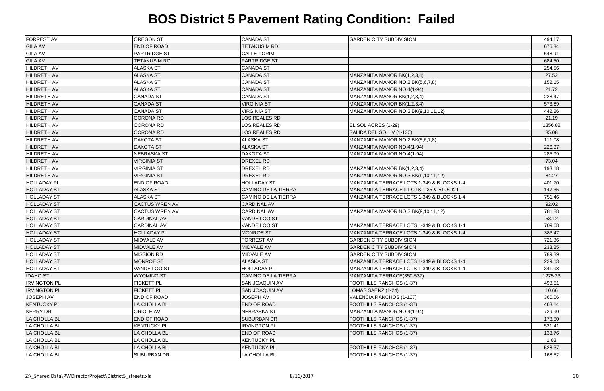| <b>FORREST AV</b>   | <b>OREGON ST</b>      | <b>CANADA ST</b>           | <b>GARDEN CITY SUBDIVISION</b>            | 494.17  |
|---------------------|-----------------------|----------------------------|-------------------------------------------|---------|
| <b>GILA AV</b>      | <b>END OF ROAD</b>    | <b>TETAKUSIM RD</b>        |                                           | 676.84  |
| <b>GILA AV</b>      | <b>PARTRIDGE ST</b>   | <b>CALLE TORIM</b>         |                                           | 648.91  |
| <b>GILA AV</b>      | <b>TETAKUSIM RD</b>   | <b>PARTRIDGE ST</b>        |                                           | 684.50  |
| <b>HILDRETH AV</b>  | ALASKA ST             | <b>CANADA ST</b>           |                                           | 254.56  |
| <b>HILDRETH AV</b>  | <b>ALASKA ST</b>      | <b>CANADA ST</b>           | MANZANITA MANOR BK(1,2,3,4)               | 27.52   |
| <b>HILDRETH AV</b>  | ALASKA ST             | <b>CANADA ST</b>           | MANZANITA MANOR NO.2 BK(5,6,7,8)          | 152.15  |
| <b>HILDRETH AV</b>  | <b>ALASKA ST</b>      | <b>CANADA ST</b>           | MANZANITA MANOR NO.4(1-94)                | 21.72   |
| <b>HILDRETH AV</b>  | <b>CANADA ST</b>      | <b>CANADA ST</b>           | MANZANITA MANOR BK(1,2,3,4)               | 228.47  |
| <b>HILDRETH AV</b>  | <b>CANADA ST</b>      | <b>VIRGINIA ST</b>         | MANZANITA MANOR BK(1,2,3,4)               | 573.89  |
| <b>HILDRETH AV</b>  | <b>CANADA ST</b>      | <b>VIRGINIA ST</b>         | MANZANITA MANOR NO.3 BK(9,10,11,12)       | 442.26  |
| <b>HILDRETH AV</b>  | <b>CORONA RD</b>      | <b>LOS REALES RD</b>       |                                           | 21.19   |
| <b>HILDRETH AV</b>  | <b>CORONA RD</b>      | LOS REALES RD              | EL SOL ACRES (1-29)                       | 1356.82 |
| <b>HILDRETH AV</b>  | <b>CORONA RD</b>      | LOS REALES RD              | SALIDA DEL SOL IV (1-130)                 | 35.08   |
| <b>HILDRETH AV</b>  | <b>DAKOTA ST</b>      | <b>ALASKA ST</b>           | MANZANITA MANOR NO.2 BK(5,6,7,8)          | 111.08  |
| <b>HILDRETH AV</b>  | <b>DAKOTA ST</b>      | <b>ALASKA ST</b>           | MANZANITA MANOR NO.4(1-94)                | 226.37  |
| <b>HILDRETH AV</b>  | NEBRASKA ST           | <b>DAKOTA ST</b>           | MANZANITA MANOR NO.4(1-94)                | 285.99  |
| <b>HILDRETH AV</b>  | <b>VIRGINIA ST</b>    | DREXEL RD                  |                                           | 73.04   |
| <b>HILDRETH AV</b>  | <b>VIRGINIA ST</b>    | DREXEL RD                  | MANZANITA MANOR BK(1,2,3,4)               | 193.18  |
| <b>HILDRETH AV</b>  | <b>VIRGINIA ST</b>    | DREXEL RD                  | MANZANITA MANOR NO.3 BK(9,10,11,12)       | 84.27   |
| <b>HOLLADAY PL</b>  | END OF ROAD           | <b>HOLLADAY ST</b>         | MANZANITA TERRACE LOTS 1-349 & BLOCKS 1-4 | 401.70  |
| <b>HOLLADAY ST</b>  | <b>ALASKA ST</b>      | CAMINO DE LA TIERRA        | MANZANITA TERRACE II LOTS 1-35 & BLOCK 1  | 147.35  |
| <b>HOLLADAY ST</b>  | <b>ALASKA ST</b>      | <b>CAMINO DE LA TIERRA</b> | MANZANITA TERRACE LOTS 1-349 & BLOCKS 1-4 | 751.46  |
| <b>HOLLADAY ST</b>  | <b>CACTUS WREN AV</b> | <b>CARDINAL AV</b>         |                                           | 92.02   |
| <b>HOLLADAY ST</b>  | <b>CACTUS WREN AV</b> | <b>CARDINAL AV</b>         | MANZANITA MANOR NO.3 BK(9,10,11,12)       | 781.88  |
| <b>HOLLADAY ST</b>  | <b>CARDINAL AV</b>    | VANDE LOO ST               |                                           | 53.12   |
| <b>HOLLADAY ST</b>  | <b>CARDINAL AV</b>    | VANDE LOO ST               | MANZANITA TERRACE LOTS 1-349 & BLOCKS 1-4 | 709.68  |
| <b>HOLLADAY ST</b>  | <b>HOLLADAY PL</b>    | <b>MONROE ST</b>           | MANZANITA TERRACE LOTS 1-349 & BLOCKS 1-4 | 383.47  |
| <b>HOLLADAY ST</b>  | <b>MIDVALE AV</b>     | <b>FORREST AV</b>          | <b>GARDEN CITY SUBDIVISION</b>            | 721.86  |
| <b>HOLLADAY ST</b>  | MIDVALE AV            | <b>MIDVALE AV</b>          | <b>GARDEN CITY SUBDIVISION</b>            | 233.25  |
| <b>HOLLADAY ST</b>  | <b>MISSION RD</b>     | <b>MIDVALE AV</b>          | <b>GARDEN CITY SUBDIVISION</b>            | 789.39  |
| <b>HOLLADAY ST</b>  | <b>MONROE ST</b>      | <b>ALASKA ST</b>           | MANZANITA TERRACE LOTS 1-349 & BLOCKS 1-4 | 229.13  |
| <b>HOLLADAY ST</b>  | VANDE LOO ST          | <b>HOLLADAY PL</b>         | MANZANITA TERRACE LOTS 1-349 & BLOCKS 1-4 | 341.98  |
| <b>IDAHO ST</b>     | <b>WYOMING ST</b>     | <b>CAMINO DE LA TIERRA</b> | MANZANITA TERRACE(350-537)                | 1275.23 |
| <b>IRVINGTON PL</b> | <b>FICKETT PL</b>     | SAN JOAQUIN AV             | FOOTHILLS RANCHOS (1-37)                  | 498.51  |
| <b>IRVINGTON PL</b> | <b>FICKETT PL</b>     | SAN JOAQUIN AV             | LOMAS SAENZ (1-24)                        | 10.66   |
| <b>JOSEPH AV</b>    | END OF ROAD           | <b>JOSEPH AV</b>           | VALENCIA RANCHOS (1-107)                  | 360.06  |
| <b>KENTUCKY PL</b>  | LA CHOLLA BL          | END OF ROAD                | FOOTHILLS RANCHOS (1-37)                  | 463.14  |
| <b>KERRY DR</b>     | <b>ORIOLE AV</b>      | <b>NEBRASKA ST</b>         | MANZANITA MANOR NO.4(1-94)                | 729.90  |
| <b>LA CHOLLA BL</b> | <b>END OF ROAD</b>    | <b>SUBURBAN DR</b>         | <b>FOOTHILLS RANCHOS (1-37)</b>           | 178.80  |
| <b>LA CHOLLA BL</b> | KENTUCKY PL           | <b>IRVINGTON PL</b>        | FOOTHILLS RANCHOS (1-37)                  | 521.41  |
| <b>LA CHOLLA BL</b> | LA CHOLLA BL          | <b>END OF ROAD</b>         | FOOTHILLS RANCHOS (1-37)                  | 133.76  |
| LA CHOLLA BL        | LA CHOLLA BL          | <b>KENTUCKY PL</b>         |                                           | 1.83    |
| <b>LA CHOLLA BL</b> | LA CHOLLA BL          | <b>KENTUCKY PL</b>         | FOOTHILLS RANCHOS (1-37)                  | 528.37  |
| LA CHOLLA BL        | SUBURBAN DR           | LA CHOLLA BL               | FOOTHILLS RANCHOS (1-37)                  | 168.52  |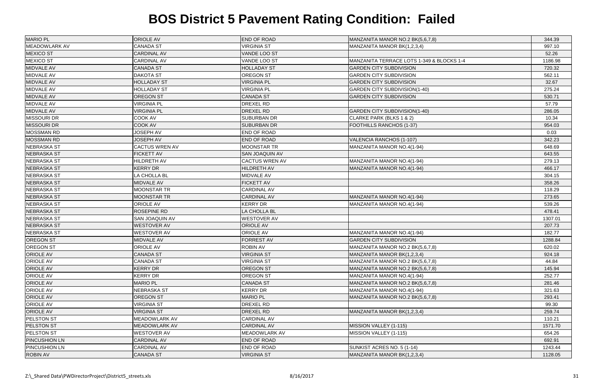| <b>MARIO PL</b>      | <b>ORIOLE AV</b>      | <b>END OF ROAD</b>    | MANZANITA MANOR NO.2 BK(5,6,7,8)          | 344.39  |
|----------------------|-----------------------|-----------------------|-------------------------------------------|---------|
| <b>MEADOWLARK AV</b> | <b>CANADA ST</b>      | <b>VIRGINIA ST</b>    | MANZANITA MANOR BK(1,2,3,4)               | 997.10  |
| <b>MEXICO ST</b>     | <b>CARDINAL AV</b>    | VANDE LOO ST          |                                           | 52.26   |
| <b>MEXICO ST</b>     | <b>CARDINAL AV</b>    | VANDE LOO ST          | MANZANITA TERRACE LOTS 1-349 & BLOCKS 1-4 | 1186.98 |
| MIDVALE AV           | <b>CANADA ST</b>      | <b>HOLLADAY ST</b>    | <b>GARDEN CITY SUBDIVISION</b>            | 720.32  |
| MIDVALE AV           | <b>DAKOTA ST</b>      | <b>OREGON ST</b>      | <b>GARDEN CITY SUBDIVISION</b>            | 562.11  |
| MIDVALE AV           | <b>HOLLADAY ST</b>    | <b>VIRGINIA PL</b>    | <b>GARDEN CITY SUBDIVISION</b>            | 32.67   |
| <b>MIDVALE AV</b>    | <b>HOLLADAY ST</b>    | <b>VIRGINIA PL</b>    | <b>GARDEN CITY SUBDIVISION(1-40)</b>      | 275.24  |
| MIDVALE AV           | <b>OREGON ST</b>      | <b>CANADA ST</b>      | <b>GARDEN CITY SUBDIVISION</b>            | 530.71  |
| MIDVALE AV           | <b>VIRGINIA PL</b>    | DREXEL RD             |                                           | 57.79   |
| MIDVALE AV           | <b>VIRGINIA PL</b>    | <b>DREXEL RD</b>      | <b>GARDEN CITY SUBDIVISION(1-40)</b>      | 286.05  |
| <b>MISSOURI DR</b>   | <b>COOK AV</b>        | <b>SUBURBAN DR</b>    | CLARKE PARK (BLKS 1 & 2)                  | 10.34   |
| <b>MISSOURI DR</b>   | COOK AV               | <b>SUBURBAN DR</b>    | FOOTHILLS RANCHOS (1-37)                  | 954.03  |
| <b>MOSSMAN RD</b>    | <b>JOSEPH AV</b>      | END OF ROAD           |                                           | 0.03    |
| <b>MOSSMAN RD</b>    | <b>JOSEPH AV</b>      | END OF ROAD           | VALENCIA RANCHOS (1-107)                  | 342.23  |
| <b>NEBRASKA ST</b>   | <b>CACTUS WREN AV</b> | <b>MOONSTAR TR</b>    | MANZANITA MANOR NO.4(1-94)                | 648.69  |
| <b>NEBRASKA ST</b>   | <b>FICKETT AV</b>     | <b>SAN JOAQUIN AV</b> |                                           | 643.55  |
| <b>NEBRASKA ST</b>   | <b>HILDRETH AV</b>    | <b>CACTUS WREN AV</b> | MANZANITA MANOR NO.4(1-94)                | 279.13  |
| <b>NEBRASKA ST</b>   | <b>KERRY DR</b>       | <b>HILDRETH AV</b>    | MANZANITA MANOR NO.4(1-94)                | 466.17  |
| <b>NEBRASKA ST</b>   | LA CHOLLA BL          | MIDVALE AV            |                                           | 304.15  |
| <b>NEBRASKA ST</b>   | <b>MIDVALE AV</b>     | <b>FICKETT AV</b>     |                                           | 358.26  |
| <b>NEBRASKA ST</b>   | <b>MOONSTAR TR</b>    | <b>CARDINAL AV</b>    |                                           | 118.29  |
| <b>NEBRASKA ST</b>   | <b>MOONSTAR TR</b>    | <b>CARDINAL AV</b>    | MANZANITA MANOR NO.4(1-94)                | 273.65  |
| <b>NEBRASKA ST</b>   | <b>ORIOLE AV</b>      | KERRY DR              | MANZANITA MANOR NO.4(1-94)                | 539.26  |
| <b>NEBRASKA ST</b>   | <b>ROSEPINE RD</b>    | LA CHOLLA BL          |                                           | 478.41  |
| <b>NEBRASKA ST</b>   | SAN JOAQUIN AV        | <b>WESTOVER AV</b>    |                                           | 1307.01 |
| <b>NEBRASKA ST</b>   | <b>WESTOVER AV</b>    | ORIOLE AV             |                                           | 207.73  |
| <b>NEBRASKA ST</b>   | <b>WESTOVER AV</b>    | <b>ORIOLE AV</b>      | MANZANITA MANOR NO.4(1-94)                | 182.77  |
| <b>OREGON ST</b>     | MIDVALE AV            | <b>FORREST AV</b>     | <b>GARDEN CITY SUBDIVISION</b>            | 1288.84 |
| <b>OREGON ST</b>     | <b>ORIOLE AV</b>      | <b>ROBIN AV</b>       | MANZANITA MANOR NO.2 BK(5,6,7,8)          | 620.02  |
| <b>ORIOLE AV</b>     | <b>CANADA ST</b>      | <b>VIRGINIA ST</b>    | MANZANITA MANOR BK(1,2,3,4)               | 924.18  |
| <b>ORIOLE AV</b>     | <b>CANADA ST</b>      | <b>VIRGINIA ST</b>    | MANZANITA MANOR NO.2 BK(5,6,7,8)          | 44.84   |
| <b>ORIOLE AV</b>     | <b>KERRY DR</b>       | <b>OREGON ST</b>      | MANZANITA MANOR NO.2 BK(5,6,7,8)          | 145.94  |
| <b>ORIOLE AV</b>     | KERRY DR              | OREGON ST             | MANZANITA MANOR NO.4(1-94)                | 252.77  |
| <b>ORIOLE AV</b>     | <b>MARIO PL</b>       | <b>CANADA ST</b>      | MANZANITA MANOR NO.2 BK(5,6,7,8)          | 281.46  |
| <b>ORIOLE AV</b>     | NEBRASKA ST           | <b>KERRY DR</b>       | MANZANITA MANOR NO.4(1-94)                | 321.63  |
| <b>ORIOLE AV</b>     | OREGON ST             | <b>MARIO PL</b>       | MANZANITA MANOR NO.2 BK(5,6,7,8)          | 293.41  |
| <b>ORIOLE AV</b>     | <b>VIRGINIA ST</b>    | DREXEL RD             |                                           | 99.30   |
| <b>ORIOLE AV</b>     | <b>VIRGINIA ST</b>    | DREXEL RD             | MANZANITA MANOR BK(1,2,3,4)               | 259.74  |
| <b>PELSTON ST</b>    | <b>MEADOWLARK AV</b>  | <b>CARDINAL AV</b>    |                                           | 110.21  |
| <b>PELSTON ST</b>    | MEADOWLARK AV         | <b>CARDINAL AV</b>    | MISSION VALLEY (1-115)                    | 1571.70 |
| <b>PELSTON ST</b>    | <b>WESTOVER AV</b>    | <b>MEADOWLARK AV</b>  | MISSION VALLEY (1-115)                    | 654.26  |
| <b>PINCUSHION LN</b> | <b>CARDINAL AV</b>    | <b>END OF ROAD</b>    |                                           | 692.91  |
| <b>PINCUSHION LN</b> | <b>CARDINAL AV</b>    | END OF ROAD           | SUNKIST ACRES NO. 5 (1-14)                | 1243.44 |
| <b>ROBIN AV</b>      | <b>CANADA ST</b>      | <b>VIRGINIA ST</b>    | MANZANITA MANOR BK(1,2,3,4)               | 1128.05 |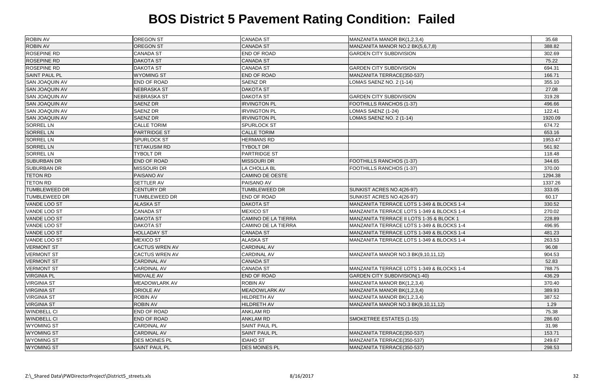| <b>ROBIN AV</b><br><b>OREGON ST</b><br><b>CANADA ST</b><br>MANZANITA MANOR NO.2 BK(5,6,7,8)<br>388.82<br><b>ROSEPINE RD</b><br>END OF ROAD<br>CANADA ST<br><b>GARDEN CITY SUBDIVISION</b><br>302.69<br><b>ROSEPINE RD</b><br><b>CANADA ST</b><br><b>DAKOTA ST</b><br>75.22<br><b>CANADA ST</b><br><b>ROSEPINE RD</b><br>DAKOTA ST<br><b>GARDEN CITY SUBDIVISION</b><br>694.31<br><b>SAINT PAUL PL</b><br><b>WYOMING ST</b><br>END OF ROAD<br>MANZANITA TERRACE(350-537)<br>166.71<br><b>SAN JOAQUIN AV</b><br><b>END OF ROAD</b><br><b>SAENZ DR</b><br>LOMAS SAENZ NO. 2 (1-14)<br>355.10<br><b>SAN JOAQUIN AV</b><br>NEBRASKA ST<br><b>DAKOTA ST</b><br>27.08<br><b>SAN JOAQUIN AV</b><br>NEBRASKA ST<br><b>DAKOTA ST</b><br><b>GARDEN CITY SUBDIVISION</b><br>319.28<br><b>SAN JOAQUIN AV</b><br><b>SAENZ DR</b><br><b>IRVINGTON PL</b><br><b>FOOTHILLS RANCHOS (1-37)</b><br>496.66<br><b>SAN JOAQUIN AV</b><br>SAENZ DR<br><b>IRVINGTON PL</b><br>LOMAS SAENZ (1-24)<br>122.41<br><b>SAN JOAQUIN AV</b><br>SAENZ DR<br><b>IRVINGTON PL</b><br>LOMAS SAENZ NO. 2 (1-14)<br>1920.09<br><b>SORREL LN</b><br><b>CALLE TORIM</b><br>SPURLOCK ST<br>674.72<br><b>PARTRIDGE ST</b><br><b>CALLE TORIM</b><br><b>SORREL LN</b><br>653.16<br><b>SORREL LN</b><br>SPURLOCK ST<br><b>HERMANS RD</b><br>1953.47<br><b>SORREL LN</b><br><b>TYBOLT DR</b><br><b>TETAKUSIM RD</b><br>561.92<br><b>SORREL LN</b><br><b>TYBOLT DR</b><br><b>PARTRIDGE ST</b><br>118.48<br><b>SUBURBAN DR</b><br>END OF ROAD<br><b>MISSOURI DR</b><br>FOOTHILLS RANCHOS (1-37)<br>344.65<br><b>SUBURBAN DR</b><br><b>MISSOURI DR</b><br>LA CHOLLA BL<br><b>FOOTHILLS RANCHOS (1-37)</b><br>370.00<br><b>TETON RD</b><br>PAISANO AV<br><b>CAMINO DE OESTE</b><br>1294.38<br><b>TETON RD</b><br>PAISANO AV<br>SETTLER AV<br>1337.26<br><b>TUMBLEWEED DR</b><br><b>CENTURY DR</b><br><b>TUMBLEWEED DR</b><br>SUNKIST ACRES NO.4(26-97)<br>333.05<br>SUNKIST ACRES NO.4(26-97)<br><b>TUMBLEWEED DR</b><br>TUMBLEWEED DR<br><b>END OF ROAD</b><br>60.17<br>VANDE LOO ST<br><b>ALASKA ST</b><br><b>DAKOTA ST</b><br>MANZANITA TERRACE LOTS 1-349 & BLOCKS 1-4<br>330.52<br>VANDE LOO ST<br><b>CANADA ST</b><br><b>MEXICO ST</b><br>MANZANITA TERRACE LOTS 1-349 & BLOCKS 1-4<br>270.02<br><b>CAMINO DE LA TIERRA</b><br>VANDE LOO ST<br><b>DAKOTA ST</b><br>MANZANITA TERRACE II LOTS 1-35 & BLOCK 1<br>228.89<br>VANDE LOO ST<br><b>DAKOTA ST</b><br>CAMINO DE LA TIERRA<br>MANZANITA TERRACE LOTS 1-349 & BLOCKS 1-4<br>496.95<br><b>VANDE LOO ST</b><br><b>HOLLADAY ST</b><br><b>CANADA ST</b><br>MANZANITA TERRACE LOTS 1-349 & BLOCKS 1-4<br>481.23<br>VANDE LOO ST<br><b>MEXICO ST</b><br><b>ALASKA ST</b><br>MANZANITA TERRACE LOTS 1-349 & BLOCKS 1-4<br>263.53<br><b>VERMONT ST</b><br><b>CACTUS WREN AV</b><br><b>CARDINAL AV</b><br>96.08<br><b>VERMONT ST</b><br>CACTUS WREN AV<br><b>CARDINAL AV</b><br>MANZANITA MANOR NO.3 BK(9,10,11,12)<br>904.53<br><b>CANADA ST</b><br><b>VERMONT ST</b><br><b>CARDINAL AV</b><br>52.83<br><b>CANADA ST</b><br><b>VERMONT ST</b><br><b>CARDINAL AV</b><br>MANZANITA TERRACE LOTS 1-349 & BLOCKS 1-4<br>788.75<br><b>VIRGINIA PL</b><br>END OF ROAD<br><b>MIDVALE AV</b><br><b>GARDEN CITY SUBDIVISION(1-40)</b><br>436.29<br><b>VIRGINIA ST</b><br><b>MEADOWLARK AV</b><br><b>ROBIN AV</b><br>MANZANITA MANOR BK(1,2,3,4)<br>370.40<br><b>VIRGINIA ST</b><br><b>ORIOLE AV</b><br><b>MEADOWLARK AV</b><br>MANZANITA MANOR BK(1,2,3,4)<br>389.93<br><b>VIRGINIA ST</b><br>HILDRETH AV<br><b>ROBIN AV</b><br>MANZANITA MANOR BK(1,2,3,4)<br>387.52<br><b>VIRGINIA ST</b><br><b>ROBIN AV</b><br><b>HILDRETH AV</b><br>MANZANITA MANOR NO.3 BK(9,10,11,12)<br>1.29<br><b>WINDBELL CI</b><br><b>ANKLAM RD</b><br>END OF ROAD<br>75.38<br><b>WINDBELL CI</b><br><b>ANKLAM RD</b><br>SMOKETREE ESTATES (1-15)<br>END OF ROAD<br>286.60<br>SAINT PAUL PL<br><b>WYOMING ST</b><br><b>CARDINAL AV</b><br>31.98<br><b>WYOMING ST</b><br><b>SAINT PAUL PL</b><br><b>CARDINAL AV</b><br>MANZANITA TERRACE(350-537)<br>153.71<br><b>WYOMING ST</b><br>DES MOINES PL<br><b>IDAHO ST</b><br>MANZANITA TERRACE(350-537)<br>249.67<br><b>WYOMING ST</b><br>SAINT PAUL PL<br><b>DES MOINES PL</b><br>MANZANITA TERRACE(350-537)<br>298.53 | <b>ROBIN AV</b> | <b>OREGON ST</b> | <b>CANADA ST</b> | MANZANITA MANOR BK(1,2,3,4) | 35.68 |
|-------------------------------------------------------------------------------------------------------------------------------------------------------------------------------------------------------------------------------------------------------------------------------------------------------------------------------------------------------------------------------------------------------------------------------------------------------------------------------------------------------------------------------------------------------------------------------------------------------------------------------------------------------------------------------------------------------------------------------------------------------------------------------------------------------------------------------------------------------------------------------------------------------------------------------------------------------------------------------------------------------------------------------------------------------------------------------------------------------------------------------------------------------------------------------------------------------------------------------------------------------------------------------------------------------------------------------------------------------------------------------------------------------------------------------------------------------------------------------------------------------------------------------------------------------------------------------------------------------------------------------------------------------------------------------------------------------------------------------------------------------------------------------------------------------------------------------------------------------------------------------------------------------------------------------------------------------------------------------------------------------------------------------------------------------------------------------------------------------------------------------------------------------------------------------------------------------------------------------------------------------------------------------------------------------------------------------------------------------------------------------------------------------------------------------------------------------------------------------------------------------------------------------------------------------------------------------------------------------------------------------------------------------------------------------------------------------------------------------------------------------------------------------------------------------------------------------------------------------------------------------------------------------------------------------------------------------------------------------------------------------------------------------------------------------------------------------------------------------------------------------------------------------------------------------------------------------------------------------------------------------------------------------------------------------------------------------------------------------------------------------------------------------------------------------------------------------------------------------------------------------------------------------------------------------------------------------------------------------------------------------------------------------------------------------------------------------------------------------------------------------------------------------------------------------------------------------------------------------------------------------------------------------------------------------------------------------------------------------------------------------------------------------------------------------------------------------------------------------------------------------------------------------------------------------------------------------------------------------------|-----------------|------------------|------------------|-----------------------------|-------|
|                                                                                                                                                                                                                                                                                                                                                                                                                                                                                                                                                                                                                                                                                                                                                                                                                                                                                                                                                                                                                                                                                                                                                                                                                                                                                                                                                                                                                                                                                                                                                                                                                                                                                                                                                                                                                                                                                                                                                                                                                                                                                                                                                                                                                                                                                                                                                                                                                                                                                                                                                                                                                                                                                                                                                                                                                                                                                                                                                                                                                                                                                                                                                                                                                                                                                                                                                                                                                                                                                                                                                                                                                                                                                                                                                                                                                                                                                                                                                                                                                                                                                                                                                                                                                                     |                 |                  |                  |                             |       |
|                                                                                                                                                                                                                                                                                                                                                                                                                                                                                                                                                                                                                                                                                                                                                                                                                                                                                                                                                                                                                                                                                                                                                                                                                                                                                                                                                                                                                                                                                                                                                                                                                                                                                                                                                                                                                                                                                                                                                                                                                                                                                                                                                                                                                                                                                                                                                                                                                                                                                                                                                                                                                                                                                                                                                                                                                                                                                                                                                                                                                                                                                                                                                                                                                                                                                                                                                                                                                                                                                                                                                                                                                                                                                                                                                                                                                                                                                                                                                                                                                                                                                                                                                                                                                                     |                 |                  |                  |                             |       |
|                                                                                                                                                                                                                                                                                                                                                                                                                                                                                                                                                                                                                                                                                                                                                                                                                                                                                                                                                                                                                                                                                                                                                                                                                                                                                                                                                                                                                                                                                                                                                                                                                                                                                                                                                                                                                                                                                                                                                                                                                                                                                                                                                                                                                                                                                                                                                                                                                                                                                                                                                                                                                                                                                                                                                                                                                                                                                                                                                                                                                                                                                                                                                                                                                                                                                                                                                                                                                                                                                                                                                                                                                                                                                                                                                                                                                                                                                                                                                                                                                                                                                                                                                                                                                                     |                 |                  |                  |                             |       |
|                                                                                                                                                                                                                                                                                                                                                                                                                                                                                                                                                                                                                                                                                                                                                                                                                                                                                                                                                                                                                                                                                                                                                                                                                                                                                                                                                                                                                                                                                                                                                                                                                                                                                                                                                                                                                                                                                                                                                                                                                                                                                                                                                                                                                                                                                                                                                                                                                                                                                                                                                                                                                                                                                                                                                                                                                                                                                                                                                                                                                                                                                                                                                                                                                                                                                                                                                                                                                                                                                                                                                                                                                                                                                                                                                                                                                                                                                                                                                                                                                                                                                                                                                                                                                                     |                 |                  |                  |                             |       |
|                                                                                                                                                                                                                                                                                                                                                                                                                                                                                                                                                                                                                                                                                                                                                                                                                                                                                                                                                                                                                                                                                                                                                                                                                                                                                                                                                                                                                                                                                                                                                                                                                                                                                                                                                                                                                                                                                                                                                                                                                                                                                                                                                                                                                                                                                                                                                                                                                                                                                                                                                                                                                                                                                                                                                                                                                                                                                                                                                                                                                                                                                                                                                                                                                                                                                                                                                                                                                                                                                                                                                                                                                                                                                                                                                                                                                                                                                                                                                                                                                                                                                                                                                                                                                                     |                 |                  |                  |                             |       |
|                                                                                                                                                                                                                                                                                                                                                                                                                                                                                                                                                                                                                                                                                                                                                                                                                                                                                                                                                                                                                                                                                                                                                                                                                                                                                                                                                                                                                                                                                                                                                                                                                                                                                                                                                                                                                                                                                                                                                                                                                                                                                                                                                                                                                                                                                                                                                                                                                                                                                                                                                                                                                                                                                                                                                                                                                                                                                                                                                                                                                                                                                                                                                                                                                                                                                                                                                                                                                                                                                                                                                                                                                                                                                                                                                                                                                                                                                                                                                                                                                                                                                                                                                                                                                                     |                 |                  |                  |                             |       |
|                                                                                                                                                                                                                                                                                                                                                                                                                                                                                                                                                                                                                                                                                                                                                                                                                                                                                                                                                                                                                                                                                                                                                                                                                                                                                                                                                                                                                                                                                                                                                                                                                                                                                                                                                                                                                                                                                                                                                                                                                                                                                                                                                                                                                                                                                                                                                                                                                                                                                                                                                                                                                                                                                                                                                                                                                                                                                                                                                                                                                                                                                                                                                                                                                                                                                                                                                                                                                                                                                                                                                                                                                                                                                                                                                                                                                                                                                                                                                                                                                                                                                                                                                                                                                                     |                 |                  |                  |                             |       |
|                                                                                                                                                                                                                                                                                                                                                                                                                                                                                                                                                                                                                                                                                                                                                                                                                                                                                                                                                                                                                                                                                                                                                                                                                                                                                                                                                                                                                                                                                                                                                                                                                                                                                                                                                                                                                                                                                                                                                                                                                                                                                                                                                                                                                                                                                                                                                                                                                                                                                                                                                                                                                                                                                                                                                                                                                                                                                                                                                                                                                                                                                                                                                                                                                                                                                                                                                                                                                                                                                                                                                                                                                                                                                                                                                                                                                                                                                                                                                                                                                                                                                                                                                                                                                                     |                 |                  |                  |                             |       |
|                                                                                                                                                                                                                                                                                                                                                                                                                                                                                                                                                                                                                                                                                                                                                                                                                                                                                                                                                                                                                                                                                                                                                                                                                                                                                                                                                                                                                                                                                                                                                                                                                                                                                                                                                                                                                                                                                                                                                                                                                                                                                                                                                                                                                                                                                                                                                                                                                                                                                                                                                                                                                                                                                                                                                                                                                                                                                                                                                                                                                                                                                                                                                                                                                                                                                                                                                                                                                                                                                                                                                                                                                                                                                                                                                                                                                                                                                                                                                                                                                                                                                                                                                                                                                                     |                 |                  |                  |                             |       |
|                                                                                                                                                                                                                                                                                                                                                                                                                                                                                                                                                                                                                                                                                                                                                                                                                                                                                                                                                                                                                                                                                                                                                                                                                                                                                                                                                                                                                                                                                                                                                                                                                                                                                                                                                                                                                                                                                                                                                                                                                                                                                                                                                                                                                                                                                                                                                                                                                                                                                                                                                                                                                                                                                                                                                                                                                                                                                                                                                                                                                                                                                                                                                                                                                                                                                                                                                                                                                                                                                                                                                                                                                                                                                                                                                                                                                                                                                                                                                                                                                                                                                                                                                                                                                                     |                 |                  |                  |                             |       |
|                                                                                                                                                                                                                                                                                                                                                                                                                                                                                                                                                                                                                                                                                                                                                                                                                                                                                                                                                                                                                                                                                                                                                                                                                                                                                                                                                                                                                                                                                                                                                                                                                                                                                                                                                                                                                                                                                                                                                                                                                                                                                                                                                                                                                                                                                                                                                                                                                                                                                                                                                                                                                                                                                                                                                                                                                                                                                                                                                                                                                                                                                                                                                                                                                                                                                                                                                                                                                                                                                                                                                                                                                                                                                                                                                                                                                                                                                                                                                                                                                                                                                                                                                                                                                                     |                 |                  |                  |                             |       |
|                                                                                                                                                                                                                                                                                                                                                                                                                                                                                                                                                                                                                                                                                                                                                                                                                                                                                                                                                                                                                                                                                                                                                                                                                                                                                                                                                                                                                                                                                                                                                                                                                                                                                                                                                                                                                                                                                                                                                                                                                                                                                                                                                                                                                                                                                                                                                                                                                                                                                                                                                                                                                                                                                                                                                                                                                                                                                                                                                                                                                                                                                                                                                                                                                                                                                                                                                                                                                                                                                                                                                                                                                                                                                                                                                                                                                                                                                                                                                                                                                                                                                                                                                                                                                                     |                 |                  |                  |                             |       |
|                                                                                                                                                                                                                                                                                                                                                                                                                                                                                                                                                                                                                                                                                                                                                                                                                                                                                                                                                                                                                                                                                                                                                                                                                                                                                                                                                                                                                                                                                                                                                                                                                                                                                                                                                                                                                                                                                                                                                                                                                                                                                                                                                                                                                                                                                                                                                                                                                                                                                                                                                                                                                                                                                                                                                                                                                                                                                                                                                                                                                                                                                                                                                                                                                                                                                                                                                                                                                                                                                                                                                                                                                                                                                                                                                                                                                                                                                                                                                                                                                                                                                                                                                                                                                                     |                 |                  |                  |                             |       |
|                                                                                                                                                                                                                                                                                                                                                                                                                                                                                                                                                                                                                                                                                                                                                                                                                                                                                                                                                                                                                                                                                                                                                                                                                                                                                                                                                                                                                                                                                                                                                                                                                                                                                                                                                                                                                                                                                                                                                                                                                                                                                                                                                                                                                                                                                                                                                                                                                                                                                                                                                                                                                                                                                                                                                                                                                                                                                                                                                                                                                                                                                                                                                                                                                                                                                                                                                                                                                                                                                                                                                                                                                                                                                                                                                                                                                                                                                                                                                                                                                                                                                                                                                                                                                                     |                 |                  |                  |                             |       |
|                                                                                                                                                                                                                                                                                                                                                                                                                                                                                                                                                                                                                                                                                                                                                                                                                                                                                                                                                                                                                                                                                                                                                                                                                                                                                                                                                                                                                                                                                                                                                                                                                                                                                                                                                                                                                                                                                                                                                                                                                                                                                                                                                                                                                                                                                                                                                                                                                                                                                                                                                                                                                                                                                                                                                                                                                                                                                                                                                                                                                                                                                                                                                                                                                                                                                                                                                                                                                                                                                                                                                                                                                                                                                                                                                                                                                                                                                                                                                                                                                                                                                                                                                                                                                                     |                 |                  |                  |                             |       |
|                                                                                                                                                                                                                                                                                                                                                                                                                                                                                                                                                                                                                                                                                                                                                                                                                                                                                                                                                                                                                                                                                                                                                                                                                                                                                                                                                                                                                                                                                                                                                                                                                                                                                                                                                                                                                                                                                                                                                                                                                                                                                                                                                                                                                                                                                                                                                                                                                                                                                                                                                                                                                                                                                                                                                                                                                                                                                                                                                                                                                                                                                                                                                                                                                                                                                                                                                                                                                                                                                                                                                                                                                                                                                                                                                                                                                                                                                                                                                                                                                                                                                                                                                                                                                                     |                 |                  |                  |                             |       |
|                                                                                                                                                                                                                                                                                                                                                                                                                                                                                                                                                                                                                                                                                                                                                                                                                                                                                                                                                                                                                                                                                                                                                                                                                                                                                                                                                                                                                                                                                                                                                                                                                                                                                                                                                                                                                                                                                                                                                                                                                                                                                                                                                                                                                                                                                                                                                                                                                                                                                                                                                                                                                                                                                                                                                                                                                                                                                                                                                                                                                                                                                                                                                                                                                                                                                                                                                                                                                                                                                                                                                                                                                                                                                                                                                                                                                                                                                                                                                                                                                                                                                                                                                                                                                                     |                 |                  |                  |                             |       |
|                                                                                                                                                                                                                                                                                                                                                                                                                                                                                                                                                                                                                                                                                                                                                                                                                                                                                                                                                                                                                                                                                                                                                                                                                                                                                                                                                                                                                                                                                                                                                                                                                                                                                                                                                                                                                                                                                                                                                                                                                                                                                                                                                                                                                                                                                                                                                                                                                                                                                                                                                                                                                                                                                                                                                                                                                                                                                                                                                                                                                                                                                                                                                                                                                                                                                                                                                                                                                                                                                                                                                                                                                                                                                                                                                                                                                                                                                                                                                                                                                                                                                                                                                                                                                                     |                 |                  |                  |                             |       |
|                                                                                                                                                                                                                                                                                                                                                                                                                                                                                                                                                                                                                                                                                                                                                                                                                                                                                                                                                                                                                                                                                                                                                                                                                                                                                                                                                                                                                                                                                                                                                                                                                                                                                                                                                                                                                                                                                                                                                                                                                                                                                                                                                                                                                                                                                                                                                                                                                                                                                                                                                                                                                                                                                                                                                                                                                                                                                                                                                                                                                                                                                                                                                                                                                                                                                                                                                                                                                                                                                                                                                                                                                                                                                                                                                                                                                                                                                                                                                                                                                                                                                                                                                                                                                                     |                 |                  |                  |                             |       |
|                                                                                                                                                                                                                                                                                                                                                                                                                                                                                                                                                                                                                                                                                                                                                                                                                                                                                                                                                                                                                                                                                                                                                                                                                                                                                                                                                                                                                                                                                                                                                                                                                                                                                                                                                                                                                                                                                                                                                                                                                                                                                                                                                                                                                                                                                                                                                                                                                                                                                                                                                                                                                                                                                                                                                                                                                                                                                                                                                                                                                                                                                                                                                                                                                                                                                                                                                                                                                                                                                                                                                                                                                                                                                                                                                                                                                                                                                                                                                                                                                                                                                                                                                                                                                                     |                 |                  |                  |                             |       |
|                                                                                                                                                                                                                                                                                                                                                                                                                                                                                                                                                                                                                                                                                                                                                                                                                                                                                                                                                                                                                                                                                                                                                                                                                                                                                                                                                                                                                                                                                                                                                                                                                                                                                                                                                                                                                                                                                                                                                                                                                                                                                                                                                                                                                                                                                                                                                                                                                                                                                                                                                                                                                                                                                                                                                                                                                                                                                                                                                                                                                                                                                                                                                                                                                                                                                                                                                                                                                                                                                                                                                                                                                                                                                                                                                                                                                                                                                                                                                                                                                                                                                                                                                                                                                                     |                 |                  |                  |                             |       |
|                                                                                                                                                                                                                                                                                                                                                                                                                                                                                                                                                                                                                                                                                                                                                                                                                                                                                                                                                                                                                                                                                                                                                                                                                                                                                                                                                                                                                                                                                                                                                                                                                                                                                                                                                                                                                                                                                                                                                                                                                                                                                                                                                                                                                                                                                                                                                                                                                                                                                                                                                                                                                                                                                                                                                                                                                                                                                                                                                                                                                                                                                                                                                                                                                                                                                                                                                                                                                                                                                                                                                                                                                                                                                                                                                                                                                                                                                                                                                                                                                                                                                                                                                                                                                                     |                 |                  |                  |                             |       |
|                                                                                                                                                                                                                                                                                                                                                                                                                                                                                                                                                                                                                                                                                                                                                                                                                                                                                                                                                                                                                                                                                                                                                                                                                                                                                                                                                                                                                                                                                                                                                                                                                                                                                                                                                                                                                                                                                                                                                                                                                                                                                                                                                                                                                                                                                                                                                                                                                                                                                                                                                                                                                                                                                                                                                                                                                                                                                                                                                                                                                                                                                                                                                                                                                                                                                                                                                                                                                                                                                                                                                                                                                                                                                                                                                                                                                                                                                                                                                                                                                                                                                                                                                                                                                                     |                 |                  |                  |                             |       |
|                                                                                                                                                                                                                                                                                                                                                                                                                                                                                                                                                                                                                                                                                                                                                                                                                                                                                                                                                                                                                                                                                                                                                                                                                                                                                                                                                                                                                                                                                                                                                                                                                                                                                                                                                                                                                                                                                                                                                                                                                                                                                                                                                                                                                                                                                                                                                                                                                                                                                                                                                                                                                                                                                                                                                                                                                                                                                                                                                                                                                                                                                                                                                                                                                                                                                                                                                                                                                                                                                                                                                                                                                                                                                                                                                                                                                                                                                                                                                                                                                                                                                                                                                                                                                                     |                 |                  |                  |                             |       |
|                                                                                                                                                                                                                                                                                                                                                                                                                                                                                                                                                                                                                                                                                                                                                                                                                                                                                                                                                                                                                                                                                                                                                                                                                                                                                                                                                                                                                                                                                                                                                                                                                                                                                                                                                                                                                                                                                                                                                                                                                                                                                                                                                                                                                                                                                                                                                                                                                                                                                                                                                                                                                                                                                                                                                                                                                                                                                                                                                                                                                                                                                                                                                                                                                                                                                                                                                                                                                                                                                                                                                                                                                                                                                                                                                                                                                                                                                                                                                                                                                                                                                                                                                                                                                                     |                 |                  |                  |                             |       |
|                                                                                                                                                                                                                                                                                                                                                                                                                                                                                                                                                                                                                                                                                                                                                                                                                                                                                                                                                                                                                                                                                                                                                                                                                                                                                                                                                                                                                                                                                                                                                                                                                                                                                                                                                                                                                                                                                                                                                                                                                                                                                                                                                                                                                                                                                                                                                                                                                                                                                                                                                                                                                                                                                                                                                                                                                                                                                                                                                                                                                                                                                                                                                                                                                                                                                                                                                                                                                                                                                                                                                                                                                                                                                                                                                                                                                                                                                                                                                                                                                                                                                                                                                                                                                                     |                 |                  |                  |                             |       |
|                                                                                                                                                                                                                                                                                                                                                                                                                                                                                                                                                                                                                                                                                                                                                                                                                                                                                                                                                                                                                                                                                                                                                                                                                                                                                                                                                                                                                                                                                                                                                                                                                                                                                                                                                                                                                                                                                                                                                                                                                                                                                                                                                                                                                                                                                                                                                                                                                                                                                                                                                                                                                                                                                                                                                                                                                                                                                                                                                                                                                                                                                                                                                                                                                                                                                                                                                                                                                                                                                                                                                                                                                                                                                                                                                                                                                                                                                                                                                                                                                                                                                                                                                                                                                                     |                 |                  |                  |                             |       |
|                                                                                                                                                                                                                                                                                                                                                                                                                                                                                                                                                                                                                                                                                                                                                                                                                                                                                                                                                                                                                                                                                                                                                                                                                                                                                                                                                                                                                                                                                                                                                                                                                                                                                                                                                                                                                                                                                                                                                                                                                                                                                                                                                                                                                                                                                                                                                                                                                                                                                                                                                                                                                                                                                                                                                                                                                                                                                                                                                                                                                                                                                                                                                                                                                                                                                                                                                                                                                                                                                                                                                                                                                                                                                                                                                                                                                                                                                                                                                                                                                                                                                                                                                                                                                                     |                 |                  |                  |                             |       |
|                                                                                                                                                                                                                                                                                                                                                                                                                                                                                                                                                                                                                                                                                                                                                                                                                                                                                                                                                                                                                                                                                                                                                                                                                                                                                                                                                                                                                                                                                                                                                                                                                                                                                                                                                                                                                                                                                                                                                                                                                                                                                                                                                                                                                                                                                                                                                                                                                                                                                                                                                                                                                                                                                                                                                                                                                                                                                                                                                                                                                                                                                                                                                                                                                                                                                                                                                                                                                                                                                                                                                                                                                                                                                                                                                                                                                                                                                                                                                                                                                                                                                                                                                                                                                                     |                 |                  |                  |                             |       |
|                                                                                                                                                                                                                                                                                                                                                                                                                                                                                                                                                                                                                                                                                                                                                                                                                                                                                                                                                                                                                                                                                                                                                                                                                                                                                                                                                                                                                                                                                                                                                                                                                                                                                                                                                                                                                                                                                                                                                                                                                                                                                                                                                                                                                                                                                                                                                                                                                                                                                                                                                                                                                                                                                                                                                                                                                                                                                                                                                                                                                                                                                                                                                                                                                                                                                                                                                                                                                                                                                                                                                                                                                                                                                                                                                                                                                                                                                                                                                                                                                                                                                                                                                                                                                                     |                 |                  |                  |                             |       |
|                                                                                                                                                                                                                                                                                                                                                                                                                                                                                                                                                                                                                                                                                                                                                                                                                                                                                                                                                                                                                                                                                                                                                                                                                                                                                                                                                                                                                                                                                                                                                                                                                                                                                                                                                                                                                                                                                                                                                                                                                                                                                                                                                                                                                                                                                                                                                                                                                                                                                                                                                                                                                                                                                                                                                                                                                                                                                                                                                                                                                                                                                                                                                                                                                                                                                                                                                                                                                                                                                                                                                                                                                                                                                                                                                                                                                                                                                                                                                                                                                                                                                                                                                                                                                                     |                 |                  |                  |                             |       |
|                                                                                                                                                                                                                                                                                                                                                                                                                                                                                                                                                                                                                                                                                                                                                                                                                                                                                                                                                                                                                                                                                                                                                                                                                                                                                                                                                                                                                                                                                                                                                                                                                                                                                                                                                                                                                                                                                                                                                                                                                                                                                                                                                                                                                                                                                                                                                                                                                                                                                                                                                                                                                                                                                                                                                                                                                                                                                                                                                                                                                                                                                                                                                                                                                                                                                                                                                                                                                                                                                                                                                                                                                                                                                                                                                                                                                                                                                                                                                                                                                                                                                                                                                                                                                                     |                 |                  |                  |                             |       |
|                                                                                                                                                                                                                                                                                                                                                                                                                                                                                                                                                                                                                                                                                                                                                                                                                                                                                                                                                                                                                                                                                                                                                                                                                                                                                                                                                                                                                                                                                                                                                                                                                                                                                                                                                                                                                                                                                                                                                                                                                                                                                                                                                                                                                                                                                                                                                                                                                                                                                                                                                                                                                                                                                                                                                                                                                                                                                                                                                                                                                                                                                                                                                                                                                                                                                                                                                                                                                                                                                                                                                                                                                                                                                                                                                                                                                                                                                                                                                                                                                                                                                                                                                                                                                                     |                 |                  |                  |                             |       |
|                                                                                                                                                                                                                                                                                                                                                                                                                                                                                                                                                                                                                                                                                                                                                                                                                                                                                                                                                                                                                                                                                                                                                                                                                                                                                                                                                                                                                                                                                                                                                                                                                                                                                                                                                                                                                                                                                                                                                                                                                                                                                                                                                                                                                                                                                                                                                                                                                                                                                                                                                                                                                                                                                                                                                                                                                                                                                                                                                                                                                                                                                                                                                                                                                                                                                                                                                                                                                                                                                                                                                                                                                                                                                                                                                                                                                                                                                                                                                                                                                                                                                                                                                                                                                                     |                 |                  |                  |                             |       |
|                                                                                                                                                                                                                                                                                                                                                                                                                                                                                                                                                                                                                                                                                                                                                                                                                                                                                                                                                                                                                                                                                                                                                                                                                                                                                                                                                                                                                                                                                                                                                                                                                                                                                                                                                                                                                                                                                                                                                                                                                                                                                                                                                                                                                                                                                                                                                                                                                                                                                                                                                                                                                                                                                                                                                                                                                                                                                                                                                                                                                                                                                                                                                                                                                                                                                                                                                                                                                                                                                                                                                                                                                                                                                                                                                                                                                                                                                                                                                                                                                                                                                                                                                                                                                                     |                 |                  |                  |                             |       |
|                                                                                                                                                                                                                                                                                                                                                                                                                                                                                                                                                                                                                                                                                                                                                                                                                                                                                                                                                                                                                                                                                                                                                                                                                                                                                                                                                                                                                                                                                                                                                                                                                                                                                                                                                                                                                                                                                                                                                                                                                                                                                                                                                                                                                                                                                                                                                                                                                                                                                                                                                                                                                                                                                                                                                                                                                                                                                                                                                                                                                                                                                                                                                                                                                                                                                                                                                                                                                                                                                                                                                                                                                                                                                                                                                                                                                                                                                                                                                                                                                                                                                                                                                                                                                                     |                 |                  |                  |                             |       |
|                                                                                                                                                                                                                                                                                                                                                                                                                                                                                                                                                                                                                                                                                                                                                                                                                                                                                                                                                                                                                                                                                                                                                                                                                                                                                                                                                                                                                                                                                                                                                                                                                                                                                                                                                                                                                                                                                                                                                                                                                                                                                                                                                                                                                                                                                                                                                                                                                                                                                                                                                                                                                                                                                                                                                                                                                                                                                                                                                                                                                                                                                                                                                                                                                                                                                                                                                                                                                                                                                                                                                                                                                                                                                                                                                                                                                                                                                                                                                                                                                                                                                                                                                                                                                                     |                 |                  |                  |                             |       |
|                                                                                                                                                                                                                                                                                                                                                                                                                                                                                                                                                                                                                                                                                                                                                                                                                                                                                                                                                                                                                                                                                                                                                                                                                                                                                                                                                                                                                                                                                                                                                                                                                                                                                                                                                                                                                                                                                                                                                                                                                                                                                                                                                                                                                                                                                                                                                                                                                                                                                                                                                                                                                                                                                                                                                                                                                                                                                                                                                                                                                                                                                                                                                                                                                                                                                                                                                                                                                                                                                                                                                                                                                                                                                                                                                                                                                                                                                                                                                                                                                                                                                                                                                                                                                                     |                 |                  |                  |                             |       |
|                                                                                                                                                                                                                                                                                                                                                                                                                                                                                                                                                                                                                                                                                                                                                                                                                                                                                                                                                                                                                                                                                                                                                                                                                                                                                                                                                                                                                                                                                                                                                                                                                                                                                                                                                                                                                                                                                                                                                                                                                                                                                                                                                                                                                                                                                                                                                                                                                                                                                                                                                                                                                                                                                                                                                                                                                                                                                                                                                                                                                                                                                                                                                                                                                                                                                                                                                                                                                                                                                                                                                                                                                                                                                                                                                                                                                                                                                                                                                                                                                                                                                                                                                                                                                                     |                 |                  |                  |                             |       |
|                                                                                                                                                                                                                                                                                                                                                                                                                                                                                                                                                                                                                                                                                                                                                                                                                                                                                                                                                                                                                                                                                                                                                                                                                                                                                                                                                                                                                                                                                                                                                                                                                                                                                                                                                                                                                                                                                                                                                                                                                                                                                                                                                                                                                                                                                                                                                                                                                                                                                                                                                                                                                                                                                                                                                                                                                                                                                                                                                                                                                                                                                                                                                                                                                                                                                                                                                                                                                                                                                                                                                                                                                                                                                                                                                                                                                                                                                                                                                                                                                                                                                                                                                                                                                                     |                 |                  |                  |                             |       |
|                                                                                                                                                                                                                                                                                                                                                                                                                                                                                                                                                                                                                                                                                                                                                                                                                                                                                                                                                                                                                                                                                                                                                                                                                                                                                                                                                                                                                                                                                                                                                                                                                                                                                                                                                                                                                                                                                                                                                                                                                                                                                                                                                                                                                                                                                                                                                                                                                                                                                                                                                                                                                                                                                                                                                                                                                                                                                                                                                                                                                                                                                                                                                                                                                                                                                                                                                                                                                                                                                                                                                                                                                                                                                                                                                                                                                                                                                                                                                                                                                                                                                                                                                                                                                                     |                 |                  |                  |                             |       |
|                                                                                                                                                                                                                                                                                                                                                                                                                                                                                                                                                                                                                                                                                                                                                                                                                                                                                                                                                                                                                                                                                                                                                                                                                                                                                                                                                                                                                                                                                                                                                                                                                                                                                                                                                                                                                                                                                                                                                                                                                                                                                                                                                                                                                                                                                                                                                                                                                                                                                                                                                                                                                                                                                                                                                                                                                                                                                                                                                                                                                                                                                                                                                                                                                                                                                                                                                                                                                                                                                                                                                                                                                                                                                                                                                                                                                                                                                                                                                                                                                                                                                                                                                                                                                                     |                 |                  |                  |                             |       |
|                                                                                                                                                                                                                                                                                                                                                                                                                                                                                                                                                                                                                                                                                                                                                                                                                                                                                                                                                                                                                                                                                                                                                                                                                                                                                                                                                                                                                                                                                                                                                                                                                                                                                                                                                                                                                                                                                                                                                                                                                                                                                                                                                                                                                                                                                                                                                                                                                                                                                                                                                                                                                                                                                                                                                                                                                                                                                                                                                                                                                                                                                                                                                                                                                                                                                                                                                                                                                                                                                                                                                                                                                                                                                                                                                                                                                                                                                                                                                                                                                                                                                                                                                                                                                                     |                 |                  |                  |                             |       |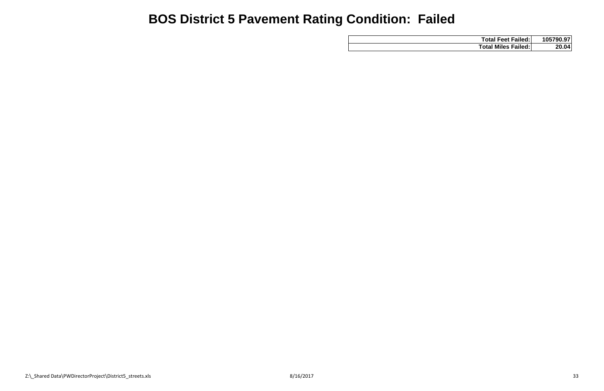| <b>Total Feet Failed:</b>  | 105790.97    |
|----------------------------|--------------|
| <b>Total Miles Failed:</b> | <b>20.04</b> |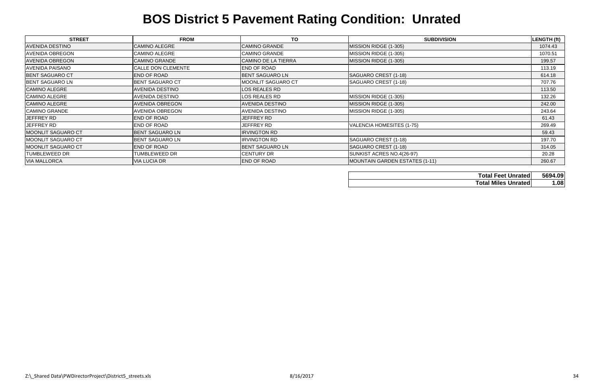| <b>STREET</b>          | <b>FROM</b>            | <b>TO</b>                  | <b>SUBDIVISION</b>             | LENGTH (ft) |
|------------------------|------------------------|----------------------------|--------------------------------|-------------|
| <b>AVENIDA DESTINO</b> | <b>CAMINO ALEGRE</b>   | <b>CAMINO GRANDE</b>       | MISSION RIDGE (1-305)          | 1074.43     |
| <b>AVENIDA OBREGON</b> | <b>CAMINO ALEGRE</b>   | <b>CAMINO GRANDE</b>       | MISSION RIDGE (1-305)          | 1070.51     |
| <b>AVENIDA OBREGON</b> | <b>CAMINO GRANDE</b>   | <b>CAMINO DE LA TIERRA</b> | MISSION RIDGE (1-305)          | 199.57      |
| <b>AVENIDA PAISANO</b> | CALLE DON CLEMENTE     | END OF ROAD                |                                | 113.19      |
| <b>BENT SAGUARO CT</b> | <b>END OF ROAD</b>     | <b>BENT SAGUARO LN</b>     | SAGUARO CREST (1-18)           | 614.18      |
| <b>BENT SAGUARO LN</b> | <b>BENT SAGUARO CT</b> | MOONLIT SAGUARO CT         | SAGUARO CREST (1-18)           | 707.76      |
| <b>CAMINO ALEGRE</b>   | <b>AVENIDA DESTINO</b> | LOS REALES RD              |                                | 113.50      |
| <b>CAMINO ALEGRE</b>   | <b>AVENIDA DESTINO</b> | LOS REALES RD              | MISSION RIDGE (1-305)          | 132.26      |
| <b>CAMINO ALEGRE</b>   | <b>AVENIDA OBREGON</b> | <b>AVENIDA DESTINO</b>     | MISSION RIDGE (1-305)          | 242.00      |
| <b>CAMINO GRANDE</b>   | <b>AVENIDA OBREGON</b> | <b>AVENIDA DESTINO</b>     | MISSION RIDGE (1-305)          | 243.64      |
| JEFFREY RD             | <b>END OF ROAD</b>     | JEFFREY RD                 |                                | 61.43       |
| JEFFREY RD             | <b>END OF ROAD</b>     | JEFFREY RD                 | VALENCIA HOMESITES (1-75)      | 269.49      |
| MOONLIT SAGUARO CT     | <b>BENT SAGUARO LN</b> | <b>IRVINGTON RD</b>        |                                | 59.43       |
| MOONLIT SAGUARO CT     | <b>BENT SAGUARO LN</b> | <b>IRVINGTON RD</b>        | SAGUARO CREST (1-18)           | 197.70      |
| MOONLIT SAGUARO CT     | <b>END OF ROAD</b>     | <b>BENT SAGUARO LN</b>     | SAGUARO CREST (1-18)           | 314.05      |
| <b>TUMBLEWEED DR</b>   | TUMBLEWEED DR          | <b>CENTURY DR</b>          | SUNKIST ACRES NO.4(26-97)      | 20.28       |
| <b>VIA MALLORCA</b>    | <b>VIA LUCIA DR</b>    | <b>END OF ROAD</b>         | MOUNTAIN GARDEN ESTATES (1-11) | 260.67      |

| <b>Total Feet Unrated</b>  | 5694.09 |
|----------------------------|---------|
| <b>Total Miles Unrated</b> | 1.08    |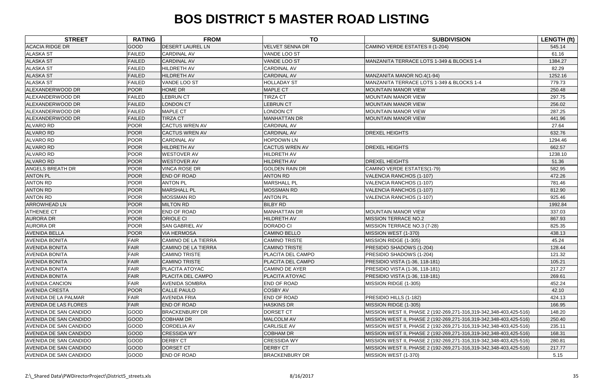| <b>STREET</b>                 | <b>RATING</b> | <b>FROM</b>                | <b>TO</b>              | <b>SUBDIVISION</b>                                                 | <b>LENGTH (ft)</b> |
|-------------------------------|---------------|----------------------------|------------------------|--------------------------------------------------------------------|--------------------|
| <b>ACACIA RIDGE DR</b>        | <b>GOOD</b>   | <b>DESERT LAUREL LN</b>    | <b>VELVET SENNA DR</b> | CAMINO VERDE ESTATES II (1-204)                                    | 545.14             |
| <b>ALASKA ST</b>              | <b>FAILED</b> | <b>CARDINAL AV</b>         | VANDE LOO ST           |                                                                    | 61.16              |
| <b>ALASKA ST</b>              | <b>FAILED</b> | <b>CARDINAL AV</b>         | <b>VANDE LOO ST</b>    | MANZANITA TERRACE LOTS 1-349 & BLOCKS 1-4                          | 1384.27            |
| <b>ALASKA ST</b>              | <b>FAILED</b> | <b>HILDRETH AV</b>         | <b>CARDINAL AV</b>     |                                                                    | 82.29              |
| <b>ALASKA ST</b>              | <b>FAILED</b> | <b>HILDRETH AV</b>         | <b>CARDINAL AV</b>     | MANZANITA MANOR NO.4(1-94)                                         | 1252.16            |
| <b>ALASKA ST</b>              | <b>FAILED</b> | VANDE LOO ST               | <b>HOLLADAY ST</b>     | MANZANITA TERRACE LOTS 1-349 & BLOCKS 1-4                          | 779.73             |
| ALEXANDERWOOD DR              | <b>POOR</b>   | <b>HOME DR</b>             | <b>MAPLE CT</b>        | <b>MOUNTAIN MANOR VIEW</b>                                         | 250.48             |
| ALEXANDERWOOD DR              | <b>FAILED</b> | <b>LEBRUN CT</b>           | <b>TIRZA CT</b>        | <b>MOUNTAIN MANOR VIEW</b>                                         | 297.75             |
| ALEXANDERWOOD DR              | <b>FAILED</b> | <b>LONDON CT</b>           | <b>LEBRUN CT</b>       | <b>MOUNTAIN MANOR VIEW</b>                                         | 256.02             |
| ALEXANDERWOOD DR              | <b>FAILED</b> | <b>MAPLE CT</b>            | <b>LONDON CT</b>       | <b>MOUNTAIN MANOR VIEW</b>                                         | 287.25             |
| ALEXANDERWOOD DR              | <b>FAILED</b> | <b>TIRZA CT</b>            | <b>MANHATTAN DR</b>    | <b>MOUNTAIN MANOR VIEW</b>                                         | 441.96             |
| <b>ALVARO RD</b>              | <b>POOR</b>   | <b>CACTUS WREN AV</b>      | <b>CARDINAL AV</b>     |                                                                    | 27.64              |
| <b>ALVARO RD</b>              | <b>POOR</b>   | <b>CACTUS WREN AV</b>      | <b>CARDINAL AV</b>     | <b>DREXEL HEIGHTS</b>                                              | 632.76             |
| <b>ALVARO RD</b>              | <b>POOR</b>   | <b>CARDINAL AV</b>         | <b>HOPDOWN LN</b>      |                                                                    | 1294.46            |
| <b>ALVARO RD</b>              | POOR          | <b>HILDRETH AV</b>         | <b>CACTUS WREN AV</b>  | <b>DREXEL HEIGHTS</b>                                              | 662.57             |
| <b>ALVARO RD</b>              | <b>POOR</b>   | <b>WESTOVER AV</b>         | HILDRETH AV            |                                                                    | 1238.10            |
| <b>ALVARO RD</b>              | <b>POOR</b>   | <b>WESTOVER AV</b>         | HILDRETH AV            | <b>DREXEL HEIGHTS</b>                                              | 51.36              |
| <b>ANGELS BREATH DR</b>       | <b>POOR</b>   | <b>VINCA ROSE DR</b>       | <b>GOLDEN RAIN DR</b>  | CAMINO VERDE ESTATES(1-79)                                         | 582.95             |
| <b>ANTON PL</b>               | <b>POOR</b>   | <b>END OF ROAD</b>         | <b>ANTON RD</b>        | VALENCIA RANCHOS (1-107)                                           | 472.26             |
| <b>ANTON RD</b>               | POOR          | <b>ANTON PL</b>            | <b>MARSHALL PL</b>     | VALENCIA RANCHOS (1-107)                                           | 781.46             |
| <b>ANTON RD</b>               | POOR          | <b>MARSHALL PL</b>         | <b>MOSSMAN RD</b>      | VALENCIA RANCHOS (1-107)                                           | 812.90             |
| <b>ANTON RD</b>               | <b>POOR</b>   | <b>MOSSMAN RD</b>          | <b>ANTON PL</b>        | VALENCIA RANCHOS (1-107)                                           | 925.46             |
| <b>ARROWHEAD LN</b>           | <b>POOR</b>   | <b>MILTON RD</b>           | <b>BILBY RD</b>        |                                                                    | 1992.84            |
| <b>ATHENEE CT</b>             | <b>POOR</b>   | <b>END OF ROAD</b>         | <b>MANHATTAN DR</b>    | <b>MOUNTAIN MANOR VIEW</b>                                         | 337.03             |
| <b>AURORA DR</b>              | <b>POOR</b>   | <b>ORIOLE CI</b>           | HILDRETH AV            | <b>MISSION TERRACE NO.2</b>                                        | 867.93             |
| <b>AURORA DR</b>              | <b>POOR</b>   | <b>SAN GABRIEL AV</b>      | <b>DORADO CI</b>       | MISSION TERRACE NO.3 (7-28)                                        | 825.35             |
| <b>AVENIDA BELLA</b>          | <b>POOR</b>   | <b>VIA HERMOSA</b>         | <b>CAMINO BELLO</b>    | MISSION WEST (1-370)                                               | 438.13             |
| <b>AVENIDA BONITA</b>         | <b>FAIR</b>   | <b>CAMINO DE LA TIERRA</b> | <b>CAMINO TRISTE</b>   | MISSION RIDGE (1-305)                                              | 45.24              |
| <b>AVENIDA BONITA</b>         | <b>FAIR</b>   | <b>CAMINO DE LA TIERRA</b> | <b>CAMINO TRISTE</b>   | PRESIDIO SHADOWS (1-204)                                           | 128.44             |
| <b>AVENIDA BONITA</b>         | <b>FAIR</b>   | <b>CAMINO TRISTE</b>       | PLACITA DEL CAMPO      | PRESIDIO SHADOWS (1-204)                                           | 121.32             |
| <b>AVENIDA BONITA</b>         | <b>FAIR</b>   | <b>CAMINO TRISTE</b>       | PLACITA DEL CAMPO      | PRESIDIO VISTA (1-36, 118-181)                                     | 105.21             |
| <b>AVENIDA BONITA</b>         | <b>FAIR</b>   | PLACITA ATOYAC             | <b>CAMINO DE AYER</b>  | PRESIDIO VISTA (1-36, 118-181)                                     | 217.27             |
| <b>AVENIDA BONITA</b>         | FAIR          | PLACITA DEL CAMPO          | PLACITA ATOYAC         | PRESIDIO VISTA (1-36, 118-181)                                     | 269.61             |
| <b>AVENIDA CANCION</b>        | <b>FAIR</b>   | <b>AVENIDA SOMBRA</b>      | <b>END OF ROAD</b>     | MISSION RIDGE (1-305)                                              | 452.24             |
| <b>AVENIDA CRESTA</b>         | <b>POOR</b>   | <b>CALLE PAULO</b>         | <b>COSBY AV</b>        |                                                                    | 42.10              |
| <b>AVENIDA DE LA PALMAR</b>   | <b>FAIR</b>   | <b>AVENIDA FRIA</b>        | <b>END OF ROAD</b>     | PRESIDIO HILLS (1-182)                                             | 424.13             |
| <b>AVENIDA DE LAS FLORES</b>  | <b>FAIR</b>   | <b>END OF ROAD</b>         | <b>HASKINS DR</b>      | MISSION RIDGE (1-305)                                              | 166.95             |
| <b>AVENIDA DE SAN CANDIDO</b> | GOOD          | <b>BRACKENBURY DR</b>      | <b>DORSET CT</b>       | MISSION WEST II, PHASE 2 (192-269,271-316,319-342,348-403,425-516) | 148.20             |
| <b>AVENIDA DE SAN CANDIDO</b> | <b>GOOD</b>   | <b>COBHAM DR</b>           | MALCOLM AV             | MISSION WEST II, PHASE 2 (192-269,271-316,319-342,348-403,425-516) | 250.40             |
| <b>AVENIDA DE SAN CANDIDO</b> | <b>GOOD</b>   | <b>CORDELIA AV</b>         | <b>CARLISLE AV</b>     | MISSION WEST II, PHASE 2 (192-269,271-316,319-342,348-403,425-516) | 235.11             |
| <b>AVENIDA DE SAN CANDIDO</b> | <b>GOOD</b>   | <b>CRESSIDA WY</b>         | <b>COBHAM DR</b>       | MISSION WEST II, PHASE 2 (192-269,271-316,319-342,348-403,425-516) | 168.31             |
| <b>AVENIDA DE SAN CANDIDO</b> | <b>GOOD</b>   | <b>DERBY CT</b>            | <b>CRESSIDA WY</b>     | MISSION WEST II, PHASE 2 (192-269,271-316,319-342,348-403,425-516) | 280.81             |
| <b>AVENIDA DE SAN CANDIDO</b> | <b>GOOD</b>   | <b>DORSET CT</b>           | <b>DERBY CT</b>        | MISSION WEST II, PHASE 2 (192-269,271-316,319-342,348-403,425-516) | 217.77             |
| <b>AVENIDA DE SAN CANDIDO</b> | <b>GOOD</b>   | <b>END OF ROAD</b>         | <b>BRACKENBURY DR</b>  | MISSION WEST (1-370)                                               | 5.15               |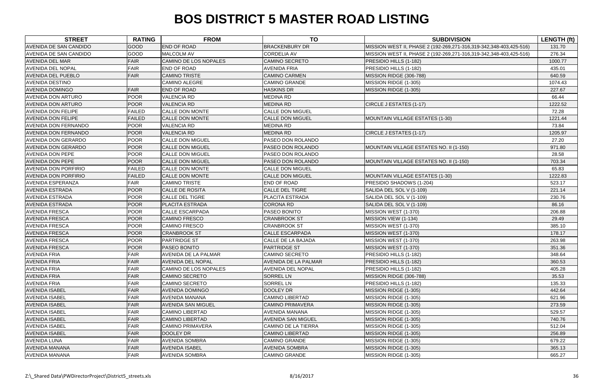| <b>STREET</b>                 | <b>RATING</b> | <b>FROM</b>               | <b>TO</b>                   | <b>SUBDIVISION</b>                                                 | <b>LENGTH (ft)</b> |
|-------------------------------|---------------|---------------------------|-----------------------------|--------------------------------------------------------------------|--------------------|
| AVENIDA DE SAN CANDIDO        | <b>GOOD</b>   | <b>END OF ROAD</b>        | <b>BRACKENBURY DR</b>       | MISSION WEST II, PHASE 2 (192-269,271-316,319-342,348-403,425-516) | 131.70             |
| <b>AVENIDA DE SAN CANDIDO</b> | GOOD          | <b>MALCOLM AV</b>         | <b>CORDELIA AV</b>          | MISSION WEST II, PHASE 2 (192-269,271-316,319-342,348-403,425-516) | 276.34             |
| <b>AVENIDA DEL MAR</b>        | <b>FAIR</b>   | CAMINO DE LOS NOPALES     | <b>CAMINO SECRETO</b>       | PRESIDIO HILLS (1-182)                                             | 1000.77            |
| <b>AVENIDA DEL NOPAL</b>      | <b>FAIR</b>   | END OF ROAD               | <b>AVENIDA FRIA</b>         | PRESIDIO HILLS (1-182)                                             | 435.01             |
| <b>AVENIDA DEL PUEBLO</b>     | <b>FAIR</b>   | <b>CAMINO TRISTE</b>      | <b>CAMINO CARMEN</b>        | MISSION RIDGE (306-788)                                            | 640.59             |
| <b>AVENIDA DESTINO</b>        |               | <b>CAMINO ALEGRE</b>      | <b>CAMINO GRANDE</b>        | MISSION RIDGE (1-305)                                              | 1074.43            |
| <b>AVENIDA DOMINGO</b>        | <b>FAIR</b>   | <b>END OF ROAD</b>        | <b>HASKINS DR</b>           | MISSION RIDGE (1-305)                                              | 227.67             |
| <b>AVENIDA DON ARTURO</b>     | <b>POOR</b>   | <b>VALENCIA RD</b>        | <b>MEDINA RD</b>            |                                                                    | 66.44              |
| <b>AVENIDA DON ARTURO</b>     | <b>POOR</b>   | <b>VALENCIA RD</b>        | <b>MEDINA RD</b>            | CIRCLE J ESTATES (1-17)                                            | 1222.52            |
| <b>AVENIDA DON FELIPE</b>     | <b>FAILED</b> | CALLE DON MONTE           | <b>CALLE DON MIGUEL</b>     |                                                                    | 72.28              |
| <b>AVENIDA DON FELIPE</b>     | <b>FAILED</b> | <b>CALLE DON MONTE</b>    | <b>CALLE DON MIGUEL</b>     | MOUNTAIN VILLAGE ESTATES (1-30)                                    | 1221.44            |
| <b>AVENIDA DON FERNANDO</b>   | <b>POOR</b>   | <b>VALENCIA RD</b>        | <b>MEDINA RD</b>            |                                                                    | 73.84              |
| <b>AVENIDA DON FERNANDO</b>   | <b>POOR</b>   | <b>VALENCIA RD</b>        | <b>MEDINA RD</b>            | CIRCLE J ESTATES (1-17)                                            | 1205.97            |
| <b>AVENIDA DON GERARDO</b>    | <b>POOR</b>   | <b>CALLE DON MIGUEL</b>   | PASEO DON ROLANDO           |                                                                    | 27.20              |
| <b>AVENIDA DON GERARDO</b>    | <b>POOR</b>   | <b>CALLE DON MIGUEL</b>   | PASEO DON ROLANDO           | MOUNTAIN VILLAGE ESTATES NO. II (1-150)                            | 971.80             |
| <b>AVENIDA DON PEPE</b>       | <b>POOR</b>   | <b>CALLE DON MIGUEL</b>   | PASEO DON ROLANDO           |                                                                    | 28.58              |
| <b>AVENIDA DON PEPE</b>       | <b>POOR</b>   | <b>CALLE DON MIGUEL</b>   | PASEO DON ROLANDO           | MOUNTAIN VILLAGE ESTATES NO. II (1-150)                            | 703.34             |
| <b>AVENIDA DON PORFIRIO</b>   | <b>FAILED</b> | <b>CALLE DON MONTE</b>    | <b>CALLE DON MIGUEL</b>     |                                                                    | 65.83              |
| <b>AVENIDA DON PORFIRIO</b>   | <b>FAILED</b> | <b>CALLE DON MONTE</b>    | <b>CALLE DON MIGUEL</b>     | MOUNTAIN VILLAGE ESTATES (1-30)                                    | 1222.83            |
| <b>AVENIDA ESPERANZA</b>      | <b>FAIR</b>   | <b>CAMINO TRISTE</b>      | <b>END OF ROAD</b>          | PRESIDIO SHADOWS (1-204)                                           | 523.17             |
| <b>AVENIDA ESTRADA</b>        | <b>POOR</b>   | <b>CALLE DE ROSITA</b>    | <b>CALLE DEL TIGRE</b>      | SALIDA DEL SOL V (1-109)                                           | 221.14             |
| <b>AVENIDA ESTRADA</b>        | <b>POOR</b>   | <b>CALLE DEL TIGRE</b>    | <b>PLACITA ESTRADA</b>      | SALIDA DEL SOL V (1-109)                                           | 230.76             |
| <b>AVENIDA ESTRADA</b>        | <b>POOR</b>   | PLACITA ESTRADA           | <b>CORONA RD</b>            | SALIDA DEL SOL V (1-109)                                           | 86.16              |
| <b>AVENIDA FRESCA</b>         | <b>POOR</b>   | <b>CALLE ESCARPADA</b>    | PASEO BONITO                | MISSION WEST (1-370)                                               | 206.88             |
| <b>AVENIDA FRESCA</b>         | <b>POOR</b>   | <b>CAMINO FRESCO</b>      | <b>CRANBROOK ST</b>         | MISSION VIEW (1-134)                                               | 29.49              |
| <b>AVENIDA FRESCA</b>         | <b>POOR</b>   | <b>CAMINO FRESCO</b>      | <b>CRANBROOK ST</b>         | MISSION WEST (1-370)                                               | 385.10             |
| <b>AVENIDA FRESCA</b>         | <b>POOR</b>   | <b>CRANBROOK ST</b>       | <b>CALLE ESCARPADA</b>      | MISSION WEST (1-370)                                               | 178.17             |
| <b>AVENIDA FRESCA</b>         | <b>POOR</b>   | <b>PARTRIDGE ST</b>       | CALLE DE LA BAJADA          | MISSION WEST (1-370)                                               | 263.98             |
| <b>AVENIDA FRESCA</b>         | <b>POOR</b>   | PASEO BONITO              | <b>PARTRIDGE ST</b>         | MISSION WEST (1-370)                                               | 351.36             |
| <b>AVENIDA FRIA</b>           | <b>FAIR</b>   | AVENIDA DE LA PALMAR      | <b>CAMINO SECRETO</b>       | PRESIDIO HILLS (1-182)                                             | 348.64             |
| <b>AVENIDA FRIA</b>           | <b>FAIR</b>   | <b>AVENIDA DEL NOPAL</b>  | <b>AVENIDA DE LA PALMAR</b> | PRESIDIO HILLS (1-182)                                             | 360.53             |
| <b>AVENIDA FRIA</b>           | <b>FAIR</b>   | CAMINO DE LOS NOPALES     | <b>AVENIDA DEL NOPAL</b>    | PRESIDIO HILLS (1-182)                                             | 405.28             |
| <b>AVENIDA FRIA</b>           | <b>FAIR</b>   | <b>CAMINO SECRETO</b>     | <b>SORREL LN</b>            | MISSION RIDGE (306-788)                                            | 35.53              |
| <b>AVENIDA FRIA</b>           | <b>FAIR</b>   | <b>CAMINO SECRETO</b>     | <b>SORREL LN</b>            | PRESIDIO HILLS (1-182)                                             | 135.33             |
| <b>AVENIDA ISABEL</b>         | <b>FAIR</b>   | <b>AVENIDA DOMINGO</b>    | <b>DOOLEY DR</b>            | MISSION RIDGE (1-305)                                              | 442.64             |
| <b>AVENIDA ISABEL</b>         | <b>FAIR</b>   | <b>AVENIDA MANANA</b>     | <b>CAMINO LIBERTAD</b>      | MISSION RIDGE (1-305)                                              | 621.96             |
| <b>AVENIDA ISABEL</b>         | <b>FAIR</b>   | <b>AVENIDA SAN MIGUEL</b> | <b>CAMINO PRIMAVERA</b>     | MISSION RIDGE (1-305)                                              | 273.59             |
| <b>AVENIDA ISABEL</b>         | <b>FAIR</b>   | <b>CAMINO LIBERTAD</b>    | <b>AVENIDA MANANA</b>       | MISSION RIDGE (1-305)                                              | 529.57             |
| <b>AVENIDA ISABEL</b>         | <b>FAIR</b>   | <b>CAMINO LIBERTAD</b>    | <b>AVENIDA SAN MIGUEL</b>   | MISSION RIDGE (1-305)                                              | 740.76             |
| <b>AVENIDA ISABEL</b>         | <b>FAIR</b>   | <b>CAMINO PRIMAVERA</b>   | <b>CAMINO DE LA TIERRA</b>  | MISSION RIDGE (1-305)                                              | 512.04             |
| <b>AVENIDA ISABEL</b>         | <b>FAIR</b>   | <b>DOOLEY DR</b>          | <b>CAMINO LIBERTAD</b>      | MISSION RIDGE (1-305)                                              | 256.89             |
| <b>AVENIDA LUNA</b>           | <b>FAIR</b>   | <b>AVENIDA SOMBRA</b>     | <b>CAMINO GRANDE</b>        | MISSION RIDGE (1-305)                                              | 679.22             |
| <b>AVENIDA MANANA</b>         | <b>FAIR</b>   | <b>AVENIDA ISABEL</b>     | <b>AVENIDA SOMBRA</b>       | MISSION RIDGE (1-305)                                              | 365.13             |
| <b>AVENIDA MANANA</b>         | <b>FAIR</b>   | <b>AVENIDA SOMBRA</b>     | <b>CAMINO GRANDE</b>        | MISSION RIDGE (1-305)                                              | 665.27             |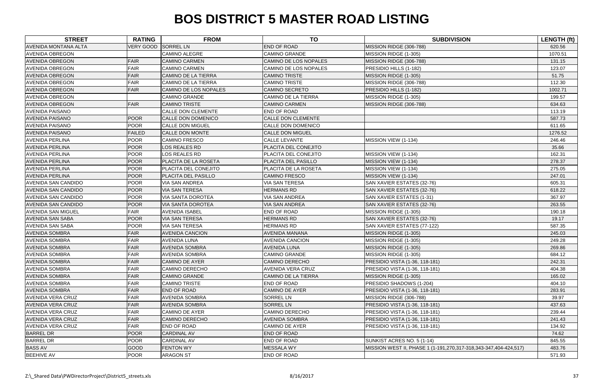| <b>STREET</b>               | <b>RATING</b>    | <b>FROM</b>                | <b>TO</b>                  | <b>SUBDIVISION</b>                                               | <b>LENGTH (ft)</b> |
|-----------------------------|------------------|----------------------------|----------------------------|------------------------------------------------------------------|--------------------|
| <b>AVENIDA MONTANA ALTA</b> | <b>VERY GOOD</b> | <b>SORREL LN</b>           | <b>END OF ROAD</b>         | MISSION RIDGE (306-788)                                          | 620.56             |
| <b>AVENIDA OBREGON</b>      |                  | CAMINO ALEGRE              | <b>CAMINO GRANDE</b>       | MISSION RIDGE (1-305)                                            | 1070.51            |
| <b>AVENIDA OBREGON</b>      | FAIR             | <b>CAMINO CARMEN</b>       | CAMINO DE LOS NOPALES      | MISSION RIDGE (306-788)                                          | 131.15             |
| <b>AVENIDA OBREGON</b>      | <b>FAIR</b>      | <b>CAMINO CARMEN</b>       | CAMINO DE LOS NOPALES      | PRESIDIO HILLS (1-182)                                           | 123.07             |
| <b>AVENIDA OBREGON</b>      | <b>FAIR</b>      | <b>CAMINO DE LA TIERRA</b> | <b>CAMINO TRISTE</b>       | MISSION RIDGE (1-305)                                            | 51.75              |
| <b>AVENIDA OBREGON</b>      | <b>FAIR</b>      | CAMINO DE LA TIERRA        | <b>CAMINO TRISTE</b>       | MISSION RIDGE (306-788)                                          | 112.30             |
| <b>AVENIDA OBREGON</b>      | <b>FAIR</b>      | CAMINO DE LOS NOPALES      | <b>CAMINO SECRETO</b>      | PRESIDIO HILLS (1-182)                                           | 1002.71            |
| <b>AVENIDA OBREGON</b>      |                  | <b>CAMINO GRANDE</b>       | CAMINO DE LA TIERRA        | MISSION RIDGE (1-305)                                            | 199.57             |
| <b>AVENIDA OBREGON</b>      | <b>FAIR</b>      | <b>CAMINO TRISTE</b>       | <b>CAMINO CARMEN</b>       | MISSION RIDGE (306-788)                                          | 634.63             |
| <b>AVENIDA PAISANO</b>      |                  | <b>CALLE DON CLEMENTE</b>  | <b>END OF ROAD</b>         |                                                                  | 113.19             |
| <b>AVENIDA PAISANO</b>      | <b>POOR</b>      | CALLE DON DOMENICO         | <b>CALLE DON CLEMENTE</b>  |                                                                  | 587.73             |
| <b>AVENIDA PAISANO</b>      | <b>POOR</b>      | <b>CALLE DON MIGUEL</b>    | CALLE DON DOMENICO         |                                                                  | 611.65             |
| <b>AVENIDA PAISANO</b>      | <b>FAILED</b>    | CALLE DON MONTE            | <b>CALLE DON MIGUEL</b>    |                                                                  | 1276.52            |
| <b>AVENIDA PERLINA</b>      | <b>POOR</b>      | CAMINO FRESCO              | <b>CALLE LEVANTE</b>       | MISSION VIEW (1-134)                                             | 246.46             |
| <b>AVENIDA PERLINA</b>      | <b>POOR</b>      | LOS REALES RD              | PLACITA DEL CONEJITO       |                                                                  | 35.66              |
| <b>AVENIDA PERLINA</b>      | <b>POOR</b>      | LOS REALES RD              | PLACITA DEL CONEJITO       | MISSION VIEW (1-134)                                             | 162.31             |
| <b>AVENIDA PERLINA</b>      | <b>POOR</b>      | PLACITA DE LA ROSETA       | PLACITA DEL PASILLO        | MISSION VIEW (1-134)                                             | 278.37             |
| <b>AVENIDA PERLINA</b>      | <b>POOR</b>      | PLACITA DEL CONEJITO       | PLACITA DE LA ROSETA       | MISSION VIEW (1-134)                                             | 275.05             |
| <b>AVENIDA PERLINA</b>      | <b>POOR</b>      | PLACITA DEL PASILLO        | <b>CAMINO FRESCO</b>       | MISSION VIEW (1-134)                                             | 247.01             |
| <b>AVENIDA SAN CANDIDO</b>  | <b>POOR</b>      | <b>VIA SAN ANDREA</b>      | <b>VIA SAN TERESA</b>      | SAN XAVIER ESTATES (32-76)                                       | 605.31             |
| <b>AVENIDA SAN CANDIDO</b>  | <b>POOR</b>      | <b>VIA SAN TERESA</b>      | <b>HERMANS RD</b>          | SAN XAVIER ESTATES (32-76)                                       | 618.22             |
| <b>AVENIDA SAN CANDIDO</b>  | <b>POOR</b>      | <b>VIA SANTA DOROTEA</b>   | <b>VIA SAN ANDREA</b>      | SAN XAVIER ESTATES (1-31)                                        | 367.97             |
| <b>AVENIDA SAN CANDIDO</b>  | <b>POOR</b>      | VIA SANTA DOROTEA          | <b>VIA SAN ANDREA</b>      | SAN XAVIER ESTATES (32-76)                                       | 263.55             |
| <b>AVENIDA SAN MIGUEL</b>   | <b>FAIR</b>      | <b>AVENIDA ISABEL</b>      | END OF ROAD                | MISSION RIDGE (1-305)                                            | 190.18             |
| <b>AVENIDA SAN SABA</b>     | <b>POOR</b>      | <b>VIA SAN TERESA</b>      | <b>HERMANS RD</b>          | SAN XAVIER ESTATES (32-76)                                       | 19.17              |
| <b>AVENIDA SAN SABA</b>     | <b>POOR</b>      | <b>VIA SAN TERESA</b>      | <b>HERMANS RD</b>          | SAN XAVIER ESTATES (77-122)                                      | 587.35             |
| <b>AVENIDA SOMBRA</b>       | <b>FAIR</b>      | <b>AVENIDA CANCION</b>     | <b>AVENIDA MANANA</b>      | MISSION RIDGE (1-305)                                            | 245.03             |
| <b>AVENIDA SOMBRA</b>       | <b>FAIR</b>      | AVENIDA LUNA               | <b>AVENIDA CANCION</b>     | MISSION RIDGE (1-305)                                            | 249.28             |
| <b>AVENIDA SOMBRA</b>       | <b>FAIR</b>      | <b>AVENIDA SOMBRA</b>      | <b>AVENIDA LUNA</b>        | MISSION RIDGE (1-305)                                            | 269.86             |
| <b>AVENIDA SOMBRA</b>       | <b>FAIR</b>      | <b>AVENIDA SOMBRA</b>      | <b>CAMINO GRANDE</b>       | MISSION RIDGE (1-305)                                            | 684.12             |
| <b>AVENIDA SOMBRA</b>       | <b>FAIR</b>      | <b>CAMINO DE AYER</b>      | <b>CAMINO DERECHO</b>      | PRESIDIO VISTA (1-36, 118-181)                                   | 242.31             |
| <b>AVENIDA SOMBRA</b>       | <b>FAIR</b>      | CAMINO DERECHO             | <b>AVENIDA VERA CRUZ</b>   | PRESIDIO VISTA (1-36, 118-181)                                   | 404.38             |
| <b>AVENIDA SOMBRA</b>       | <b>FAIR</b>      | <b>CAMINO GRANDE</b>       | <b>CAMINO DE LA TIERRA</b> | MISSION RIDGE (1-305)                                            | 165.02             |
| <b>AVENIDA SOMBRA</b>       | <b>FAIR</b>      | <b>CAMINO TRISTE</b>       | <b>END OF ROAD</b>         | PRESIDIO SHADOWS (1-204)                                         | 404.10             |
| <b>AVENIDA SOMBRA</b>       | <b>FAIR</b>      | <b>END OF ROAD</b>         | <b>CAMINO DE AYER</b>      | <b>PRESIDIO VISTA (1-36, 118-181)</b>                            | 283.91             |
| <b>AVENIDA VERA CRUZ</b>    | <b>FAIR</b>      | <b>AVENIDA SOMBRA</b>      | <b>SORREL LN</b>           | MISSION RIDGE (306-788)                                          | 39.97              |
| <b>AVENIDA VERA CRUZ</b>    | FAIR             | <b>AVENIDA SOMBRA</b>      | <b>SORREL LN</b>           | PRESIDIO VISTA (1-36, 118-181)                                   | 437.63             |
| <b>AVENIDA VERA CRUZ</b>    | <b>FAIR</b>      | <b>CAMINO DE AYER</b>      | <b>CAMINO DERECHO</b>      | PRESIDIO VISTA (1-36, 118-181)                                   | 239.44             |
| <b>AVENIDA VERA CRUZ</b>    | FAIR             | <b>CAMINO DERECHO</b>      | <b>AVENIDA SOMBRA</b>      | PRESIDIO VISTA (1-36, 118-181)                                   | 241.43             |
| <b>AVENIDA VERA CRUZ</b>    | <b>FAIR</b>      | END OF ROAD                | <b>CAMINO DE AYER</b>      | PRESIDIO VISTA (1-36, 118-181)                                   | 134.92             |
| <b>BARREL DR</b>            | <b>POOR</b>      | <b>CARDINAL AV</b>         | <b>END OF ROAD</b>         |                                                                  | 74.62              |
| <b>BARREL DR</b>            | <b>POOR</b>      | <b>CARDINAL AV</b>         | END OF ROAD                | SUNKIST ACRES NO. 5 (1-14)                                       | 845.55             |
| <b>BASS AV</b>              | <b>GOOD</b>      | <b>FENTON WY</b>           | <b>MESSALA WY</b>          | MISSION WEST II, PHASE 1 (1-191,270,317-318,343-347,404-424,517) | 483.76             |
| <b>BEEHIVE AV</b>           | <b>POOR</b>      | ARAGON ST                  | <b>END OF ROAD</b>         |                                                                  | 571.93             |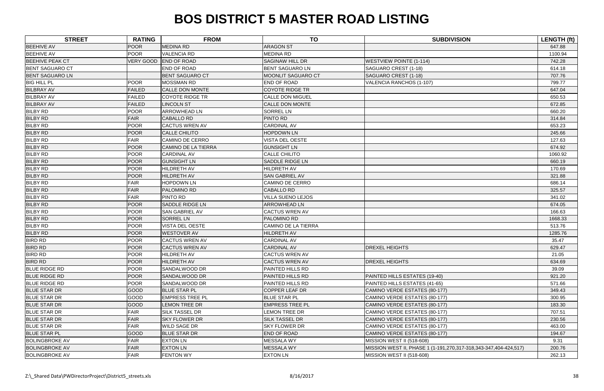| <b>STREET</b>          | <b>RATING</b> | <b>FROM</b>                | <b>TO</b>                  | <b>SUBDIVISION</b>                                               | LENGTH (ft) |
|------------------------|---------------|----------------------------|----------------------------|------------------------------------------------------------------|-------------|
| <b>BEEHIVE AV</b>      | <b>POOR</b>   | <b>MEDINA RD</b>           | <b>ARAGON ST</b>           |                                                                  | 647.88      |
| <b>BEEHIVE AV</b>      | <b>POOR</b>   | <b>VALENCIA RD</b>         | <b>MEDINA RD</b>           |                                                                  | 1100.94     |
| <b>BEEHIVE PEAK CT</b> | VERY GOOD     | <b>END OF ROAD</b>         | <b>SAGINAW HILL DR</b>     | <b>WESTVIEW POINTE (1-114)</b>                                   | 742.28      |
| <b>BENT SAGUARO CT</b> |               | END OF ROAD                | <b>BENT SAGUARO LN</b>     | SAGUARO CREST (1-18)                                             | 614.18      |
| <b>BENT SAGUARO LN</b> |               | <b>BENT SAGUARO CT</b>     | MOONLIT SAGUARO CT         | SAGUARO CREST (1-18)                                             | 707.76      |
| <b>BIG HILL PL</b>     | <b>POOR</b>   | <b>MOSSMAN RD</b>          | END OF ROAD                | VALENCIA RANCHOS (1-107)                                         | 799.77      |
| <b>BILBRAY AV</b>      | <b>FAILED</b> | <b>CALLE DON MONTE</b>     | <b>COYOTE RIDGE TR</b>     |                                                                  | 647.04      |
| <b>BILBRAY AV</b>      | <b>FAILED</b> | <b>COYOTE RIDGE TR</b>     | <b>CALLE DON MIGUEL</b>    |                                                                  | 650.53      |
| <b>BILBRAY AV</b>      | <b>FAILED</b> | <b>LINCOLN ST</b>          | <b>CALLE DON MONTE</b>     |                                                                  | 672.85      |
| <b>BILBY RD</b>        | <b>POOR</b>   | <b>ARROWHEAD LN</b>        | <b>SORREL LN</b>           |                                                                  | 660.20      |
| <b>BILBY RD</b>        | <b>FAIR</b>   | <b>CABALLO RD</b>          | PINTO RD                   |                                                                  | 314.84      |
| <b>BILBY RD</b>        | <b>POOR</b>   | <b>CACTUS WREN AV</b>      | <b>CARDINAL AV</b>         |                                                                  | 653.23      |
| <b>BILBY RD</b>        | <b>POOR</b>   | <b>CALLE CHILITO</b>       | <b>HOPDOWN LN</b>          |                                                                  | 245.66      |
| <b>BILBY RD</b>        | <b>FAIR</b>   | <b>CAMINO DE CERRO</b>     | <b>VISTA DEL OESTE</b>     |                                                                  | 127.63      |
| <b>BILBY RD</b>        | <b>POOR</b>   | <b>CAMINO DE LA TIERRA</b> | <b>GUNSIGHT LN</b>         |                                                                  | 674.92      |
| <b>BILBY RD</b>        | <b>POOR</b>   | <b>CARDINAL AV</b>         | <b>CALLE CHILITO</b>       |                                                                  | 1060.92     |
| <b>BILBY RD</b>        | <b>POOR</b>   | <b>GUNSIGHT LN</b>         | <b>SADDLE RIDGE LN</b>     |                                                                  | 660.19      |
| <b>BILBY RD</b>        | <b>POOR</b>   | HILDRETH AV                | HILDRETH AV                |                                                                  | 170.69      |
| <b>BILBY RD</b>        | <b>POOR</b>   | <b>HILDRETH AV</b>         | <b>SAN GABRIEL AV</b>      |                                                                  | 321.88      |
| <b>BILBY RD</b>        | <b>FAIR</b>   | <b>HOPDOWN LN</b>          | <b>CAMINO DE CERRO</b>     |                                                                  | 686.14      |
| <b>BILBY RD</b>        | <b>FAIR</b>   | PALOMINO RD                | <b>CABALLO RD</b>          |                                                                  | 325.57      |
| <b>BILBY RD</b>        | <b>FAIR</b>   | PINTO RD                   | <b>VILLA SUENO LEJOS</b>   |                                                                  | 341.02      |
| <b>BILBY RD</b>        | <b>POOR</b>   | <b>SADDLE RIDGE LN</b>     | <b>ARROWHEAD LN</b>        |                                                                  | 674.05      |
| <b>BILBY RD</b>        | <b>POOR</b>   | <b>SAN GABRIEL AV</b>      | <b>CACTUS WREN AV</b>      |                                                                  | 166.63      |
| <b>BILBY RD</b>        | <b>POOR</b>   | <b>SORREL LN</b>           | PALOMINO RD                |                                                                  | 1668.33     |
| <b>BILBY RD</b>        | <b>POOR</b>   | <b>VISTA DEL OESTE</b>     | <b>CAMINO DE LA TIERRA</b> |                                                                  | 513.76      |
| <b>BILBY RD</b>        | <b>POOR</b>   | <b>WESTOVER AV</b>         | <b>HILDRETH AV</b>         |                                                                  | 1285.76     |
| <b>BIRD RD</b>         | <b>POOR</b>   | <b>CACTUS WREN AV</b>      | <b>CARDINAL AV</b>         |                                                                  | 35.47       |
| <b>BIRD RD</b>         | <b>POOR</b>   | <b>CACTUS WREN AV</b>      | <b>CARDINAL AV</b>         | <b>DREXEL HEIGHTS</b>                                            | 629.47      |
| <b>BIRD RD</b>         | <b>POOR</b>   | <b>HILDRETH AV</b>         | <b>CACTUS WREN AV</b>      |                                                                  | 21.05       |
| <b>BIRD RD</b>         | <b>POOR</b>   | <b>HILDRETH AV</b>         | <b>CACTUS WREN AV</b>      | <b>DREXEL HEIGHTS</b>                                            | 634.69      |
| <b>BLUE RIDGE RD</b>   | <b>POOR</b>   | SANDALWOOD DR              | PAINTED HILLS RD           |                                                                  | 39.09       |
| <b>BLUE RIDGE RD</b>   | <b>POOR</b>   | <b>SANDALWOOD DR</b>       | PAINTED HILLS RD           | PAINTED HILLS ESTATES (19-40)                                    | 921.20      |
| <b>BLUE RIDGE RD</b>   | <b>POOR</b>   | <b>SANDALWOOD DR</b>       | <b>PAINTED HILLS RD</b>    | PAINTED HILLS ESTATES (41-65)                                    | 571.66      |
| <b>BLUE STAR DR</b>    | GOOD          | <b>BLUE STAR PL</b>        | <b>COPPER LEAF DR</b>      | CAMINO VERDE ESTATES (80-177)                                    | 349.43      |
| <b>BLUE STAR DR</b>    | GOOD          | <b>EMPRESS TREE PL</b>     | <b>BLUE STAR PL</b>        | CAMINO VERDE ESTATES (80-177)                                    | 300.95      |
| <b>BLUE STAR DR</b>    | <b>GOOD</b>   | <b>LEMON TREE DR</b>       | <b>EMPRESS TREE PL</b>     | CAMINO VERDE ESTATES (80-177)                                    | 183.30      |
| <b>BLUE STAR DR</b>    | <b>FAIR</b>   | <b>SILK TASSEL DR</b>      | <b>LEMON TREE DR</b>       | CAMINO VERDE ESTATES (80-177)                                    | 707.51      |
| <b>BLUE STAR DR</b>    | <b>FAIR</b>   | <b>SKY FLOWER DR</b>       | <b>SILK TASSEL DR</b>      | CAMINO VERDE ESTATES (80-177)                                    | 230.56      |
| <b>BLUE STAR DR</b>    | <b>FAIR</b>   | <b>WILD SAGE DR</b>        | <b>SKY FLOWER DR</b>       | CAMINO VERDE ESTATES (80-177)                                    | 463.00      |
| <b>BLUE STAR PL</b>    | <b>GOOD</b>   | <b>BLUE STAR DR</b>        | <b>END OF ROAD</b>         | CAMINO VERDE ESTATES (80-177)                                    | 194.67      |
| <b>BOLINGBROKE AV</b>  | <b>FAIR</b>   | <b>EXTON LN</b>            | <b>MESSALA WY</b>          | MISSION WEST II (518-608)                                        | 9.31        |
| <b>BOLINGBROKE AV</b>  | <b>FAIR</b>   | <b>EXTON LN</b>            | <b>MESSALA WY</b>          | MISSION WEST II, PHASE 1 (1-191,270,317-318,343-347,404-424,517) | 200.76      |
| <b>BOLINGBROKE AV</b>  | <b>FAIR</b>   | FENTON WY                  | <b>EXTON LN</b>            | MISSION WEST II (518-608)                                        | 262.13      |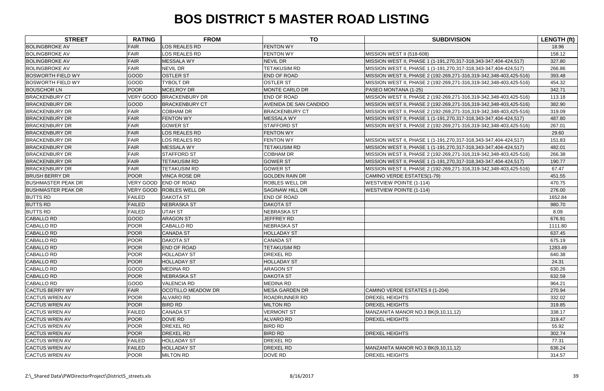| <b>STREET</b>             | <b>RATING</b>    | <b>FROM</b>               | <b>TO</b>              | <b>SUBDIVISION</b>                                                 | <b>LENGTH (ft)</b> |
|---------------------------|------------------|---------------------------|------------------------|--------------------------------------------------------------------|--------------------|
| <b>BOLINGBROKE AV</b>     | FAIR             | <b>LOS REALES RD</b>      | <b>FENTON WY</b>       |                                                                    | 18.96              |
| <b>BOLINGBROKE AV</b>     | FAIR             | LOS REALES RD             | <b>FENTON WY</b>       | <b>MISSION WEST II (518-608)</b>                                   | 158.12             |
| <b>BOLINGBROKE AV</b>     | FAIR             | MESSALA WY                | <b>NEVIL DR</b>        | MISSION WEST II, PHASE 1 (1-191,270,317-318,343-347,404-424,517)   | 327.80             |
| <b>BOLINGBROKE AV</b>     | FAIR             | NEVIL DR                  | <b>TETAKUSIM RD</b>    | MISSION WEST II, PHASE 1 (1-191,270,317-318,343-347,404-424,517)   | 266.86             |
| <b>BOSWORTH FIELD WY</b>  | GOOD             | <b>OSTLER ST</b>          | <b>END OF ROAD</b>     | MISSION WEST II, PHASE 2 (192-269,271-316,319-342,348-403,425-516) | 393.48             |
| <b>BOSWORTH FIELD WY</b>  | GOOD             | TYBOLT DR                 | <b>OSTLER ST</b>       | MISSION WEST II, PHASE 2 (192-269,271-316,319-342,348-403,425-516) | 454.32             |
| <b>BOUSCHOR LN</b>        | POOR             | MCELROY DR                | <b>MONTE CARLO DR</b>  | PASEO MONTANA (1-25)                                               | 342.71             |
| <b>BRACKENBURY CT</b>     | VERY GOOD        | <b>BRACKENBURY DR</b>     | <b>END OF ROAD</b>     | MISSION WEST II, PHASE 2 (192-269,271-316,319-342,348-403,425-516) | 113.18             |
| <b>BRACKENBURY DR</b>     | GOOD             | <b>BRACKENBURY CT</b>     | AVENIDA DE SAN CANDIDO | MISSION WEST II, PHASE 2 (192-269,271-316,319-342,348-403,425-516) | 382.90             |
| <b>BRACKENBURY DR</b>     | FAIR             | <b>COBHAM DR</b>          | <b>BRACKENBURY CT</b>  | MISSION WEST II, PHASE 2 (192-269,271-316,319-342,348-403,425-516) | 319.09             |
| <b>BRACKENBURY DR</b>     | FAIR             | <b>FENTON WY</b>          | <b>MESSALA WY</b>      | MISSION WEST II, PHASE 1 (1-191,270,317-318,343-347,404-424,517)   | 487.80             |
| <b>BRACKENBURY DR</b>     | FAIR             | <b>GOWER ST</b>           | <b>STAFFORD ST</b>     | MISSION WEST II, PHASE 2 (192-269,271-316,319-342,348-403,425-516) | 267.01             |
| <b>BRACKENBURY DR</b>     | FAIR             | <b>LOS REALES RD</b>      | <b>FENTON WY</b>       |                                                                    | 29.60              |
| <b>BRACKENBURY DR</b>     | FAIR             | LOS REALES RD             | <b>FENTON WY</b>       | MISSION WEST II, PHASE 1 (1-191,270,317-318,343-347,404-424,517)   | 151.83             |
| <b>BRACKENBURY DR</b>     | FAIR             | <b>MESSALA WY</b>         | <b>TETAKUSIM RD</b>    | MISSION WEST II, PHASE 1 (1-191,270,317-318,343-347,404-424,517)   | 482.01             |
| <b>BRACKENBURY DR</b>     | FAIR             | <b>STAFFORD ST</b>        | <b>COBHAM DR</b>       | MISSION WEST II, PHASE 2 (192-269,271-316,319-342,348-403,425-516) | 266.38             |
| <b>BRACKENBURY DR</b>     | FAIR             | <b>TETAKUSIM RD</b>       | <b>GOWER ST</b>        | MISSION WEST II, PHASE 1 (1-191,270,317-318,343-347,404-424,517)   | 190.77             |
| <b>BRACKENBURY DR</b>     | FAIR             | TETAKUSIM RD              | <b>GOWER ST</b>        | MISSION WEST II, PHASE 2 (192-269,271-316,319-342,348-403,425-516) | 67.47              |
| <b>BRUSH BERRY DR</b>     | <b>POOR</b>      | <b>VINCA ROSE DR</b>      | <b>GOLDEN RAIN DR</b>  | CAMINO VERDE ESTATES(1-79)                                         | 451.55             |
| <b>BUSHMASTER PEAK DR</b> | <b>VERY GOOD</b> | <b>END OF ROAD</b>        | <b>ROBLES WELL DR</b>  | <b>WESTVIEW POINTE (1-114)</b>                                     | 470.75             |
| <b>BUSHMASTER PEAK DR</b> | <b>VERY GOOD</b> | <b>ROBLES WELL DR</b>     | <b>SAGINAW HILL DR</b> | <b>WESTVIEW POINTE (1-114)</b>                                     | 276.00             |
| <b>BUTTS RD</b>           | <b>FAILED</b>    | <b>DAKOTA ST</b>          | <b>END OF ROAD</b>     |                                                                    | 1652.84            |
| <b>BUTTS RD</b>           | <b>FAILED</b>    | NEBRASKA ST               | <b>DAKOTA ST</b>       |                                                                    | 980.70             |
| <b>BUTTS RD</b>           | <b>FAILED</b>    | UTAH ST                   | NEBRASKA ST            |                                                                    | 8.09               |
| <b>CABALLO RD</b>         | <b>GOOD</b>      | <b>ARAGON ST</b>          | <b>JEFFREY RD</b>      |                                                                    | 676.91             |
| <b>CABALLO RD</b>         | <b>POOR</b>      | <b>CABALLO RD</b>         | NEBRASKA ST            |                                                                    | 1111.80            |
| <b>CABALLO RD</b>         | POOR             | <b>CANADA ST</b>          | <b>HOLLADAY ST</b>     |                                                                    | 637.45             |
| <b>CABALLO RD</b>         | POOR             | <b>DAKOTA ST</b>          | <b>CANADA ST</b>       |                                                                    | 675.19             |
| <b>CABALLO RD</b>         | POOR             | <b>END OF ROAD</b>        | <b>TETAKUSIM RD</b>    |                                                                    | 1283.49            |
| <b>CABALLO RD</b>         | <b>POOR</b>      | <b>HOLLADAY ST</b>        | DREXEL RD              |                                                                    | 640.38             |
| <b>CABALLO RD</b>         | <b>POOR</b>      | <b>HOLLADAY ST</b>        | <b>HOLLADAY ST</b>     |                                                                    | 24.31              |
| <b>CABALLO RD</b>         | GOOD             | <b>MEDINA RD</b>          | <b>ARAGON ST</b>       |                                                                    | 630.26             |
| <b>CABALLO RD</b>         | <b>POOR</b>      | NEBRASKA ST               | <b>DAKOTA ST</b>       |                                                                    | 632.59             |
| <b>CABALLO RD</b>         | GOOD             | <b>VALENCIA RD</b>        | <b>MEDINA RD</b>       |                                                                    | 964.21             |
| <b>CACTUS BERRY WY</b>    | FAIR             | <b>OCOTILLO MEADOW DR</b> | <b>MESA GARDEN DR</b>  | CAMINO VERDE ESTATES II (1-204)                                    | 270.94             |
| <b>CACTUS WREN AV</b>     | POOR             | <b>ALVARO RD</b>          | <b>ROADRUNNER RD</b>   | <b>DREXEL HEIGHTS</b>                                              | 332.02             |
| <b>CACTUS WREN AV</b>     | <b>POOR</b>      | <b>BIRD RD</b>            | <b>MILTON RD</b>       | <b>DREXEL HEIGHTS</b>                                              | 319.85             |
| <b>CACTUS WREN AV</b>     | <b>FAILED</b>    | <b>CANADA ST</b>          | <b>VERMONT ST</b>      | MANZANITA MANOR NO.3 BK(9,10,11,12)                                | 338.17             |
| <b>CACTUS WREN AV</b>     | POOR             | DOVE RD                   | <b>ALVARO RD</b>       | <b>DREXEL HEIGHTS</b>                                              | 319.47             |
| <b>CACTUS WREN AV</b>     | POOR             | <b>DREXEL RD</b>          | <b>BIRD RD</b>         |                                                                    | 55.92              |
| <b>CACTUS WREN AV</b>     | POOR             | <b>DREXEL RD</b>          | <b>BIRD RD</b>         | <b>DREXEL HEIGHTS</b>                                              | 302.74             |
| <b>CACTUS WREN AV</b>     | <b>FAILED</b>    | <b>HOLLADAY ST</b>        | <b>DREXEL RD</b>       |                                                                    | 77.31              |
| <b>CACTUS WREN AV</b>     | <b>FAILED</b>    | <b>HOLLADAY ST</b>        | DREXEL RD              | MANZANITA MANOR NO.3 BK(9,10,11,12)                                | 636.24             |
| <b>CACTUS WREN AV</b>     | POOR             | <b>MILTON RD</b>          | DOVE RD                | <b>DREXEL HEIGHTS</b>                                              | 314.57             |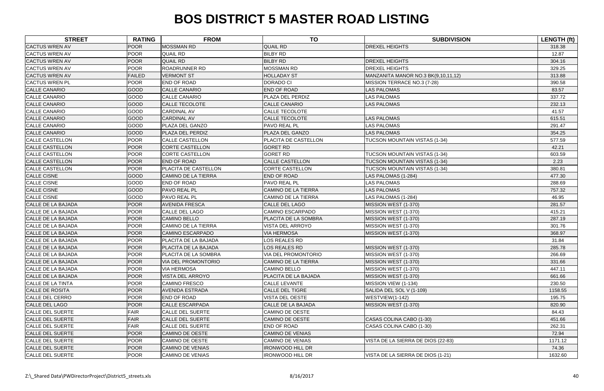| <b>STREET</b>           | <b>RATING</b> | <b>FROM</b>                | <b>TO</b>                  | <b>SUBDIVISION</b>                  | <b>LENGTH (ft)</b> |
|-------------------------|---------------|----------------------------|----------------------------|-------------------------------------|--------------------|
| <b>CACTUS WREN AV</b>   | <b>POOR</b>   | <b>MOSSMAN RD</b>          | <b>QUAIL RD</b>            | <b>DREXEL HEIGHTS</b>               | 318.38             |
| <b>CACTUS WREN AV</b>   | <b>POOR</b>   | <b>QUAIL RD</b>            | <b>BILBY RD</b>            |                                     | 12.87              |
| <b>CACTUS WREN AV</b>   | <b>POOR</b>   | <b>QUAIL RD</b>            | <b>BILBY RD</b>            | <b>DREXEL HEIGHTS</b>               | 304.16             |
| <b>CACTUS WREN AV</b>   | <b>POOR</b>   | <b>ROADRUNNER RD</b>       | <b>MOSSMAN RD</b>          | <b>DREXEL HEIGHTS</b>               | 329.25             |
| <b>CACTUS WREN AV</b>   | <b>FAILED</b> | <b>VERMONT ST</b>          | <b>HOLLADAY ST</b>         | MANZANITA MANOR NO.3 BK(9,10,11,12) | 313.88             |
| <b>CACTUS WREN PL</b>   | <b>POOR</b>   | END OF ROAD                | <b>DORADO CI</b>           | MISSION TERRACE NO.3 (7-28)         | 390.58             |
| <b>CALLE CANARIO</b>    | GOOD          | <b>CALLE CANARIO</b>       | <b>END OF ROAD</b>         | <b>LAS PALOMAS</b>                  | 83.57              |
| <b>CALLE CANARIO</b>    | GOOD          | <b>CALLE CANARIO</b>       | PLAZA DEL PERDIZ           | <b>LAS PALOMAS</b>                  | 337.72             |
| <b>CALLE CANARIO</b>    | <b>GOOD</b>   | CALLE TECOLOTE             | <b>CALLE CANARIO</b>       | <b>LAS PALOMAS</b>                  | 232.13             |
| <b>CALLE CANARIO</b>    | GOOD          | <b>CARDINAL AV</b>         | CALLE TECOLOTE             |                                     | 41.57              |
| <b>CALLE CANARIO</b>    | GOOD          | <b>CARDINAL AV</b>         | <b>CALLE TECOLOTE</b>      | <b>LAS PALOMAS</b>                  | 615.51             |
| <b>CALLE CANARIO</b>    | GOOD          | PLAZA DEL GANZO            | PAVO REAL PL               | <b>LAS PALOMAS</b>                  | 291.47             |
| <b>CALLE CANARIO</b>    | <b>GOOD</b>   | PLAZA DEL PERDIZ           | PLAZA DEL GANZO            | <b>LAS PALOMAS</b>                  | 354.25             |
| <b>CALLE CASTELLON</b>  | <b>POOR</b>   | <b>CALLE CASTELLON</b>     | PLACITA DE CASTELLON       | TUCSON MOUNTAIN VISTAS (1-34)       | 577.59             |
| <b>CALLE CASTELLON</b>  | <b>POOR</b>   | <b>CORTE CASTELLON</b>     | <b>GORET RD</b>            |                                     | 42.21              |
| <b>CALLE CASTELLON</b>  | <b>POOR</b>   | <b>CORTE CASTELLON</b>     | <b>GORET RD</b>            | TUCSON MOUNTAIN VISTAS (1-34)       | 603.59             |
| <b>CALLE CASTELLON</b>  | <b>POOR</b>   | <b>END OF ROAD</b>         | <b>CALLE CASTELLON</b>     | TUCSON MOUNTAIN VISTAS (1-34)       | 2.23               |
| <b>CALLE CASTELLON</b>  | <b>POOR</b>   | PLACITA DE CASTELLON       | <b>CORTE CASTELLON</b>     | TUCSON MOUNTAIN VISTAS (1-34)       | 380.81             |
| <b>CALLE CISNE</b>      | <b>GOOD</b>   | <b>CAMINO DE LA TIERRA</b> | <b>END OF ROAD</b>         | LAS PALOMAS (1-284)                 | 477.30             |
| <b>CALLE CISNE</b>      | GOOD          | END OF ROAD                | PAVO REAL PL               | <b>LAS PALOMAS</b>                  | 288.69             |
| <b>CALLE CISNE</b>      | GOOD          | <b>PAVO REAL PL</b>        | <b>CAMINO DE LA TIERRA</b> | <b>LAS PALOMAS</b>                  | 757.32             |
| <b>CALLE CISNE</b>      | GOOD          | PAVO REAL PL               | <b>CAMINO DE LA TIERRA</b> | LAS PALOMAS (1-284)                 | 46.95              |
| CALLE DE LA BAJADA      | <b>POOR</b>   | <b>AVENIDA FRESCA</b>      | <b>CALLE DEL LAGO</b>      | MISSION WEST (1-370)                | 281.57             |
| CALLE DE LA BAJADA      | <b>POOR</b>   | <b>CALLE DEL LAGO</b>      | <b>CAMINO ESCARPADO</b>    | MISSION WEST (1-370)                | 415.21             |
| CALLE DE LA BAJADA      | <b>POOR</b>   | <b>CAMINO BELLO</b>        | PLACITA DE LA SOMBRA       | MISSION WEST (1-370)                | 287.19             |
| CALLE DE LA BAJADA      | <b>POOR</b>   | <b>CAMINO DE LA TIERRA</b> | VISTA DEL ARROYO           | MISSION WEST (1-370)                | 301.76             |
| CALLE DE LA BAJADA      | <b>POOR</b>   | <b>CAMINO ESCARPADO</b>    | <b>VIA HERMOSA</b>         | MISSION WEST (1-370)                | 368.97             |
| CALLE DE LA BAJADA      | <b>POOR</b>   | PLACITA DE LA BAJADA       | LOS REALES RD              |                                     | 31.84              |
| CALLE DE LA BAJADA      | <b>POOR</b>   | PLACITA DE LA BAJADA       | LOS REALES RD              | MISSION WEST (1-370)                | 285.78             |
| CALLE DE LA BAJADA      | <b>POOR</b>   | PLACITA DE LA SOMBRA       | VIA DEL PROMONTORIO        | MISSION WEST (1-370)                | 266.69             |
| CALLE DE LA BAJADA      | <b>POOR</b>   | <b>VIA DEL PROMONTORIO</b> | <b>CAMINO DE LA TIERRA</b> | MISSION WEST (1-370)                | 331.66             |
| CALLE DE LA BAJADA      | <b>POOR</b>   | <b>VIA HERMOSA</b>         | <b>CAMINO BELLO</b>        | MISSION WEST (1-370)                | 447.11             |
| CALLE DE LA BAJADA      | <b>POOR</b>   | VISTA DEL ARROYO           | PLACITA DE LA BAJADA       | MISSION WEST (1-370)                | 661.66             |
| CALLE DE LA TINTA       | <b>POOR</b>   | <b>CAMINO FRESCO</b>       | <b>CALLE LEVANTE</b>       | MISSION VIEW (1-134)                | 230.50             |
| CALLE DE ROSITA         | <b>POOR</b>   | <b>AVENIDA ESTRADA</b>     | CALLE DEL TIGRE            | SALIDA DEL SOL V (1-109)            | 1158.55            |
| <b>CALLE DEL CERRO</b>  | <b>POOR</b>   | <b>END OF ROAD</b>         | <b>VISTA DEL OESTE</b>     | WESTVIEW(1-142)                     | 195.75             |
| <b>CALLE DEL LAGO</b>   | <b>POOR</b>   | <b>CALLE ESCARPADA</b>     | CALLE DE LA BAJADA         | MISSION WEST (1-370)                | 820.90             |
| <b>CALLE DEL SUERTE</b> | <b>FAIR</b>   | <b>CALLE DEL SUERTE</b>    | <b>CAMINO DE OESTE</b>     |                                     | 84.43              |
| <b>CALLE DEL SUERTE</b> | <b>FAIR</b>   | <b>CALLE DEL SUERTE</b>    | CAMINO DE OESTE            | CASAS COLINA CABO (1-30)            | 451.66             |
| CALLE DEL SUERTE        | <b>FAIR</b>   | <b>CALLE DEL SUERTE</b>    | END OF ROAD                | CASAS COLINA CABO (1-30)            | 262.31             |
| <b>CALLE DEL SUERTE</b> | <b>POOR</b>   | <b>CAMINO DE OESTE</b>     | <b>CAMINO DE VENIAS</b>    |                                     | 72.94              |
| <b>CALLE DEL SUERTE</b> | <b>POOR</b>   | <b>CAMINO DE OESTE</b>     | <b>CAMINO DE VENIAS</b>    | VISTA DE LA SIERRA DE DIOS (22-83)  | 1171.12            |
| <b>CALLE DEL SUERTE</b> | <b>POOR</b>   | <b>CAMINO DE VENIAS</b>    | <b>IRONWOOD HILL DR</b>    |                                     | 74.36              |
| <b>CALLE DEL SUERTE</b> | <b>POOR</b>   | <b>CAMINO DE VENIAS</b>    | <b>IRONWOOD HILL DR</b>    | VISTA DE LA SIERRA DE DIOS (1-21)   | 1632.60            |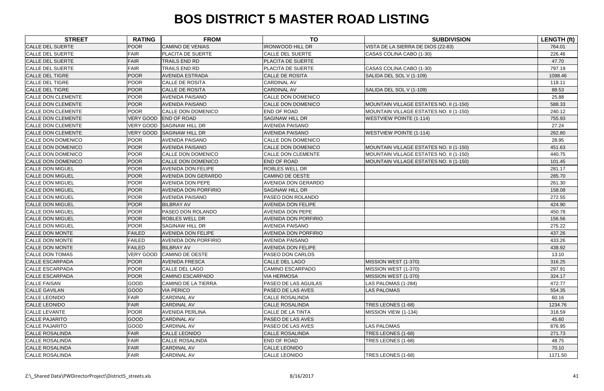| <b>STREET</b>             | <b>RATING</b> | <b>FROM</b>                 | <b>TO</b>                   | <b>SUBDIVISION</b>                      | LENGTH (ft) |
|---------------------------|---------------|-----------------------------|-----------------------------|-----------------------------------------|-------------|
| <b>CALLE DEL SUERTE</b>   | <b>POOR</b>   | <b>CAMINO DE VENIAS</b>     | <b>IRONWOOD HILL DR</b>     | VISTA DE LA SIERRA DE DIOS (22-83)      | 764.01      |
| <b>CALLE DEL SUERTE</b>   | <b>FAIR</b>   | PLACITA DE SUERTE           | <b>CALLE DEL SUERTE</b>     | CASAS COLINA CABO (1-30)                | 226.46      |
| <b>CALLE DEL SUERTE</b>   | <b>FAIR</b>   | <b>TRAILS END RD</b>        | PLACITA DE SUERTE           |                                         | 47.70       |
| <b>CALLE DEL SUERTE</b>   | <b>FAIR</b>   | TRAILS END RD               | PLACITA DE SUERTE           | CASAS COLINA CABO (1-30)                | 797.19      |
| <b>CALLE DEL TIGRE</b>    | <b>POOR</b>   | <b>AVENIDA ESTRADA</b>      | <b>CALLE DE ROSITA</b>      | SALIDA DEL SOL V (1-109)                | 1098.46     |
| <b>CALLE DEL TIGRE</b>    | <b>POOR</b>   | <b>CALLE DE ROSITA</b>      | <b>CARDINAL AV</b>          |                                         | 118.11      |
| <b>CALLE DEL TIGRE</b>    | <b>POOR</b>   | <b>CALLE DE ROSITA</b>      | <b>CARDINAL AV</b>          | SALIDA DEL SOL V (1-109)                | 88.53       |
| <b>CALLE DON CLEMENTE</b> | <b>POOR</b>   | <b>AVENIDA PAISANO</b>      | CALLE DON DOMENICO          |                                         | 25.88       |
| <b>CALLE DON CLEMENTE</b> | <b>POOR</b>   | <b>AVENIDA PAISANO</b>      | CALLE DON DOMENICO          | MOUNTAIN VILLAGE ESTATES NO. II (1-150) | 588.33      |
| <b>CALLE DON CLEMENTE</b> | <b>POOR</b>   | CALLE DON DOMENICO          | END OF ROAD                 | MOUNTAIN VILLAGE ESTATES NO. II (1-150) | 240.12      |
| <b>CALLE DON CLEMENTE</b> |               | VERY GOOD END OF ROAD       | <b>SAGINAW HILL DR</b>      | <b>WESTVIEW POINTE (1-114)</b>          | 755.93      |
| <b>CALLE DON CLEMENTE</b> | VERY GOOD     | <b>SAGINAW HILL DR</b>      | <b>AVENIDA PAISANO</b>      |                                         | 27.24       |
| <b>CALLE DON CLEMENTE</b> | VERY GOOD     | <b>SAGINAW HILL DR</b>      | <b>AVENIDA PAISANO</b>      | <b>WESTVIEW POINTE (1-114)</b>          | 262.80      |
| <b>CALLE DON DOMENICO</b> | <b>POOR</b>   | <b>AVENIDA PAISANO</b>      | CALLE DON DOMENICO          |                                         | 28.95       |
| <b>CALLE DON DOMENICO</b> | <b>POOR</b>   | <b>AVENIDA PAISANO</b>      | <b>CALLE DON DOMENICO</b>   | MOUNTAIN VILLAGE ESTATES NO. II (1-150) | 451.63      |
| <b>CALLE DON DOMENICO</b> | <b>POOR</b>   | CALLE DON DOMENICO          | CALLE DON CLEMENTE          | MOUNTAIN VILLAGE ESTATES NO. II (1-150) | 440.75      |
| <b>CALLE DON DOMENICO</b> | <b>POOR</b>   | CALLE DON DOMENICO          | <b>END OF ROAD</b>          | MOUNTAIN VILLAGE ESTATES NO. II (1-150) | 101.45      |
| <b>CALLE DON MIGUEL</b>   | <b>POOR</b>   | <b>AVENIDA DON FELIPE</b>   | <b>ROBLES WELL DR</b>       |                                         | 281.17      |
| <b>CALLE DON MIGUEL</b>   | <b>POOR</b>   | <b>AVENIDA DON GERARDO</b>  | <b>CAMINO DE OESTE</b>      |                                         | 285.70      |
| <b>CALLE DON MIGUEL</b>   | <b>POOR</b>   | <b>AVENIDA DON PEPE</b>     | <b>AVENIDA DON GERARDO</b>  |                                         | 261.30      |
| <b>CALLE DON MIGUEL</b>   | <b>POOR</b>   | <b>AVENIDA DON PORFIRIO</b> | <b>SAGINAW HILL DR</b>      |                                         | 158.08      |
| <b>CALLE DON MIGUEL</b>   | <b>POOR</b>   | <b>AVENIDA PAISANO</b>      | PASEO DON ROLANDO           |                                         | 272.55      |
| <b>CALLE DON MIGUEL</b>   | <b>POOR</b>   | <b>BILBRAY AV</b>           | <b>AVENIDA DON FELIPE</b>   |                                         | 424.90      |
| <b>CALLE DON MIGUEL</b>   | <b>POOR</b>   | PASEO DON ROLANDO           | AVENIDA DON PEPE            |                                         | 450.78      |
| <b>CALLE DON MIGUEL</b>   | <b>POOR</b>   | <b>ROBLES WELL DR</b>       | <b>AVENIDA DON PORFIRIO</b> |                                         | 156.56      |
| <b>CALLE DON MIGUEL</b>   | <b>POOR</b>   | <b>SAGINAW HILL DR</b>      | <b>AVENIDA PAISANO</b>      |                                         | 275.22      |
| <b>CALLE DON MONTE</b>    | <b>FAILED</b> | <b>AVENIDA DON FELIPE</b>   | <b>AVENIDA DON PORFIRIO</b> |                                         | 437.26      |
| <b>CALLE DON MONTE</b>    | <b>FAILED</b> | <b>AVENIDA DON PORFIRIO</b> | <b>AVENIDA PAISANO</b>      |                                         | 433.26      |
| <b>CALLE DON MONTE</b>    | <b>FAILED</b> | <b>BILBRAY AV</b>           | <b>AVENIDA DON FELIPE</b>   |                                         | 438.92      |
| <b>CALLE DON TOMAS</b>    |               | VERY GOOD CAMINO DE OESTE   | PASEO DON CARLOS            |                                         | 13.10       |
| <b>CALLE ESCARPADA</b>    | <b>POOR</b>   | <b>AVENIDA FRESCA</b>       | <b>CALLE DEL LAGO</b>       | MISSION WEST (1-370)                    | 316.25      |
| <b>CALLE ESCARPADA</b>    | <b>POOR</b>   | <b>CALLE DEL LAGO</b>       | <b>CAMINO ESCARPADO</b>     | MISSION WEST (1-370)                    | 297.91      |
| <b>CALLE ESCARPADA</b>    | <b>POOR</b>   | <b>CAMINO ESCARPADO</b>     | <b>VIA HERMOSA</b>          | MISSION WEST (1-370)                    | 324.17      |
| <b>CALLE FAISAN</b>       | GOOD          | <b>CAMINO DE LA TIERRA</b>  | PASEO DE LAS AGUILAS        | LAS PALOMAS (1-284)                     | 472.77      |
| <b>CALLE GAVILAN</b>      | <b>GOOD</b>   | <b>VIA PERICO</b>           | PASEO DE LAS AVES           | <b>LAS PALOMAS</b>                      | 554.35      |
| <b>CALLE LEONIDO</b>      | <b>FAIR</b>   | <b>CARDINAL AV</b>          | <b>CALLE ROSALINDA</b>      |                                         | 60.16       |
| <b>CALLE LEONIDO</b>      | <b>FAIR</b>   | <b>CARDINAL AV</b>          | <b>CALLE ROSALINDA</b>      | TRES LEONES (1-68)                      | 1234.76     |
| <b>CALLE LEVANTE</b>      | <b>POOR</b>   | <b>AVENIDA PERLINA</b>      | CALLE DE LA TINTA           | MISSION VIEW (1-134)                    | 318.59      |
| <b>CALLE PAJARITO</b>     | <b>GOOD</b>   | <b>CARDINAL AV</b>          | <b>PASEO DE LAS AVES</b>    |                                         | 45.60       |
| <b>CALLE PAJARITO</b>     | GOOD          | <b>CARDINAL AV</b>          | <b>PASEO DE LAS AVES</b>    | <b>LAS PALOMAS</b>                      | 876.95      |
| <b>CALLE ROSALINDA</b>    | <b>FAIR</b>   | <b>CALLE LEONIDO</b>        | <b>CALLE ROSALINDA</b>      | TRES LEONES (1-68)                      | 271.73      |
| <b>CALLE ROSALINDA</b>    | <b>FAIR</b>   | <b>CALLE ROSALINDA</b>      | END OF ROAD                 | TRES LEONES (1-68)                      | 48.75       |
| <b>CALLE ROSALINDA</b>    | <b>FAIR</b>   | <b>CARDINAL AV</b>          | <b>CALLE LEONIDO</b>        |                                         | 70.10       |
| <b>CALLE ROSALINDA</b>    | <b>FAIR</b>   | <b>CARDINAL AV</b>          | CALLE LEONIDO               | TRES LEONES (1-68)                      | 1171.50     |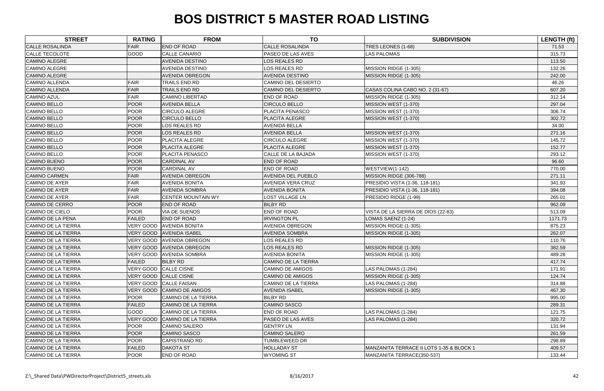| <b>STREET</b>              | <b>RATING</b>    | <b>FROM</b>                | <b>TO</b>                  | <b>SUBDIVISION</b>                       | <b>LENGTH (ft)</b> |
|----------------------------|------------------|----------------------------|----------------------------|------------------------------------------|--------------------|
| <b>CALLE ROSALINDA</b>     | <b>FAIR</b>      | END OF ROAD                | <b>CALLE ROSALINDA</b>     | TRES LEONES (1-68)                       | 71.53              |
| CALLE TECOLOTE             | GOOD             | <b>CALLE CANARIO</b>       | PASEO DE LAS AVES          | <b>LAS PALOMAS</b>                       | 315.73             |
| <b>CAMINO ALEGRE</b>       |                  | AVENIDA DESTINO            | LOS REALES RD              |                                          | 113.50             |
| <b>CAMINO ALEGRE</b>       |                  | <b>AVENIDA DESTINO</b>     | LOS REALES RD              | MISSION RIDGE (1-305)                    | 132.26             |
| <b>CAMINO ALEGRE</b>       |                  | <b>AVENIDA OBREGON</b>     | <b>AVENIDA DESTINO</b>     | MISSION RIDGE (1-305)                    | 242.00             |
| <b>CAMINO ALLENDA</b>      | <b>FAIR</b>      | TRAILS END RD              | <b>CAMINO DEL DESIERTO</b> |                                          | 46.26              |
| <b>CAMINO ALLENDA</b>      | <b>FAIR</b>      | <b>TRAILS END RD</b>       | <b>CAMINO DEL DESIERTO</b> | CASAS COLINA CABO NO. 2 (31-67)          | 607.20             |
| <b>CAMINO AZUL</b>         | <b>FAIR</b>      | <b>CAMINO LIBERTAD</b>     | <b>END OF ROAD</b>         | MISSION RIDGE (1-305)                    | 312.14             |
| <b>CAMINO BELLO</b>        | <b>POOR</b>      | <b>AVENIDA BELLA</b>       | <b>CIRCULO BELLO</b>       | MISSION WEST (1-370)                     | 297.04             |
| <b>CAMINO BELLO</b>        | <b>POOR</b>      | <b>CIRCULO ALEGRE</b>      | PLACITA PENASCO            | MISSION WEST (1-370)                     | 306.74             |
| <b>CAMINO BELLO</b>        | <b>POOR</b>      | <b>CIRCULO BELLO</b>       | PLACITA ALEGRE             | MISSION WEST (1-370)                     | 302.72             |
| <b>CAMINO BELLO</b>        | <b>POOR</b>      | LOS REALES RD              | <b>AVENIDA BELLA</b>       |                                          | 34.00              |
| <b>CAMINO BELLO</b>        | <b>POOR</b>      | LOS REALES RD              | <b>AVENIDA BELLA</b>       | MISSION WEST (1-370)                     | 271.16             |
| CAMINO BELLO               | <b>POOR</b>      | PLACITA ALEGRE             | <b>CIRCULO ALEGRE</b>      | MISSION WEST (1-370)                     | 145.72             |
| <b>CAMINO BELLO</b>        | <b>POOR</b>      | PLACITA ALEGRE             | PLACITA ALEGRE             | MISSION WEST (1-370)                     | 152.77             |
| <b>CAMINO BELLO</b>        | <b>POOR</b>      | PLACITA PENASCO            | CALLE DE LA BAJADA         | MISSION WEST (1-370)                     | 293.12             |
| <b>CAMINO BUENO</b>        | <b>POOR</b>      | <b>CARDINAL AV</b>         | <b>END OF ROAD</b>         |                                          | 96.60              |
| <b>CAMINO BUENO</b>        | <b>POOR</b>      | <b>CARDINAL AV</b>         | END OF ROAD                | WESTVIEW(1-142)                          | 770.00             |
| <b>CAMINO CARMEN</b>       | <b>FAIR</b>      | <b>AVENIDA OBREGON</b>     | <b>AVENIDA DEL PUEBLO</b>  | MISSION RIDGE (306-788)                  | 271.11             |
| <b>CAMINO DE AYER</b>      | <b>FAIR</b>      | <b>AVENIDA BONITA</b>      | <b>AVENIDA VERA CRUZ</b>   | PRESIDIO VISTA (1-36, 118-181)           | 341.93             |
| <b>CAMINO DE AYER</b>      | <b>FAIR</b>      | <b>AVENIDA SOMBRA</b>      | <b>AVENIDA BONITA</b>      | PRESIDIO VISTA (1-36, 118-181)           | 394.08             |
| CAMINO DE AYER             | <b>FAIR</b>      | <b>CENTER MOUNTAIN WY</b>  | LOST VILLAGE LN            | PRESIDIO RIDGE (1-99)                    | 265.01             |
| <b>CAMINO DE CERRO</b>     | <b>POOR</b>      | END OF ROAD                | <b>BILBY RD</b>            |                                          | 962.09             |
| <b>CAMINO DE CIELO</b>     | <b>POOR</b>      | VIA DE SUENOS              | END OF ROAD                | VISTA DE LA SIERRA DE DIOS (22-83)       | 513.09             |
| CAMINO DE LA PENA          | <b>FAILED</b>    | <b>END OF ROAD</b>         | <b>IRVINGTON PL</b>        | LOMAS SAENZ (1-24)                       | 1171.73            |
| <b>CAMINO DE LA TIERRA</b> | <b>VERY GOOD</b> | <b>AVENIDA BONITA</b>      | <b>AVENIDA OBREGON</b>     | MISSION RIDGE (1-305)                    | 875.23             |
| <b>CAMINO DE LA TIERRA</b> | <b>VERY GOOD</b> | <b>AVENIDA ISABEL</b>      | <b>AVENIDA SOMBRA</b>      | MISSION RIDGE (1-305)                    | 262.07             |
| CAMINO DE LA TIERRA        | VERY GOOD        | <b>AVENIDA OBREGON</b>     | LOS REALES RD              |                                          | 110.76             |
| <b>CAMINO DE LA TIERRA</b> | <b>VERY GOOD</b> | <b>AVENIDA OBREGON</b>     | LOS REALES RD              | MISSION RIDGE (1-305)                    | 382.59             |
| CAMINO DE LA TIERRA        |                  | VERY GOOD AVENIDA SOMBRA   | <b>AVENIDA BONITA</b>      | MISSION RIDGE (1-305)                    | 489.28             |
| <b>CAMINO DE LA TIERRA</b> | <b>FAILED</b>    | <b>BILBY RD</b>            | <b>CAMINO DE LA TIERRA</b> |                                          | 417.74             |
| <b>CAMINO DE LA TIERRA</b> | <b>VERY GOOD</b> | <b>CALLE CISNE</b>         | <b>CAMINO DE AMIGOS</b>    | LAS PALOMAS (1-284)                      | 171.91             |
| <b>CAMINO DE LA TIERRA</b> | <b>VERY GOOD</b> | CALLE CISNE                | <b>CAMINO DE AMIGOS</b>    | MISSION RIDGE (1-305)                    | 124.74             |
| CAMINO DE LA TIERRA        | <b>VERY GOOD</b> | <b>CALLE FAISAN</b>        | <b>CAMINO DE LA TIERRA</b> | LAS PALOMAS (1-284)                      | 314.88             |
| CAMINO DE LA TIERRA        | <b>VERY GOOD</b> | <b>CAMINO DE AMIGOS</b>    | <b>AVENIDA ISABEL</b>      | MISSION RIDGE (1-305)                    | 467.30             |
| <b>CAMINO DE LA TIERRA</b> | <b>POOR</b>      | <b>CAMINO DE LA TIERRA</b> | <b>BILBY RD</b>            |                                          | 995.00             |
| <b>CAMINO DE LA TIERRA</b> | <b>FAILED</b>    | <b>CAMINO DE LA TIERRA</b> | <b>CAMINO SASCO</b>        |                                          | 289.31             |
| CAMINO DE LA TIERRA        | <b>GOOD</b>      | <b>CAMINO DE LA TIERRA</b> | <b>END OF ROAD</b>         | LAS PALOMAS (1-284)                      | 121.75             |
| <b>CAMINO DE LA TIERRA</b> | <b>VERY GOOD</b> | <b>CAMINO DE LA TIERRA</b> | PASEO DE LAS AVES          | LAS PALOMAS (1-284)                      | 320.72             |
| CAMINO DE LA TIERRA        | <b>POOR</b>      | CAMINO SALERO              | <b>GENTRY LN</b>           |                                          | 131.94             |
| CAMINO DE LA TIERRA        | <b>POOR</b>      | <b>CAMINO SASCO</b>        | <b>CAMINO SALERO</b>       |                                          | 261.59             |
| CAMINO DE LA TIERRA        | <b>POOR</b>      | CAPISTRANO RD              | <b>TUMBLEWEED DR</b>       |                                          | 298.89             |
| CAMINO DE LA TIERRA        | <b>FAILED</b>    | <b>DAKOTA ST</b>           | <b>HOLLADAY ST</b>         | MANZANITA TERRACE II LOTS 1-35 & BLOCK 1 | 409.57             |
| CAMINO DE LA TIERRA        | <b>POOR</b>      | END OF ROAD                | <b>WYOMING ST</b>          | MANZANITA TERRACE(350-537)               | 133.44             |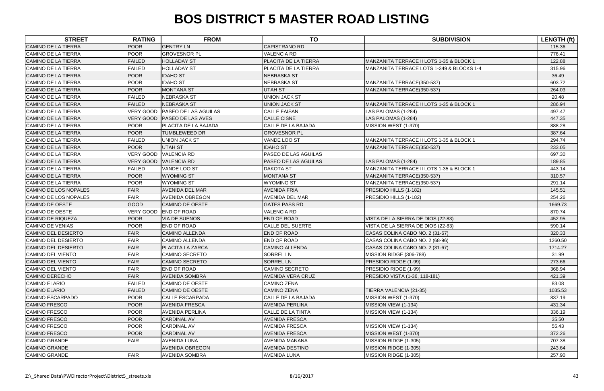| <b>STREET</b>              | <b>RATING</b>    | <b>FROM</b>                 | <b>TO</b>                   | <b>SUBDIVISION</b>                        | LENGTH (ft) |
|----------------------------|------------------|-----------------------------|-----------------------------|-------------------------------------------|-------------|
| <b>CAMINO DE LA TIERRA</b> | <b>POOR</b>      | <b>GENTRY LN</b>            | CAPISTRANO RD               |                                           | 115.36      |
| <b>CAMINO DE LA TIERRA</b> | POOR             | <b>GROVESNOR PL</b>         | <b>VALENCIA RD</b>          |                                           | 776.41      |
| <b>CAMINO DE LA TIERRA</b> | <b>FAILED</b>    | <b>HOLLADAY ST</b>          | <b>PLACITA DE LA TIERRA</b> | MANZANITA TERRACE II LOTS 1-35 & BLOCK 1  | 122.88      |
| <b>CAMINO DE LA TIERRA</b> | <b>FAILED</b>    | <b>HOLLADAY ST</b>          | PLACITA DE LA TIERRA        | MANZANITA TERRACE LOTS 1-349 & BLOCKS 1-4 | 315.96      |
| <b>CAMINO DE LA TIERRA</b> | <b>POOR</b>      | <b>IDAHO ST</b>             | <b>NEBRASKA ST</b>          |                                           | 36.49       |
| <b>CAMINO DE LA TIERRA</b> | POOR             | <b>IDAHO ST</b>             | <b>NEBRASKA ST</b>          | MANZANITA TERRACE(350-537)                | 603.72      |
| CAMINO DE LA TIERRA        | POOR             | <b>MONTANA ST</b>           | <b>UTAH ST</b>              | MANZANITA TERRACE(350-537)                | 264.03      |
| <b>CAMINO DE LA TIERRA</b> | <b>FAILED</b>    | <b>NEBRASKA ST</b>          | <b>UNION JACK ST</b>        |                                           | 20.48       |
| <b>CAMINO DE LA TIERRA</b> | <b>FAILED</b>    | <b>NEBRASKA ST</b>          | <b>UNION JACK ST</b>        | MANZANITA TERRACE II LOTS 1-35 & BLOCK 1  | 286.94      |
| CAMINO DE LA TIERRA        | <b>VERY GOOD</b> | <b>PASEO DE LAS AGUILAS</b> | <b>CALLE FAISAN</b>         | LAS PALOMAS (1-284)                       | 497.47      |
| <b>CAMINO DE LA TIERRA</b> | <b>VERY GOOD</b> | <b>PASEO DE LAS AVES</b>    | <b>CALLE CISNE</b>          | LAS PALOMAS (1-284)                       | 447.35      |
| CAMINO DE LA TIERRA        | POOR             | PLACITA DE LA BAJADA        | CALLE DE LA BAJADA          | MISSION WEST (1-370)                      | 888.28      |
| <b>CAMINO DE LA TIERRA</b> | <b>POOR</b>      | <b>TUMBLEWEED DR</b>        | <b>GROVESNOR PL</b>         |                                           | 387.64      |
| <b>CAMINO DE LA TIERRA</b> | <b>FAILED</b>    | <b>UNION JACK ST</b>        | VANDE LOO ST                | MANZANITA TERRACE II LOTS 1-35 & BLOCK 1  | 294.74      |
| <b>CAMINO DE LA TIERRA</b> | <b>POOR</b>      | <b>UTAH ST</b>              | <b>IDAHO ST</b>             | MANZANITA TERRACE(350-537)                | 233.05      |
| <b>CAMINO DE LA TIERRA</b> | <b>VERY GOOD</b> | <b>VALENCIA RD</b>          | PASEO DE LAS AGUILAS        |                                           | 697.30      |
| <b>CAMINO DE LA TIERRA</b> | VERY GOOD        | <b>VALENCIA RD</b>          | PASEO DE LAS AGUILAS        | LAS PALOMAS (1-284)                       | 189.85      |
| <b>CAMINO DE LA TIERRA</b> | <b>FAILED</b>    | VANDE LOO ST                | <b>DAKOTA ST</b>            | MANZANITA TERRACE II LOTS 1-35 & BLOCK 1  | 443.14      |
| <b>CAMINO DE LA TIERRA</b> | POOR             | <b>WYOMING ST</b>           | <b>MONTANA ST</b>           | MANZANITA TERRACE(350-537)                | 310.57      |
| <b>CAMINO DE LA TIERRA</b> | POOR             | <b>WYOMING ST</b>           | <b>WYOMING ST</b>           | MANZANITA TERRACE(350-537)                | 291.14      |
| CAMINO DE LOS NOPALES      | FAIR             | <b>AVENIDA DEL MAR</b>      | <b>AVENIDA FRIA</b>         | PRESIDIO HILLS (1-182)                    | 145.51      |
| CAMINO DE LOS NOPALES      | FAIR             | <b>AVENIDA OBREGON</b>      | <b>AVENIDA DEL MAR</b>      | PRESIDIO HILLS (1-182)                    | 254.26      |
| CAMINO DE OESTE            | <b>GOOD</b>      | <b>CAMINO DE OESTE</b>      | <b>GATES PASS RD</b>        |                                           | 1669.73     |
| CAMINO DE OESTE            | <b>VERY GOOD</b> | <b>END OF ROAD</b>          | <b>VALENCIA RD</b>          |                                           | 870.74      |
| <b>CAMINO DE RIQUEZA</b>   | <b>POOR</b>      | <b>VIA DE SUENOS</b>        | <b>END OF ROAD</b>          | VISTA DE LA SIERRA DE DIOS (22-83)        | 452.95      |
| CAMINO DE VENIAS           | <b>POOR</b>      | <b>END OF ROAD</b>          | <b>CALLE DEL SUERTE</b>     | VISTA DE LA SIERRA DE DIOS (22-83)        | 590.14      |
| <b>CAMINO DEL DESIERTO</b> | FAIR             | <b>CAMINO ALLENDA</b>       | <b>END OF ROAD</b>          | CASAS COLINA CABO NO. 2 (31-67)           | 320.33      |
| <b>CAMINO DEL DESIERTO</b> | <b>FAIR</b>      | <b>CAMINO ALLENDA</b>       | <b>END OF ROAD</b>          | CASAS COLINA CABO NO. 2 (68-96)           | 1260.50     |
| <b>CAMINO DEL DESIERTO</b> | <b>FAIR</b>      | <b>PLACITA LA ZARCA</b>     | <b>CAMINO ALLENDA</b>       | CASAS COLINA CABO NO. 2 (31-67)           | 1714.27     |
| CAMINO DEL VIENTO          | FAIR             | <b>CAMINO SECRETO</b>       | <b>SORREL LN</b>            | MISSION RIDGE (306-788)                   | 31.99       |
| <b>CAMINO DEL VIENTO</b>   | FAIR             | CAMINO SECRETO              | <b>SORREL LN</b>            | PRESIDIO RIDGE (1-99)                     | 273.66      |
| <b>CAMINO DEL VIENTO</b>   | <b>FAIR</b>      | END OF ROAD                 | <b>CAMINO SECRETO</b>       | PRESIDIO RIDGE (1-99)                     | 368.94      |
| <b>CAMINO DERECHO</b>      | <b>FAIR</b>      | <b>AVENIDA SOMBRA</b>       | <b>AVENIDA VERA CRUZ</b>    | PRESIDIO VISTA (1-36, 118-181)            | 421.39      |
| <b>CAMINO ELARIO</b>       | <b>FAILED</b>    | <b>CAMINO DE OESTE</b>      | <b>CAMINO ZENA</b>          |                                           | 83.08       |
| <b>CAMINO ELARIO</b>       | <b>FAILED</b>    | <b>CAMINO DE OESTE</b>      | <b>CAMINO ZENA</b>          | TIERRA VALENCIA (21-35)                   | 1035.53     |
| CAMINO ESCARPADO           | <b>POOR</b>      | <b>CALLE ESCARPADA</b>      | CALLE DE LA BAJADA          | MISSION WEST (1-370)                      | 837.19      |
| <b>CAMINO FRESCO</b>       | <b>POOR</b>      | <b>AVENIDA FRESCA</b>       | <b>AVENIDA PERLINA</b>      | MISSION VIEW (1-134)                      | 431.34      |
| <b>CAMINO FRESCO</b>       | <b>POOR</b>      | <b>AVENIDA PERLINA</b>      | CALLE DE LA TINTA           | MISSION VIEW (1-134)                      | 336.19      |
| <b>CAMINO FRESCO</b>       | <b>POOR</b>      | <b>CARDINAL AV</b>          | <b>AVENIDA FRESCA</b>       |                                           | 35.50       |
| <b>CAMINO FRESCO</b>       | <b>POOR</b>      | <b>CARDINAL AV</b>          | <b>AVENIDA FRESCA</b>       | MISSION VIEW (1-134)                      | 55.43       |
| <b>CAMINO FRESCO</b>       | POOR             | <b>CARDINAL AV</b>          | <b>AVENIDA FRESCA</b>       | MISSION WEST (1-370)                      | 372.26      |
| <b>CAMINO GRANDE</b>       | <b>FAIR</b>      | <b>AVENIDA LUNA</b>         | <b>AVENIDA MANANA</b>       | MISSION RIDGE (1-305)                     | 707.38      |
| <b>CAMINO GRANDE</b>       |                  | <b>AVENIDA OBREGON</b>      | <b>AVENIDA DESTINO</b>      | MISSION RIDGE (1-305)                     | 243.64      |
| <b>CAMINO GRANDE</b>       | <b>FAIR</b>      | <b>AVENIDA SOMBRA</b>       | <b>AVENIDA LUNA</b>         | MISSION RIDGE (1-305)                     | 257.90      |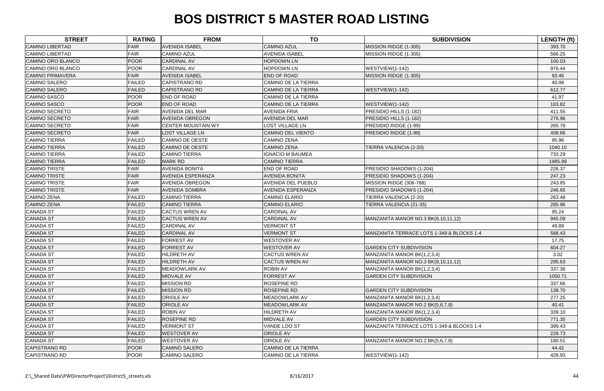| <b>STREET</b>           | <b>RATING</b> | <b>FROM</b>               | <b>TO</b>                  | <b>SUBDIVISION</b>                        | LENGTH (ft) |
|-------------------------|---------------|---------------------------|----------------------------|-------------------------------------------|-------------|
| <b>CAMINO LIBERTAD</b>  | <b>FAIR</b>   | <b>AVENIDA ISABEL</b>     | <b>CAMINO AZUL</b>         | MISSION RIDGE (1-305)                     | 393.70      |
| <b>CAMINO LIBERTAD</b>  | <b>FAIR</b>   | <b>CAMINO AZUL</b>        | <b>AVENIDA ISABEL</b>      | MISSION RIDGE (1-305)                     | 566.25      |
| CAMINO ORO BLANCO       | <b>POOR</b>   | <b>CARDINAL AV</b>        | <b>HOPDOWN LN</b>          |                                           | 100.03      |
| CAMINO ORO BLANCO       | <b>POOR</b>   | <b>CARDINAL AV</b>        | <b>HOPDOWN LN</b>          | WESTVIEW(1-142)                           | 976.44      |
| <b>CAMINO PRIMAVERA</b> | <b>FAIR</b>   | <b>AVENIDA ISABEL</b>     | <b>END OF ROAD</b>         | MISSION RIDGE (1-305)                     | 93.46       |
| <b>CAMINO SALERO</b>    | <b>FAILED</b> | <b>CAPISTRANO RD</b>      | <b>CAMINO DE LA TIERRA</b> |                                           | 40.99       |
| <b>CAMINO SALERO</b>    | <b>FAILED</b> | <b>CAPISTRANO RD</b>      | <b>CAMINO DE LA TIERRA</b> | WESTVIEW(1-142)                           | 612.77      |
| <b>CAMINO SASCO</b>     | <b>POOR</b>   | <b>END OF ROAD</b>        | <b>CAMINO DE LA TIERRA</b> |                                           | 41.97       |
| <b>CAMINO SASCO</b>     | <b>POOR</b>   | <b>END OF ROAD</b>        | <b>CAMINO DE LA TIERRA</b> | WESTVIEW(1-142)                           | 183.82      |
| CAMINO SECRETO          | <b>FAIR</b>   | <b>AVENIDA DEL MAR</b>    | <b>AVENIDA FRIA</b>        | PRESIDIO HILLS (1-182)                    | 411.55      |
| <b>CAMINO SECRETO</b>   | <b>FAIR</b>   | <b>AVENIDA OBREGON</b>    | <b>AVENIDA DEL MAR</b>     | PRESIDIO HILLS (1-182)                    | 276.96      |
| <b>CAMINO SECRETO</b>   | <b>FAIR</b>   | <b>CENTER MOUNTAIN WY</b> | <b>LOST VILLAGE LN</b>     | PRESIDIO RIDGE (1-99)                     | 265.78      |
| <b>CAMINO SECRETO</b>   | <b>FAIR</b>   | <b>LOST VILLAGE LN</b>    | <b>CAMINO DEL VIENTO</b>   | PRESIDIO RIDGE (1-99)                     | 408.86      |
| <b>CAMINO TIERRA</b>    | <b>FAILED</b> | <b>CAMINO DE OESTE</b>    | <b>CAMINO ZENA</b>         |                                           | 95.96       |
| <b>CAMINO TIERRA</b>    | <b>FAILED</b> | <b>CAMINO DE OESTE</b>    | <b>CAMINO ZENA</b>         | TIERRA VALENCIA (2-20)                    | 1040.10     |
| <b>CAMINO TIERRA</b>    | <b>FAILED</b> | <b>CAMINO TIERRA</b>      | <b>IGNACIO M BAUMEA</b>    |                                           | 733.29      |
| <b>CAMINO TIERRA</b>    | <b>FAILED</b> | <b>MARK RD</b>            | <b>CAMINO TIERRA</b>       |                                           | 1985.99     |
| <b>CAMINO TRISTE</b>    | <b>FAIR</b>   | <b>AVENIDA BONITA</b>     | END OF ROAD                | PRESIDIO SHADOWS (1-204)                  | 226.37      |
| <b>CAMINO TRISTE</b>    | <b>FAIR</b>   | <b>AVENIDA ESPERANZA</b>  | <b>AVENIDA BONITA</b>      | PRESIDIO SHADOWS (1-204)                  | 247.23      |
| <b>CAMINO TRISTE</b>    | <b>FAIR</b>   | <b>AVENIDA OBREGON</b>    | <b>AVENIDA DEL PUEBLO</b>  | MISSION RIDGE (306-788)                   | 243.85      |
| <b>CAMINO TRISTE</b>    | <b>FAIR</b>   | <b>AVENIDA SOMBRA</b>     | <b>AVENIDA ESPERANZA</b>   | PRESIDIO SHADOWS (1-204)                  | 246.65      |
| <b>CAMINO ZENA</b>      | <b>FAILED</b> | CAMINO TIERRA             | <b>CAMINO ELARIO</b>       | TIERRA VALENCIA (2-20)                    | 263.48      |
| <b>CAMINO ZENA</b>      | <b>FAILED</b> | <b>CAMINO TIERRA</b>      | <b>CAMINO ELARIO</b>       | TIERRA VALENCIA (21-35)                   | 285.96      |
| <b>CANADA ST</b>        | <b>FAILED</b> | <b>CACTUS WREN AV</b>     | <b>CARDINAL AV</b>         |                                           | 95.24       |
| <b>CANADA ST</b>        | <b>FAILED</b> | <b>CACTUS WREN AV</b>     | <b>CARDINAL AV</b>         | MANZANITA MANOR NO.3 BK(9,10,11,12)       | 945.09      |
| <b>CANADA ST</b>        | <b>FAILED</b> | <b>CARDINAL AV</b>        | <b>VERMONT ST</b>          |                                           | 49.89       |
| <b>CANADA ST</b>        | <b>FAILED</b> | <b>CARDINAL AV</b>        | <b>VERMONT ST</b>          | MANZANITA TERRACE LOTS 1-349 & BLOCKS 1-4 | 588.43      |
| <b>CANADA ST</b>        | <b>FAILED</b> | <b>FORREST AV</b>         | <b>WESTOVER AV</b>         |                                           | 17.75       |
| <b>CANADA ST</b>        | <b>FAILED</b> | <b>FORREST AV</b>         | <b>WESTOVER AV</b>         | <b>GARDEN CITY SUBDIVISION</b>            | 604.27      |
| <b>CANADA ST</b>        | <b>FAILED</b> | <b>HILDRETH AV</b>        | <b>CACTUS WREN AV</b>      | MANZANITA MANOR BK(1,2,3,4)               | 3.02        |
| <b>CANADA ST</b>        | <b>FAILED</b> | <b>HILDRETH AV</b>        | <b>CACTUS WREN AV</b>      | MANZANITA MANOR NO.3 BK(9,10,11,12)       | 295.63      |
| <b>CANADA ST</b>        | <b>FAILED</b> | <b>MEADOWLARK AV</b>      | <b>ROBIN AV</b>            | MANZANITA MANOR BK(1,2,3,4)               | 337.36      |
| <b>CANADA ST</b>        | <b>FAILED</b> | <b>MIDVALE AV</b>         | FORREST AV                 | <b>GARDEN CITY SUBDIVISION</b>            | 1050.71     |
| <b>CANADA ST</b>        | <b>FAILED</b> | <b>MISSION RD</b>         | <b>ROSEPINE RD</b>         |                                           | 337.66      |
| <b>CANADA ST</b>        | <b>FAILED</b> | <b>MISSION RD</b>         | <b>ROSEPINE RD</b>         | <b>GARDEN CITY SUBDIVISION</b>            | 138.70      |
| <b>CANADA ST</b>        | <b>FAILED</b> | ORIOLE AV                 | <b>MEADOWLARK AV</b>       | MANZANITA MANOR BK(1,2,3,4)               | 277.25      |
| <b>CANADA ST</b>        | <b>FAILED</b> | <b>ORIOLE AV</b>          | <b>MEADOWLARK AV</b>       | MANZANITA MANOR NO.2 BK(5,6,7,8)          | 40.41       |
| <b>CANADA ST</b>        | <b>FAILED</b> | <b>ROBIN AV</b>           | <b>HILDRETH AV</b>         | MANZANITA MANOR BK(1,2,3,4)               | 339.10      |
| <b>CANADA ST</b>        | <b>FAILED</b> | ROSEPINE RD               | <b>MIDVALE AV</b>          | <b>GARDEN CITY SUBDIVISION</b>            | 771.35      |
| <b>CANADA ST</b>        | <b>FAILED</b> | <b>VERMONT ST</b>         | VANDE LOO ST               | MANZANITA TERRACE LOTS 1-349 & BLOCKS 1-4 | 399.43      |
| <b>CANADA ST</b>        | <b>FAILED</b> | <b>WESTOVER AV</b>        | <b>ORIOLE AV</b>           |                                           | 228.73      |
| <b>CANADA ST</b>        | <b>FAILED</b> | <b>WESTOVER AV</b>        | <b>ORIOLE AV</b>           | MANZANITA MANOR NO.2 BK(5,6,7,8)          | 180.51      |
| <b>CAPISTRANO RD</b>    | <b>POOR</b>   | <b>CAMINO SALERO</b>      | <b>CAMINO DE LA TIERRA</b> |                                           | 44.42       |
| <b>CAPISTRANO RD</b>    | <b>POOR</b>   | <b>CAMINO SALERO</b>      | <b>CAMINO DE LA TIERRA</b> | WESTVIEW(1-142)                           | 428.93      |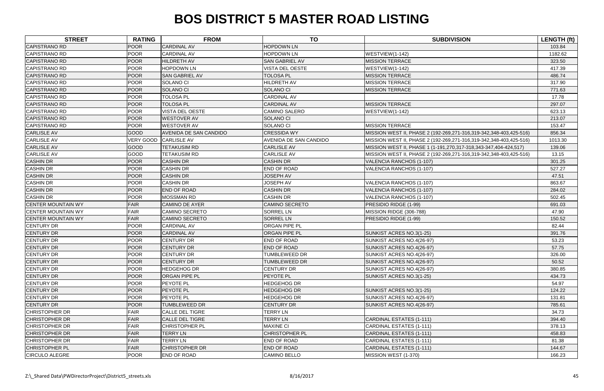| <b>STREET</b>             | <b>RATING</b>    | <b>FROM</b>            | <b>TO</b>              | <b>SUBDIVISION</b>                                                 | <b>LENGTH (ft)</b> |
|---------------------------|------------------|------------------------|------------------------|--------------------------------------------------------------------|--------------------|
| <b>CAPISTRANO RD</b>      | <b>POOR</b>      | <b>CARDINAL AV</b>     | <b>HOPDOWN LN</b>      |                                                                    | 103.84             |
| <b>CAPISTRANO RD</b>      | <b>POOR</b>      | <b>CARDINAL AV</b>     | <b>HOPDOWN LN</b>      | WESTVIEW(1-142)                                                    | 1182.62            |
| <b>CAPISTRANO RD</b>      | <b>POOR</b>      | <b>HILDRETH AV</b>     | <b>SAN GABRIEL AV</b>  | <b>MISSION TERRACE</b>                                             | 323.50             |
| <b>CAPISTRANO RD</b>      | <b>POOR</b>      | <b>HOPDOWN LN</b>      | VISTA DEL OESTE        | WESTVIEW(1-142)                                                    | 417.39             |
| <b>CAPISTRANO RD</b>      | <b>POOR</b>      | <b>SAN GABRIEL AV</b>  | <b>TOLOSA PL</b>       | <b>MISSION TERRACE</b>                                             | 486.74             |
| CAPISTRANO RD             | <b>POOR</b>      | <b>SOLANO CI</b>       | HILDRETH AV            | <b>MISSION TERRACE</b>                                             | 317.90             |
| <b>CAPISTRANO RD</b>      | <b>POOR</b>      | <b>SOLANO CI</b>       | <b>SOLANO CI</b>       | <b>MISSION TERRACE</b>                                             | 771.63             |
| CAPISTRANO RD             | <b>POOR</b>      | <b>TOLOSA PL</b>       | <b>CARDINAL AV</b>     |                                                                    | 17.78              |
| <b>CAPISTRANO RD</b>      | <b>POOR</b>      | <b>TOLOSA PL</b>       | <b>CARDINAL AV</b>     | <b>MISSION TERRACE</b>                                             | 297.07             |
| <b>CAPISTRANO RD</b>      | <b>POOR</b>      | VISTA DEL OESTE        | <b>CAMINO SALERO</b>   | WESTVIEW(1-142)                                                    | 623.13             |
| <b>CAPISTRANO RD</b>      | <b>POOR</b>      | <b>WESTOVER AV</b>     | <b>SOLANO CI</b>       |                                                                    | 213.07             |
| CAPISTRANO RD             | <b>POOR</b>      | <b>WESTOVER AV</b>     | <b>SOLANO CI</b>       | <b>MISSION TERRACE</b>                                             | 153.47             |
| <b>CARLISLE AV</b>        | <b>GOOD</b>      | AVENIDA DE SAN CANDIDO | <b>CRESSIDA WY</b>     | MISSION WEST II, PHASE 2 (192-269,271-316,319-342,348-403,425-516) | 856.34             |
| <b>CARLISLE AV</b>        | <b>VERY GOOD</b> | <b>CARLISLE AV</b>     | AVENIDA DE SAN CANDIDO | MISSION WEST II, PHASE 2 (192-269,271-316,319-342,348-403,425-516) | 1013.30            |
| <b>CARLISLE AV</b>        | GOOD             | <b>TETAKUSIM RD</b>    | <b>CARLISLE AV</b>     | MISSION WEST II, PHASE 1 (1-191,270,317-318,343-347,404-424,517)   | 139.06             |
| <b>CARLISLE AV</b>        | GOOD             | <b>TETAKUSIM RD</b>    | <b>CARLISLE AV</b>     | MISSION WEST II, PHASE 2 (192-269,271-316,319-342,348-403,425-516) | 13.15              |
| <b>CASHIN DR</b>          | <b>POOR</b>      | <b>CASHIN DR</b>       | <b>CASHIN DR</b>       | VALENCIA RANCHOS (1-107)                                           | 301.25             |
| <b>CASHIN DR</b>          | <b>POOR</b>      | <b>CASHIN DR</b>       | END OF ROAD            | VALENCIA RANCHOS (1-107)                                           | 527.27             |
| <b>CASHIN DR</b>          | <b>POOR</b>      | <b>CASHIN DR</b>       | <b>JOSEPH AV</b>       |                                                                    | 47.51              |
| <b>CASHIN DR</b>          | <b>POOR</b>      | <b>CASHIN DR</b>       | <b>JOSEPH AV</b>       | VALENCIA RANCHOS (1-107)                                           | 863.67             |
| <b>CASHIN DR</b>          | <b>POOR</b>      | <b>END OF ROAD</b>     | <b>CASHIN DR</b>       | VALENCIA RANCHOS (1-107)                                           | 284.02             |
| <b>CASHIN DR</b>          | <b>POOR</b>      | MOSSMAN RD             | <b>CASHIN DR</b>       | VALENCIA RANCHOS (1-107)                                           | 502.45             |
| <b>CENTER MOUNTAIN WY</b> | <b>FAIR</b>      | <b>CAMINO DE AYER</b>  | <b>CAMINO SECRETO</b>  | PRESIDIO RIDGE (1-99)                                              | 691.03             |
| <b>CENTER MOUNTAIN WY</b> | <b>FAIR</b>      | <b>CAMINO SECRETO</b>  | <b>SORREL LN</b>       | MISSION RIDGE (306-788)                                            | 47.90              |
| <b>CENTER MOUNTAIN WY</b> | <b>FAIR</b>      | <b>CAMINO SECRETO</b>  | <b>SORREL LN</b>       | PRESIDIO RIDGE (1-99)                                              | 150.52             |
| <b>CENTURY DR</b>         | <b>POOR</b>      | <b>CARDINAL AV</b>     | <b>ORGAN PIPE PL</b>   |                                                                    | 82.44              |
| <b>CENTURY DR</b>         | <b>POOR</b>      | <b>CARDINAL AV</b>     | <b>ORGAN PIPE PL</b>   | SUNKIST ACRES NO.3(1-25)                                           | 391.76             |
| <b>CENTURY DR</b>         | <b>POOR</b>      | <b>CENTURY DR</b>      | <b>END OF ROAD</b>     | SUNKIST ACRES NO.4(26-97)                                          | 53.23              |
| <b>CENTURY DR</b>         | POOR             | <b>CENTURY DR</b>      | <b>END OF ROAD</b>     | SUNKIST ACRES NO.4(26-97)                                          | 57.75              |
| <b>CENTURY DR</b>         | <b>POOR</b>      | <b>CENTURY DR</b>      | <b>TUMBLEWEED DR</b>   | SUNKIST ACRES NO.4(26-97)                                          | 326.00             |
| <b>CENTURY DR</b>         | <b>POOR</b>      | <b>CENTURY DR</b>      | <b>TUMBLEWEED DR</b>   | SUNKIST ACRES NO.4(26-97)                                          | 50.52              |
| <b>CENTURY DR</b>         | <b>POOR</b>      | <b>HEDGEHOG DR</b>     | <b>CENTURY DR</b>      | SUNKIST ACRES NO.4(26-97)                                          | 380.85             |
| <b>CENTURY DR</b>         | <b>POOR</b>      | <b>ORGAN PIPE PL</b>   | PEYOTE PL              | SUNKIST ACRES NO.3(1-25)                                           | 434.73             |
| <b>CENTURY DR</b>         | <b>POOR</b>      | PEYOTE PL              | <b>HEDGEHOG DR</b>     |                                                                    | 54.97              |
| <b>CENTURY DR</b>         | <b>POOR</b>      | PEYOTE PL              | <b>HEDGEHOG DR</b>     | SUNKIST ACRES NO.3(1-25)                                           | 124.22             |
| <b>CENTURY DR</b>         | <b>POOR</b>      | PEYOTE PL              | <b>HEDGEHOG DR</b>     | SUNKIST ACRES NO.4(26-97)                                          | 131.81             |
| <b>CENTURY DR</b>         | <b>POOR</b>      | <b>TUMBLEWEED DR</b>   | <b>CENTURY DR</b>      | SUNKIST ACRES NO.4(26-97)                                          | 785.61             |
| <b>CHRISTOPHER DR</b>     | <b>FAIR</b>      | CALLE DEL TIGRE        | <b>TERRY LN</b>        |                                                                    | 34.73              |
| <b>CHRISTOPHER DR</b>     | <b>FAIR</b>      | <b>CALLE DEL TIGRE</b> | <b>TERRY LN</b>        | CARDINAL ESTATES (1-111)                                           | 394.40             |
| <b>CHRISTOPHER DR</b>     | <b>FAIR</b>      | CHRISTOPHER PL         | <b>MAXINE CI</b>       | CARDINAL ESTATES (1-111)                                           | 378.13             |
| <b>CHRISTOPHER DR</b>     | FAIR             | <b>TERRY LN</b>        | <b>CHRISTOPHER PL</b>  | CARDINAL ESTATES (1-111)                                           | 458.83             |
| <b>CHRISTOPHER DR</b>     | <b>FAIR</b>      | <b>TERRY LN</b>        | <b>END OF ROAD</b>     | CARDINAL ESTATES (1-111)                                           | 81.38              |
| <b>CHRISTOPHER PL</b>     | FAIR             | <b>CHRISTOPHER DR</b>  | <b>END OF ROAD</b>     | CARDINAL ESTATES (1-111)                                           | 144.67             |
| <b>CIRCULO ALEGRE</b>     | <b>POOR</b>      | END OF ROAD            | <b>CAMINO BELLO</b>    | MISSION WEST (1-370)                                               | 166.23             |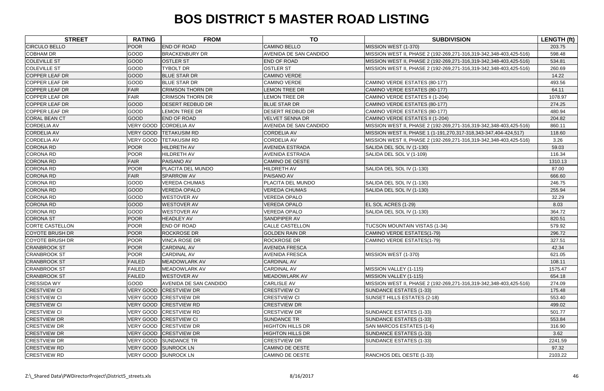| <b>STREET</b>          | <b>RATING</b>    | <b>FROM</b>             | <b>TO</b>               | <b>SUBDIVISION</b>                                                 | <b>LENGTH (ft)</b> |
|------------------------|------------------|-------------------------|-------------------------|--------------------------------------------------------------------|--------------------|
| <b>CIRCULO BELLO</b>   | <b>POOR</b>      | <b>END OF ROAD</b>      | <b>CAMINO BELLO</b>     | MISSION WEST (1-370)                                               | 203.75             |
| <b>COBHAM DR</b>       | GOOD             | <b>BRACKENBURY DR</b>   | AVENIDA DE SAN CANDIDO  | MISSION WEST II, PHASE 2 (192-269,271-316,319-342,348-403,425-516) | 598.48             |
| <b>COLEVILLE ST</b>    | <b>GOOD</b>      | <b>OSTLER ST</b>        | <b>END OF ROAD</b>      | MISSION WEST II, PHASE 2 (192-269,271-316,319-342,348-403,425-516) | 534.81             |
| <b>COLEVILLE ST</b>    | <b>GOOD</b>      | TYBOLT DR               | <b>OSTLER ST</b>        | MISSION WEST II, PHASE 2 (192-269,271-316,319-342,348-403,425-516) | 260.69             |
| <b>COPPER LEAF DR</b>  | GOOD             | <b>BLUE STAR DR</b>     | <b>CAMINO VERDE</b>     |                                                                    | 14.22              |
| COPPER LEAF DR         | GOOD             | <b>BLUE STAR DR</b>     | <b>CAMINO VERDE</b>     | CAMINO VERDE ESTATES (80-177)                                      | 493.56             |
| <b>COPPER LEAF DR</b>  | FAIR             | <b>CRIMSON THORN DR</b> | <b>LEMON TREE DR</b>    | CAMINO VERDE ESTATES (80-177)                                      | 64.11              |
| COPPER LEAF DR         | <b>FAIR</b>      | <b>CRIMSON THORN DR</b> | <b>LEMON TREE DR</b>    | CAMINO VERDE ESTATES II (1-204)                                    | 1078.97            |
| <b>COPPER LEAF DR</b>  | <b>GOOD</b>      | <b>DESERT REDBUD DR</b> | <b>BLUE STAR DR</b>     | CAMINO VERDE ESTATES (80-177)                                      | 274.25             |
| <b>COPPER LEAF DR</b>  | <b>GOOD</b>      | <b>LEMON TREE DR</b>    | <b>DESERT REDBUD DR</b> | CAMINO VERDE ESTATES (80-177)                                      | 480.94             |
| <b>CORAL BEAN CT</b>   | <b>GOOD</b>      | END OF ROAD             | <b>VELVET SENNA DR</b>  | CAMINO VERDE ESTATES II (1-204)                                    | 204.82             |
| <b>CORDELIA AV</b>     | <b>VERY GOOD</b> | <b>CORDELIA AV</b>      | AVENIDA DE SAN CANDIDO  | MISSION WEST II, PHASE 2 (192-269,271-316,319-342,348-403,425-516) | 860.11             |
| <b>CORDELIA AV</b>     | <b>VERY GOOD</b> | <b>TETAKUSIM RD</b>     | <b>CORDELIA AV</b>      | MISSION WEST II, PHASE 1 (1-191,270,317-318,343-347,404-424,517)   | 118.60             |
| <b>CORDELIA AV</b>     | <b>VERY GOOD</b> | <b>TETAKUSIM RD</b>     | <b>CORDELIA AV</b>      | MISSION WEST II, PHASE 2 (192-269,271-316,319-342,348-403,425-516) | 3.26               |
| <b>CORONA RD</b>       | <b>POOR</b>      | <b>HILDRETH AV</b>      | <b>AVENIDA ESTRADA</b>  | SALIDA DEL SOL IV (1-130)                                          | 59.03              |
| <b>CORONA RD</b>       | <b>POOR</b>      | <b>HILDRETH AV</b>      | <b>AVENIDA ESTRADA</b>  | SALIDA DEL SOL V (1-109)                                           | 116.34             |
| <b>CORONA RD</b>       | <b>FAIR</b>      | <b>PAISANO AV</b>       | <b>CAMINO DE OESTE</b>  |                                                                    | 1310.13            |
| <b>CORONA RD</b>       | <b>POOR</b>      | PLACITA DEL MUNDO       | HILDRETH AV             | SALIDA DEL SOL IV (1-130)                                          | 87.00              |
| <b>CORONA RD</b>       | <b>FAIR</b>      | <b>SPARROW AV</b>       | PAISANO AV              |                                                                    | 666.60             |
| <b>CORONA RD</b>       | <b>GOOD</b>      | <b>VEREDA CHUMAS</b>    | PLACITA DEL MUNDO       | SALIDA DEL SOL IV (1-130)                                          | 246.75             |
| <b>CORONA RD</b>       | <b>GOOD</b>      | <b>VEREDA OPALO</b>     | <b>VEREDA CHUMAS</b>    | SALIDA DEL SOL IV (1-130)                                          | 255.94             |
| <b>CORONA RD</b>       | <b>GOOD</b>      | <b>WESTOVER AV</b>      | <b>VEREDA OPALO</b>     |                                                                    | 32.29              |
| <b>CORONA RD</b>       | <b>GOOD</b>      | <b>WESTOVER AV</b>      | <b>VEREDA OPALO</b>     | EL SOL ACRES (1-29)                                                | 8.03               |
| <b>CORONA RD</b>       | GOOD             | <b>WESTOVER AV</b>      | <b>VEREDA OPALO</b>     | SALIDA DEL SOL IV (1-130)                                          | 364.72             |
| <b>CORONA ST</b>       | <b>POOR</b>      | <b>HEADLEY AV</b>       | SANDPIPER AV            |                                                                    | 820.51             |
| <b>CORTE CASTELLON</b> | <b>POOR</b>      | END OF ROAD             | <b>CALLE CASTELLON</b>  | TUCSON MOUNTAIN VISTAS (1-34)                                      | 579.92             |
| <b>COYOTE BRUSH DR</b> | <b>POOR</b>      | <b>ROCKROSE DR</b>      | <b>GOLDEN RAIN DR</b>   | CAMINO VERDE ESTATES(1-79)                                         | 296.72             |
| <b>COYOTE BRUSH DR</b> | <b>POOR</b>      | <b>VINCA ROSE DR</b>    | <b>ROCKROSE DR</b>      | CAMINO VERDE ESTATES(1-79)                                         | 327.51             |
| <b>CRANBROOK ST</b>    | <b>POOR</b>      | <b>CARDINAL AV</b>      | <b>AVENIDA FRESCA</b>   |                                                                    | 42.34              |
| <b>CRANBROOK ST</b>    | <b>POOR</b>      | <b>CARDINAL AV</b>      | <b>AVENIDA FRESCA</b>   | MISSION WEST (1-370)                                               | 621.05             |
| <b>CRANBROOK ST</b>    | <b>FAILED</b>    | <b>MEADOWLARK AV</b>    | <b>CARDINAL AV</b>      |                                                                    | 108.11             |
| <b>CRANBROOK ST</b>    | <b>FAILED</b>    | MEADOWLARK AV           | <b>CARDINAL AV</b>      | MISSION VALLEY (1-115)                                             | 1575.47            |
| <b>CRANBROOK ST</b>    | <b>FAILED</b>    | <b>WESTOVER AV</b>      | <b>MEADOWLARK AV</b>    | MISSION VALLEY (1-115)                                             | 654.18             |
| <b>CRESSIDA WY</b>     | <b>GOOD</b>      | AVENIDA DE SAN CANDIDO  | <b>CARLISLE AV</b>      | MISSION WEST II, PHASE 2 (192-269,271-316,319-342,348-403,425-516) | 274.09             |
| <b>CRESTVIEW CI</b>    | VERY GOOD        | <b>CRESTVIEW DR</b>     | <b>CRESTVIEW CI</b>     | SUNDANCE ESTATES (1-33)                                            | 175.48             |
| <b>CRESTVIEW CI</b>    |                  | VERY GOOD CRESTVIEW DR  | <b>CRESTVIEW CI</b>     | SUNSET HILLS ESTATES (2-18)                                        | 553.40             |
| <b>CRESTVIEW CI</b>    |                  | VERY GOOD CRESTVIEW RD  | <b>CRESTVIEW DR</b>     |                                                                    | 499.02             |
| <b>CRESTVIEW CI</b>    |                  | VERY GOOD CRESTVIEW RD  | <b>CRESTVIEW DR</b>     | SUNDANCE ESTATES (1-33)                                            | 501.77             |
| <b>CRESTVIEW DR</b>    |                  | VERY GOOD CRESTVIEW CI  | <b>SUNDANCE TR</b>      | SUNDANCE ESTATES (1-33)                                            | 553.84             |
| <b>CRESTVIEW DR</b>    |                  | VERY GOOD CRESTVIEW DR  | <b>HIGHTON HILLS DR</b> | SAN MARCOS ESTATES (1-6)                                           | 316.90             |
| <b>CRESTVIEW DR</b>    |                  | VERY GOOD CRESTVIEW DR  | <b>HIGHTON HILLS DR</b> | SUNDANCE ESTATES (1-33)                                            | 3.62               |
| <b>CRESTVIEW DR</b>    |                  | VERY GOOD SUNDANCE TR   | <b>CRESTVIEW DR</b>     | SUNDANCE ESTATES (1-33)                                            | 2241.59            |
| <b>CRESTVIEW RD</b>    |                  | VERY GOOD SUNROCK LN    | <b>CAMINO DE OESTE</b>  |                                                                    | 97.32              |
| <b>CRESTVIEW RD</b>    |                  | VERY GOOD SUNROCK LN    | CAMINO DE OESTE         | RANCHOS DEL OESTE (1-33)                                           | 2103.22            |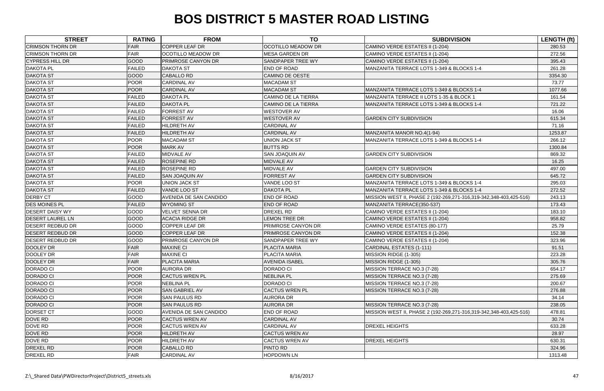| <b>CRIMSON THORN DR</b><br><b>FAIR</b><br><b>COPPER LEAF DR</b><br><b>OCOTILLO MEADOW DR</b><br>CAMINO VERDE ESTATES II (1-204)<br>280.53<br><b>FAIR</b><br><b>CRIMSON THORN DR</b><br><b>OCOTILLO MEADOW DR</b><br><b>MESA GARDEN DR</b><br>CAMINO VERDE ESTATES II (1-204)<br>272.56<br>GOOD<br><b>PRIMROSE CANYON DR</b><br><b>CYPRESS HILL DR</b><br>SANDPAPER TREE WY<br>CAMINO VERDE ESTATES II (1-204)<br>395.43<br><b>FAILED</b><br>END OF ROAD<br><b>DAKOTA PL</b><br><b>DAKOTA ST</b><br>MANZANITA TERRACE LOTS 1-349 & BLOCKS 1-4<br>261.28<br><b>DAKOTA ST</b><br>GOOD<br><b>CABALLO RD</b><br><b>CAMINO DE OESTE</b><br>3354.30<br><b>POOR</b><br><b>DAKOTA ST</b><br><b>CARDINAL AV</b><br><b>MACADAM ST</b><br>73.77<br><b>POOR</b><br><b>DAKOTA ST</b><br><b>CARDINAL AV</b><br><b>MACADAM ST</b><br>MANZANITA TERRACE LOTS 1-349 & BLOCKS 1-4<br>1077.66 |
|---------------------------------------------------------------------------------------------------------------------------------------------------------------------------------------------------------------------------------------------------------------------------------------------------------------------------------------------------------------------------------------------------------------------------------------------------------------------------------------------------------------------------------------------------------------------------------------------------------------------------------------------------------------------------------------------------------------------------------------------------------------------------------------------------------------------------------------------------------------------------|
|                                                                                                                                                                                                                                                                                                                                                                                                                                                                                                                                                                                                                                                                                                                                                                                                                                                                           |
|                                                                                                                                                                                                                                                                                                                                                                                                                                                                                                                                                                                                                                                                                                                                                                                                                                                                           |
|                                                                                                                                                                                                                                                                                                                                                                                                                                                                                                                                                                                                                                                                                                                                                                                                                                                                           |
|                                                                                                                                                                                                                                                                                                                                                                                                                                                                                                                                                                                                                                                                                                                                                                                                                                                                           |
|                                                                                                                                                                                                                                                                                                                                                                                                                                                                                                                                                                                                                                                                                                                                                                                                                                                                           |
|                                                                                                                                                                                                                                                                                                                                                                                                                                                                                                                                                                                                                                                                                                                                                                                                                                                                           |
|                                                                                                                                                                                                                                                                                                                                                                                                                                                                                                                                                                                                                                                                                                                                                                                                                                                                           |
| <b>FAILED</b><br><b>DAKOTA ST</b><br><b>DAKOTA PL</b><br><b>CAMINO DE LA TIERRA</b><br>MANZANITA TERRACE II LOTS 1-35 & BLOCK 1<br>161.54                                                                                                                                                                                                                                                                                                                                                                                                                                                                                                                                                                                                                                                                                                                                 |
| <b>DAKOTA ST</b><br><b>FAILED</b><br><b>DAKOTA PL</b><br><b>CAMINO DE LA TIERRA</b><br>MANZANITA TERRACE LOTS 1-349 & BLOCKS 1-4<br>721.22                                                                                                                                                                                                                                                                                                                                                                                                                                                                                                                                                                                                                                                                                                                                |
| <b>DAKOTA ST</b><br><b>FAILED</b><br><b>FORREST AV</b><br><b>WESTOVER AV</b><br>16.06                                                                                                                                                                                                                                                                                                                                                                                                                                                                                                                                                                                                                                                                                                                                                                                     |
| <b>DAKOTA ST</b><br><b>FAILED</b><br><b>FORREST AV</b><br><b>WESTOVER AV</b><br><b>GARDEN CITY SUBDIVISION</b><br>615.34                                                                                                                                                                                                                                                                                                                                                                                                                                                                                                                                                                                                                                                                                                                                                  |
| <b>DAKOTA ST</b><br><b>FAILED</b><br><b>HILDRETH AV</b><br><b>CARDINAL AV</b><br>71.16                                                                                                                                                                                                                                                                                                                                                                                                                                                                                                                                                                                                                                                                                                                                                                                    |
| <b>DAKOTA ST</b><br><b>FAILED</b><br><b>HILDRETH AV</b><br><b>CARDINAL AV</b><br>MANZANITA MANOR NO.4(1-94)<br>1253.87                                                                                                                                                                                                                                                                                                                                                                                                                                                                                                                                                                                                                                                                                                                                                    |
| <b>POOR</b><br><b>MACADAM ST</b><br><b>UNION JACK ST</b><br><b>DAKOTA ST</b><br>MANZANITA TERRACE LOTS 1-349 & BLOCKS 1-4<br>266.12                                                                                                                                                                                                                                                                                                                                                                                                                                                                                                                                                                                                                                                                                                                                       |
| POOR<br><b>DAKOTA ST</b><br><b>MARK AV</b><br><b>BUTTS RD</b><br>1300.84                                                                                                                                                                                                                                                                                                                                                                                                                                                                                                                                                                                                                                                                                                                                                                                                  |
| <b>DAKOTA ST</b><br><b>GARDEN CITY SUBDIVISION</b><br><b>FAILED</b><br>MIDVALE AV<br><b>SAN JOAQUIN AV</b><br>869.32                                                                                                                                                                                                                                                                                                                                                                                                                                                                                                                                                                                                                                                                                                                                                      |
| <b>DAKOTA ST</b><br><b>FAILED</b><br><b>ROSEPINE RD</b><br><b>MIDVALE AV</b><br>16.25                                                                                                                                                                                                                                                                                                                                                                                                                                                                                                                                                                                                                                                                                                                                                                                     |
| <b>DAKOTA ST</b><br><b>FAILED</b><br><b>ROSEPINE RD</b><br>MIDVALE AV<br><b>GARDEN CITY SUBDIVISION</b><br>497.00                                                                                                                                                                                                                                                                                                                                                                                                                                                                                                                                                                                                                                                                                                                                                         |
| <b>FORREST AV</b><br><b>DAKOTA ST</b><br><b>FAILED</b><br><b>SAN JOAQUIN AV</b><br><b>GARDEN CITY SUBDIVISION</b><br>645.72                                                                                                                                                                                                                                                                                                                                                                                                                                                                                                                                                                                                                                                                                                                                               |
| <b>DAKOTA ST</b><br><b>POOR</b><br><b>UNION JACK ST</b><br>VANDE LOO ST<br>MANZANITA TERRACE LOTS 1-349 & BLOCKS 1-4<br>295.03                                                                                                                                                                                                                                                                                                                                                                                                                                                                                                                                                                                                                                                                                                                                            |
| <b>DAKOTA ST</b><br><b>FAILED</b><br><b>VANDE LOO ST</b><br><b>DAKOTA PL</b><br>MANZANITA TERRACE LOTS 1-349 & BLOCKS 1-4<br>272.52                                                                                                                                                                                                                                                                                                                                                                                                                                                                                                                                                                                                                                                                                                                                       |
| GOOD<br><b>DERBY CT</b><br>AVENIDA DE SAN CANDIDO<br>END OF ROAD<br>MISSION WEST II, PHASE 2 (192-269,271-316,319-342,348-403,425-516)<br>243.13                                                                                                                                                                                                                                                                                                                                                                                                                                                                                                                                                                                                                                                                                                                          |
| END OF ROAD<br><b>DES MOINES PL</b><br><b>FAILED</b><br><b>WYOMING ST</b><br>MANZANITA TERRACE(350-537)<br>173.43                                                                                                                                                                                                                                                                                                                                                                                                                                                                                                                                                                                                                                                                                                                                                         |
| <b>DESERT DAISY WY</b><br>GOOD<br><b>VELVET SENNA DR</b><br><b>DREXEL RD</b><br>CAMINO VERDE ESTATES II (1-204)<br>183.10                                                                                                                                                                                                                                                                                                                                                                                                                                                                                                                                                                                                                                                                                                                                                 |
| GOOD<br><b>DESERT LAUREL LN</b><br><b>ACACIA RIDGE DR</b><br><b>LEMON TREE DR</b><br>CAMINO VERDE ESTATES II (1-204)<br>958.82                                                                                                                                                                                                                                                                                                                                                                                                                                                                                                                                                                                                                                                                                                                                            |
| GOOD<br>COPPER LEAF DR<br><b>DESERT REDBUD DR</b><br>PRIMROSE CANYON DR<br>CAMINO VERDE ESTATES (80-177)<br>25.79                                                                                                                                                                                                                                                                                                                                                                                                                                                                                                                                                                                                                                                                                                                                                         |
| GOOD<br><b>DESERT REDBUD DR</b><br>COPPER LEAF DR<br><b>PRIMROSE CANYON DR</b><br>CAMINO VERDE ESTATES II (1-204)<br>152.38                                                                                                                                                                                                                                                                                                                                                                                                                                                                                                                                                                                                                                                                                                                                               |
| <b>GOOD</b><br><b>DESERT REDBUD DR</b><br><b>PRIMROSE CANYON DR</b><br>SANDPAPER TREE WY<br>CAMINO VERDE ESTATES II (1-204)<br>323.96                                                                                                                                                                                                                                                                                                                                                                                                                                                                                                                                                                                                                                                                                                                                     |
| FAIR<br><b>DOOLEY DR</b><br><b>MAXINE CI</b><br>PLACITA MARIA<br>CARDINAL ESTATES (1-111)<br>91.51                                                                                                                                                                                                                                                                                                                                                                                                                                                                                                                                                                                                                                                                                                                                                                        |
| <b>FAIR</b><br><b>DOOLEY DR</b><br><b>MAXINE CI</b><br>PLACITA MARIA<br>MISSION RIDGE (1-305)<br>223.28                                                                                                                                                                                                                                                                                                                                                                                                                                                                                                                                                                                                                                                                                                                                                                   |
| <b>FAIR</b><br>DOOLEY DR<br><b>PLACITA MARIA</b><br><b>AVENIDA ISABEL</b><br>MISSION RIDGE (1-305)<br>305.76                                                                                                                                                                                                                                                                                                                                                                                                                                                                                                                                                                                                                                                                                                                                                              |
| DORADO CI<br><b>POOR</b><br><b>AURORA DR</b><br><b>DORADO CI</b><br>MISSION TERRACE NO.3 (7-28)<br>654.17                                                                                                                                                                                                                                                                                                                                                                                                                                                                                                                                                                                                                                                                                                                                                                 |
| <b>DORADO CI</b><br><b>POOR</b><br><b>CACTUS WREN PL</b><br><b>NEBLINA PL</b><br>MISSION TERRACE NO.3 (7-28)<br>275.69                                                                                                                                                                                                                                                                                                                                                                                                                                                                                                                                                                                                                                                                                                                                                    |
| <b>POOR</b><br>DORADO CI<br><b>NEBLINA PL</b><br><b>DORADO CI</b><br>MISSION TERRACE NO.3 (7-28)<br>200.67                                                                                                                                                                                                                                                                                                                                                                                                                                                                                                                                                                                                                                                                                                                                                                |
| <b>DORADO CI</b><br><b>POOR</b><br><b>SAN GABRIEL AV</b><br><b>CACTUS WREN PL</b><br>MISSION TERRACE NO.3 (7-28)<br>276.88                                                                                                                                                                                                                                                                                                                                                                                                                                                                                                                                                                                                                                                                                                                                                |
| DORADO CI<br><b>POOR</b><br><b>AURORA DR</b><br><b>SAN PAULUS RD</b><br>34.14                                                                                                                                                                                                                                                                                                                                                                                                                                                                                                                                                                                                                                                                                                                                                                                             |
| <b>DORADO CI</b><br><b>POOR</b><br><b>SAN PAULUS RD</b><br><b>AURORA DR</b><br>MISSION TERRACE NO.3 (7-28)<br>238.05                                                                                                                                                                                                                                                                                                                                                                                                                                                                                                                                                                                                                                                                                                                                                      |
| DORSET CT<br>GOOD<br><b>END OF ROAD</b><br>AVENIDA DE SAN CANDIDO<br>MISSION WEST II, PHASE 2 (192-269,271-316,319-342,348-403,425-516)<br>478.81                                                                                                                                                                                                                                                                                                                                                                                                                                                                                                                                                                                                                                                                                                                         |
| <b>POOR</b><br>DOVE RD<br><b>CARDINAL AV</b><br><b>CACTUS WREN AV</b><br>30.74                                                                                                                                                                                                                                                                                                                                                                                                                                                                                                                                                                                                                                                                                                                                                                                            |
| <b>POOR</b><br><b>CARDINAL AV</b><br><b>DREXEL HEIGHTS</b><br>DOVE RD<br><b>CACTUS WREN AV</b><br>633.28                                                                                                                                                                                                                                                                                                                                                                                                                                                                                                                                                                                                                                                                                                                                                                  |
| DOVE RD<br><b>POOR</b><br><b>CACTUS WREN AV</b><br><b>HILDRETH AV</b><br>28.97                                                                                                                                                                                                                                                                                                                                                                                                                                                                                                                                                                                                                                                                                                                                                                                            |
| DOVE RD<br><b>POOR</b><br><b>CACTUS WREN AV</b><br><b>HILDRETH AV</b><br><b>DREXEL HEIGHTS</b><br>630.31                                                                                                                                                                                                                                                                                                                                                                                                                                                                                                                                                                                                                                                                                                                                                                  |
| PINTO RD<br><b>DREXEL RD</b><br><b>POOR</b><br><b>CABALLO RD</b><br>324.96                                                                                                                                                                                                                                                                                                                                                                                                                                                                                                                                                                                                                                                                                                                                                                                                |
| <b>FAIR</b><br><b>DREXEL RD</b><br><b>CARDINAL AV</b><br><b>HOPDOWN LN</b><br>1313.48                                                                                                                                                                                                                                                                                                                                                                                                                                                                                                                                                                                                                                                                                                                                                                                     |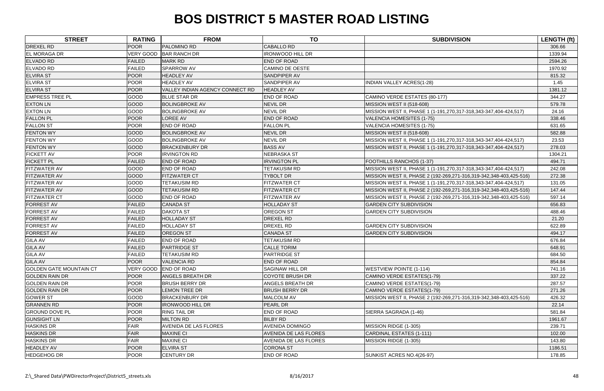| <b>STREET</b>                  | <b>RATING</b>    | <b>FROM</b>                     | <b>TO</b>               | <b>SUBDIVISION</b>                                                 | LENGTH (ft) |
|--------------------------------|------------------|---------------------------------|-------------------------|--------------------------------------------------------------------|-------------|
| <b>DREXEL RD</b>               | <b>POOR</b>      | PALOMINO RD                     | <b>CABALLO RD</b>       |                                                                    | 306.66      |
| <b>EL MORAGA DR</b>            | <b>VERY GOOD</b> | <b>BAR RANCH DR</b>             | <b>IRONWOOD HILL DR</b> |                                                                    | 1339.94     |
| <b>ELVADO RD</b>               | <b>FAILED</b>    | <b>MARK RD</b>                  | <b>END OF ROAD</b>      |                                                                    | 2594.26     |
| <b>ELVADO RD</b>               | <b>FAILED</b>    | <b>SPARROW AV</b>               | <b>CAMINO DE OESTE</b>  |                                                                    | 1970.92     |
| <b>ELVIRA ST</b>               | POOR             | <b>HEADLEY AV</b>               | <b>SANDPIPER AV</b>     |                                                                    | 815.32      |
| <b>ELVIRA ST</b>               | <b>POOR</b>      | <b>HEADLEY AV</b>               | <b>SANDPIPER AV</b>     | <b>INDIAN VALLEY ACRES(1-28)</b>                                   | 1.45        |
| <b>ELVIRA ST</b>               | <b>POOR</b>      | VALLEY INDIAN AGENCY CONNECT RD | <b>HEADLEY AV</b>       |                                                                    | 1381.12     |
| <b>EMPRESS TREE PL</b>         | GOOD             | <b>BLUE STAR DR</b>             | END OF ROAD             | CAMINO VERDE ESTATES (80-177)                                      | 344.27      |
| <b>EXTON LN</b>                | GOOD             | <b>BOLINGBROKE AV</b>           | NEVIL DR                | MISSION WEST II (518-608)                                          | 579.78      |
| <b>EXTON LN</b>                | GOOD             | <b>BOLINGBROKE AV</b>           | NEVIL DR                | MISSION WEST II, PHASE 1 (1-191,270,317-318,343-347,404-424,517)   | 24.16       |
| <b>FALLON PL</b>               | POOR             | <b>LOREE AV</b>                 | <b>END OF ROAD</b>      | <b>VALENCIA HOMESITES (1-75)</b>                                   | 338.46      |
| <b>FALLON ST</b>               | <b>POOR</b>      | <b>END OF ROAD</b>              | <b>FALLON PL</b>        | <b>VALENCIA HOMESITES (1-75)</b>                                   | 631.65      |
| <b>FENTON WY</b>               | <b>GOOD</b>      | <b>BOLINGBROKE AV</b>           | <b>NEVIL DR</b>         | MISSION WEST II (518-608)                                          | 582.88      |
| <b>FENTON WY</b>               | GOOD             | <b>BOLINGBROKE AV</b>           | <b>NEVIL DR</b>         | MISSION WEST II, PHASE 1 (1-191,270,317-318,343-347,404-424,517)   | 23.53       |
| <b>FENTON WY</b>               | GOOD             | <b>BRACKENBURY DR</b>           | <b>BASS AV</b>          | MISSION WEST II, PHASE 1 (1-191,270,317-318,343-347,404-424,517)   | 278.03      |
| <b>FICKETT AV</b>              | <b>POOR</b>      | <b>IRVINGTON RD</b>             | <b>NEBRASKA ST</b>      |                                                                    | 1304.21     |
| <b>FICKETT PL</b>              | <b>FAILED</b>    | <b>END OF ROAD</b>              | <b>IRVINGTON PL</b>     | FOOTHILLS RANCHOS (1-37)                                           | 494.71      |
| <b>FITZWATER AV</b>            | GOOD             | <b>END OF ROAD</b>              | <b>TETAKUSIM RD</b>     | MISSION WEST II, PHASE 1 (1-191,270,317-318,343-347,404-424,517)   | 242.08      |
| <b>FITZWATER AV</b>            | GOOD             | <b>FITZWATER CT</b>             | <b>TYBOLT DR</b>        | MISSION WEST II, PHASE 2 (192-269,271-316,319-342,348-403,425-516) | 272.38      |
| <b>FITZWATER AV</b>            | GOOD             | <b>TETAKUSIM RD</b>             | <b>FITZWATER CT</b>     | MISSION WEST II, PHASE 1 (1-191,270,317-318,343-347,404-424,517)   | 131.05      |
| <b>FITZWATER AV</b>            | GOOD             | <b>TETAKUSIM RD</b>             | <b>FITZWATER CT</b>     | MISSION WEST II, PHASE 2 (192-269,271-316,319-342,348-403,425-516) | 147.44      |
| <b>FITZWATER CT</b>            | GOOD             | <b>END OF ROAD</b>              | <b>FITZWATER AV</b>     | MISSION WEST II, PHASE 2 (192-269,271-316,319-342,348-403,425-516) | 597.14      |
| <b>FORREST AV</b>              | <b>FAILED</b>    | <b>CANADA ST</b>                | <b>HOLLADAY ST</b>      | <b>GARDEN CITY SUBDIVISION</b>                                     | 656.83      |
| <b>FORREST AV</b>              | <b>FAILED</b>    | <b>DAKOTA ST</b>                | <b>OREGON ST</b>        | <b>GARDEN CITY SUBDIVISION</b>                                     | 488.46      |
| <b>FORREST AV</b>              | <b>FAILED</b>    | <b>HOLLADAY ST</b>              | DREXEL RD               |                                                                    | 21.20       |
| <b>FORREST AV</b>              | <b>FAILED</b>    | <b>HOLLADAY ST</b>              | DREXEL RD               | <b>GARDEN CITY SUBDIVISION</b>                                     | 622.89      |
| <b>FORREST AV</b>              | <b>FAILED</b>    | <b>OREGON ST</b>                | <b>CANADA ST</b>        | <b>GARDEN CITY SUBDIVISION</b>                                     | 494.17      |
| <b>GILA AV</b>                 | <b>FAILED</b>    | <b>END OF ROAD</b>              | <b>TETAKUSIM RD</b>     |                                                                    | 676.84      |
| <b>GILA AV</b>                 | <b>FAILED</b>    | <b>PARTRIDGE ST</b>             | <b>CALLE TORIM</b>      |                                                                    | 648.91      |
| <b>GILA AV</b>                 | <b>FAILED</b>    | <b>TETAKUSIM RD</b>             | PARTRIDGE ST            |                                                                    | 684.50      |
| <b>GILA AV</b>                 | <b>POOR</b>      | <b>VALENCIA RD</b>              | <b>END OF ROAD</b>      |                                                                    | 854.84      |
| <b>GOLDEN GATE MOUNTAIN CT</b> | <b>VERY GOOD</b> | <b>END OF ROAD</b>              | SAGINAW HILL DR         | <b>WESTVIEW POINTE (1-114)</b>                                     | 741.16      |
| <b>GOLDEN RAIN DR</b>          | <b>POOR</b>      | <b>ANGELS BREATH DR</b>         | <b>COYOTE BRUSH DR</b>  | CAMINO VERDE ESTATES(1-79)                                         | 337.22      |
| <b>GOLDEN RAIN DR</b>          | <b>POOR</b>      | <b>BRUSH BERRY DR</b>           | <b>ANGELS BREATH DR</b> | CAMINO VERDE ESTATES(1-79)                                         | 287.57      |
| <b>GOLDEN RAIN DR</b>          | <b>POOR</b>      | <b>LEMON TREE DR</b>            | <b>BRUSH BERRY DR</b>   | CAMINO VERDE ESTATES(1-79)                                         | 271.26      |
| <b>GOWER ST</b>                | GOOD             | <b>BRACKENBURY DR</b>           | MALCOLM AV              | MISSION WEST II, PHASE 2 (192-269,271-316,319-342,348-403,425-516) | 426.32      |
| <b>GRANNEN RD</b>              | <b>POOR</b>      | <b>IRONWOOD HILL DR</b>         | PEARL DR                |                                                                    | 22.14       |
| <b>GROUND DOVE PL</b>          | <b>POOR</b>      | <b>RING TAIL DR</b>             | END OF ROAD             | SIERRA SAGRADA (1-46)                                              | 581.84      |
| <b>GUNSIGHT LN</b>             | <b>POOR</b>      | <b>MILTON RD</b>                | <b>BILBY RD</b>         |                                                                    | 1961.67     |
| <b>HASKINS DR</b>              | <b>FAIR</b>      | AVENIDA DE LAS FLORES           | AVENIDA DOMINGO         | MISSION RIDGE (1-305)                                              | 239.71      |
| <b>HASKINS DR</b>              | FAIR             | <b>MAXINE CI</b>                | AVENIDA DE LAS FLORES   | CARDINAL ESTATES (1-111)                                           | 102.00      |
| <b>HASKINS DR</b>              | <b>FAIR</b>      | <b>MAXINE CI</b>                | AVENIDA DE LAS FLORES   | MISSION RIDGE (1-305)                                              | 143.80      |
| <b>HEADLEY AV</b>              | POOR             | <b>ELVIRA ST</b>                | <b>CORONA ST</b>        |                                                                    | 1186.51     |
| <b>HEDGEHOG DR</b>             | <b>POOR</b>      | <b>CENTURY DR</b>               | END OF ROAD             | SUNKIST ACRES NO.4(26-97)                                          | 178.85      |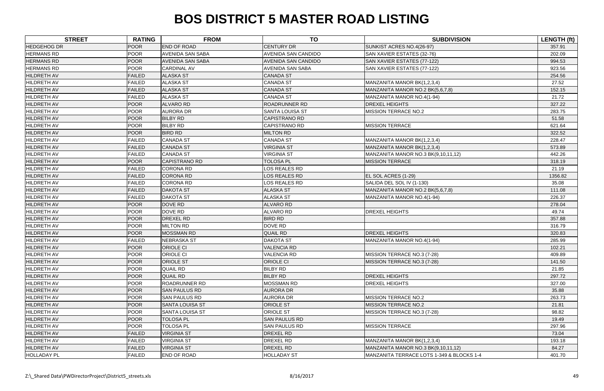| <b>STREET</b>      | <b>RATING</b> | <b>FROM</b>             | <b>TO</b>                  | <b>SUBDIVISION</b>                        | <b>LENGTH (ft)</b> |
|--------------------|---------------|-------------------------|----------------------------|-------------------------------------------|--------------------|
| <b>HEDGEHOG DR</b> | <b>POOR</b>   | <b>END OF ROAD</b>      | <b>CENTURY DR</b>          | SUNKIST ACRES NO.4(26-97)                 | 357.91             |
| <b>HERMANS RD</b>  | <b>POOR</b>   | <b>AVENIDA SAN SABA</b> | <b>AVENIDA SAN CANDIDO</b> | SAN XAVIER ESTATES (32-76)                | 202.09             |
| <b>HERMANS RD</b>  | <b>POOR</b>   | <b>AVENIDA SAN SABA</b> | <b>AVENIDA SAN CANDIDO</b> | SAN XAVIER ESTATES (77-122)               | 994.53             |
| <b>HERMANS RD</b>  | <b>POOR</b>   | <b>CARDINAL AV</b>      | <b>AVENIDA SAN SABA</b>    | SAN XAVIER ESTATES (77-122)               | 923.56             |
| <b>HILDRETH AV</b> | <b>FAILED</b> | <b>ALASKA ST</b>        | <b>CANADA ST</b>           |                                           | 254.56             |
| HILDRETH AV        | <b>FAILED</b> | <b>ALASKA ST</b>        | <b>CANADA ST</b>           | MANZANITA MANOR BK(1,2,3,4)               | 27.52              |
| <b>HILDRETH AV</b> | <b>FAILED</b> | <b>ALASKA ST</b>        | <b>CANADA ST</b>           | MANZANITA MANOR NO.2 BK(5,6,7,8)          | 152.15             |
| HILDRETH AV        | <b>FAILED</b> | <b>ALASKA ST</b>        | <b>CANADA ST</b>           | MANZANITA MANOR NO.4(1-94)                | 21.72              |
| <b>HILDRETH AV</b> | <b>POOR</b>   | <b>ALVARO RD</b>        | <b>ROADRUNNER RD</b>       | <b>DREXEL HEIGHTS</b>                     | 327.22             |
| <b>HILDRETH AV</b> | <b>POOR</b>   | <b>AURORA DR</b>        | <b>SANTA LOUISA ST</b>     | MISSION TERRACE NO.2                      | 283.75             |
| <b>HILDRETH AV</b> | <b>POOR</b>   | <b>BILBY RD</b>         | <b>CAPISTRANO RD</b>       |                                           | 51.58              |
| <b>HILDRETH AV</b> | <b>POOR</b>   | <b>BILBY RD</b>         | <b>CAPISTRANO RD</b>       | <b>MISSION TERRACE</b>                    | 621.64             |
| <b>HILDRETH AV</b> | <b>POOR</b>   | <b>BIRD RD</b>          | <b>MILTON RD</b>           |                                           | 322.52             |
| <b>HILDRETH AV</b> | <b>FAILED</b> | <b>CANADA ST</b>        | <b>CANADA ST</b>           | MANZANITA MANOR BK(1,2,3,4)               | 228.47             |
| <b>HILDRETH AV</b> | <b>FAILED</b> | <b>CANADA ST</b>        | <b>VIRGINIA ST</b>         | MANZANITA MANOR BK(1,2,3,4)               | 573.89             |
| <b>HILDRETH AV</b> | <b>FAILED</b> | <b>CANADA ST</b>        | <b>VIRGINIA ST</b>         | MANZANITA MANOR NO.3 BK(9,10,11,12)       | 442.26             |
| <b>HILDRETH AV</b> | <b>POOR</b>   | <b>CAPISTRANO RD</b>    | <b>TOLOSA PL</b>           | <b>MISSION TERRACE</b>                    | 318.19             |
| <b>HILDRETH AV</b> | <b>FAILED</b> | <b>CORONA RD</b>        | LOS REALES RD              |                                           | 21.19              |
| <b>HILDRETH AV</b> | <b>FAILED</b> | <b>CORONA RD</b>        | <b>LOS REALES RD</b>       | EL SOL ACRES (1-29)                       | 1356.82            |
| HILDRETH AV        | <b>FAILED</b> | <b>CORONA RD</b>        | <b>LOS REALES RD</b>       | SALIDA DEL SOL IV (1-130)                 | 35.08              |
| <b>HILDRETH AV</b> | <b>FAILED</b> | <b>DAKOTA ST</b>        | <b>ALASKA ST</b>           | MANZANITA MANOR NO.2 BK(5,6,7,8)          | 111.08             |
| HILDRETH AV        | <b>FAILED</b> | <b>DAKOTA ST</b>        | <b>ALASKA ST</b>           | MANZANITA MANOR NO.4(1-94)                | 226.37             |
| <b>HILDRETH AV</b> | <b>POOR</b>   | DOVE RD                 | <b>ALVARO RD</b>           |                                           | 278.04             |
| <b>HILDRETH AV</b> | <b>POOR</b>   | DOVE RD                 | <b>ALVARO RD</b>           | <b>DREXEL HEIGHTS</b>                     | 49.74              |
| <b>HILDRETH AV</b> | <b>POOR</b>   | <b>DREXEL RD</b>        | <b>BIRD RD</b>             |                                           | 357.88             |
| <b>HILDRETH AV</b> | <b>POOR</b>   | <b>MILTON RD</b>        | DOVE RD                    |                                           | 316.79             |
| HILDRETH AV        | <b>POOR</b>   | <b>MOSSMAN RD</b>       | <b>QUAIL RD</b>            | <b>DREXEL HEIGHTS</b>                     | 320.83             |
| <b>HILDRETH AV</b> | <b>FAILED</b> | <b>NEBRASKA ST</b>      | <b>DAKOTA ST</b>           | MANZANITA MANOR NO.4(1-94)                | 285.99             |
| <b>HILDRETH AV</b> | <b>POOR</b>   | ORIOLE CI               | <b>VALENCIA RD</b>         |                                           | 102.21             |
| <b>HILDRETH AV</b> | <b>POOR</b>   | ORIOLE CI               | <b>VALENCIA RD</b>         | MISSION TERRACE NO.3 (7-28)               | 409.89             |
| <b>HILDRETH AV</b> | <b>POOR</b>   | ORIOLE ST               | <b>ORIOLE CI</b>           | MISSION TERRACE NO.3 (7-28)               | 141.50             |
| HILDRETH AV        | <b>POOR</b>   | <b>QUAIL RD</b>         | <b>BILBY RD</b>            |                                           | 21.85              |
| <b>HILDRETH AV</b> | <b>POOR</b>   | <b>QUAIL RD</b>         | <b>BILBY RD</b>            | <b>DREXEL HEIGHTS</b>                     | 297.72             |
| HILDRETH AV        | <b>POOR</b>   | ROADRUNNER RD           | <b>MOSSMAN RD</b>          | <b>DREXEL HEIGHTS</b>                     | 327.00             |
| <b>HILDRETH AV</b> | <b>POOR</b>   | <b>SAN PAULUS RD</b>    | <b>AURORA DR</b>           |                                           | 35.88              |
| <b>HILDRETH AV</b> | <b>POOR</b>   | <b>SAN PAULUS RD</b>    | <b>AURORA DR</b>           | <b>MISSION TERRACE NO.2</b>               | 263.73             |
| <b>HILDRETH AV</b> | <b>POOR</b>   | <b>SANTA LOUISA ST</b>  | <b>ORIOLE ST</b>           | <b>MISSION TERRACE NO.2</b>               | 21.81              |
| <b>HILDRETH AV</b> | <b>POOR</b>   | <b>SANTA LOUISA ST</b>  | ORIOLE ST                  | MISSION TERRACE NO.3 (7-28)               | 98.82              |
| <b>HILDRETH AV</b> | <b>POOR</b>   | <b>TOLOSA PL</b>        | <b>SAN PAULUS RD</b>       |                                           | 19.49              |
| HILDRETH AV        | <b>POOR</b>   | <b>TOLOSA PL</b>        | <b>SAN PAULUS RD</b>       | <b>MISSION TERRACE</b>                    | 297.96             |
| <b>HILDRETH AV</b> | <b>FAILED</b> | <b>VIRGINIA ST</b>      | <b>DREXEL RD</b>           |                                           | 73.04              |
| HILDRETH AV        | <b>FAILED</b> | <b>VIRGINIA ST</b>      | <b>DREXEL RD</b>           | MANZANITA MANOR BK(1,2,3,4)               | 193.18             |
| <b>HILDRETH AV</b> | <b>FAILED</b> | <b>VIRGINIA ST</b>      | <b>DREXEL RD</b>           | MANZANITA MANOR NO.3 BK(9,10,11,12)       | 84.27              |
| <b>HOLLADAY PL</b> | <b>FAILED</b> | <b>END OF ROAD</b>      | <b>HOLLADAY ST</b>         | MANZANITA TERRACE LOTS 1-349 & BLOCKS 1-4 | 401.70             |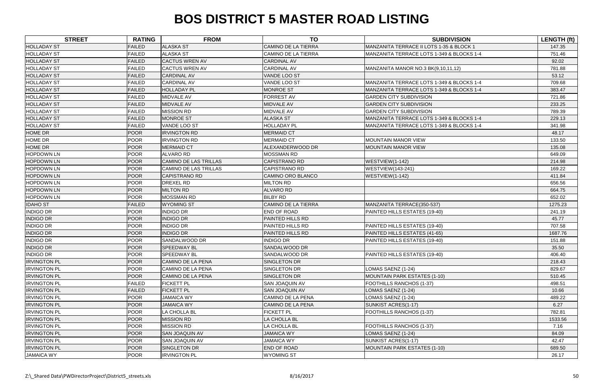|                     | <b>STREET</b><br><b>RATING</b> | <b>FROM</b>              | <b>TO</b>                  | <b>SUBDIVISION</b>                        | <b>LENGTH (ft)</b> |
|---------------------|--------------------------------|--------------------------|----------------------------|-------------------------------------------|--------------------|
| <b>HOLLADAY ST</b>  | <b>FAILED</b>                  | <b>ALASKA ST</b>         | <b>CAMINO DE LA TIERRA</b> | MANZANITA TERRACE II LOTS 1-35 & BLOCK 1  | 147.35             |
| <b>HOLLADAY ST</b>  | <b>FAILED</b>                  | <b>ALASKA ST</b>         | <b>CAMINO DE LA TIERRA</b> | MANZANITA TERRACE LOTS 1-349 & BLOCKS 1-4 | 751.46             |
| <b>HOLLADAY ST</b>  | <b>FAILED</b>                  | <b>CACTUS WREN AV</b>    | <b>CARDINAL AV</b>         |                                           | 92.02              |
| <b>HOLLADAY ST</b>  | <b>FAILED</b>                  | <b>CACTUS WREN AV</b>    | <b>CARDINAL AV</b>         | MANZANITA MANOR NO.3 BK(9,10,11,12)       | 781.88             |
| <b>HOLLADAY ST</b>  | <b>FAILED</b>                  | <b>CARDINAL AV</b>       | VANDE LOO ST               |                                           | 53.12              |
| <b>HOLLADAY ST</b>  | <b>FAILED</b>                  | <b>CARDINAL AV</b>       | VANDE LOO ST               | MANZANITA TERRACE LOTS 1-349 & BLOCKS 1-4 | 709.68             |
| <b>HOLLADAY ST</b>  | <b>FAILED</b>                  | <b>HOLLADAY PL</b>       | <b>MONROE ST</b>           | MANZANITA TERRACE LOTS 1-349 & BLOCKS 1-4 | 383.47             |
| <b>HOLLADAY ST</b>  | <b>FAILED</b>                  | MIDVALE AV               | <b>FORREST AV</b>          | <b>GARDEN CITY SUBDIVISION</b>            | 721.86             |
| <b>HOLLADAY ST</b>  | <b>FAILED</b>                  | <b>MIDVALE AV</b>        | <b>MIDVALE AV</b>          | <b>GARDEN CITY SUBDIVISION</b>            | 233.25             |
| <b>HOLLADAY ST</b>  | <b>FAILED</b>                  | <b>MISSION RD</b>        | MIDVALE AV                 | <b>GARDEN CITY SUBDIVISION</b>            | 789.39             |
| <b>HOLLADAY ST</b>  | <b>FAILED</b>                  | <b>MONROE ST</b>         | <b>ALASKA ST</b>           | MANZANITA TERRACE LOTS 1-349 & BLOCKS 1-4 | 229.13             |
| <b>HOLLADAY ST</b>  | <b>FAILED</b>                  | VANDE LOO ST             | <b>HOLLADAY PL</b>         | MANZANITA TERRACE LOTS 1-349 & BLOCKS 1-4 | 341.98             |
| <b>HOME DR</b>      | <b>POOR</b>                    | <b>IRVINGTON RD</b>      | <b>MERMAID CT</b>          |                                           | 48.17              |
| <b>HOME DR</b>      | <b>POOR</b>                    | <b>IRVINGTON RD</b>      | <b>MERMAID CT</b>          | <b>MOUNTAIN MANOR VIEW</b>                | 133.50             |
| <b>HOME DR</b>      | <b>POOR</b>                    | <b>MERMAID CT</b>        | ALEXANDERWOOD DR           | <b>MOUNTAIN MANOR VIEW</b>                | 135.08             |
| <b>HOPDOWN LN</b>   | <b>POOR</b>                    | <b>ALVARO RD</b>         | <b>MOSSMAN RD</b>          |                                           | 649.09             |
| <b>HOPDOWN LN</b>   | <b>POOR</b>                    | CAMINO DE LAS TRILLAS    | <b>CAPISTRANO RD</b>       | WESTVIEW(1-142)                           | 214.98             |
| <b>HOPDOWN LN</b>   | <b>POOR</b>                    | CAMINO DE LAS TRILLAS    | <b>CAPISTRANO RD</b>       | <b>WESTVIEW</b> (143-241)                 | 169.22             |
| <b>HOPDOWN LN</b>   | <b>POOR</b>                    | <b>CAPISTRANO RD</b>     | CAMINO ORO BLANCO          | WESTVIEW(1-142)                           | 411.84             |
| <b>HOPDOWN LN</b>   | <b>POOR</b>                    | <b>DREXEL RD</b>         | <b>MILTON RD</b>           |                                           | 656.56             |
| <b>HOPDOWN LN</b>   | <b>POOR</b>                    | <b>MILTON RD</b>         | <b>ALVARO RD</b>           |                                           | 664.75             |
| <b>HOPDOWN LN</b>   | <b>POOR</b>                    | <b>MOSSMAN RD</b>        | <b>BILBY RD</b>            |                                           | 652.02             |
| <b>IDAHO ST</b>     | <b>FAILED</b>                  | <b>WYOMING ST</b>        | <b>CAMINO DE LA TIERRA</b> | MANZANITA TERRACE(350-537)                | 1275.23            |
| <b>INDIGO DR</b>    | <b>POOR</b>                    | <b>INDIGO DR</b>         | <b>END OF ROAD</b>         | PAINTED HILLS ESTATES (19-40)             | 241.19             |
| <b>INDIGO DR</b>    | POOR                           | <b>INDIGO DR</b>         | PAINTED HILLS RD           |                                           | 45.77              |
| <b>INDIGO DR</b>    | <b>POOR</b>                    | <b>INDIGO DR</b>         | PAINTED HILLS RD           | PAINTED HILLS ESTATES (19-40)             | 707.58             |
| <b>INDIGO DR</b>    | <b>POOR</b>                    | <b>INDIGO DR</b>         | <b>PAINTED HILLS RD</b>    | PAINTED HILLS ESTATES (41-65)             | 1687.76            |
| <b>INDIGO DR</b>    | <b>POOR</b>                    | SANDALWOOD DR            | <b>INDIGO DR</b>           | PAINTED HILLS ESTATES (19-40)             | 151.88             |
| <b>INDIGO DR</b>    | <b>POOR</b>                    | <b>SPEEDWAY BL</b>       | <b>SANDALWOOD DR</b>       |                                           | 35.50              |
| <b>INDIGO DR</b>    | <b>POOR</b>                    | SPEEDWAY BL              | SANDALWOOD DR              | PAINTED HILLS ESTATES (19-40)             | 406.40             |
| <b>IRVINGTON PL</b> | <b>POOR</b>                    | <b>CAMINO DE LA PENA</b> | SINGLETON DR               |                                           | 218.43             |
| <b>IRVINGTON PL</b> | <b>POOR</b>                    | CAMINO DE LA PENA        | <b>SINGLETON DR</b>        | LOMAS SAENZ (1-24)                        | 829.67             |
| <b>IRVINGTON PL</b> | <b>POOR</b>                    | <b>CAMINO DE LA PENA</b> | SINGLETON DR               | <b>MOUNTAIN PARK ESTATES (1-10)</b>       | 510.45             |
| <b>IRVINGTON PL</b> | <b>FAILED</b>                  | <b>FICKETT PL</b>        | <b>SAN JOAQUIN AV</b>      | FOOTHILLS RANCHOS (1-37)                  | 498.51             |
| <b>IRVINGTON PL</b> | <b>FAILED</b>                  | <b>FICKETT PL</b>        | <b>SAN JOAQUIN AV</b>      | LOMAS SAENZ (1-24)                        | 10.66              |
| <b>IRVINGTON PL</b> | <b>POOR</b>                    | <b>JAMAICA WY</b>        | <b>CAMINO DE LA PENA</b>   | LOMAS SAENZ (1-24)                        | 489.22             |
| <b>IRVINGTON PL</b> | <b>POOR</b>                    | <b>JAMAICA WY</b>        | <b>CAMINO DE LA PENA</b>   | SUNKIST ACRES(1-17)                       | 6.27               |
| <b>IRVINGTON PL</b> | <b>POOR</b>                    | LA CHOLLA BL             | <b>FICKETT PL</b>          | FOOTHILLS RANCHOS (1-37)                  | 782.81             |
| <b>IRVINGTON PL</b> | <b>POOR</b>                    | <b>MISSION RD</b>        | LA CHOLLA BL               |                                           | 1533.56            |
| <b>IRVINGTON PL</b> | <b>POOR</b>                    | MISSION RD               | LA CHOLLA BL               | FOOTHILLS RANCHOS (1-37)                  | 7.16               |
| <b>IRVINGTON PL</b> | <b>POOR</b>                    | <b>SAN JOAQUIN AV</b>    | <b>JAMAICA WY</b>          | LOMAS SAENZ (1-24)                        | 84.09              |
| <b>IRVINGTON PL</b> | <b>POOR</b>                    | <b>SAN JOAQUIN AV</b>    | <b>JAMAICA WY</b>          | SUNKIST ACRES(1-17)                       | 42.47              |
| <b>IRVINGTON PL</b> | <b>POOR</b>                    | SINGLETON DR             | <b>END OF ROAD</b>         | <b>MOUNTAIN PARK ESTATES (1-10)</b>       | 689.50             |
| <b>JAMAICA WY</b>   | <b>POOR</b>                    | <b>IRVINGTON PL</b>      | <b>WYOMING ST</b>          |                                           | 26.17              |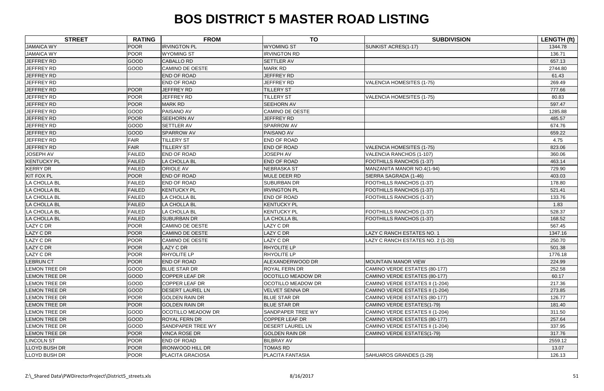| <b>STREET</b>        | <b>RATING</b> | <b>FROM</b>               | <b>TO</b>                 | <b>SUBDIVISION</b>                | <b>LENGTH (ft)</b> |
|----------------------|---------------|---------------------------|---------------------------|-----------------------------------|--------------------|
| <b>JAMAICA WY</b>    | <b>POOR</b>   | <b>IRVINGTON PL</b>       | <b>WYOMING ST</b>         | SUNKIST ACRES(1-17)               | 1344.78            |
| <b>JAMAICA WY</b>    | <b>POOR</b>   | <b>WYOMING ST</b>         | <b>IRVINGTON RD</b>       |                                   | 136.71             |
| JEFFREY RD           | GOOD          | <b>CABALLO RD</b>         | <b>SETTLER AV</b>         |                                   | 657.13             |
| JEFFREY RD           | GOOD          | CAMINO DE OESTE           | <b>MARK RD</b>            |                                   | 2744.80            |
| JEFFREY RD           |               | <b>END OF ROAD</b>        | JEFFREY RD                |                                   | 61.43              |
| <b>JEFFREY RD</b>    |               | END OF ROAD               | <b>JEFFREY RD</b>         | <b>VALENCIA HOMESITES (1-75)</b>  | 269.49             |
| JEFFREY RD           | <b>POOR</b>   | <b>JEFFREY RD</b>         | <b>TILLERY ST</b>         |                                   | 777.66             |
| JEFFREY RD           | <b>POOR</b>   | <b>JEFFREY RD</b>         | <b>TILLERY ST</b>         | <b>VALENCIA HOMESITES (1-75)</b>  | 80.83              |
| JEFFREY RD           | <b>POOR</b>   | <b>MARK RD</b>            | <b>SEEHORN AV</b>         |                                   | 597.47             |
| <b>JEFFREY RD</b>    | GOOD          | PAISANO AV                | <b>CAMINO DE OESTE</b>    |                                   | 1285.88            |
| JEFFREY RD           | <b>POOR</b>   | <b>SEEHORN AV</b>         | <b>JEFFREY RD</b>         |                                   | 485.57             |
| JEFFREY RD           | GOOD          | <b>SETTLER AV</b>         | <b>SPARROW AV</b>         |                                   | 674.76             |
| JEFFREY RD           | <b>GOOD</b>   | <b>SPARROW AV</b>         | PAISANO AV                |                                   | 659.22             |
| JEFFREY RD           | <b>FAIR</b>   | <b>TILLERY ST</b>         | <b>END OF ROAD</b>        |                                   | 4.75               |
| JEFFREY RD           | <b>FAIR</b>   | <b>TILLERY ST</b>         | <b>END OF ROAD</b>        | <b>VALENCIA HOMESITES (1-75)</b>  | 823.06             |
| <b>JOSEPH AV</b>     | <b>FAILED</b> | <b>END OF ROAD</b>        | <b>JOSEPH AV</b>          | VALENCIA RANCHOS (1-107)          | 360.06             |
| <b>KENTUCKY PL</b>   | <b>FAILED</b> | LA CHOLLA BL              | <b>END OF ROAD</b>        | FOOTHILLS RANCHOS (1-37)          | 463.14             |
| <b>KERRY DR</b>      | <b>FAILED</b> | <b>ORIOLE AV</b>          | <b>NEBRASKA ST</b>        | MANZANITA MANOR NO.4(1-94)        | 729.90             |
| <b>KIT FOX PL</b>    | <b>POOR</b>   | <b>END OF ROAD</b>        | MULE DEER RD              | SIERRA SAGRADA (1-46)             | 403.03             |
| LA CHOLLA BL         | <b>FAILED</b> | END OF ROAD               | <b>SUBURBAN DR</b>        | FOOTHILLS RANCHOS (1-37)          | 178.80             |
| LA CHOLLA BL         | <b>FAILED</b> | <b>KENTUCKY PL</b>        | <b>IRVINGTON PL</b>       | FOOTHILLS RANCHOS (1-37)          | 521.41             |
| LA CHOLLA BL         | <b>FAILED</b> | LA CHOLLA BL              | <b>END OF ROAD</b>        | FOOTHILLS RANCHOS (1-37)          | 133.76             |
| LA CHOLLA BL         | <b>FAILED</b> | LA CHOLLA BL              | <b>KENTUCKY PL</b>        |                                   | 1.83               |
| LA CHOLLA BL         | <b>FAILED</b> | LA CHOLLA BL              | <b>KENTUCKY PL</b>        | <b>FOOTHILLS RANCHOS (1-37)</b>   | 528.37             |
| <b>LA CHOLLA BL</b>  | <b>FAILED</b> | <b>SUBURBAN DR</b>        | LA CHOLLA BL              | FOOTHILLS RANCHOS (1-37)          | 168.52             |
| <b>LAZY C DR</b>     | <b>POOR</b>   | <b>CAMINO DE OESTE</b>    | LAZY C DR                 |                                   | 567.45             |
| LAZY C DR            | <b>POOR</b>   | <b>CAMINO DE OESTE</b>    | <b>AZY C DR</b>           | LAZY C RANCH ESTATES NO. 1        | 1347.16            |
| LAZY C DR            | <b>POOR</b>   | <b>CAMINO DE OESTE</b>    | LAZY C DR                 | LAZY C RANCH ESTATES NO. 2 (1-20) | 250.70             |
| <b>LAZY C DR</b>     | <b>POOR</b>   | LAZY C DR                 | RHYOLITE LP               |                                   | 501.38             |
| <b>LAZY C DR</b>     | <b>POOR</b>   | RHYOLITE LP               | RHYOLITE LP               |                                   | 1776.18            |
| <b>LEBRUN CT</b>     | <b>POOR</b>   | <b>END OF ROAD</b>        | ALEXANDERWOOD DR          | <b>MOUNTAIN MANOR VIEW</b>        | 224.99             |
| <b>LEMON TREE DR</b> | GOOD          | <b>BLUE STAR DR</b>       | <b>ROYAL FERN DR</b>      | CAMINO VERDE ESTATES (80-177)     | 252.58             |
| <b>LEMON TREE DR</b> | GOOD          | <b>COPPER LEAF DR</b>     | <b>OCOTILLO MEADOW DR</b> | CAMINO VERDE ESTATES (80-177)     | 60.17              |
| <b>LEMON TREE DR</b> | GOOD          | <b>COPPER LEAF DR</b>     | OCOTILLO MEADOW DR        | CAMINO VERDE ESTATES II (1-204)   | 217.36             |
| LEMON TREE DR        | GOOD          | <b>DESERT LAUREL LN</b>   | <b>VELVET SENNA DR</b>    | CAMINO VERDE ESTATES II (1-204)   | 273.85             |
| <b>LEMON TREE DR</b> | <b>POOR</b>   | <b>GOLDEN RAIN DR</b>     | <b>BLUE STAR DR</b>       | CAMINO VERDE ESTATES (80-177)     | 126.77             |
| <b>LEMON TREE DR</b> | <b>POOR</b>   | <b>GOLDEN RAIN DR</b>     | <b>BLUE STAR DR</b>       | CAMINO VERDE ESTATES(1-79)        | 181.40             |
| <b>LEMON TREE DR</b> | GOOD          | <b>OCOTILLO MEADOW DR</b> | SANDPAPER TREE WY         | CAMINO VERDE ESTATES II (1-204)   | 311.50             |
| LEMON TREE DR        | <b>GOOD</b>   | <b>ROYAL FERN DR</b>      | <b>COPPER LEAF DR</b>     | CAMINO VERDE ESTATES (80-177)     | 257.64             |
| LEMON TREE DR        | GOOD          | <b>SANDPAPER TREE WY</b>  | <b>DESERT LAUREL LN</b>   | CAMINO VERDE ESTATES II (1-204)   | 337.95             |
| <b>LEMON TREE DR</b> | <b>POOR</b>   | <b>VINCA ROSE DR</b>      | <b>GOLDEN RAIN DR</b>     | CAMINO VERDE ESTATES(1-79)        | 317.76             |
| <b>LINCOLN ST</b>    | <b>POOR</b>   | <b>END OF ROAD</b>        | <b>BILBRAY AV</b>         |                                   | 2559.12            |
| LLOYD BUSH DR        | <b>POOR</b>   | <b>IRONWOOD HILL DR</b>   | <b>TOMAS RD</b>           |                                   | 13.07              |
| <b>LLOYD BUSH DR</b> | <b>POOR</b>   | <b>PLACITA GRACIOSA</b>   | PLACITA FANTASIA          | SAHUAROS GRANDES (1-29)           | 126.13             |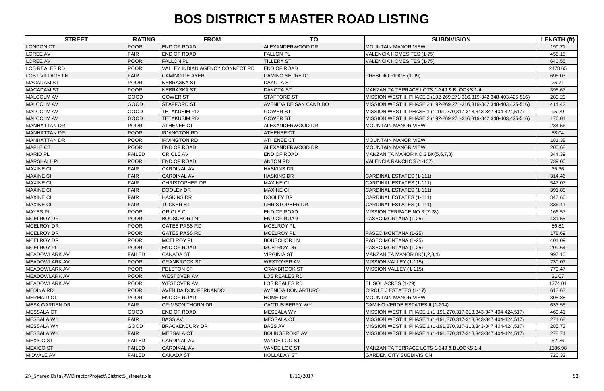| <b>STREET</b>          | <b>RATING</b> | <b>FROM</b>                     | <b>TO</b>                 | <b>SUBDIVISION</b>                                                 | LENGTH (ft) |
|------------------------|---------------|---------------------------------|---------------------------|--------------------------------------------------------------------|-------------|
| <b>LONDON CT</b>       | <b>POOR</b>   | <b>END OF ROAD</b>              | ALEXANDERWOOD DR          | <b>MOUNTAIN MANOR VIEW</b>                                         | 199.71      |
| <b>LOREE AV</b>        | <b>FAIR</b>   | <b>END OF ROAD</b>              | <b>FALLON PL</b>          | <b>VALENCIA HOMESITES (1-75)</b>                                   | 458.15      |
| LOREE AV               | <b>POOR</b>   | <b>FALLON PL</b>                | <b>TILLERY ST</b>         | <b>VALENCIA HOMESITES (1-75)</b>                                   | 640.55      |
| <b>LOS REALES RD</b>   | <b>POOR</b>   | VALLEY INDIAN AGENCY CONNECT RD | <b>END OF ROAD</b>        |                                                                    | 2478.65     |
| <b>LOST VILLAGE LN</b> | FAIR          | <b>CAMINO DE AYER</b>           | <b>CAMINO SECRETO</b>     | PRESIDIO RIDGE (1-99)                                              | 696.03      |
| <b>MACADAM ST</b>      | <b>POOR</b>   | <b>NEBRASKA ST</b>              | <b>DAKOTA ST</b>          |                                                                    | 25.71       |
| <b>MACADAM ST</b>      | <b>POOR</b>   | <b>NEBRASKA ST</b>              | <b>DAKOTA ST</b>          | MANZANITA TERRACE LOTS 1-349 & BLOCKS 1-4                          | 395.67      |
| <b>MALCOLM AV</b>      | GOOD          | <b>GOWER ST</b>                 | <b>STAFFORD ST</b>        | MISSION WEST II, PHASE 2 (192-269,271-316,319-342,348-403,425-516) | 280.20      |
| <b>MALCOLM AV</b>      | GOOD          | <b>STAFFORD ST</b>              | AVENIDA DE SAN CANDIDO    | MISSION WEST II, PHASE 2 (192-269,271-316,319-342,348-403,425-516) | 414.42      |
| MALCOLM AV             | GOOD          | <b>TETAKUSIM RD</b>             | <b>GOWER ST</b>           | MISSION WEST II, PHASE 1 (1-191,270,317-318,343-347,404-424,517)   | 95.29       |
| <b>MALCOLM AV</b>      | GOOD          | <b>TETAKUSIM RD</b>             | <b>GOWER ST</b>           | MISSION WEST II, PHASE 2 (192-269,271-316,319-342,348-403,425-516) | 176.01      |
| <b>MANHATTAN DR</b>    | <b>POOR</b>   | <b>ATHENEE CT</b>               | ALEXANDERWOOD DR          | <b>MOUNTAIN MANOR VIEW</b>                                         | 234.56      |
| <b>MANHATTAN DR</b>    | <b>POOR</b>   | <b>IRVINGTON RD</b>             | <b>ATHENEE CT</b>         |                                                                    | 58.04       |
| MANHATTAN DR           | <b>POOR</b>   | <b>IRVINGTON RD</b>             | <b>ATHENEE CT</b>         | <b>MOUNTAIN MANOR VIEW</b>                                         | 181.38      |
| <b>MAPLE CT</b>        | <b>POOR</b>   | <b>END OF ROAD</b>              | ALEXANDERWOOD DR          | <b>MOUNTAIN MANOR VIEW</b>                                         | 200.68      |
| <b>MARIO PL</b>        | <b>FAILED</b> | <b>ORIOLE AV</b>                | <b>END OF ROAD</b>        | MANZANITA MANOR NO.2 BK(5,6,7,8)                                   | 344.39      |
| <b>MARSHALL PL</b>     | <b>POOR</b>   | <b>END OF ROAD</b>              | <b>ANTON RD</b>           | VALENCIA RANCHOS (1-107)                                           | 739.00      |
| <b>MAXINE CI</b>       | <b>FAIR</b>   | <b>CARDINAL AV</b>              | <b>HASKINS DR</b>         |                                                                    | 35.36       |
| <b>MAXINE CI</b>       | <b>FAIR</b>   | <b>CARDINAL AV</b>              | <b>HASKINS DR</b>         | CARDINAL ESTATES (1-111)                                           | 314.46      |
| <b>MAXINE CI</b>       | <b>FAIR</b>   | <b>CHRISTOPHER DR</b>           | <b>MAXINE CI</b>          | CARDINAL ESTATES (1-111)                                           | 547.07      |
| <b>MAXINE CI</b>       | <b>FAIR</b>   | <b>DOOLEY DR</b>                | <b>MAXINE CI</b>          | CARDINAL ESTATES (1-111)                                           | 391.88      |
| <b>MAXINE CI</b>       | <b>FAIR</b>   | <b>HASKINS DR</b>               | DOOLEY DR                 | <b>CARDINAL ESTATES (1-111)</b>                                    | 347.60      |
| <b>MAXINE CI</b>       | <b>FAIR</b>   | <b>TUCKER ST</b>                | <b>CHRISTOPHER DR</b>     | CARDINAL ESTATES (1-111)                                           | 336.41      |
| <b>MAYES PL</b>        | <b>POOR</b>   | <b>ORIOLE CI</b>                | END OF ROAD               | MISSION TERRACE NO.3 (7-28)                                        | 166.57      |
| MCELROY DR             | <b>POOR</b>   | <b>BOUSCHOR LN</b>              | <b>END OF ROAD</b>        | PASEO MONTANA (1-25)                                               | 431.55      |
| MCELROY DR             | <b>POOR</b>   | <b>GATES PASS RD</b>            | MCELROY PL                |                                                                    | 86.81       |
| MCELROY DR             | <b>POOR</b>   | <b>GATES PASS RD</b>            | MCELROY PL                | PASEO MONTANA (1-25)                                               | 178.69      |
| MCELROY DR             | <b>POOR</b>   | <b>MCELROY PL</b>               | <b>BOUSCHOR LN</b>        | PASEO MONTANA (1-25)                                               | 401.09      |
| <b>MCELROY PL</b>      | <b>POOR</b>   | <b>END OF ROAD</b>              | MCELROY DR                | PASEO MONTANA (1-25)                                               | 209.64      |
| MEADOWLARK AV          | <b>FAILED</b> | <b>CANADA ST</b>                | <b>VIRGINIA ST</b>        | MANZANITA MANOR BK(1,2,3,4)                                        | 997.10      |
| <b>MEADOWLARK AV</b>   | <b>POOR</b>   | <b>CRANBROOK ST</b>             | <b>WESTOVER AV</b>        | MISSION VALLEY (1-115)                                             | 730.07      |
| <b>MEADOWLARK AV</b>   | <b>POOR</b>   | PELSTON ST                      | <b>CRANBROOK ST</b>       | MISSION VALLEY (1-115)                                             | 770.47      |
| <b>MEADOWLARK AV</b>   | <b>POOR</b>   | <b>WESTOVER AV</b>              | <b>LOS REALES RD</b>      |                                                                    | 21.07       |
| <b>MEADOWLARK AV</b>   | <b>POOR</b>   | <b>WESTOVER AV</b>              | LOS REALES RD             | EL SOL ACRES (1-29)                                                | 1274.01     |
| <b>MEDINA RD</b>       | <b>POOR</b>   | <b>AVENIDA DON FERNANDO</b>     | <b>AVENIDA DON ARTURO</b> | CIRCLE J ESTATES (1-17)                                            | 613.63      |
| <b>MERMAID CT</b>      | <b>POOR</b>   | <b>END OF ROAD</b>              | HOME DR                   | <b>MOUNTAIN MANOR VIEW</b>                                         | 305.88      |
| <b>MESA GARDEN DR</b>  | FAIR          | <b>CRIMSON THORN DR</b>         | <b>CACTUS BERRY WY</b>    | CAMINO VERDE ESTATES II (1-204)                                    | 633.55      |
| <b>MESSALA CT</b>      | GOOD          | <b>END OF ROAD</b>              | <b>MESSALA WY</b>         | MISSION WEST II, PHASE 1 (1-191,270,317-318,343-347,404-424,517)   | 460.41      |
| <b>MESSALA WY</b>      | <b>FAIR</b>   | <b>BASS AV</b>                  | <b>MESSALA CT</b>         | MISSION WEST II, PHASE 1 (1-191,270,317-318,343-347,404-424,517)   | 271.68      |
| <b>MESSALA WY</b>      | GOOD          | <b>BRACKENBURY DR</b>           | <b>BASS AV</b>            | MISSION WEST II, PHASE 1 (1-191,270,317-318,343-347,404-424,517)   | 285.73      |
| <b>MESSALA WY</b>      | FAIR          | <b>MESSALA CT</b>               | <b>BOLINGBROKE AV</b>     | MISSION WEST II, PHASE 1 (1-191,270,317-318,343-347,404-424,517)   | 278.74      |
| <b>MEXICO ST</b>       | <b>FAILED</b> | <b>CARDINAL AV</b>              | VANDE LOO ST              |                                                                    | 52.26       |
| <b>MEXICO ST</b>       | <b>FAILED</b> | <b>CARDINAL AV</b>              | VANDE LOO ST              | MANZANITA TERRACE LOTS 1-349 & BLOCKS 1-4                          | 1186.98     |
| <b>MIDVALE AV</b>      | <b>FAILED</b> | <b>CANADA ST</b>                | <b>HOLLADAY ST</b>        | <b>GARDEN CITY SUBDIVISION</b>                                     | 720.32      |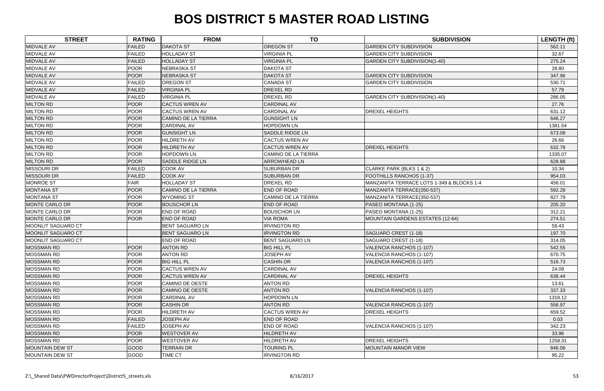| <b>STREET</b>          | <b>RATING</b> | <b>FROM</b>                | <b>TO</b>                  | <b>SUBDIVISION</b>                        | LENGTH (ft) |
|------------------------|---------------|----------------------------|----------------------------|-------------------------------------------|-------------|
| <b>MIDVALE AV</b>      | <b>FAILED</b> | <b>DAKOTA ST</b>           | <b>OREGON ST</b>           | <b>GARDEN CITY SUBDIVISION</b>            | 562.11      |
| <b>MIDVALE AV</b>      | <b>FAILED</b> | <b>HOLLADAY ST</b>         | <b>VIRGINIA PL</b>         | <b>GARDEN CITY SUBDIVISION</b>            | 32.67       |
| <b>MIDVALE AV</b>      | <b>FAILED</b> | <b>HOLLADAY ST</b>         | <b>VIRGINIA PL</b>         | <b>GARDEN CITY SUBDIVISION(1-40)</b>      | 275.24      |
| MIDVALE AV             | <b>POOR</b>   | NEBRASKA ST                | <b>DAKOTA ST</b>           |                                           | 28.80       |
| MIDVALE AV             | <b>POOR</b>   | <b>NEBRASKA ST</b>         | <b>DAKOTA ST</b>           | <b>GARDEN CITY SUBDIVISION</b>            | 347.96      |
| <b>MIDVALE AV</b>      | <b>FAILED</b> | <b>OREGON ST</b>           | <b>CANADA ST</b>           | <b>GARDEN CITY SUBDIVISION</b>            | 530.71      |
| MIDVALE AV             | <b>FAILED</b> | <b>VIRGINIA PL</b>         | DREXEL RD                  |                                           | 57.79       |
| MIDVALE AV             | <b>FAILED</b> | <b>VIRGINIA PL</b>         | DREXEL RD                  | <b>GARDEN CITY SUBDIVISION(1-40)</b>      | 286.05      |
| <b>MILTON RD</b>       | <b>POOR</b>   | <b>CACTUS WREN AV</b>      | <b>CARDINAL AV</b>         |                                           | 27.76       |
| <b>MILTON RD</b>       | <b>POOR</b>   | <b>CACTUS WREN AV</b>      | CARDINAL AV                | <b>DREXEL HEIGHTS</b>                     | 631.12      |
| <b>MILTON RD</b>       | <b>POOR</b>   | <b>CAMINO DE LA TIERRA</b> | <b>GUNSIGHT LN</b>         |                                           | 646.27      |
| <b>MILTON RD</b>       | <b>POOR</b>   | <b>CARDINAL AV</b>         | <b>HOPDOWN LN</b>          |                                           | 1381.54     |
| <b>MILTON RD</b>       | <b>POOR</b>   | <b>GUNSIGHT LN</b>         | <b>SADDLE RIDGE LN</b>     |                                           | 673.08      |
| <b>MILTON RD</b>       | <b>POOR</b>   | <b>HILDRETH AV</b>         | <b>CACTUS WREN AV</b>      |                                           | 26.66       |
| <b>MILTON RD</b>       | POOR          | <b>HILDRETH AV</b>         | <b>CACTUS WREN AV</b>      | <b>DREXEL HEIGHTS</b>                     | 632.78      |
| <b>MILTON RD</b>       | <b>POOR</b>   | <b>HOPDOWN LN</b>          | <b>CAMINO DE LA TIERRA</b> |                                           | 1335.07     |
| <b>MILTON RD</b>       | <b>POOR</b>   | <b>SADDLE RIDGE LN</b>     | <b>ARROWHEAD LN</b>        |                                           | 628.88      |
| <b>MISSOURI DR</b>     | <b>FAILED</b> | <b>COOK AV</b>             | <b>SUBURBAN DR</b>         | CLARKE PARK (BLKS 1 & 2)                  | 10.34       |
| <b>MISSOURI DR</b>     | <b>FAILED</b> | <b>COOK AV</b>             | <b>SUBURBAN DR</b>         | <b>FOOTHILLS RANCHOS (1-37)</b>           | 954.03      |
| <b>MONROE ST</b>       | <b>FAIR</b>   | <b>HOLLADAY ST</b>         | DREXEL RD                  | MANZANITA TERRACE LOTS 1-349 & BLOCKS 1-4 | 456.01      |
| <b>MONTANA ST</b>      | <b>POOR</b>   | CAMINO DE LA TIERRA        | <b>END OF ROAD</b>         | MANZANITA TERRACE(350-537)                | 592.28      |
| <b>MONTANA ST</b>      | <b>POOR</b>   | <b>WYOMING ST</b>          | <b>CAMINO DE LA TIERRA</b> | MANZANITA TERRACE(350-537)                | 827.79      |
| <b>MONTE CARLO DR</b>  | <b>POOR</b>   | <b>BOUSCHOR LN</b>         | END OF ROAD                | PASEO MONTANA (1-25)                      | 205.20      |
| <b>MONTE CARLO DR</b>  | <b>POOR</b>   | <b>END OF ROAD</b>         | <b>BOUSCHOR LN</b>         | PASEO MONTANA (1-25)                      | 312.21      |
| <b>MONTE CARLO DR</b>  | <b>POOR</b>   | <b>END OF ROAD</b>         | <b>VIA ROMA</b>            | MOUNTAIN GARDENS ESTATES (12-64)          | 274.51      |
| MOONLIT SAGUARO CT     |               | <b>BENT SAGUARO LN</b>     | <b>IRVINGTON RD</b>        |                                           | 59.43       |
| MOONLIT SAGUARO CT     |               | <b>BENT SAGUARO LN</b>     | <b>IRVINGTON RD</b>        | SAGUARO CREST (1-18)                      | 197.70      |
| MOONLIT SAGUARO CT     |               | END OF ROAD                | <b>BENT SAGUARO LN</b>     | SAGUARO CREST (1-18)                      | 314.05      |
| <b>MOSSMAN RD</b>      | <b>POOR</b>   | <b>ANTON RD</b>            | <b>BIG HILL PL</b>         | VALENCIA RANCHOS (1-107)                  | 542.55      |
| MOSSMAN RD             | POOR          | <b>ANTON RD</b>            | <b>JOSEPH AV</b>           | VALENCIA RANCHOS (1-107)                  | 670.75      |
| <b>MOSSMAN RD</b>      | <b>POOR</b>   | <b>BIG HILL PL</b>         | <b>CASHIN DR</b>           | VALENCIA RANCHOS (1-107)                  | 516.73      |
| <b>MOSSMAN RD</b>      | <b>POOR</b>   | <b>CACTUS WREN AV</b>      | <b>CARDINAL AV</b>         |                                           | 24.09       |
| <b>MOSSMAN RD</b>      | <b>POOR</b>   | <b>CACTUS WREN AV</b>      | <b>CARDINAL AV</b>         | <b>DREXEL HEIGHTS</b>                     | 638.44      |
| <b>MOSSMAN RD</b>      | <b>POOR</b>   | <b>CAMINO DE OESTE</b>     | <b>ANTON RD</b>            |                                           | 13.61       |
| <b>MOSSMAN RD</b>      | <b>POOR</b>   | <b>CAMINO DE OESTE</b>     | <b>ANTON RD</b>            | VALENCIA RANCHOS (1-107)                  | 337.33      |
| <b>MOSSMAN RD</b>      | <b>POOR</b>   | <b>CARDINAL AV</b>         | <b>HOPDOWN LN</b>          |                                           | 1318.12     |
| <b>MOSSMAN RD</b>      | <b>POOR</b>   | <b>CASHIN DR</b>           | <b>ANTON RD</b>            | VALENCIA RANCHOS (1-107)                  | 556.97      |
| <b>MOSSMAN RD</b>      | <b>POOR</b>   | <b>HILDRETH AV</b>         | <b>CACTUS WREN AV</b>      | <b>DREXEL HEIGHTS</b>                     | 659.52      |
| <b>MOSSMAN RD</b>      | <b>FAILED</b> | <b>JOSEPH AV</b>           | <b>END OF ROAD</b>         |                                           | 0.03        |
| <b>MOSSMAN RD</b>      | <b>FAILED</b> | <b>JOSEPH AV</b>           | <b>END OF ROAD</b>         | VALENCIA RANCHOS (1-107)                  | 342.23      |
| <b>MOSSMAN RD</b>      | <b>POOR</b>   | <b>WESTOVER AV</b>         | <b>HILDRETH AV</b>         |                                           | 33.96       |
| <b>MOSSMAN RD</b>      | <b>POOR</b>   | <b>WESTOVER AV</b>         | HILDRETH AV                | <b>DREXEL HEIGHTS</b>                     | 1258.31     |
| <b>MOUNTAIN DEW ST</b> | <b>GOOD</b>   | <b>TERRAIN DR</b>          | <b>TOURING PL</b>          | <b>MOUNTAIN MANOR VIEW</b>                | 846.06      |
| <b>MOUNTAIN DEW ST</b> | <b>GOOD</b>   | <b>TIME CT</b>             | <b>IRVINGTON RD</b>        |                                           | 95.22       |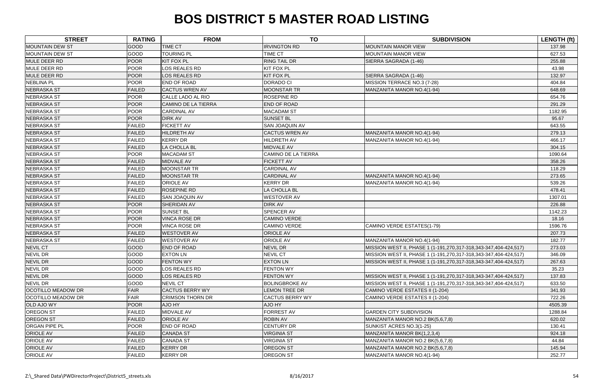| <b>STREET</b>             | <b>RATING</b> | <b>FROM</b>                | <b>TO</b>                  | <b>SUBDIVISION</b>                                               | LENGTH (ft) |
|---------------------------|---------------|----------------------------|----------------------------|------------------------------------------------------------------|-------------|
| <b>MOUNTAIN DEW ST</b>    | GOOD          | <b>TIME CT</b>             | <b>IRVINGTON RD</b>        | <b>MOUNTAIN MANOR VIEW</b>                                       | 137.98      |
| <b>MOUNTAIN DEW ST</b>    | <b>GOOD</b>   | <b>TOURING PL</b>          | TIME CT                    | <b>MOUNTAIN MANOR VIEW</b>                                       | 627.53      |
| MULE DEER RD              | <b>POOR</b>   | <b>KIT FOX PL</b>          | <b>RING TAIL DR</b>        | SIERRA SAGRADA (1-46)                                            | 255.88      |
| MULE DEER RD              | <b>POOR</b>   | <b>LOS REALES RD</b>       | <b>KIT FOX PL</b>          |                                                                  | 43.98       |
| MULE DEER RD              | <b>POOR</b>   | <b>LOS REALES RD</b>       | <b>KIT FOX PL</b>          | SIERRA SAGRADA (1-46)                                            | 132.97      |
| <b>NEBLINA PL</b>         | <b>POOR</b>   | END OF ROAD                | <b>DORADO CI</b>           | MISSION TERRACE NO.3 (7-28)                                      | 404.84      |
| <b>NEBRASKA ST</b>        | <b>FAILED</b> | <b>CACTUS WREN AV</b>      | <b>MOONSTAR TR</b>         | MANZANITA MANOR NO.4(1-94)                                       | 648.69      |
| <b>NEBRASKA ST</b>        | <b>POOR</b>   | CALLE LADO AL RIO          | <b>ROSEPINE RD</b>         |                                                                  | 654.76      |
| <b>NEBRASKA ST</b>        | <b>POOR</b>   | <b>CAMINO DE LA TIERRA</b> | <b>END OF ROAD</b>         |                                                                  | 291.29      |
| <b>NEBRASKA ST</b>        | <b>POOR</b>   | <b>CARDINAL AV</b>         | <b>MACADAM ST</b>          |                                                                  | 1182.95     |
| <b>NEBRASKA ST</b>        | <b>POOR</b>   | <b>DIRK AV</b>             | <b>SUNSET BL</b>           |                                                                  | 95.67       |
| <b>NEBRASKA ST</b>        | <b>FAILED</b> | <b>FICKETT AV</b>          | SAN JOAQUIN AV             |                                                                  | 643.55      |
| <b>NEBRASKA ST</b>        | <b>FAILED</b> | <b>HILDRETH AV</b>         | <b>CACTUS WREN AV</b>      | MANZANITA MANOR NO.4(1-94)                                       | 279.13      |
| <b>NEBRASKA ST</b>        | <b>FAILED</b> | <b>KERRY DR</b>            | HILDRETH AV                | MANZANITA MANOR NO.4(1-94)                                       | 466.17      |
| <b>NEBRASKA ST</b>        | <b>FAILED</b> | LA CHOLLA BL               | MIDVALE AV                 |                                                                  | 304.15      |
| <b>NEBRASKA ST</b>        | <b>POOR</b>   | <b>MACADAM ST</b>          | <b>CAMINO DE LA TIERRA</b> |                                                                  | 1090.64     |
| <b>NEBRASKA ST</b>        | <b>FAILED</b> | MIDVALE AV                 | <b>FICKETT AV</b>          |                                                                  | 358.26      |
| <b>NEBRASKA ST</b>        | <b>FAILED</b> | <b>MOONSTAR TR</b>         | <b>CARDINAL AV</b>         |                                                                  | 118.29      |
| <b>NEBRASKA ST</b>        | <b>FAILED</b> | <b>MOONSTAR TR</b>         | <b>CARDINAL AV</b>         | MANZANITA MANOR NO.4(1-94)                                       | 273.65      |
| <b>NEBRASKA ST</b>        | <b>FAILED</b> | <b>ORIOLE AV</b>           | <b>KERRY DR</b>            | MANZANITA MANOR NO.4(1-94)                                       | 539.26      |
| <b>NEBRASKA ST</b>        | <b>FAILED</b> | <b>ROSEPINE RD</b>         | LA CHOLLA BL               |                                                                  | 478.41      |
| <b>NEBRASKA ST</b>        | <b>FAILED</b> | <b>SAN JOAQUIN AV</b>      | <b>WESTOVER AV</b>         |                                                                  | 1307.01     |
| <b>NEBRASKA ST</b>        | <b>POOR</b>   | SHERIDAN AV                | <b>DIRK AV</b>             |                                                                  | 226.88      |
| <b>NEBRASKA ST</b>        | <b>POOR</b>   | <b>SUNSET BL</b>           | SPENCER AV                 |                                                                  | 1142.23     |
| <b>NEBRASKA ST</b>        | <b>POOR</b>   | <b>VINCA ROSE DR</b>       | <b>CAMINO VERDE</b>        |                                                                  | 18.16       |
| <b>NEBRASKA ST</b>        | <b>POOR</b>   | <b>VINCA ROSE DR</b>       | CAMINO VERDE               | CAMINO VERDE ESTATES(1-79)                                       | 1596.76     |
| <b>NEBRASKA ST</b>        | <b>FAILED</b> | <b>WESTOVER AV</b>         | <b>ORIOLE AV</b>           |                                                                  | 207.73      |
| <b>NEBRASKA ST</b>        | <b>FAILED</b> | <b>WESTOVER AV</b>         | ORIOLE AV                  | MANZANITA MANOR NO.4(1-94)                                       | 182.77      |
| <b>NEVIL CT</b>           | <b>GOOD</b>   | <b>END OF ROAD</b>         | NEVIL DR                   | MISSION WEST II, PHASE 1 (1-191,270,317-318,343-347,404-424,517) | 273.03      |
| NEVIL DR                  | <b>GOOD</b>   | <b>EXTON LN</b>            | <b>NEVIL CT</b>            | MISSION WEST II, PHASE 1 (1-191,270,317-318,343-347,404-424,517) | 346.09      |
| <b>NEVIL DR</b>           | GOOD          | <b>FENTON WY</b>           | <b>EXTON LN</b>            | MISSION WEST II, PHASE 1 (1-191,270,317-318,343-347,404-424,517) | 267.63      |
| <b>NEVIL DR</b>           | <b>GOOD</b>   | <b>LOS REALES RD</b>       | <b>FENTON WY</b>           |                                                                  | 35.23       |
| <b>NEVIL DR</b>           | GOOD          | <b>LOS REALES RD</b>       | <b>FENTON WY</b>           | MISSION WEST II, PHASE 1 (1-191,270,317-318,343-347,404-424,517) | 137.83      |
| <b>NEVIL DR</b>           | GOOD          | <b>NEVIL CT</b>            | <b>BOLINGBROKE AV</b>      | MISSION WEST II, PHASE 1 (1-191,270,317-318,343-347,404-424,517) | 633.50      |
| <b>OCOTILLO MEADOW DR</b> | <b>FAIR</b>   | <b>CACTUS BERRY WY</b>     | <b>LEMON TREE DR</b>       | CAMINO VERDE ESTATES II (1-204)                                  | 341.93      |
| <b>OCOTILLO MEADOW DR</b> | <b>FAIR</b>   | <b>CRIMSON THORN DR</b>    | <b>CACTUS BERRY WY</b>     | CAMINO VERDE ESTATES II (1-204)                                  | 722.26      |
| <b>OLD AJO WY</b>         | <b>POOR</b>   | AJO HY                     | AJO HY                     |                                                                  | 4505.39     |
| <b>OREGON ST</b>          | <b>FAILED</b> | MIDVALE AV                 | <b>FORREST AV</b>          | <b>GARDEN CITY SUBDIVISION</b>                                   | 1288.84     |
| <b>OREGON ST</b>          | <b>FAILED</b> | <b>ORIOLE AV</b>           | <b>ROBIN AV</b>            | MANZANITA MANOR NO.2 BK(5,6,7,8)                                 | 620.02      |
| <b>ORGAN PIPE PL</b>      | <b>POOR</b>   | END OF ROAD                | <b>CENTURY DR</b>          | SUNKIST ACRES NO.3(1-25)                                         | 130.41      |
| <b>ORIOLE AV</b>          | <b>FAILED</b> | <b>CANADA ST</b>           | <b>VIRGINIA ST</b>         | MANZANITA MANOR BK(1,2,3,4)                                      | 924.18      |
| <b>ORIOLE AV</b>          | <b>FAILED</b> | <b>CANADA ST</b>           | VIRGINIA ST                | MANZANITA MANOR NO.2 BK(5,6,7,8)                                 | 44.84       |
| <b>ORIOLE AV</b>          | <b>FAILED</b> | <b>KERRY DR</b>            | <b>OREGON ST</b>           | MANZANITA MANOR NO.2 BK(5,6,7,8)                                 | 145.94      |
| <b>ORIOLE AV</b>          | <b>FAILED</b> | <b>KERRY DR</b>            | OREGON ST                  | MANZANITA MANOR NO.4(1-94)                                       | 252.77      |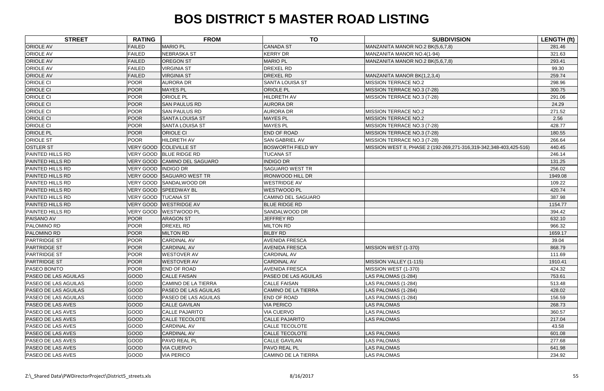| <b>STREET</b>               | <b>RATING</b>         | <b>FROM</b>                  | <b>TO</b>                  | <b>SUBDIVISION</b>                                                 | <b>LENGTH (ft)</b> |
|-----------------------------|-----------------------|------------------------------|----------------------------|--------------------------------------------------------------------|--------------------|
| <b>ORIOLE AV</b>            | <b>FAILED</b>         | <b>MARIO PL</b>              | <b>CANADA ST</b>           | MANZANITA MANOR NO.2 BK(5,6,7,8)                                   | 281.46             |
| <b>ORIOLE AV</b>            | <b>FAILED</b>         | <b>NEBRASKA ST</b>           | <b>KERRY DR</b>            | MANZANITA MANOR NO.4(1-94)                                         | 321.63             |
| <b>ORIOLE AV</b>            | <b>FAILED</b>         | <b>OREGON ST</b>             | <b>MARIO PL</b>            | MANZANITA MANOR NO.2 BK(5,6,7,8)                                   | 293.41             |
| <b>ORIOLE AV</b>            | <b>FAILED</b>         | <b>VIRGINIA ST</b>           | <b>DREXEL RD</b>           |                                                                    | 99.30              |
| <b>ORIOLE AV</b>            | <b>FAILED</b>         | <b>VIRGINIA ST</b>           | <b>DREXEL RD</b>           | MANZANITA MANOR BK(1,2,3,4)                                        | 259.74             |
| <b>ORIOLE CI</b>            | <b>POOR</b>           | <b>AURORA DR</b>             | <b>SANTA LOUISA ST</b>     | <b>MISSION TERRACE NO.2</b>                                        | 298.96             |
| <b>ORIOLE CI</b>            | <b>POOR</b>           | <b>MAYES PL</b>              | ORIOLE PL                  | MISSION TERRACE NO.3 (7-28)                                        | 300.75             |
| <b>ORIOLE CI</b>            | <b>POOR</b>           | <b>ORIOLE PL</b>             | HILDRETH AV                | MISSION TERRACE NO.3 (7-28)                                        | 291.06             |
| <b>ORIOLE CI</b>            | <b>POOR</b>           | <b>SAN PAULUS RD</b>         | <b>AURORA DR</b>           |                                                                    | 24.29              |
| <b>ORIOLE CI</b>            | <b>POOR</b>           | <b>SAN PAULUS RD</b>         | <b>AURORA DR</b>           | <b>MISSION TERRACE NO.2</b>                                        | 271.52             |
| <b>ORIOLE CI</b>            | <b>POOR</b>           | <b>SANTA LOUISA ST</b>       | <b>MAYES PL</b>            | <b>MISSION TERRACE NO.2</b>                                        | 2.56               |
| <b>ORIOLE CI</b>            | <b>POOR</b>           | <b>SANTA LOUISA ST</b>       | <b>MAYES PL</b>            | MISSION TERRACE NO.3 (7-28)                                        | 428.77             |
| <b>ORIOLE PL</b>            | <b>POOR</b>           | <b>ORIOLE CI</b>             | <b>END OF ROAD</b>         | MISSION TERRACE NO.3 (7-28)                                        | 180.55             |
| <b>ORIOLE ST</b>            | <b>POOR</b>           | <b>HILDRETH AV</b>           | <b>SAN GABRIEL AV</b>      | MISSION TERRACE NO.3 (7-28)                                        | 266.64             |
| <b>OSTLER ST</b>            | VERY GOOD             | <b>COLEVILLE ST</b>          | <b>BOSWORTH FIELD WY</b>   | MISSION WEST II, PHASE 2 (192-269,271-316,319-342,348-403,425-516) | 440.45             |
| <b>PAINTED HILLS RD</b>     |                       | VERY GOOD BLUE RIDGE RD      | <b>TUCANA ST</b>           |                                                                    | 246.14             |
| <b>PAINTED HILLS RD</b>     |                       | VERY GOOD CAMINO DEL SAGUARO | <b>INDIGO DR</b>           |                                                                    | 131.25             |
| <b>PAINTED HILLS RD</b>     | VERY GOOD  INDIGO DR  |                              | <b>SAGUARO WEST TR</b>     |                                                                    | 256.02             |
| <b>PAINTED HILLS RD</b>     |                       | VERY GOOD SAGUARO WEST TR    | <b>IRONWOOD HILL DR</b>    |                                                                    | 1949.08            |
| <b>PAINTED HILLS RD</b>     |                       | VERY GOOD SANDALWOOD DR      | <b>WESTRIDGE AV</b>        |                                                                    | 109.22             |
| <b>PAINTED HILLS RD</b>     | <b>VERY GOOD</b>      | <b>SPEEDWAY BL</b>           | <b>WESTWOOD PL</b>         |                                                                    | 420.74             |
| <b>PAINTED HILLS RD</b>     | VERY GOOD   TUCANA ST |                              | CAMINO DEL SAGUARO         |                                                                    | 387.98             |
| <b>PAINTED HILLS RD</b>     |                       | VERY GOOD WESTRIDGE AV       | <b>BLUE RIDGE RD</b>       |                                                                    | 1154.77            |
| <b>PAINTED HILLS RD</b>     | VERY GOOD             | <b>WESTWOOD PL</b>           | SANDALWOOD DR              |                                                                    | 394.42             |
| PAISANO AV                  | <b>POOR</b>           | <b>ARAGON ST</b>             | JEFFREY RD                 |                                                                    | 632.10             |
| <b>PALOMINO RD</b>          | <b>POOR</b>           | DREXEL RD                    | <b>MILTON RD</b>           |                                                                    | 966.32             |
| PALOMINO RD                 | <b>POOR</b>           | <b>MILTON RD</b>             | <b>BILBY RD</b>            |                                                                    | 1659.17            |
| <b>PARTRIDGE ST</b>         | <b>POOR</b>           | <b>CARDINAL AV</b>           | <b>AVENIDA FRESCA</b>      |                                                                    | 39.04              |
| <b>PARTRIDGE ST</b>         | <b>POOR</b>           | <b>CARDINAL AV</b>           | <b>AVENIDA FRESCA</b>      | MISSION WEST (1-370)                                               | 868.79             |
| <b>PARTRIDGE ST</b>         | <b>POOR</b>           | <b>WESTOVER AV</b>           | <b>CARDINAL AV</b>         |                                                                    | 111.69             |
| <b>PARTRIDGE ST</b>         | <b>POOR</b>           | <b>WESTOVER AV</b>           | <b>CARDINAL AV</b>         | MISSION VALLEY (1-115)                                             | 1910.41            |
| <b>PASEO BONITO</b>         | <b>POOR</b>           | <b>END OF ROAD</b>           | <b>AVENIDA FRESCA</b>      | MISSION WEST (1-370)                                               | 424.32             |
| <b>PASEO DE LAS AGUILAS</b> | <b>GOOD</b>           | <b>CALLE FAISAN</b>          | PASEO DE LAS AGUILAS       | LAS PALOMAS (1-284)                                                | 753.61             |
| <b>PASEO DE LAS AGUILAS</b> | GOOD                  | <b>CAMINO DE LA TIERRA</b>   | <b>CALLE FAISAN</b>        | LAS PALOMAS (1-284)                                                | 513.48             |
| <b>PASEO DE LAS AGUILAS</b> | <b>GOOD</b>           | <b>PASEO DE LAS AGUILAS</b>  | <b>CAMINO DE LA TIERRA</b> | LAS PALOMAS (1-284)                                                | 428.02             |
| <b>PASEO DE LAS AGUILAS</b> | <b>GOOD</b>           | <b>PASEO DE LAS AGUILAS</b>  | END OF ROAD                | LAS PALOMAS (1-284)                                                | 156.59             |
| <b>PASEO DE LAS AVES</b>    | <b>GOOD</b>           | <b>CALLE GAVILAN</b>         | <b>VIA PERICO</b>          | <b>LAS PALOMAS</b>                                                 | 268.73             |
| <b>PASEO DE LAS AVES</b>    | <b>GOOD</b>           | <b>CALLE PAJARITO</b>        | <b>VIA CUERVO</b>          | <b>LAS PALOMAS</b>                                                 | 360.57             |
| <b>PASEO DE LAS AVES</b>    | <b>GOOD</b>           | <b>CALLE TECOLOTE</b>        | <b>CALLE PAJARITO</b>      | <b>LAS PALOMAS</b>                                                 | 217.04             |
| <b>PASEO DE LAS AVES</b>    | GOOD                  | <b>CARDINAL AV</b>           | CALLE TECOLOTE             |                                                                    | 43.58              |
| <b>PASEO DE LAS AVES</b>    | <b>GOOD</b>           | <b>CARDINAL AV</b>           | <b>CALLE TECOLOTE</b>      | <b>LAS PALOMAS</b>                                                 | 601.08             |
| <b>PASEO DE LAS AVES</b>    | <b>GOOD</b>           | PAVO REAL PL                 | <b>CALLE GAVILAN</b>       | <b>LAS PALOMAS</b>                                                 | 277.68             |
| <b>PASEO DE LAS AVES</b>    | <b>GOOD</b>           | <b>VIA CUERVO</b>            | PAVO REAL PL               | LAS PALOMAS                                                        | 641.98             |
| <b>PASEO DE LAS AVES</b>    | <b>GOOD</b>           | <b>VIA PERICO</b>            | <b>CAMINO DE LA TIERRA</b> | <b>LAS PALOMAS</b>                                                 | 234.92             |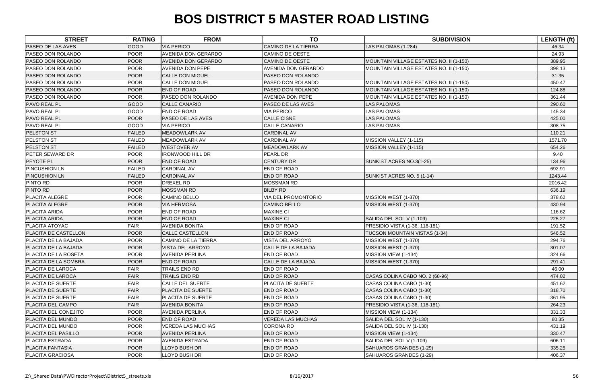| <b>STREET</b>               | <b>RATING</b> | <b>FROM</b>                | <b>TO</b>                  | <b>SUBDIVISION</b>                      | <b>LENGTH (ft)</b> |
|-----------------------------|---------------|----------------------------|----------------------------|-----------------------------------------|--------------------|
| <b>PASEO DE LAS AVES</b>    | <b>GOOD</b>   | <b>VIA PERICO</b>          | <b>CAMINO DE LA TIERRA</b> | LAS PALOMAS (1-284)                     | 46.34              |
| <b>PASEO DON ROLANDO</b>    | <b>POOR</b>   | AVENIDA DON GERARDO        | <b>CAMINO DE OESTE</b>     |                                         | 24.93              |
| PASEO DON ROLANDO           | <b>POOR</b>   | AVENIDA DON GERARDO        | <b>CAMINO DE OESTE</b>     | MOUNTAIN VILLAGE ESTATES NO. II (1-150) | 389.95             |
| <b>PASEO DON ROLANDO</b>    | <b>POOR</b>   | <b>AVENIDA DON PEPE</b>    | <b>AVENIDA DON GERARDO</b> | MOUNTAIN VILLAGE ESTATES NO. II (1-150) | 398.13             |
| PASEO DON ROLANDO           | <b>POOR</b>   | <b>CALLE DON MIGUEL</b>    | PASEO DON ROLANDO          |                                         | 31.35              |
| <b>PASEO DON ROLANDO</b>    | <b>POOR</b>   | <b>CALLE DON MIGUEL</b>    | PASEO DON ROLANDO          | MOUNTAIN VILLAGE ESTATES NO. II (1-150) | 450.47             |
| PASEO DON ROLANDO           | <b>POOR</b>   | <b>END OF ROAD</b>         | PASEO DON ROLANDO          | MOUNTAIN VILLAGE ESTATES NO. II (1-150) | 124.88             |
| <b>PASEO DON ROLANDO</b>    | <b>POOR</b>   | PASEO DON ROLANDO          | AVENIDA DON PEPE           | MOUNTAIN VILLAGE ESTATES NO. II (1-150) | 361.44             |
| <b>PAVO REAL PL</b>         | GOOD          | <b>CALLE CANARIO</b>       | PASEO DE LAS AVES          | <b>LAS PALOMAS</b>                      | 290.60             |
| <b>PAVO REAL PL</b>         | GOOD          | <b>END OF ROAD</b>         | <b>VIA PERICO</b>          | LAS PALOMAS                             | 145.34             |
| <b>PAVO REAL PL</b>         | <b>POOR</b>   | PASEO DE LAS AVES          | <b>CALLE CISNE</b>         | <b>LAS PALOMAS</b>                      | 425.00             |
| <b>PAVO REAL PL</b>         | GOOD          | <b>VIA PERICO</b>          | <b>CALLE CANARIO</b>       | LAS PALOMAS                             | 308.75             |
| <b>PELSTON ST</b>           | <b>FAILED</b> | MEADOWLARK AV              | <b>CARDINAL AV</b>         |                                         | 110.21             |
| <b>PELSTON ST</b>           | <b>FAILED</b> | MEADOWLARK AV              | <b>CARDINAL AV</b>         | MISSION VALLEY (1-115)                  | 1571.70            |
| <b>PELSTON ST</b>           | <b>FAILED</b> | <b>WESTOVER AV</b>         | MEADOWLARK AV              | MISSION VALLEY (1-115)                  | 654.26             |
| <b>PETER SEWARD DR</b>      | <b>POOR</b>   | <b>IRONWOOD HILL DR</b>    | <b>PEARL DR</b>            |                                         | 9.40               |
| <b>PEYOTE PL</b>            | <b>POOR</b>   | <b>END OF ROAD</b>         | <b>CENTURY DR</b>          | SUNKIST ACRES NO.3(1-25)                | 134.96             |
| <b>PINCUSHION LN</b>        | <b>FAILED</b> | <b>CARDINAL AV</b>         | END OF ROAD                |                                         | 692.91             |
| <b>PINCUSHION LN</b>        | <b>FAILED</b> | <b>CARDINAL AV</b>         | <b>END OF ROAD</b>         | SUNKIST ACRES NO. 5 (1-14)              | 1243.44            |
| <b>PINTO RD</b>             | <b>POOR</b>   | DREXEL RD                  | <b>MOSSMAN RD</b>          |                                         | 2016.42            |
| <b>PINTO RD</b>             | <b>POOR</b>   | <b>MOSSMAN RD</b>          | <b>BILBY RD</b>            |                                         | 636.19             |
| <b>PLACITA ALEGRE</b>       | <b>POOR</b>   | CAMINO BELLO               | VIA DEL PROMONTORIO        | MISSION WEST (1-370)                    | 378.62             |
| <b>PLACITA ALEGRE</b>       | <b>POOR</b>   | <b>VIA HERMOSA</b>         | <b>CAMINO BELLO</b>        | MISSION WEST (1-370)                    | 430.94             |
| <b>PLACITA ARIDA</b>        | <b>POOR</b>   | END OF ROAD                | <b>MAXINE CI</b>           |                                         | 116.62             |
| PLACITA ARIDA               | <b>POOR</b>   | END OF ROAD                | <b>MAXINE CI</b>           | SALIDA DEL SOL V (1-109)                | 225.27             |
| <b>PLACITA ATOYAC</b>       | <b>FAIR</b>   | <b>AVENIDA BONITA</b>      | END OF ROAD                | PRESIDIO VISTA (1-36, 118-181)          | 191.52             |
| PLACITA DE CASTELLON        | POOR          | <b>CALLE CASTELLON</b>     | END OF ROAD                | <b>TUCSON MOUNTAIN VISTAS (1-34)</b>    | 546.52             |
| <b>PLACITA DE LA BAJADA</b> | <b>POOR</b>   | <b>CAMINO DE LA TIERRA</b> | VISTA DEL ARROYO           | MISSION WEST (1-370)                    | 294.76             |
| <b>PLACITA DE LA BAJADA</b> | POOR          | VISTA DEL ARROYO           | CALLE DE LA BAJADA         | MISSION WEST (1-370)                    | 301.07             |
| <b>PLACITA DE LA ROSETA</b> | <b>POOR</b>   | <b>AVENIDA PERLINA</b>     | <b>END OF ROAD</b>         | MISSION VIEW (1-134)                    | 324.66             |
| <b>PLACITA DE LA SOMBRA</b> | <b>POOR</b>   | <b>END OF ROAD</b>         | CALLE DE LA BAJADA         | MISSION WEST (1-370)                    | 291.41             |
| <b>PLACITA DE LAROCA</b>    | <b>FAIR</b>   | TRAILS END RD              | <b>END OF ROAD</b>         |                                         | 46.00              |
| PLACITA DE LAROCA           | <b>FAIR</b>   | TRAILS END RD              | <b>END OF ROAD</b>         | CASAS COLINA CABO NO. 2 (68-96)         | 474.02             |
| <b>PLACITA DE SUERTE</b>    | <b>FAIR</b>   | <b>CALLE DEL SUERTE</b>    | PLACITA DE SUERTE          | CASAS COLINA CABO (1-30)                | 451.62             |
| <b>PLACITA DE SUERTE</b>    | FAIR          | PLACITA DE SUERTE          | <b>END OF ROAD</b>         | CASAS COLINA CABO (1-30)                | 318.70             |
| <b>PLACITA DE SUERTE</b>    | <b>FAIR</b>   | PLACITA DE SUERTE          | <b>END OF ROAD</b>         | CASAS COLINA CABO (1-30)                | 361.95             |
| <b>PLACITA DEL CAMPO</b>    | <b>FAIR</b>   | <b>AVENIDA BONITA</b>      | END OF ROAD                | <b>PRESIDIO VISTA (1-36, 118-181)</b>   | 264.23             |
| <b>PLACITA DEL CONEJITO</b> | <b>POOR</b>   | <b>AVENIDA PERLINA</b>     | END OF ROAD                | MISSION VIEW (1-134)                    | 331.33             |
| <b>PLACITA DEL MUNDO</b>    | <b>POOR</b>   | <b>END OF ROAD</b>         | <b>VEREDA LAS MUCHAS</b>   | SALIDA DEL SOL IV (1-130)               | 80.35              |
| <b>PLACITA DEL MUNDO</b>    | <b>POOR</b>   | <b>VEREDA LAS MUCHAS</b>   | <b>CORONA RD</b>           | SALIDA DEL SOL IV (1-130)               | 431.19             |
| <b>PLACITA DEL PASILLO</b>  | <b>POOR</b>   | <b>AVENIDA PERLINA</b>     | <b>END OF ROAD</b>         | MISSION VIEW (1-134)                    | 330.47             |
| <b>PLACITA ESTRADA</b>      | <b>POOR</b>   | <b>AVENIDA ESTRADA</b>     | <b>END OF ROAD</b>         | SALIDA DEL SOL V (1-109)                | 606.11             |
| <b>PLACITA FANTASIA</b>     | <b>POOR</b>   | LLOYD BUSH DR              | <b>END OF ROAD</b>         | SAHUAROS GRANDES (1-29)                 | 335.25             |
| <b>PLACITA GRACIOSA</b>     | <b>POOR</b>   | LLOYD BUSH DR              | END OF ROAD                | SAHUAROS GRANDES (1-29)                 | 406.37             |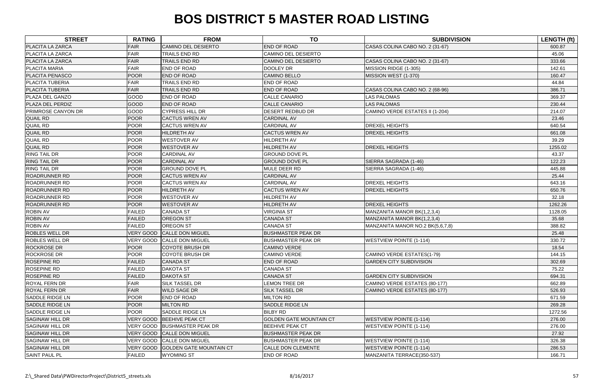| <b>STREET</b>             | <b>RATING</b> | <b>FROM</b>                       | <b>TO</b>                      | <b>SUBDIVISION</b>               | <b>LENGTH (ft)</b> |
|---------------------------|---------------|-----------------------------------|--------------------------------|----------------------------------|--------------------|
| <b>PLACITA LA ZARCA</b>   | <b>FAIR</b>   | <b>CAMINO DEL DESIERTO</b>        | <b>END OF ROAD</b>             | CASAS COLINA CABO NO. 2 (31-67)  | 600.87             |
| <b>PLACITA LA ZARCA</b>   | <b>FAIR</b>   | TRAILS END RD                     | <b>CAMINO DEL DESIERTO</b>     |                                  | 45.06              |
| PLACITA LA ZARCA          | <b>FAIR</b>   | <b>TRAILS END RD</b>              | <b>CAMINO DEL DESIERTO</b>     | CASAS COLINA CABO NO. 2 (31-67)  | 333.66             |
| <b>PLACITA MARIA</b>      | <b>FAIR</b>   | END OF ROAD                       | DOOLEY DR                      | MISSION RIDGE (1-305)            | 142.61             |
| <b>PLACITA PENASCO</b>    | <b>POOR</b>   | <b>END OF ROAD</b>                | <b>CAMINO BELLO</b>            | MISSION WEST (1-370)             | 160.47             |
| <b>PLACITA TUBERIA</b>    | <b>FAIR</b>   | TRAILS END RD                     | <b>END OF ROAD</b>             |                                  | 44.84              |
| <b>PLACITA TUBERIA</b>    | <b>FAIR</b>   | TRAILS END RD                     | <b>END OF ROAD</b>             | CASAS COLINA CABO NO. 2 (68-96)  | 386.71             |
| PLAZA DEL GANZO           | GOOD          | END OF ROAD                       | <b>CALLE CANARIO</b>           | <b>LAS PALOMAS</b>               | 369.37             |
| PLAZA DEL PERDIZ          | GOOD          | <b>END OF ROAD</b>                | <b>CALLE CANARIO</b>           | <b>LAS PALOMAS</b>               | 230.44             |
| <b>PRIMROSE CANYON DR</b> | GOOD          | <b>CYPRESS HILL DR</b>            | <b>DESERT REDBUD DR</b>        | CAMINO VERDE ESTATES II (1-204)  | 214.07             |
| <b>QUAIL RD</b>           | <b>POOR</b>   | <b>CACTUS WREN AV</b>             | <b>CARDINAL AV</b>             |                                  | 23.46              |
| <b>QUAIL RD</b>           | <b>POOR</b>   | <b>CACTUS WREN AV</b>             | <b>CARDINAL AV</b>             | <b>DREXEL HEIGHTS</b>            | 640.54             |
| <b>QUAIL RD</b>           | <b>POOR</b>   | <b>HILDRETH AV</b>                | <b>CACTUS WREN AV</b>          | <b>DREXEL HEIGHTS</b>            | 661.08             |
| <b>QUAIL RD</b>           | <b>POOR</b>   | <b>WESTOVER AV</b>                | HILDRETH AV                    |                                  | 39.29              |
| <b>QUAIL RD</b>           | <b>POOR</b>   | <b>WESTOVER AV</b>                | <b>HILDRETH AV</b>             | <b>DREXEL HEIGHTS</b>            | 1255.02            |
| <b>RING TAIL DR</b>       | <b>POOR</b>   | <b>CARDINAL AV</b>                | <b>GROUND DOVE PL</b>          |                                  | 43.37              |
| <b>RING TAIL DR</b>       | <b>POOR</b>   | <b>CARDINAL AV</b>                | <b>GROUND DOVE PL</b>          | SIERRA SAGRADA (1-46)            | 122.23             |
| <b>RING TAIL DR</b>       | <b>POOR</b>   | <b>GROUND DOVE PL</b>             | <b>MULE DEER RD</b>            | SIERRA SAGRADA (1-46)            | 445.88             |
| <b>ROADRUNNER RD</b>      | <b>POOR</b>   | <b>CACTUS WREN AV</b>             | <b>CARDINAL AV</b>             |                                  | 25.44              |
| <b>ROADRUNNER RD</b>      | <b>POOR</b>   | <b>CACTUS WREN AV</b>             | <b>CARDINAL AV</b>             | <b>DREXEL HEIGHTS</b>            | 643.16             |
| <b>ROADRUNNER RD</b>      | <b>POOR</b>   | <b>HILDRETH AV</b>                | <b>CACTUS WREN AV</b>          | <b>DREXEL HEIGHTS</b>            | 650.76             |
| <b>ROADRUNNER RD</b>      | <b>POOR</b>   | <b>WESTOVER AV</b>                | HILDRETH AV                    |                                  | 32.18              |
| <b>ROADRUNNER RD</b>      | <b>POOR</b>   | <b>WESTOVER AV</b>                | <b>HILDRETH AV</b>             | <b>DREXEL HEIGHTS</b>            | 1262.26            |
| <b>ROBIN AV</b>           | <b>FAILED</b> | <b>CANADA ST</b>                  | <b>VIRGINIA ST</b>             | MANZANITA MANOR BK(1,2,3,4)      | 1128.05            |
| <b>ROBIN AV</b>           | <b>FAILED</b> | <b>OREGON ST</b>                  | <b>CANADA ST</b>               | MANZANITA MANOR BK(1,2,3,4)      | 35.68              |
| <b>ROBIN AV</b>           | <b>FAILED</b> | OREGON ST                         | <b>CANADA ST</b>               | MANZANITA MANOR NO.2 BK(5,6,7,8) | 388.82             |
| <b>ROBLES WELL DR</b>     | VERY GOOD     | <b>CALLE DON MIGUEL</b>           | <b>BUSHMASTER PEAK DR</b>      |                                  | 25.48              |
| <b>ROBLES WELL DR</b>     | VERY GOOD     | <b>CALLE DON MIGUEL</b>           | <b>BUSHMASTER PEAK DR</b>      | <b>WESTVIEW POINTE (1-114)</b>   | 330.72             |
| <b>ROCKROSE DR</b>        | <b>POOR</b>   | <b>COYOTE BRUSH DR</b>            | <b>CAMINO VERDE</b>            |                                  | 18.54              |
| <b>ROCKROSE DR</b>        | <b>POOR</b>   | <b>COYOTE BRUSH DR</b>            | <b>CAMINO VERDE</b>            | CAMINO VERDE ESTATES(1-79)       | 144.15             |
| <b>ROSEPINE RD</b>        | <b>FAILED</b> | <b>CANADA ST</b>                  | <b>END OF ROAD</b>             | <b>GARDEN CITY SUBDIVISION</b>   | 302.69             |
| <b>ROSEPINE RD</b>        | <b>FAILED</b> | <b>DAKOTA ST</b>                  | <b>CANADA ST</b>               |                                  | 75.22              |
| <b>ROSEPINE RD</b>        | <b>FAILED</b> | <b>DAKOTA ST</b>                  | <b>CANADA ST</b>               | <b>GARDEN CITY SUBDIVISION</b>   | 694.31             |
| <b>ROYAL FERN DR</b>      | <b>FAIR</b>   | SILK TASSEL DR                    | <b>LEMON TREE DR</b>           | CAMINO VERDE ESTATES (80-177)    | 662.89             |
| <b>ROYAL FERN DR</b>      | <b>FAIR</b>   | <b>WILD SAGE DR</b>               | <b>SILK TASSEL DR</b>          | CAMINO VERDE ESTATES (80-177)    | 526.93             |
| <b>SADDLE RIDGE LN</b>    | <b>POOR</b>   | END OF ROAD                       | <b>MILTON RD</b>               |                                  | 671.59             |
| <b>SADDLE RIDGE LN</b>    | <b>POOR</b>   | <b>MILTON RD</b>                  | <b>SADDLE RIDGE LN</b>         |                                  | 269.28             |
| <b>SADDLE RIDGE LN</b>    | <b>POOR</b>   | <b>SADDLE RIDGE LN</b>            | <b>BILBY RD</b>                |                                  | 1272.56            |
| <b>SAGINAW HILL DR</b>    |               | VERY GOOD BEEHIVE PEAK CT         | <b>GOLDEN GATE MOUNTAIN CT</b> | <b>WESTVIEW POINTE (1-114)</b>   | 276.00             |
| <b>SAGINAW HILL DR</b>    |               | VERY GOOD BUSHMASTER PEAK DR      | <b>BEEHIVE PEAK CT</b>         | <b>WESTVIEW POINTE (1-114)</b>   | 276.00             |
| <b>SAGINAW HILL DR</b>    |               | VERY GOOD CALLE DON MIGUEL        | <b>BUSHMASTER PEAK DR</b>      |                                  | 27.92              |
| <b>SAGINAW HILL DR</b>    | VERY GOOD     | <b>CALLE DON MIGUEL</b>           | <b>BUSHMASTER PEAK DR</b>      | <b>WESTVIEW POINTE (1-114)</b>   | 326.38             |
| <b>SAGINAW HILL DR</b>    |               | VERY GOOD GOLDEN GATE MOUNTAIN CT | <b>CALLE DON CLEMENTE</b>      | <b>WESTVIEW POINTE (1-114)</b>   | 286.53             |
| <b>SAINT PAUL PL</b>      | <b>FAILED</b> | <b>WYOMING ST</b>                 | END OF ROAD                    | MANZANITA TERRACE(350-537)       | 166.71             |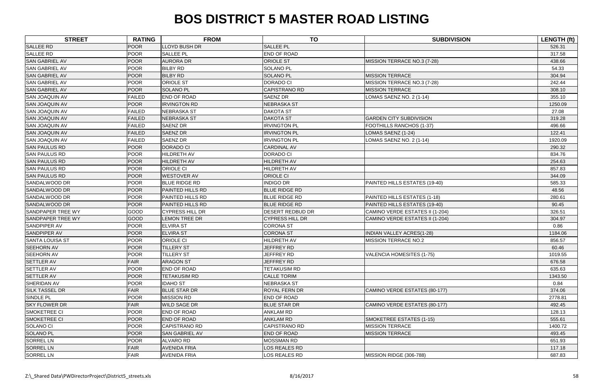| <b>STREET</b>            | <b>RATING</b> | <b>FROM</b>            | <b>TO</b>               | <b>SUBDIVISION</b>               | <b>LENGTH (ft)</b> |
|--------------------------|---------------|------------------------|-------------------------|----------------------------------|--------------------|
| <b>SALLEE RD</b>         | <b>POOR</b>   | <b>LLOYD BUSH DR</b>   | <b>SALLEE PL</b>        |                                  | 526.31             |
| <b>SALLEE RD</b>         | <b>POOR</b>   | <b>SALLEE PL</b>       | <b>END OF ROAD</b>      |                                  | 317.58             |
| <b>SAN GABRIEL AV</b>    | <b>POOR</b>   | <b>AURORA DR</b>       | <b>ORIOLE ST</b>        | MISSION TERRACE NO.3 (7-28)      | 438.66             |
| <b>SAN GABRIEL AV</b>    | <b>POOR</b>   | <b>BILBY RD</b>        | <b>SOLANO PL</b>        |                                  | 54.33              |
| <b>SAN GABRIEL AV</b>    | <b>POOR</b>   | <b>BILBY RD</b>        | <b>SOLANO PL</b>        | <b>MISSION TERRACE</b>           | 304.94             |
| <b>SAN GABRIEL AV</b>    | <b>POOR</b>   | <b>ORIOLE ST</b>       | <b>DORADO CI</b>        | MISSION TERRACE NO.3 (7-28)      | 242.44             |
| <b>SAN GABRIEL AV</b>    | <b>POOR</b>   | <b>SOLANO PL</b>       | <b>CAPISTRANO RD</b>    | <b>MISSION TERRACE</b>           | 308.10             |
| <b>SAN JOAQUIN AV</b>    | <b>FAILED</b> | <b>END OF ROAD</b>     | <b>SAENZ DR</b>         | LOMAS SAENZ NO. 2 (1-14)         | 355.10             |
| <b>SAN JOAQUIN AV</b>    | <b>POOR</b>   | <b>IRVINGTON RD</b>    | <b>NEBRASKA ST</b>      |                                  | 1250.09            |
| <b>SAN JOAQUIN AV</b>    | <b>FAILED</b> | <b>NEBRASKA ST</b>     | <b>DAKOTA ST</b>        |                                  | 27.08              |
| <b>SAN JOAQUIN AV</b>    | <b>FAILED</b> | <b>NEBRASKA ST</b>     | <b>DAKOTA ST</b>        | <b>GARDEN CITY SUBDIVISION</b>   | 319.28             |
| <b>SAN JOAQUIN AV</b>    | <b>FAILED</b> | <b>SAENZ DR</b>        | <b>IRVINGTON PL</b>     | FOOTHILLS RANCHOS (1-37)         | 496.66             |
| <b>SAN JOAQUIN AV</b>    | <b>FAILED</b> | <b>SAENZ DR</b>        | <b>IRVINGTON PL</b>     | LOMAS SAENZ (1-24)               | 122.41             |
| <b>SAN JOAQUIN AV</b>    | <b>FAILED</b> | <b>SAENZ DR</b>        | <b>IRVINGTON PL</b>     | LOMAS SAENZ NO. 2 (1-14)         | 1920.09            |
| <b>SAN PAULUS RD</b>     | <b>POOR</b>   | <b>DORADO CI</b>       | <b>CARDINAL AV</b>      |                                  | 290.32             |
| <b>SAN PAULUS RD</b>     | <b>POOR</b>   | <b>HILDRETH AV</b>     | <b>DORADO CI</b>        |                                  | 834.76             |
| <b>SAN PAULUS RD</b>     | <b>POOR</b>   | <b>HILDRETH AV</b>     | <b>HILDRETH AV</b>      |                                  | 254.63             |
| <b>SAN PAULUS RD</b>     | <b>POOR</b>   | ORIOLE CI              | <b>HILDRETH AV</b>      |                                  | 857.83             |
| <b>SAN PAULUS RD</b>     | <b>POOR</b>   | <b>WESTOVER AV</b>     | ORIOLE CI               |                                  | 344.09             |
| SANDALWOOD DR            | <b>POOR</b>   | <b>BLUE RIDGE RD</b>   | <b>INDIGO DR</b>        | PAINTED HILLS ESTATES (19-40)    | 585.33             |
| SANDALWOOD DR            | <b>POOR</b>   | PAINTED HILLS RD       | <b>BLUE RIDGE RD</b>    |                                  | 48.56              |
| SANDALWOOD DR            | <b>POOR</b>   | PAINTED HILLS RD       | <b>BLUE RIDGE RD</b>    | PAINTED HILLS ESTATES (1-18)     | 280.61             |
| <b>SANDALWOOD DR</b>     | <b>POOR</b>   | PAINTED HILLS RD       | <b>BLUE RIDGE RD</b>    | PAINTED HILLS ESTATES (19-40)    | 90.45              |
| <b>SANDPAPER TREE WY</b> | GOOD          | <b>CYPRESS HILL DR</b> | <b>DESERT REDBUD DR</b> | CAMINO VERDE ESTATES II (1-204)  | 326.51             |
| <b>SANDPAPER TREE WY</b> | <b>GOOD</b>   | <b>LEMON TREE DR</b>   | <b>CYPRESS HILL DR</b>  | CAMINO VERDE ESTATES II (1-204)  | 304.97             |
| SANDPIPER AV             | <b>POOR</b>   | <b>ELVIRA ST</b>       | <b>CORONA ST</b>        |                                  | 0.86               |
| <b>SANDPIPER AV</b>      | <b>POOR</b>   | <b>ELVIRA ST</b>       | <b>CORONA ST</b>        | <b>INDIAN VALLEY ACRES(1-28)</b> | 1184.06            |
| <b>SANTA LOUISA ST</b>   | <b>POOR</b>   | ORIOLE CI              | <b>HILDRETH AV</b>      | <b>MISSION TERRACE NO.2</b>      | 856.57             |
| <b>SEEHORN AV</b>        | <b>POOR</b>   | <b>TILLERY ST</b>      | JEFFREY RD              |                                  | 60.46              |
| <b>SEEHORN AV</b>        | POOR          | <b>TILLERY ST</b>      | JEFFREY RD              | VALENCIA HOMESITES (1-75)        | 1019.55            |
| <b>SETTLER AV</b>        | <b>FAIR</b>   | <b>ARAGON ST</b>       | JEFFREY RD              |                                  | 676.58             |
| <b>SETTLER AV</b>        | <b>POOR</b>   | END OF ROAD            | <b>TETAKUSIM RD</b>     |                                  | 635.63             |
| <b>SETTLER AV</b>        | <b>POOR</b>   | <b>TETAKUSIM RD</b>    | <b>CALLE TORIM</b>      |                                  | 1343.50            |
| SHERIDAN AV              | <b>POOR</b>   | <b>IDAHO ST</b>        | <b>NEBRASKA ST</b>      |                                  | 0.84               |
| <b>SILK TASSEL DR</b>    | <b>FAIR</b>   | <b>BLUE STAR DR</b>    | <b>ROYAL FERN DR</b>    | CAMINO VERDE ESTATES (80-177)    | 374.06             |
| SINDLE PL                | <b>POOR</b>   | <b>MISSION RD</b>      | <b>END OF ROAD</b>      |                                  | 2778.81            |
| <b>SKY FLOWER DR</b>     | <b>FAIR</b>   | <b>WILD SAGE DR</b>    | <b>BLUE STAR DR</b>     | CAMINO VERDE ESTATES (80-177)    | 492.45             |
| SMOKETREE CI             | <b>POOR</b>   | <b>END OF ROAD</b>     | <b>ANKLAM RD</b>        |                                  | 128.13             |
| SMOKETREE CI             | <b>POOR</b>   | END OF ROAD            | <b>ANKLAM RD</b>        | SMOKETREE ESTATES (1-15)         | 555.61             |
| <b>SOLANO CI</b>         | <b>POOR</b>   | <b>CAPISTRANO RD</b>   | <b>CAPISTRANO RD</b>    | <b>MISSION TERRACE</b>           | 1400.72            |
| <b>SOLANO PL</b>         | <b>POOR</b>   | <b>SAN GABRIEL AV</b>  | <b>END OF ROAD</b>      | <b>MISSION TERRACE</b>           | 493.45             |
| <b>SORREL LN</b>         | <b>POOR</b>   | <b>ALVARO RD</b>       | <b>MOSSMAN RD</b>       |                                  | 651.93             |
| <b>SORREL LN</b>         | <b>FAIR</b>   | <b>AVENIDA FRIA</b>    | LOS REALES RD           |                                  | 117.18             |
| <b>SORREL LN</b>         | <b>FAIR</b>   | <b>AVENIDA FRIA</b>    | LOS REALES RD           | MISSION RIDGE (306-788)          | 687.83             |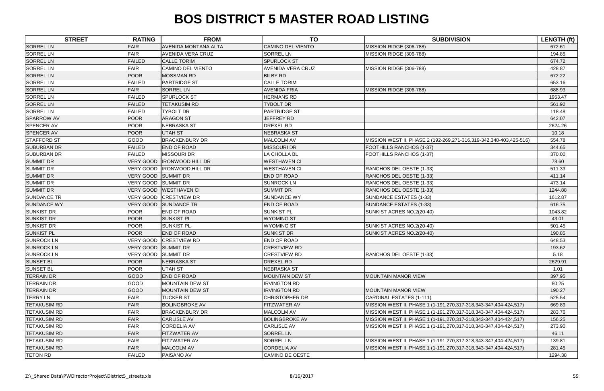| <b>STREET</b>       | <b>RATING</b>              | <b>FROM</b>                | <b>TO</b>                | <b>SUBDIVISION</b>                                                 | <b>LENGTH (ft)</b> |
|---------------------|----------------------------|----------------------------|--------------------------|--------------------------------------------------------------------|--------------------|
| <b>SORREL LN</b>    | <b>FAIR</b>                | AVENIDA MONTANA ALTA       | <b>CAMINO DEL VIENTO</b> | MISSION RIDGE (306-788)                                            | 672.61             |
| <b>SORREL LN</b>    | <b>FAIR</b>                | <b>AVENIDA VERA CRUZ</b>   | <b>SORREL LN</b>         | MISSION RIDGE (306-788)                                            | 194.85             |
| <b>SORREL LN</b>    | <b>FAILED</b>              | <b>CALLE TORIM</b>         | <b>SPURLOCK ST</b>       |                                                                    | 674.72             |
| <b>SORREL LN</b>    | <b>FAIR</b>                | <b>CAMINO DEL VIENTO</b>   | <b>AVENIDA VERA CRUZ</b> | MISSION RIDGE (306-788)                                            | 428.87             |
| <b>SORREL LN</b>    | <b>POOR</b>                | <b>MOSSMAN RD</b>          | <b>BILBY RD</b>          |                                                                    | 672.22             |
| <b>SORREL LN</b>    | <b>FAILED</b>              | <b>PARTRIDGE ST</b>        | <b>CALLE TORIM</b>       |                                                                    | 653.16             |
| <b>SORREL LN</b>    | <b>FAIR</b>                | <b>SORREL LN</b>           | <b>AVENIDA FRIA</b>      | MISSION RIDGE (306-788)                                            | 688.93             |
| <b>SORREL LN</b>    | <b>FAILED</b>              | <b>SPURLOCK ST</b>         | <b>HERMANS RD</b>        |                                                                    | 1953.47            |
| <b>SORREL LN</b>    | <b>FAILED</b>              | <b>TETAKUSIM RD</b>        | <b>TYBOLT DR</b>         |                                                                    | 561.92             |
| <b>SORREL LN</b>    | <b>FAILED</b>              | <b>TYBOLT DR</b>           | <b>PARTRIDGE ST</b>      |                                                                    | 118.48             |
| <b>SPARROW AV</b>   | <b>POOR</b>                | <b>ARAGON ST</b>           | <b>JEFFREY RD</b>        |                                                                    | 642.07             |
| <b>SPENCER AV</b>   | <b>POOR</b>                | <b>NEBRASKA ST</b>         | DREXEL RD                |                                                                    | 2624.26            |
| <b>SPENCER AV</b>   | <b>POOR</b>                | <b>UTAH ST</b>             | <b>NEBRASKA ST</b>       |                                                                    | 10.18              |
| <b>STAFFORD ST</b>  | GOOD                       | <b>BRACKENBURY DR</b>      | MALCOLM AV               | MISSION WEST II, PHASE 2 (192-269,271-316,319-342,348-403,425-516) | 554.78             |
| <b>SUBURBAN DR</b>  | <b>FAILED</b>              | <b>END OF ROAD</b>         | <b>MISSOURI DR</b>       | FOOTHILLS RANCHOS (1-37)                                           | 344.65             |
| <b>SUBURBAN DR</b>  | <b>FAILED</b>              | <b>MISSOURI DR</b>         | LA CHOLLA BL             | FOOTHILLS RANCHOS (1-37)                                           | 370.00             |
| <b>SUMMIT DR</b>    | <b>VERY GOOD</b>           | <b>IRONWOOD HILL DR</b>    | <b>WESTHAVEN CI</b>      |                                                                    | 78.60              |
| <b>SUMMIT DR</b>    |                            | VERY GOOD IRONWOOD HILL DR | <b>WESTHAVEN CI</b>      | RANCHOS DEL OESTE (1-33)                                           | 511.33             |
| <b>SUMMIT DR</b>    | VERY GOOD SUMMIT DR        |                            | <b>END OF ROAD</b>       | RANCHOS DEL OESTE (1-33)                                           | 411.14             |
| <b>SUMMIT DR</b>    | VERY GOOD SUMMIT DR        |                            | <b>SUNROCK LN</b>        | RANCHOS DEL OESTE (1-33)                                           | 473.14             |
| <b>SUMMIT DR</b>    | VERY GOOD                  | <b>WESTHAVEN CI</b>        | <b>SUMMIT DR</b>         | RANCHOS DEL OESTE (1-33)                                           | 1244.88            |
| <b>SUNDANCE TR</b>  |                            | VERY GOOD CRESTVIEW DR     | <b>SUNDANCE WY</b>       | SUNDANCE ESTATES (1-33)                                            | 1612.87            |
| <b>SUNDANCE WY</b>  | <b>VERY GOOD</b>           | <b>SUNDANCE TR</b>         | <b>END OF ROAD</b>       | SUNDANCE ESTATES (1-33)                                            | 616.75             |
| <b>SUNKIST DR</b>   | <b>POOR</b>                | <b>END OF ROAD</b>         | <b>SUNKIST PL</b>        | SUNKIST ACRES NO.2(20-40)                                          | 1043.82            |
| <b>SUNKIST DR</b>   | <b>POOR</b>                | <b>SUNKIST PL</b>          | <b>WYOMING ST</b>        |                                                                    | 43.01              |
| <b>SUNKIST DR</b>   | <b>POOR</b>                | <b>SUNKIST PL</b>          | <b>WYOMING ST</b>        | SUNKIST ACRES NO.2(20-40)                                          | 501.45             |
| <b>SUNKIST PL</b>   | <b>POOR</b>                | <b>END OF ROAD</b>         | <b>SUNKIST DR</b>        | SUNKIST ACRES NO.2(20-40)                                          | 190.85             |
| <b>SUNROCK LN</b>   | <b>VERY GOOD</b>           | <b>CRESTVIEW RD</b>        | <b>END OF ROAD</b>       |                                                                    | 648.53             |
| <b>SUNROCK LN</b>   | <b>VERY GOOD SUMMIT DR</b> |                            | <b>CRESTVIEW RD</b>      |                                                                    | 193.62             |
| <b>SUNROCK LN</b>   | VERY GOOD SUMMIT DR        |                            | <b>CRESTVIEW RD</b>      | RANCHOS DEL OESTE (1-33)                                           | 5.18               |
| <b>SUNSET BL</b>    | <b>POOR</b>                | <b>NEBRASKA ST</b>         | <b>DREXEL RD</b>         |                                                                    | 2629.91            |
| <b>SUNSET BL</b>    | <b>POOR</b>                | <b>UTAH ST</b>             | <b>NEBRASKA ST</b>       |                                                                    | 1.01               |
| <b>TERRAIN DR</b>   | <b>GOOD</b>                | <b>END OF ROAD</b>         | <b>MOUNTAIN DEW ST</b>   | <b>MOUNTAIN MANOR VIEW</b>                                         | 397.95             |
| <b>TERRAIN DR</b>   | <b>GOOD</b>                | <b>MOUNTAIN DEW ST</b>     | <b>IRVINGTON RD</b>      |                                                                    | 80.25              |
| <b>TERRAIN DR</b>   | <b>GOOD</b>                | <b>MOUNTAIN DEW ST</b>     | <b>IRVINGTON RD</b>      | <b>MOUNTAIN MANOR VIEW</b>                                         | 190.27             |
| <b>TERRY LN</b>     | <b>FAIR</b>                | <b>TUCKER ST</b>           | <b>CHRISTOPHER DR</b>    | CARDINAL ESTATES (1-111)                                           | 525.54             |
| <b>TETAKUSIM RD</b> | <b>FAIR</b>                | <b>BOLINGBROKE AV</b>      | <b>FITZWATER AV</b>      | MISSION WEST II, PHASE 1 (1-191,270,317-318,343-347,404-424,517)   | 669.89             |
| <b>TETAKUSIM RD</b> | <b>FAIR</b>                | <b>BRACKENBURY DR</b>      | <b>MALCOLM AV</b>        | MISSION WEST II, PHASE 1 (1-191,270,317-318,343-347,404-424,517)   | 283.76             |
| <b>TETAKUSIM RD</b> | FAIR                       | <b>CARLISLE AV</b>         | <b>BOLINGBROKE AV</b>    | MISSION WEST II, PHASE 1 (1-191,270,317-318,343-347,404-424,517)   | 156.25             |
| <b>TETAKUSIM RD</b> | <b>FAIR</b>                | <b>CORDELIA AV</b>         | <b>CARLISLE AV</b>       | MISSION WEST II, PHASE 1 (1-191,270,317-318,343-347,404-424,517)   | 273.90             |
| <b>TETAKUSIM RD</b> | FAIR                       | FITZWATER AV               | <b>SORREL LN</b>         |                                                                    | 46.11              |
| <b>TETAKUSIM RD</b> | <b>FAIR</b>                | FITZWATER AV               | <b>SORREL LN</b>         | MISSION WEST II, PHASE 1 (1-191,270,317-318,343-347,404-424,517)   | 139.81             |
| <b>TETAKUSIM RD</b> | <b>FAIR</b>                | <b>MALCOLM AV</b>          | <b>CORDELIA AV</b>       | MISSION WEST II, PHASE 1 (1-191,270,317-318,343-347,404-424,517)   | 281.45             |
| <b>TETON RD</b>     | <b>FAILED</b>              | PAISANO AV                 | <b>CAMINO DE OESTE</b>   |                                                                    | 1294.38            |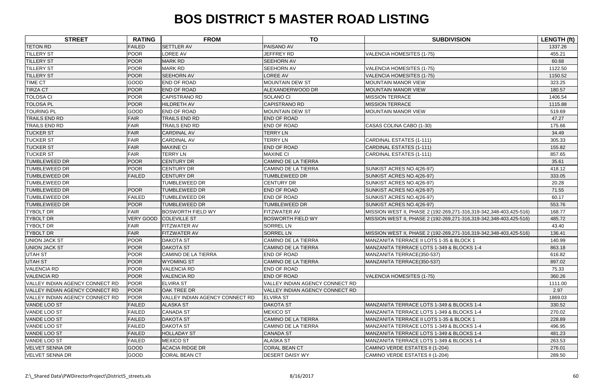| <b>STREET</b>                   | <b>RATING</b>    | <b>FROM</b>                     | <b>TO</b>                       | <b>SUBDIVISION</b>                                                 | LENGTH (ft) |
|---------------------------------|------------------|---------------------------------|---------------------------------|--------------------------------------------------------------------|-------------|
| <b>TETON RD</b>                 | <b>FAILED</b>    | <b>SETTLER AV</b>               | PAISANO AV                      |                                                                    | 1337.26     |
| <b>TILLERY ST</b>               | <b>POOR</b>      | <b>LOREE AV</b>                 | <b>JEFFREY RD</b>               | VALENCIA HOMESITES (1-75)                                          | 455.21      |
| <b>TILLERY ST</b>               | POOR             | <b>MARK RD</b>                  | <b>SEEHORN AV</b>               |                                                                    | 60.68       |
| <b>TILLERY ST</b>               | <b>POOR</b>      | <b>MARK RD</b>                  | SEEHORN AV                      | VALENCIA HOMESITES (1-75)                                          | 1122.50     |
| <b>TILLERY ST</b>               | POOR             | <b>SEEHORN AV</b>               | LOREE AV                        | VALENCIA HOMESITES (1-75)                                          | 1150.52     |
| <b>TIME CT</b>                  | GOOD             | <b>END OF ROAD</b>              | <b>MOUNTAIN DEW ST</b>          | <b>MOUNTAIN MANOR VIEW</b>                                         | 323.25      |
| <b>TIRZA CT</b>                 | POOR             | <b>END OF ROAD</b>              | ALEXANDERWOOD DR                | <b>MOUNTAIN MANOR VIEW</b>                                         | 180.57      |
| <b>TOLOSA CI</b>                | <b>POOR</b>      | <b>CAPISTRANO RD</b>            | SOLANO CI                       | <b>MISSION TERRACE</b>                                             | 1406.54     |
| <b>TOLOSA PL</b>                | <b>POOR</b>      | <b>HILDRETH AV</b>              | CAPISTRANO RD                   | <b>MISSION TERRACE</b>                                             | 1115.88     |
| <b>TOURING PL</b>               | <b>GOOD</b>      | <b>END OF ROAD</b>              | <b>MOUNTAIN DEW ST</b>          | <b>MOUNTAIN MANOR VIEW</b>                                         | 519.69      |
| <b>TRAILS END RD</b>            | <b>FAIR</b>      | TRAILS END RD                   | <b>END OF ROAD</b>              |                                                                    | 47.27       |
| <b>TRAILS END RD</b>            | <b>FAIR</b>      | TRAILS END RD                   | <b>END OF ROAD</b>              | CASAS COLINA CABO (1-30)                                           | 175.66      |
| <b>TUCKER ST</b>                | <b>FAIR</b>      | <b>CARDINAL AV</b>              | <b>TERRY LN</b>                 |                                                                    | 34.49       |
| <b>TUCKER ST</b>                | <b>FAIR</b>      | <b>CARDINAL AV</b>              | <b>TERRY LN</b>                 | CARDINAL ESTATES (1-111)                                           | 305.33      |
| <b>TUCKER ST</b>                | FAIR             | <b>MAXINE CI</b>                | <b>END OF ROAD</b>              | <b>CARDINAL ESTATES (1-111)</b>                                    | 155.82      |
| <b>TUCKER ST</b>                | <b>FAIR</b>      | <b>TERRY LN</b>                 | <b>MAXINE CI</b>                | <b>CARDINAL ESTATES (1-111)</b>                                    | 857.65      |
| <b>TUMBLEWEED DR</b>            | POOR             | <b>CENTURY DR</b>               | <b>CAMINO DE LA TIERRA</b>      |                                                                    | 35.61       |
| <b>TUMBLEWEED DR</b>            | <b>POOR</b>      | <b>CENTURY DR</b>               | <b>CAMINO DE LA TIERRA</b>      | SUNKIST ACRES NO.4(26-97)                                          | 418.12      |
| <b>TUMBLEWEED DR</b>            | <b>FAILED</b>    | <b>CENTURY DR</b>               | <b>TUMBLEWEED DR</b>            | SUNKIST ACRES NO.4(26-97)                                          | 333.05      |
| <b>TUMBLEWEED DR</b>            |                  | <b>TUMBLEWEED DR</b>            | <b>CENTURY DR</b>               | SUNKIST ACRES NO.4(26-97)                                          | 20.28       |
| <b>TUMBLEWEED DR</b>            | POOR             | <b>TUMBLEWEED DR</b>            | <b>END OF ROAD</b>              | SUNKIST ACRES NO.4(26-97)                                          | 71.55       |
| <b>TUMBLEWEED DR</b>            | <b>FAILED</b>    | <b>TUMBLEWEED DR</b>            | <b>END OF ROAD</b>              | SUNKIST ACRES NO.4(26-97)                                          | 60.17       |
| <b>TUMBLEWEED DR</b>            | <b>POOR</b>      | TUMBLEWEED DR                   | TUMBLEWEED DR                   | SUNKIST ACRES NO.4(26-97)                                          | 553.76      |
| <b>TYBOLT DR</b>                | <b>FAIR</b>      | <b>BOSWORTH FIELD WY</b>        | FITZWATER AV                    | MISSION WEST II, PHASE 2 (192-269,271-316,319-342,348-403,425-516) | 168.77      |
| <b>TYBOLT DR</b>                | <b>VERY GOOD</b> | <b>COLEVILLE ST</b>             | <b>BOSWORTH FIELD WY</b>        | MISSION WEST II, PHASE 2 (192-269,271-316,319-342,348-403,425-516) | 485.72      |
| <b>TYBOLT DR</b>                | <b>FAIR</b>      | FITZWATER AV                    | <b>SORREL LN</b>                |                                                                    | 43.40       |
| <b>TYBOLT DR</b>                | FAIR             | <b>FITZWATER AV</b>             | <b>SORREL LN</b>                | MISSION WEST II, PHASE 2 (192-269,271-316,319-342,348-403,425-516) | 136.41      |
| <b>UNION JACK ST</b>            | <b>POOR</b>      | <b>DAKOTA ST</b>                | <b>CAMINO DE LA TIERRA</b>      | MANZANITA TERRACE II LOTS 1-35 & BLOCK 1                           | 140.99      |
| <b>UNION JACK ST</b>            | POOR             | <b>DAKOTA ST</b>                | <b>CAMINO DE LA TIERRA</b>      | MANZANITA TERRACE LOTS 1-349 & BLOCKS 1-4                          | 863.18      |
| <b>UTAH ST</b>                  | <b>POOR</b>      | CAMINO DE LA TIERRA             | <b>END OF ROAD</b>              | MANZANITA TERRACE(350-537)                                         | 616.82      |
| <b>UTAH ST</b>                  | <b>POOR</b>      | <b>WYOMING ST</b>               | CAMINO DE LA TIERRA             | MANZANITA TERRACE(350-537)                                         | 897.02      |
| <b>VALENCIA RD</b>              | POOR             | <b>VALENCIA RD</b>              | <b>END OF ROAD</b>              |                                                                    | 75.33       |
| <b>VALENCIA RD</b>              | <b>POOR</b>      | <b>VALENCIA RD</b>              | <b>END OF ROAD</b>              | <b>VALENCIA HOMESITES (1-75)</b>                                   | 360.26      |
| VALLEY INDIAN AGENCY CONNECT RD | POOR             | <b>ELVIRA ST</b>                | VALLEY INDIAN AGENCY CONNECT RD |                                                                    | 1111.00     |
| VALLEY INDIAN AGENCY CONNECT RD | <b>POOR</b>      | <b>OAK TREE DR</b>              | VALLEY INDIAN AGENCY CONNECT RD |                                                                    | 2.97        |
| VALLEY INDIAN AGENCY CONNECT RD | <b>POOR</b>      | VALLEY INDIAN AGENCY CONNECT RD | <b>ELVIRA ST</b>                |                                                                    | 1869.03     |
| VANDE LOO ST                    | <b>FAILED</b>    | <b>ALASKA ST</b>                | <b>DAKOTA ST</b>                | MANZANITA TERRACE LOTS 1-349 & BLOCKS 1-4                          | 330.52      |
| VANDE LOO ST                    | <b>FAILED</b>    | <b>CANADA ST</b>                | <b>MEXICO ST</b>                | MANZANITA TERRACE LOTS 1-349 & BLOCKS 1-4                          | 270.02      |
| VANDE LOO ST                    | <b>FAILED</b>    | <b>DAKOTA ST</b>                | CAMINO DE LA TIERRA             | MANZANITA TERRACE II LOTS 1-35 & BLOCK 1                           | 228.89      |
| VANDE LOO ST                    | <b>FAILED</b>    | <b>DAKOTA ST</b>                | <b>CAMINO DE LA TIERRA</b>      | MANZANITA TERRACE LOTS 1-349 & BLOCKS 1-4                          | 496.95      |
| <b>VANDE LOO ST</b>             | <b>FAILED</b>    | <b>HOLLADAY ST</b>              | <b>CANADA ST</b>                | MANZANITA TERRACE LOTS 1-349 & BLOCKS 1-4                          | 481.23      |
| VANDE LOO ST                    | <b>FAILED</b>    | <b>MEXICO ST</b>                | <b>ALASKA ST</b>                | MANZANITA TERRACE LOTS 1-349 & BLOCKS 1-4                          | 263.53      |
| <b>VELVET SENNA DR</b>          | <b>GOOD</b>      | <b>ACACIA RIDGE DR</b>          | <b>CORAL BEAN CT</b>            | CAMINO VERDE ESTATES II (1-204)                                    | 276.01      |
| VELVET SENNA DR                 | <b>GOOD</b>      | <b>CORAL BEAN CT</b>            | <b>DESERT DAISY WY</b>          | CAMINO VERDE ESTATES II (1-204)                                    | 289.50      |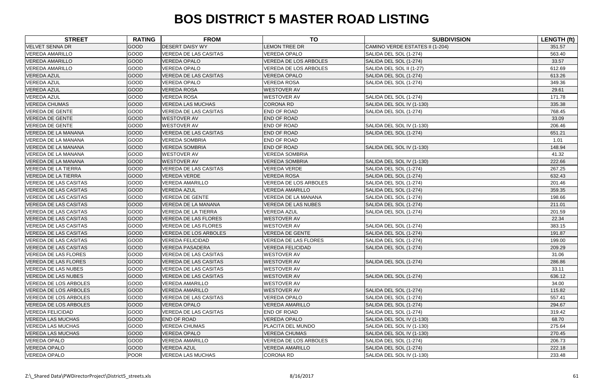| <b>STREET</b>                | <b>RATING</b> | <b>FROM</b>                  | <b>TO</b>                    | <b>SUBDIVISION</b>              | <b>LENGTH (ft)</b> |
|------------------------------|---------------|------------------------------|------------------------------|---------------------------------|--------------------|
| <b>VELVET SENNA DR</b>       | <b>GOOD</b>   | <b>DESERT DAISY WY</b>       | <b>LEMON TREE DR</b>         | CAMINO VERDE ESTATES II (1-204) | 351.57             |
| <b>VEREDA AMARILLO</b>       | <b>GOOD</b>   | <b>VEREDA DE LAS CASITAS</b> | <b>VEREDA OPALO</b>          | SALIDA DEL SOL (1-274)          | 563.40             |
| <b>VEREDA AMARILLO</b>       | <b>GOOD</b>   | <b>VEREDA OPALO</b>          | <b>VEREDA DE LOS ARBOLES</b> | SALIDA DEL SOL (1-274)          | 33.57              |
| <b>VEREDA AMARILLO</b>       | GOOD          | VEREDA OPALO                 | <b>VEREDA DE LOS ARBOLES</b> | SALIDA DEL SOL II (1-27)        | 612.69             |
| <b>VEREDA AZUL</b>           | GOOD          | <b>VEREDA DE LAS CASITAS</b> | <b>VEREDA OPALO</b>          | SALIDA DEL SOL (1-274)          | 613.26             |
| <b>VEREDA AZUL</b>           | GOOD          | <b>VEREDA OPALO</b>          | <b>VEREDA ROSA</b>           | SALIDA DEL SOL (1-274)          | 349.36             |
| <b>VEREDA AZUL</b>           | <b>GOOD</b>   | <b>VEREDA ROSA</b>           | <b>WESTOVER AV</b>           |                                 | 29.61              |
| <b>VEREDA AZUL</b>           | GOOD          | <b>VEREDA ROSA</b>           | <b>WESTOVER AV</b>           | SALIDA DEL SOL (1-274)          | 171.78             |
| <b>VEREDA CHUMAS</b>         | <b>GOOD</b>   | <b>VEREDA LAS MUCHAS</b>     | <b>CORONA RD</b>             | SALIDA DEL SOL IV (1-130)       | 335.38             |
| <b>VEREDA DE GENTE</b>       | <b>GOOD</b>   | <b>VEREDA DE LAS CASITAS</b> | END OF ROAD                  | SALIDA DEL SOL (1-274)          | 768.45             |
| <b>VEREDA DE GENTE</b>       | <b>GOOD</b>   | <b>WESTOVER AV</b>           | <b>END OF ROAD</b>           |                                 | 33.09              |
| <b>VEREDA DE GENTE</b>       | GOOD          | <b>WESTOVER AV</b>           | <b>END OF ROAD</b>           | SALIDA DEL SOL IV (1-130)       | 206.46             |
| <b>VEREDA DE LA MANANA</b>   | <b>GOOD</b>   | <b>VEREDA DE LAS CASITAS</b> | END OF ROAD                  | SALIDA DEL SOL (1-274)          | 651.21             |
| VEREDA DE LA MANANA          | <b>GOOD</b>   | <b>VEREDA SOMBRIA</b>        | <b>END OF ROAD</b>           |                                 | 1.01               |
| <b>VEREDA DE LA MANANA</b>   | <b>GOOD</b>   | <b>VEREDA SOMBRIA</b>        | <b>END OF ROAD</b>           | SALIDA DEL SOL IV (1-130)       | 148.94             |
| VEREDA DE LA MANANA          | <b>GOOD</b>   | <b>WESTOVER AV</b>           | <b>VEREDA SOMBRIA</b>        |                                 | 41.32              |
| <b>VEREDA DE LA MANANA</b>   | <b>GOOD</b>   | <b>WESTOVER AV</b>           | <b>VEREDA SOMBRIA</b>        | SALIDA DEL SOL IV (1-130)       | 222.66             |
| <b>VEREDA DE LA TIERRA</b>   | GOOD          | <b>VEREDA DE LAS CASITAS</b> | <b>VEREDA VERDE</b>          | SALIDA DEL SOL (1-274)          | 267.25             |
| <b>VEREDA DE LA TIERRA</b>   | <b>GOOD</b>   | <b>VEREDA VERDE</b>          | <b>VEREDA ROSA</b>           | SALIDA DEL SOL (1-274)          | 632.43             |
| <b>VEREDA DE LAS CASITAS</b> | <b>GOOD</b>   | <b>VEREDA AMARILLO</b>       | <b>VEREDA DE LOS ARBOLES</b> | SALIDA DEL SOL (1-274)          | 201.46             |
| <b>VEREDA DE LAS CASITAS</b> | <b>GOOD</b>   | <b>VEREDA AZUL</b>           | <b>VEREDA AMARILLO</b>       | SALIDA DEL SOL (1-274)          | 359.35             |
| <b>VEREDA DE LAS CASITAS</b> | <b>GOOD</b>   | <b>VEREDA DE GENTE</b>       | VEREDA DE LA MANANA          | SALIDA DEL SOL (1-274)          | 198.66             |
| <b>VEREDA DE LAS CASITAS</b> | <b>GOOD</b>   | VEREDA DE LA MANANA          | <b>VEREDA DE LAS NUBES</b>   | SALIDA DEL SOL (1-274)          | 211.01             |
| <b>VEREDA DE LAS CASITAS</b> | GOOD          | <b>VEREDA DE LA TIERRA</b>   | <b>VEREDA AZUL</b>           | SALIDA DEL SOL (1-274)          | 201.59             |
| <b>VEREDA DE LAS CASITAS</b> | <b>GOOD</b>   | <b>VEREDA DE LAS FLORES</b>  | <b>WESTOVER AV</b>           |                                 | 22.34              |
| <b>VEREDA DE LAS CASITAS</b> | GOOD          | <b>VEREDA DE LAS FLORES</b>  | <b>WESTOVER AV</b>           | SALIDA DEL SOL (1-274)          | 383.15             |
| <b>VEREDA DE LAS CASITAS</b> | GOOD          | <b>VEREDA DE LOS ARBOLES</b> | <b>VEREDA DE GENTE</b>       | SALIDA DEL SOL (1-274)          | 191.87             |
| <b>VEREDA DE LAS CASITAS</b> | <b>GOOD</b>   | <b>VEREDA FELICIDAD</b>      | <b>VEREDA DE LAS FLORES</b>  | SALIDA DEL SOL (1-274)          | 199.00             |
| <b>VEREDA DE LAS CASITAS</b> | <b>GOOD</b>   | <b>VEREDA PASADERA</b>       | <b>VEREDA FELICIDAD</b>      | SALIDA DEL SOL (1-274)          | 209.29             |
| <b>VEREDA DE LAS FLORES</b>  | GOOD          | <b>VEREDA DE LAS CASITAS</b> | <b>WESTOVER AV</b>           |                                 | 31.06              |
| <b>VEREDA DE LAS FLORES</b>  | <b>GOOD</b>   | <b>VEREDA DE LAS CASITAS</b> | <b>WESTOVER AV</b>           | SALIDA DEL SOL (1-274)          | 286.86             |
| <b>VEREDA DE LAS NUBES</b>   | <b>GOOD</b>   | <b>VEREDA DE LAS CASITAS</b> | <b>WESTOVER AV</b>           |                                 | 33.11              |
| <b>VEREDA DE LAS NUBES</b>   | <b>GOOD</b>   | <b>VEREDA DE LAS CASITAS</b> | <b>WESTOVER AV</b>           | SALIDA DEL SOL (1-274)          | 636.12             |
| <b>VEREDA DE LOS ARBOLES</b> | <b>GOOD</b>   | <b>VEREDA AMARILLO</b>       | <b>WESTOVER AV</b>           |                                 | 34.00              |
| <b>VEREDA DE LOS ARBOLES</b> | <b>GOOD</b>   | <b>VEREDA AMARILLO</b>       | <b>WESTOVER AV</b>           | SALIDA DEL SOL (1-274)          | 115.82             |
| VEREDA DE LOS ARBOLES        | <b>GOOD</b>   | <b>VEREDA DE LAS CASITAS</b> | <b>VEREDA OPALO</b>          | SALIDA DEL SOL (1-274)          | 557.41             |
| <b>VEREDA DE LOS ARBOLES</b> | <b>GOOD</b>   | <b>VEREDA OPALO</b>          | <b>VEREDA AMARILLO</b>       | SALIDA DEL SOL (1-274)          | 294.67             |
| <b>VEREDA FELICIDAD</b>      | GOOD          | <b>VEREDA DE LAS CASITAS</b> | <b>END OF ROAD</b>           | SALIDA DEL SOL (1-274)          | 319.42             |
| <b>VEREDA LAS MUCHAS</b>     | <b>GOOD</b>   | <b>END OF ROAD</b>           | <b>VEREDA OPALO</b>          | SALIDA DEL SOL IV (1-130)       | 68.70              |
| <b>VEREDA LAS MUCHAS</b>     | <b>GOOD</b>   | <b>VEREDA CHUMAS</b>         | PLACITA DEL MUNDO            | SALIDA DEL SOL IV (1-130)       | 275.64             |
| <b>VEREDA LAS MUCHAS</b>     | <b>GOOD</b>   | <b>VEREDA OPALO</b>          | <b>VEREDA CHUMAS</b>         | SALIDA DEL SOL IV (1-130)       | 270.45             |
| VEREDA OPALO                 | <b>GOOD</b>   | VEREDA AMARILLO              | <b>VEREDA DE LOS ARBOLES</b> | SALIDA DEL SOL (1-274)          | 206.73             |
| <b>VEREDA OPALO</b>          | <b>GOOD</b>   | <b>VEREDA AZUL</b>           | <b>VEREDA AMARILLO</b>       | SALIDA DEL SOL (1-274)          | 222.18             |
| <b>VEREDA OPALO</b>          | <b>POOR</b>   | <b>VEREDA LAS MUCHAS</b>     | <b>CORONA RD</b>             | SALIDA DEL SOL IV (1-130)       | 233.48             |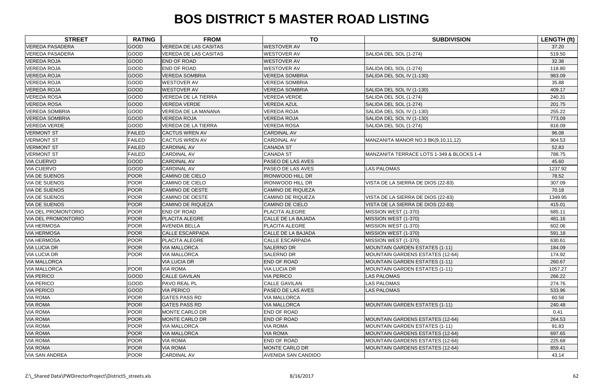| <b>STREET</b>              | <b>RATING</b> | <b>FROM</b>                  | <b>TO</b>                  | <b>SUBDIVISION</b>                        | LENGTH (ft) |
|----------------------------|---------------|------------------------------|----------------------------|-------------------------------------------|-------------|
| <b>VEREDA PASADERA</b>     | <b>GOOD</b>   | <b>VEREDA DE LAS CASITAS</b> | <b>WESTOVER AV</b>         |                                           | 37.20       |
| <b>VEREDA PASADERA</b>     | <b>GOOD</b>   | <b>VEREDA DE LAS CASITAS</b> | <b>WESTOVER AV</b>         | SALIDA DEL SOL (1-274)                    | 519.50      |
| <b>VEREDA ROJA</b>         | GOOD          | <b>END OF ROAD</b>           | <b>WESTOVER AV</b>         |                                           | 32.38       |
| <b>VEREDA ROJA</b>         | <b>GOOD</b>   | <b>END OF ROAD</b>           | <b>WESTOVER AV</b>         | SALIDA DEL SOL (1-274)                    | 118.80      |
| <b>VEREDA ROJA</b>         | <b>GOOD</b>   | <b>VEREDA SOMBRIA</b>        | <b>VEREDA SOMBRIA</b>      | SALIDA DEL SOL IV (1-130)                 | 983.09      |
| <b>VEREDA ROJA</b>         | GOOD          | <b>WESTOVER AV</b>           | <b>VEREDA SOMBRIA</b>      |                                           | 35.88       |
| <b>VEREDA ROJA</b>         | GOOD          | <b>WESTOVER AV</b>           | <b>VEREDA SOMBRIA</b>      | SALIDA DEL SOL IV (1-130)                 | 409.17      |
| <b>VEREDA ROSA</b>         | <b>GOOD</b>   | <b>VEREDA DE LA TIERRA</b>   | <b>VEREDA VERDE</b>        | SALIDA DEL SOL (1-274)                    | 240.31      |
| <b>VEREDA ROSA</b>         | <b>GOOD</b>   | <b>VEREDA VERDE</b>          | <b>VEREDA AZUL</b>         | SALIDA DEL SOL (1-274)                    | 201.75      |
| <b>VEREDA SOMBRIA</b>      | <b>GOOD</b>   | VEREDA DE LA MANANA          | <b>VEREDA ROJA</b>         | SALIDA DEL SOL IV (1-130)                 | 255.22      |
| <b>VEREDA SOMBRIA</b>      | GOOD          | <b>VEREDA ROJA</b>           | <b>VEREDA ROJA</b>         | SALIDA DEL SOL IV (1-130)                 | 773.09      |
| VEREDA VERDE               | GOOD          | <b>VEREDA DE LA TIERRA</b>   | <b>VEREDA ROSA</b>         | SALIDA DEL SOL (1-274)                    | 816.09      |
| <b>VERMONT ST</b>          | <b>FAILED</b> | <b>CACTUS WREN AV</b>        | <b>CARDINAL AV</b>         |                                           | 96.08       |
| <b>VERMONT ST</b>          | <b>FAILED</b> | <b>CACTUS WREN AV</b>        | <b>CARDINAL AV</b>         | MANZANITA MANOR NO.3 BK(9,10,11,12)       | 904.53      |
| <b>VERMONT ST</b>          | <b>FAILED</b> | <b>CARDINAL AV</b>           | <b>CANADA ST</b>           |                                           | 52.83       |
| <b>VERMONT ST</b>          | <b>FAILED</b> | <b>CARDINAL AV</b>           | <b>CANADA ST</b>           | MANZANITA TERRACE LOTS 1-349 & BLOCKS 1-4 | 788.75      |
| <b>VIA CUERVO</b>          | <b>GOOD</b>   | <b>CARDINAL AV</b>           | PASEO DE LAS AVES          |                                           | 45.60       |
| <b>VIA CUERVO</b>          | GOOD          | <b>CARDINAL AV</b>           | PASEO DE LAS AVES          | <b>LAS PALOMAS</b>                        | 1237.92     |
| <b>VIA DE SUENOS</b>       | POOR          | <b>CAMINO DE CIELO</b>       | <b>IRONWOOD HILL DR</b>    |                                           | 78.52       |
| <b>VIA DE SUENOS</b>       | POOR          | CAMINO DE CIELO              | <b>IRONWOOD HILL DR</b>    | VISTA DE LA SIERRA DE DIOS (22-83)        | 307.09      |
| <b>VIA DE SUENOS</b>       | POOR          | <b>CAMINO DE OESTE</b>       | <b>CAMINO DE RIQUEZA</b>   |                                           | 70.18       |
| <b>VIA DE SUENOS</b>       | <b>POOR</b>   | <b>CAMINO DE OESTE</b>       | CAMINO DE RIQUEZA          | VISTA DE LA SIERRA DE DIOS (22-83)        | 1349.95     |
| <b>VIA DE SUENOS</b>       | <b>POOR</b>   | <b>CAMINO DE RIQUEZA</b>     | <b>CAMINO DE CIELO</b>     | VISTA DE LA SIERRA DE DIOS (22-83)        | 415.01      |
| <b>VIA DEL PROMONTORIO</b> | POOR          | <b>END OF ROAD</b>           | PLACITA ALEGRE             | MISSION WEST (1-370)                      | 685.11      |
| <b>VIA DEL PROMONTORIO</b> | POOR          | <b>PLACITA ALEGRE</b>        | CALLE DE LA BAJADA         | MISSION WEST (1-370)                      | 481.16      |
| <b>VIA HERMOSA</b>         | <b>POOR</b>   | <b>AVENIDA BELLA</b>         | PLACITA ALEGRE             | MISSION WEST (1-370)                      | 602.06      |
| <b>VIA HERMOSA</b>         | POOR          | <b>CALLE ESCARPADA</b>       | CALLE DE LA BAJADA         | MISSION WEST (1-370)                      | 591.18      |
| <b>VIA HERMOSA</b>         | <b>POOR</b>   | PLACITA ALEGRE               | CALLE ESCARPADA            | MISSION WEST (1-370)                      | 630.61      |
| <b>VIA LUCIA DR</b>        | POOR          | <b>VIA MALLORCA</b>          | <b>SALERNO DR</b>          | <b>MOUNTAIN GARDEN ESTATES (1-11)</b>     | 184.09      |
| <b>VIA LUCIA DR</b>        | <b>POOR</b>   | <b>VIA MALLORCA</b>          | SALERNO DR                 | MOUNTAIN GARDENS ESTATES (12-64)          | 174.92      |
| <b>VIA MALLORCA</b>        |               | <b>VIA LUCIA DR</b>          | <b>END OF ROAD</b>         | <b>MOUNTAIN GARDEN ESTATES (1-11)</b>     | 260.67      |
| <b>VIA MALLORCA</b>        | <b>POOR</b>   | <b>VIA ROMA</b>              | <b>VIA LUCIA DR</b>        | MOUNTAIN GARDEN ESTATES (1-11)            | 1057.27     |
| <b>VIA PERICO</b>          | <b>GOOD</b>   | <b>CALLE GAVILAN</b>         | <b>VIA PERICO</b>          | <b>LAS PALOMAS</b>                        | 266.22      |
| <b>VIA PERICO</b>          | <b>GOOD</b>   | <b>PAVO REAL PL</b>          | <b>CALLE GAVILAN</b>       | LAS PALOMAS                               | 274.76      |
| <b>VIA PERICO</b>          | <b>GOOD</b>   | <b>VIA PERICO</b>            | PASEO DE LAS AVES          | <b>LAS PALOMAS</b>                        | 533.96      |
| <b>VIA ROMA</b>            | <b>POOR</b>   | <b>GATES PASS RD</b>         | <b>VIA MALLORCA</b>        |                                           | 60.58       |
| <b>VIA ROMA</b>            | <b>POOR</b>   | <b>GATES PASS RD</b>         | <b>VIA MALLORCA</b>        | <b>MOUNTAIN GARDEN ESTATES (1-11)</b>     | 240.48      |
| <b>VIA ROMA</b>            | <b>POOR</b>   | MONTE CARLO DR               | <b>END OF ROAD</b>         |                                           | 0.41        |
| <b>VIA ROMA</b>            | <b>POOR</b>   | <b>MONTE CARLO DR</b>        | <b>END OF ROAD</b>         | <b>MOUNTAIN GARDENS ESTATES (12-64)</b>   | 264.53      |
| <b>VIA ROMA</b>            | <b>POOR</b>   | <b>VIA MALLORCA</b>          | <b>VIA ROMA</b>            | <b>MOUNTAIN GARDEN ESTATES (1-11)</b>     | 91.83       |
| <b>VIA ROMA</b>            | POOR          | <b>VIA MALLORCA</b>          | <b>VIA ROMA</b>            | <b>MOUNTAIN GARDENS ESTATES (12-64)</b>   | 697.65      |
| <b>VIA ROMA</b>            | <b>POOR</b>   | <b>VIA ROMA</b>              | <b>END OF ROAD</b>         | <b>MOUNTAIN GARDENS ESTATES (12-64)</b>   | 225.68      |
| <b>VIA ROMA</b>            | <b>POOR</b>   | <b>VIA ROMA</b>              | MONTE CARLO DR             | <b>MOUNTAIN GARDENS ESTATES (12-64)</b>   | 859.41      |
| <b>VIA SAN ANDREA</b>      | <b>POOR</b>   | <b>CARDINAL AV</b>           | <b>AVENIDA SAN CANDIDO</b> |                                           | 43.14       |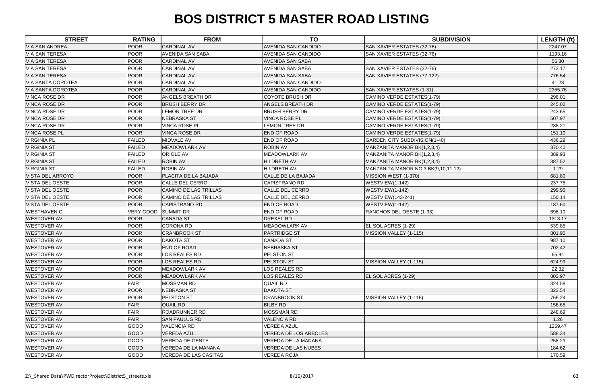| <b>STREET</b>                     | <b>RATING</b>    | <b>FROM</b>                  | <b>TO</b>                    | <b>SUBDIVISION</b>                  | <b>LENGTH (ft)</b> |
|-----------------------------------|------------------|------------------------------|------------------------------|-------------------------------------|--------------------|
| <b>VIA SAN ANDREA</b>             | <b>POOR</b>      | <b>CARDINAL AV</b>           | <b>AVENIDA SAN CANDIDO</b>   | SAN XAVIER ESTATES (32-76)          | 2247.07            |
| <b>VIA SAN TERESA</b>             | <b>POOR</b>      | <b>AVENIDA SAN SABA</b>      | <b>AVENIDA SAN CANDIDO</b>   | SAN XAVIER ESTATES (32-76)          | 1193.16            |
| <b>VIA SAN TERESA</b>             | <b>POOR</b>      | <b>CARDINAL AV</b>           | <b>AVENIDA SAN SABA</b>      |                                     | 56.80              |
| <b>VIA SAN TERESA</b>             | <b>POOR</b>      | <b>CARDINAL AV</b>           | <b>AVENIDA SAN SABA</b>      | SAN XAVIER ESTATES (32-76)          | 273.17             |
| <b>VIA SAN TERESA</b>             | <b>POOR</b>      | <b>CARDINAL AV</b>           | <b>AVENIDA SAN SABA</b>      | SAN XAVIER ESTATES (77-122)         | 776.54             |
| <b>VIA SANTA DOROTEA</b>          | <b>POOR</b>      | <b>CARDINAL AV</b>           | <b>AVENIDA SAN CANDIDO</b>   |                                     | 41.23              |
| <b>VIA SANTA DOROTEA</b>          | <b>POOR</b>      | <b>CARDINAL AV</b>           | <b>AVENIDA SAN CANDIDO</b>   | SAN XAVIER ESTATES (1-31)           | 2355.76            |
| <b>VINCA ROSE DR</b>              | <b>POOR</b>      | <b>ANGELS BREATH DR</b>      | <b>COYOTE BRUSH DR</b>       | CAMINO VERDE ESTATES(1-79)          | 296.01             |
| <b>VINCA ROSE DR</b>              | <b>POOR</b>      | <b>BRUSH BERRY DR</b>        | <b>ANGELS BREATH DR</b>      | CAMINO VERDE ESTATES(1-79)          | 245.02             |
| <b>VINCA ROSE DR</b>              | <b>POOR</b>      | LEMON TREE DR                | <b>BRUSH BERRY DR</b>        | CAMINO VERDE ESTATES(1-79)          | 243.65             |
| <b>VINCA ROSE DR</b>              | <b>POOR</b>      | <b>NEBRASKA ST</b>           | <b>VINCA ROSE PL</b>         | CAMINO VERDE ESTATES(1-79)          | 507.97             |
| <b>VINCA ROSE DR</b>              | <b>POOR</b>      | <b>VINCA ROSE PL</b>         | <b>LEMON TREE DR</b>         | CAMINO VERDE ESTATES(1-79)          | 288.21             |
| <b>VINCA ROSE PL</b>              | <b>POOR</b>      | <b>VINCA ROSE DR</b>         | END OF ROAD                  | CAMINO VERDE ESTATES(1-79)          | 151.10             |
| <b>VIRGINIA PL</b>                | <b>FAILED</b>    | <b>MIDVALE AV</b>            | <b>END OF ROAD</b>           | GARDEN CITY SUBDIVISION(1-40)       | 436.29             |
| <b>VIRGINIA ST</b>                | <b>FAILED</b>    | <b>MEADOWLARK AV</b>         | <b>ROBIN AV</b>              | MANZANITA MANOR BK(1,2,3,4)         | 370.40             |
| <b>VIRGINIA ST</b>                | <b>FAILED</b>    | <b>ORIOLE AV</b>             | MEADOWLARK AV                | MANZANITA MANOR BK(1,2,3,4)         | 389.93             |
| <b>VIRGINIA ST</b>                | <b>FAILED</b>    | <b>ROBIN AV</b>              | <b>HILDRETH AV</b>           | MANZANITA MANOR BK(1,2,3,4)         | 387.52             |
| <b>VIRGINIA ST</b>                | <b>FAILED</b>    | <b>ROBIN AV</b>              | <b>HILDRETH AV</b>           | MANZANITA MANOR NO.3 BK(9,10,11,12) | 1.29               |
| <b>VISTA DEL ARROYO</b>           | <b>POOR</b>      | PLACITA DE LA BAJADA         | CALLE DE LA BAJADA           | MISSION WEST (1-370)                | 681.80             |
| <b>VISTA DEL OESTE</b>            | <b>POOR</b>      | <b>CALLE DEL CERRO</b>       | <b>CAPISTRANO RD</b>         | WESTVIEW(1-142)                     | 237.75             |
| <b>VISTA DEL OESTE</b>            | <b>POOR</b>      | CAMINO DE LAS TRILLAS        | <b>CALLE DEL CERRO</b>       | WESTVIEW(1-142)                     | 299.96             |
| <b>VISTA DEL OESTE</b>            | <b>POOR</b>      | <b>CAMINO DE LAS TRILLAS</b> | <b>CALLE DEL CERRO</b>       | <b>WESTVIEW</b> (143-241)           | 150.14             |
| <b>VISTA DEL OESTE</b>            | <b>POOR</b>      | <b>CAPISTRANO RD</b>         | <b>END OF ROAD</b>           | WESTVIEW(1-142)                     | 187.60             |
| <b>WESTHAVEN CI</b>               | <b>VERY GOOD</b> | <b>SUMMIT DR</b>             | <b>END OF ROAD</b>           | RANCHOS DEL OESTE (1-33)            | 698.10             |
| <b>WESTOVER AV</b>                | <b>POOR</b>      | <b>CANADA ST</b>             | DREXEL RD                    |                                     | 1313.17            |
| <b>WESTOVER AV</b>                | <b>POOR</b>      | CORONA RD                    | <b>MEADOWLARK AV</b>         | EL SOL ACRES (1-29)                 | 539.85             |
| <b>WESTOVER AV</b>                | <b>POOR</b>      | <b>CRANBROOK ST</b>          | <b>PARTRIDGE ST</b>          | MISSION VALLEY (1-115)              | 801.90             |
| <b>WESTOVER AV</b>                | <b>POOR</b>      | <b>DAKOTA ST</b>             | <b>CANADA ST</b>             |                                     | 987.10             |
| <b>WESTOVER AV</b>                | <b>POOR</b>      | <b>END OF ROAD</b>           | NEBRASKA ST                  |                                     | 702.42             |
| <b>WESTOVER AV</b>                | <b>POOR</b>      | LOS REALES RD                | PELSTON ST                   |                                     | 65.94              |
| <b>WESTOVER AV</b>                | <b>POOR</b>      | <b>LOS REALES RD</b>         | PELSTON ST                   | MISSION VALLEY (1-115)              | 624.99             |
| <b>WESTOVER AV</b>                | <b>POOR</b>      | <b>MEADOWLARK AV</b>         | LOS REALES RD                |                                     | 22.32              |
| <b>WESTOVER AV</b>                | <b>POOR</b>      | <b>MEADOWLARK AV</b>         | LOS REALES RD                | EL SOL ACRES (1-29)                 | 803.97             |
| <b>WESTOVER AV</b>                | <b>FAIR</b>      | <b>MOSSMAN RD</b>            | QUAIL RD                     |                                     | 324.58             |
| <b>WESTOVER AV</b>                | <b>POOR</b>      | <b>NEBRASKA ST</b>           | <b>DAKOTA ST</b>             |                                     | 323.54             |
| <b>WESTOVER AV</b>                | <b>POOR</b>      | <b>PELSTON ST</b>            | <b>CRANBROOK ST</b>          | MISSION VALLEY (1-115)              | 765.24             |
| <b>WESTOVER AV</b><br><b>FAIR</b> |                  | <b>QUAIL RD</b>              | <b>BILBY RD</b>              |                                     | 156.65             |
| <b>FAIR</b><br><b>WESTOVER AV</b> |                  | <b>ROADRUNNER RD</b>         | <b>MOSSMAN RD</b>            |                                     | 248.69             |
| <b>FAIR</b><br><b>WESTOVER AV</b> |                  | <b>SAN PAULUS RD</b>         | <b>VALENCIA RD</b>           |                                     | 1.26               |
| <b>WESTOVER AV</b>                | GOOD             | <b>VALENCIA RD</b>           | <b>VEREDA AZUL</b>           |                                     | 1259.47            |
| <b>WESTOVER AV</b>                | <b>GOOD</b>      | <b>VEREDA AZUL</b>           | <b>VEREDA DE LOS ARBOLES</b> |                                     | 588.34             |
| <b>WESTOVER AV</b>                | GOOD             | <b>VEREDA DE GENTE</b>       | VEREDA DE LA MANANA          |                                     | 258.29             |
| <b>WESTOVER AV</b>                | <b>GOOD</b>      | VEREDA DE LA MANANA          | <b>VEREDA DE LAS NUBES</b>   |                                     | 184.62             |
| <b>WESTOVER AV</b>                | <b>GOOD</b>      | <b>VEREDA DE LAS CASITAS</b> | VEREDA ROJA                  |                                     | 170.59             |